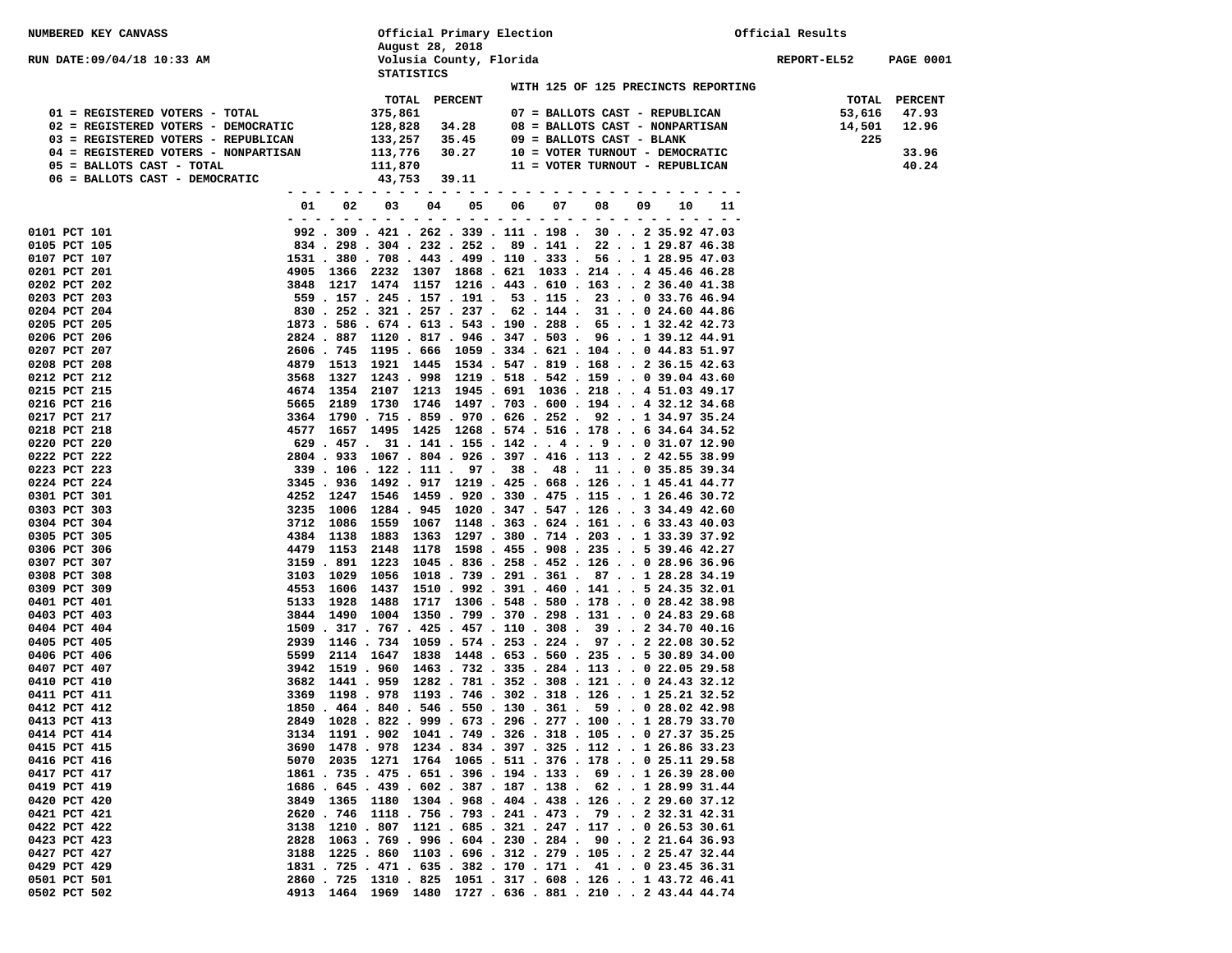| NUMBERED KEY CANVASS                 |                           | Official Primary Election                                                                                              |                         |    |                                                                                                                        | Official Results |             |                  |
|--------------------------------------|---------------------------|------------------------------------------------------------------------------------------------------------------------|-------------------------|----|------------------------------------------------------------------------------------------------------------------------|------------------|-------------|------------------|
|                                      |                           | August 28, 2018                                                                                                        |                         |    |                                                                                                                        |                  |             |                  |
| RUN DATE:09/04/18 10:33 AM           |                           |                                                                                                                        | Volusia County, Florida |    |                                                                                                                        |                  | REPORT-EL52 | <b>PAGE 0001</b> |
|                                      |                           | <b>STATISTICS</b>                                                                                                      |                         |    |                                                                                                                        |                  |             |                  |
|                                      |                           | TOTAL                                                                                                                  | <b>PERCENT</b>          |    | WITH 125 OF 125 PRECINCTS REPORTING                                                                                    |                  | TOTAL       | <b>PERCENT</b>   |
| 01 = REGISTERED VOTERS - TOTAL       |                           | 375,861                                                                                                                |                         |    | 07 = BALLOTS CAST - REPUBLICAN                                                                                         |                  | 53,616      | 47.93            |
| 02 = REGISTERED VOTERS - DEMOCRATIC  |                           | 128,828                                                                                                                | 34.28                   |    | 08 = BALLOTS CAST - NONPARTISAN                                                                                        |                  | 14,501      | 12.96            |
| 03 = REGISTERED VOTERS - REPUBLICAN  |                           | 133,257                                                                                                                | 35.45                   |    | 09 = BALLOTS CAST - BLANK                                                                                              |                  | 225         |                  |
| 04 = REGISTERED VOTERS - NONPARTISAN |                           | 113,776                                                                                                                | 30.27                   |    | 10 = VOTER TURNOUT - DEMOCRATIC                                                                                        |                  |             | 33.96            |
| 05 = BALLOTS CAST - TOTAL            |                           | 111,870                                                                                                                |                         |    | 11 = VOTER TURNOUT - REPUBLICAN                                                                                        |                  |             | 40.24            |
| 06 = BALLOTS CAST - DEMOCRATIC       |                           | 43,753                                                                                                                 | 39.11                   |    |                                                                                                                        |                  |             |                  |
|                                      |                           | $\frac{1}{2} \left( \frac{1}{2} \right) \frac{1}{2} \left( \frac{1}{2} \right) \frac{1}{2} \left( \frac{1}{2} \right)$ |                         |    |                                                                                                                        |                  |             |                  |
|                                      | 01<br>02<br>$\sim$ $-$    | 03                                                                                                                     | 05<br>04                | 06 | 07<br>08<br>09<br>-----------------------------                                                                        | 10               |             |                  |
| 0101 PCT 101                         |                           |                                                                                                                        |                         |    | 992 . 309 . 421 . 262 . 339 . 111 . 198 . 30 2 35.92 47.03                                                             |                  |             |                  |
| 0105 PCT 105                         |                           |                                                                                                                        |                         |    | 834 . 298 . 304 . 232 . 252 . 89 . 141 . 22 1 29.87 46.38                                                              |                  |             |                  |
| 0107 PCT 107                         |                           |                                                                                                                        |                         |    | 1531 . 380 . 708 . 443 . 499 . 110 . 333 . 56 1 28.95 47.03                                                            |                  |             |                  |
| 0201 PCT 201                         |                           |                                                                                                                        |                         |    | 4905 1366 2232 1307 1868 .621 1033 .214 4 45.46 46.28                                                                  |                  |             |                  |
| 0202 PCT 202                         |                           |                                                                                                                        |                         |    | 3848 1217 1474 1157 1216 . 443 . 610 . 163 2 36.40 41.38                                                               |                  |             |                  |
| 0203 PCT 203                         |                           |                                                                                                                        |                         |    | 559 . 157 . 245 . 157 . 191 . 53 . 115 . 23 0 33.76 46.94                                                              |                  |             |                  |
| 0204 PCT 204                         |                           |                                                                                                                        |                         |    | 830 . 252 . 321 . 257 . 237 . 62 . 144 . 31 0 24.60 44.86                                                              |                  |             |                  |
| 0205 PCT 205                         |                           |                                                                                                                        |                         |    | 1873 . 586 . 674 . 613 . 543 . 190 . 288 . 65 1 32.42 42.73                                                            |                  |             |                  |
| 0206 PCT 206                         |                           |                                                                                                                        |                         |    | 2824 . 887 1120 . 817 . 946 . 347 . 503 . 96 1 39.12 44.91                                                             |                  |             |                  |
| 0207 PCT 207                         |                           |                                                                                                                        |                         |    | 2606 . 745 1195 . 666 1059 . 334 . 621 . 104 0 44.83 51.97                                                             |                  |             |                  |
| 0208 PCT 208<br>0212 PCT 212         | 4879 1513<br>3568<br>1327 |                                                                                                                        |                         |    | 1921 1445 1534 . 547 . 819 . 168 2 36.15 42.63<br>1243 . 998 1219 . 518 . 542 . 159 0 39.04 43.60                      |                  |             |                  |
| 0215 PCT 215                         |                           |                                                                                                                        |                         |    | 4674 1354 2107 1213 1945 .691 1036 .218 4 51.03 49.17                                                                  |                  |             |                  |
| 0216 PCT 216                         |                           |                                                                                                                        |                         |    | 5665 2189 1730 1746 1497 . 703 . 600 . 194 4 32.12 34.68                                                               |                  |             |                  |
| 0217 PCT 217                         | 3364                      |                                                                                                                        |                         |    | 1790 . 715 . 859 . 970 . 626 . 252 . 92 1 34.97 35.24                                                                  |                  |             |                  |
| 0218 PCT 218                         |                           |                                                                                                                        |                         |    | 4577 1657 1495 1425 1268 .574 .516 .178 6 34.64 34.52                                                                  |                  |             |                  |
| 0220 PCT 220                         |                           |                                                                                                                        |                         |    | 629 . 457 . 31 . 141 . 155 . 142 4 9 0 31.07 12.90                                                                     |                  |             |                  |
| 0222 PCT 222                         |                           |                                                                                                                        |                         |    | 2804 . 933 1067 . 804 . 926 . 397 . 416 . 113 2 42.55 38.99                                                            |                  |             |                  |
| 0223 PCT 223                         |                           |                                                                                                                        |                         |    | 339 . 106 . 122 . 111 . 97 . 38 . 48 . 11 0 35.85 39.34                                                                |                  |             |                  |
| 0224 PCT 224                         |                           |                                                                                                                        |                         |    | 3345 . 936 1492 . 917 1219 . 425 . 668 . 126 1 45.41 44.77                                                             |                  |             |                  |
| 0301 PCT 301<br>0303 PCT 303         | 4252 1247                 |                                                                                                                        |                         |    | 1546 1459 . 920 . 330 . 475 . 115 1 26.46 30.72<br>3235 1006 1284 . 945 1020 . 347 . 547 . 126 3 34.49 42.60           |                  |             |                  |
| 0304 PCT 304                         | 3712<br>1086              |                                                                                                                        |                         |    | 1559 1067 1148 . 363 . 624 . 161 6 33.43 40.03                                                                         |                  |             |                  |
| 0305 PCT 305                         |                           |                                                                                                                        |                         |    | 4384 1138 1883 1363 1297 .380 .714 .203 1 33.39 37.92                                                                  |                  |             |                  |
| 0306 PCT 306                         | 4479                      |                                                                                                                        |                         |    | 1153 2148 1178 1598 . 455 . 908 . 235 5 39.46 42.27                                                                    |                  |             |                  |
| 0307 PCT 307                         |                           |                                                                                                                        |                         |    | 3159 . 891 1223 1045 . 836 . 258 . 452 . 126 0 28.96 36.96                                                             |                  |             |                  |
| 0308 PCT 308                         | 3103<br>1029              |                                                                                                                        |                         |    | 1056 1018 . 739 . 291 . 361 . 87 1 28.28 34.19                                                                         |                  |             |                  |
| 0309 PCT 309                         |                           |                                                                                                                        |                         |    | 4553 1606 1437 1510.992.391.460.1415 24.35 32.01                                                                       |                  |             |                  |
| 0401 PCT 401                         | 5133 1928                 |                                                                                                                        |                         |    | 1488 1717 1306 .548 .580 .178 0 28.42 38.98<br>3844 1490 1004 1350 . 799 . 370 . 298 . 131 0 24.83 29.68               |                  |             |                  |
| 0403 PCT 403<br>0404 PCT 404         |                           |                                                                                                                        |                         |    | 1509 . 317 . 767 . 425 . 457 . 110 . 308 . 39 2 34.70 40.16                                                            |                  |             |                  |
| 0405 PCT 405                         | 2939                      |                                                                                                                        |                         |    | 1146 . 734 1059 . 574 . 253 . 224 . 97 2 22.08 30.52                                                                   |                  |             |                  |
| 0406 PCT 406                         | 5599                      |                                                                                                                        |                         |    | 2114 1647 1838 1448 . 653 . 560 . 235 5 30.89 34.00                                                                    |                  |             |                  |
| 0407 PCT 407                         |                           |                                                                                                                        |                         |    | 3942 1519 . 960 1463 . 732 . 335 . 284 . 113 0 22.05 29.58                                                             |                  |             |                  |
| 0410 PCT 410                         | 3682                      |                                                                                                                        |                         |    | 1441 . 959 1282 . 781 . 352 . 308 . 121 0 24.43 32.12                                                                  |                  |             |                  |
| 0411 PCT 411                         | 3369                      |                                                                                                                        |                         |    | 1198 . 978 1193 . 746 . 302 . 318 . 126 1 25.21 32.52                                                                  |                  |             |                  |
| 0412 PCT 412                         |                           |                                                                                                                        |                         |    | 1850 . 464 . 840 . 546 . 550 . 130 . 361 . 59 0 28.02 42.98                                                            |                  |             |                  |
| 0413 PCT 413                         |                           |                                                                                                                        |                         |    | 2849 1028 . 822 . 999 . 673 . 296 . 277 . 100 1 28.79 33.70                                                            |                  |             |                  |
| 0414 PCT 414                         |                           |                                                                                                                        |                         |    | 3134 1191 . 902 1041 . 749 . 326 . 318 . 105 0 27.37 35.25                                                             |                  |             |                  |
| 0415 PCT 415<br>0416 PCT 416         |                           |                                                                                                                        |                         |    | 3690 1478 . 978 1234 . 834 . 397 . 325 . 112 1 26.86 33.23<br>5070 2035 1271 1764 1065. 511. 376. 178 0 25.11 29.58    |                  |             |                  |
| 0417 PCT 417                         |                           |                                                                                                                        |                         |    | 1861 . 735 . 475 . 651 . 396 . 194 . 133 . 69 1 26.39 28.00                                                            |                  |             |                  |
| 0419 PCT 419                         |                           |                                                                                                                        |                         |    | 1686.645.439.602.387.187.138.62128.9931.44                                                                             |                  |             |                  |
| 0420 PCT 420                         |                           |                                                                                                                        |                         |    | 3849 1365 1180 1304.968.404.438.126229.6037.12                                                                         |                  |             |                  |
| 0421 PCT 421                         |                           |                                                                                                                        |                         |    | 2620 . 746 1118 . 756 . 793 . 241 . 473 . 79 2 32.31 42.31                                                             |                  |             |                  |
| 0422 PCT 422                         | 3138                      |                                                                                                                        |                         |    | 1210 . 807 1121 . 685 . 321 . 247 . 117 0 26.53 30.61                                                                  |                  |             |                  |
| 0423 PCT 423                         | 2828                      |                                                                                                                        |                         |    | $1063$ . 769 . 996 . 604 . 230 . 284 . 90 2 21.64 36.93                                                                |                  |             |                  |
| 0427 PCT 427                         |                           |                                                                                                                        |                         |    | 3188 1225 . 860 1103 . 696 . 312 . 279 . 105 2 25.47 32.44                                                             |                  |             |                  |
| 0429 PCT 429                         |                           |                                                                                                                        |                         |    | 1831 . 725 . 471 . 635 . 382 . 170 . 171 . 41 0 23.45 36.31                                                            |                  |             |                  |
| 0501 PCT 501<br>0502 PCT 502         |                           |                                                                                                                        |                         |    | 2860 . 725 1310 . 825 1051 . 317 . 608 . 126 1 43.72 46.41<br>4913 1464 1969 1480 1727 . 636 . 881 . 210 2 43.44 44.74 |                  |             |                  |
|                                      |                           |                                                                                                                        |                         |    |                                                                                                                        |                  |             |                  |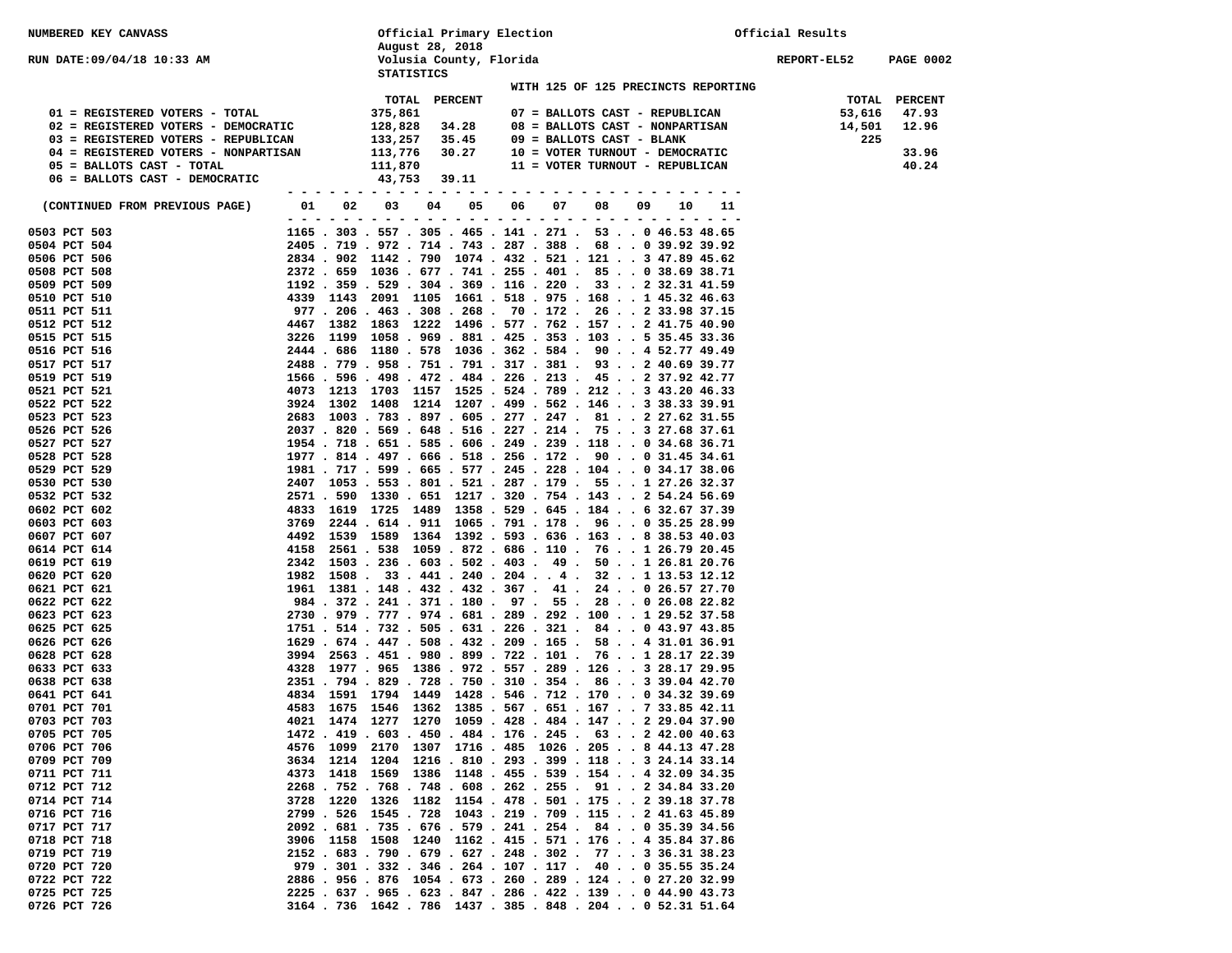| NUMBERED KEY CANVASS                                        |                                              | Official Primary Election                    |                |               |                                                                                                                            | Official Results |                  |  |
|-------------------------------------------------------------|----------------------------------------------|----------------------------------------------|----------------|---------------|----------------------------------------------------------------------------------------------------------------------------|------------------|------------------|--|
|                                                             |                                              | August 28, 2018                              |                |               |                                                                                                                            |                  |                  |  |
| RUN DATE:09/04/18 10:33 AM                                  |                                              | Volusia County, Florida<br><b>STATISTICS</b> |                |               |                                                                                                                            | REPORT-EL52      | <b>PAGE 0002</b> |  |
|                                                             |                                              |                                              |                |               | WITH 125 OF 125 PRECINCTS REPORTING                                                                                        |                  |                  |  |
|                                                             |                                              | TOTAL                                        | <b>PERCENT</b> |               |                                                                                                                            | TOTAL            | <b>PERCENT</b>   |  |
| 01 = REGISTERED VOTERS - TOTAL                              |                                              | 375,861                                      |                |               | 07 = BALLOTS CAST - REPUBLICAN                                                                                             | 53,616           | 47.93            |  |
| 02 = REGISTERED VOTERS - DEMOCRATIC                         |                                              | 128,828                                      | 34.28          |               | 08 = BALLOTS CAST - NONPARTISAN                                                                                            | 14,501           | 12.96            |  |
| 03 = REGISTERED VOTERS - REPUBLICAN                         |                                              | 133,257                                      | 35.45          |               | 09 = BALLOTS CAST - BLANK                                                                                                  | 225              |                  |  |
| 04 = REGISTERED VOTERS - NONPARTISAN                        |                                              | 113,776                                      | 30.27          |               | 10 = VOTER TURNOUT - DEMOCRATIC                                                                                            |                  | 33.96            |  |
| 05 = BALLOTS CAST - TOTAL<br>06 = BALLOTS CAST - DEMOCRATIC |                                              | 111,870<br>43,753                            | 39.11          |               | 11 = VOTER TURNOUT - REPUBLICAN                                                                                            |                  | 40.24            |  |
|                                                             |                                              |                                              |                |               |                                                                                                                            |                  |                  |  |
| (CONTINUED FROM PREVIOUS PAGE)                              | 02<br>01<br>$ -$<br>$\overline{\phantom{0}}$ | 03<br>04                                     | 05             | 06<br>07<br>. | 08<br>09<br>10<br>.                                                                                                        |                  |                  |  |
| 0503 PCT 503                                                |                                              |                                              |                |               | 1165 . 303 . 557 . 305 . 465 . 141 . 271 . 53 0 46.53 48.65                                                                |                  |                  |  |
| 0504 PCT 504                                                |                                              |                                              |                |               | 2405 . 719 . 972 . 714 . 743 . 287 . 388 . 68 0 39.92 39.92                                                                |                  |                  |  |
| 0506 PCT 506                                                |                                              |                                              |                |               | 2834.902 1142.790 1074.432.521.121347.8945.62                                                                              |                  |                  |  |
| 0508 PCT 508                                                |                                              |                                              |                |               | 2372 . 659 1036 . 677 . 741 . 255 . 401 . 85 0 38.69 38.71                                                                 |                  |                  |  |
| 0509 PCT 509<br>0510 PCT 510                                |                                              |                                              |                |               | $1192$ . 359 . 529 . 304 . 369 . 116 . 220 . 33 2 32.31 41.59<br>4339 1143 2091 1105 1661 . 518 . 975 . 168 1 45.32 46.63  |                  |                  |  |
| 0511 PCT 511                                                |                                              |                                              |                |               | 977 . 206 . 463 . 308 . 268 . 70 . 172 . 26 2 33.98 37.15                                                                  |                  |                  |  |
| 0512 PCT 512                                                |                                              |                                              |                |               | 4467 1382 1863 1222 1496 . 577 . 762 . 157 2 41.75 40.90                                                                   |                  |                  |  |
| 0515 PCT 515                                                |                                              |                                              |                |               | 3226 1199 1058 . 969 . 881 . 425 . 353 . 103 5 35.45 33.36                                                                 |                  |                  |  |
| 0516 PCT 516                                                |                                              |                                              |                |               | 2444 . 686 1180 . 578 1036 . 362 . 584 . 90 4 52.77 49.49                                                                  |                  |                  |  |
| 0517 PCT 517                                                |                                              |                                              |                |               | 2488 . 779 . 958 . 751 . 791 . 317 . 381 . 93 2 40.69 39.77                                                                |                  |                  |  |
| 0519 PCT 519                                                |                                              |                                              |                |               | 1566 . 596 . 498 . 472 . 484 . 226 . 213 . 45 2 37.92 42.77                                                                |                  |                  |  |
| 0521 PCT 521                                                |                                              |                                              |                |               | 4073 1213 1703 1157 1525 . 524 . 789 . 212 3 43.20 46.33                                                                   |                  |                  |  |
| 0522 PCT 522                                                |                                              |                                              |                |               | 3924 1302 1408 1214 1207 . 499 . 562 . 146 3 38.33 39.91                                                                   |                  |                  |  |
| 0523 PCT 523<br>0526 PCT 526                                |                                              |                                              |                |               | 2683 1003 . 783 . 897 . 605 . 277 . 247 . 81 2 27.62 31.55<br>2037 . 820 . 569 . 648 . 516 . 227 . 214 . 75 3 27.68 37.61  |                  |                  |  |
| 0527 PCT 527                                                |                                              |                                              |                |               | 1954 . 718 . 651 . 585 . 606 . 249 . 239 . 118 0 34.68 36.71                                                               |                  |                  |  |
| 0528 PCT 528                                                |                                              |                                              |                |               | 1977 . 814 . 497 . 666 . 518 . 256 . 172 . 90 0 31.45 34.61                                                                |                  |                  |  |
| 0529 PCT 529                                                |                                              |                                              |                |               | 1981 . 717 . 599 . 665 . 577 . 245 . 228 . 104 0 34.17 38.06                                                               |                  |                  |  |
| 0530 PCT 530                                                |                                              |                                              |                |               | 2407 1053 . 553 . 801 . 521 . 287 . 179 . 55 1 27.26 32.37                                                                 |                  |                  |  |
| 0532 PCT 532                                                |                                              |                                              |                |               | 2571 . 590 1330 . 651 1217 . 320 . 754 . 143 2 54.24 56.69                                                                 |                  |                  |  |
| 0602 PCT 602                                                |                                              |                                              |                |               | 4833 1619 1725 1489 1358 . 529 . 645 . 184 6 32.67 37.39                                                                   |                  |                  |  |
| 0603 PCT 603<br>0607 PCT 607                                | 3769                                         |                                              |                |               | 2244 . 614 . 911 1065 . 791 . 178 . 96 0 35.25 28.99<br>4492 1539 1589 1364 1392 . 593 . 636 . 163 8 38.53 40.03           |                  |                  |  |
| 0614 PCT 614                                                | 4158                                         |                                              |                |               | 2561 . 538 1059 . 872 . 686 . 110 . 76 1 26.79 20.45                                                                       |                  |                  |  |
| 0619 PCT 619                                                |                                              |                                              |                |               | 2342 1503 . 236 . 603 . 502 . 403 . 49 . 50 1 26.81 20.76                                                                  |                  |                  |  |
| 0620 PCT 620                                                | 1982                                         |                                              |                |               | $1508$ . 33 . 441 . 240 . 204 4 . 32 1 13.53 12.12                                                                         |                  |                  |  |
| 0621 PCT 621                                                |                                              |                                              |                |               | 1961 1381 . 148 . 432 . 432 . 367 . 41 . 24 0 26.57 27.70                                                                  |                  |                  |  |
| 0622 PCT 622                                                |                                              |                                              |                |               | 984 . 372 . 241 . 371 . 180 . 97 . 55 . 28 0 26.08 22.82                                                                   |                  |                  |  |
| 0623 PCT 623                                                |                                              |                                              |                |               | 2730 . 979 . 777 . 974 . 681 . 289 . 292 . 100 1 29.52 37.58                                                               |                  |                  |  |
| 0625 PCT 625                                                |                                              |                                              |                |               | 1751 . 514 . 732 . 505 . 631 . 226 . 321 . 84 0 43.97 43.85<br>1629 . 674 . 447 . 508 . 432 . 209 . 165 . 58 4 31.01 36.91 |                  |                  |  |
| 0626 PCT 626<br>0628 PCT 628                                |                                              |                                              |                |               | 3994 2563 . 451 . 980 . 899 . 722 . 101 . 76 1 28.17 22.39                                                                 |                  |                  |  |
| 0633 PCT 633                                                |                                              |                                              |                |               | 4328 1977 . 965 1386 . 972 . 557 . 289 . 126 3 28.17 29.95                                                                 |                  |                  |  |
| 0638 PCT 638                                                |                                              |                                              |                |               | 2351 . 794 . 829 . 728 . 750 . 310 . 354 . 86 3 39.04 42.70                                                                |                  |                  |  |
| 0641 PCT 641                                                |                                              |                                              |                |               | 4834 1591 1794 1449 1428 .546 .712 .170 0 34.32 39.69                                                                      |                  |                  |  |
| 0701 PCT 701                                                |                                              |                                              |                |               | 4583 1675 1546 1362 1385. 567. 651. 167. . 7 33.85 42.11                                                                   |                  |                  |  |
| 0703 PCT 703                                                |                                              |                                              |                |               | 4021 1474 1277 1270 1059 .428 .484 .147 2 29.04 37.90                                                                      |                  |                  |  |
| 0705 PCT 705                                                |                                              |                                              |                |               | 1472 . 419 . 603 . 450 . 484 . 176 . 245 . 63 2 42.00 40.63                                                                |                  |                  |  |
| 0706 PCT 706                                                |                                              |                                              |                |               | 4576 1099 2170 1307 1716 . 485 1026 . 205 8 44.13 47.28                                                                    |                  |                  |  |
| 0709 PCT 709<br>0711 PCT 711                                |                                              |                                              |                |               | 3634 1214 1204 1216 .810 .293 .399 .118 3 24.14 33.14<br>4373 1418 1569 1386 1148 . 455 . 539 . 154 4 32.09 34.35          |                  |                  |  |
| 0712 PCT 712                                                |                                              |                                              |                |               | 2268 . 752 . 768 . 748 . 608 . 262 . 255 . 91 2 34.84 33.20                                                                |                  |                  |  |
| 0714 PCT 714                                                | 3728                                         |                                              |                |               | 1220 1326 1182 1154 . 478 . 501 . 175 2 39.18 37.78                                                                        |                  |                  |  |
| 0716 PCT 716                                                |                                              |                                              |                |               | 2799 . 526 1545 . 728 1043 . 219 . 709 . 115 2 41.63 45.89                                                                 |                  |                  |  |
| 0717 PCT 717                                                |                                              |                                              |                |               | 2092 . 681 . 735 . 676 . 579 . 241 . 254 . 84 0 35.39 34.56                                                                |                  |                  |  |
| 0718 PCT 718                                                |                                              |                                              |                |               | 3906 1158 1508 1240 1162. 415. 571. 176 4 35.84 37.86                                                                      |                  |                  |  |
| 0719 PCT 719                                                |                                              |                                              |                |               | 2152 . 683 . 790 . 679 . 627 . 248 . 302 . 77 3 36.31 38.23                                                                |                  |                  |  |
| 0720 PCT 720<br>0722 PCT 722                                |                                              |                                              |                |               | 979 . 301 . 332 . 346 . 264 . 107 . 117 . 40 0 35.55 35.24<br>2886 . 956 . 876 1054 . 673 . 260 . 289 . 124 0 27.20 32.99  |                  |                  |  |
| 0725 PCT 725                                                |                                              |                                              |                |               | 2225 . 637 . 965 . 623 . 847 . 286 . 422 . 139 0 44.90 43.73                                                               |                  |                  |  |
| 0726 PCT 726                                                |                                              |                                              |                |               | 3164.736 1642.786 1437.385.848.204052.31 51.64                                                                             |                  |                  |  |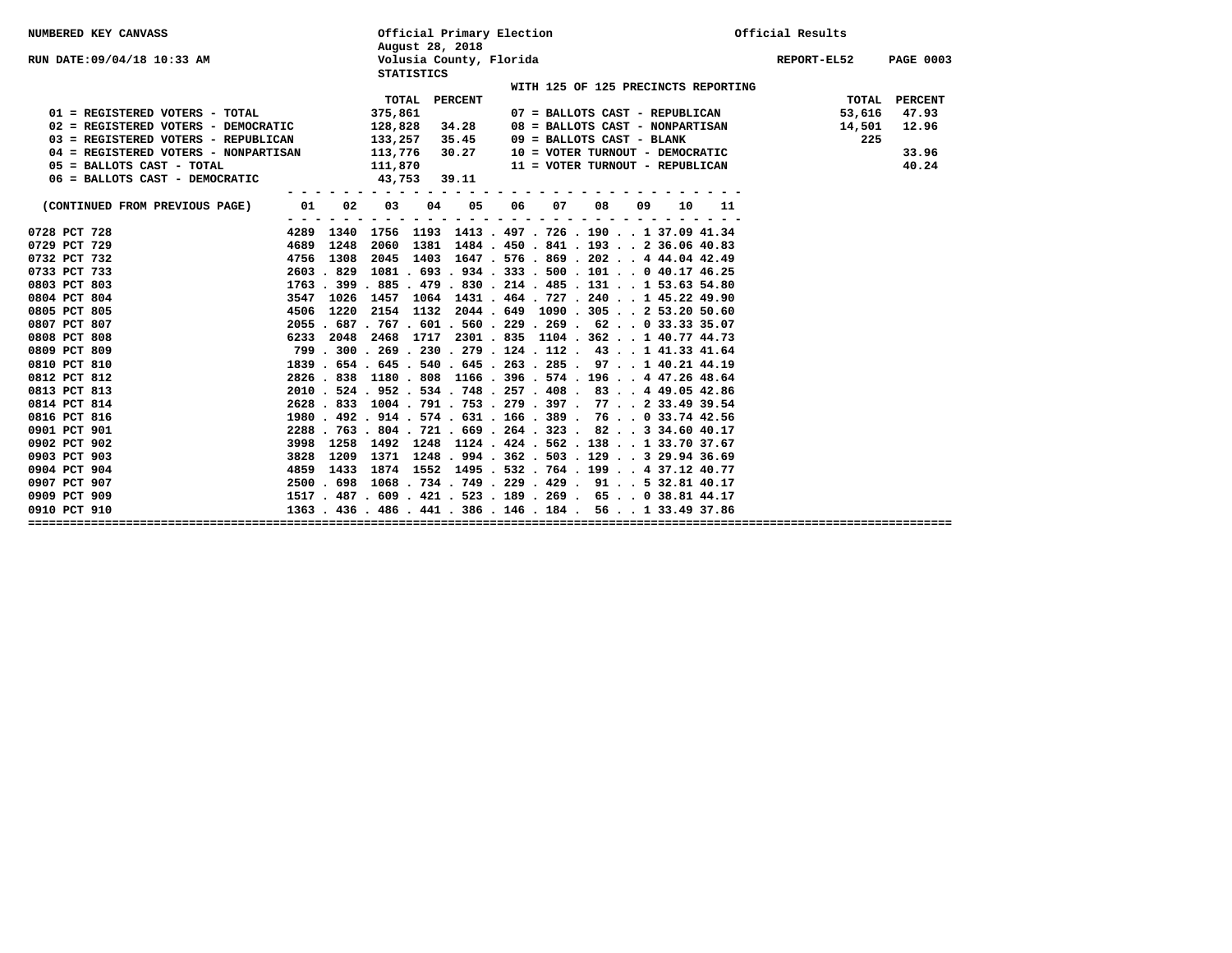| <b>NUMBERED KEY CANVASS</b>          |         |                                                              | August 28, 2018   | Official Primary Election                      |    |    |                                 |    |    |                                     | Official Results |             |                  |
|--------------------------------------|---------|--------------------------------------------------------------|-------------------|------------------------------------------------|----|----|---------------------------------|----|----|-------------------------------------|------------------|-------------|------------------|
| RUN DATE:09/04/18 10:33 AM           |         |                                                              | <b>STATISTICS</b> | Volusia County, Florida                        |    |    |                                 |    |    |                                     |                  | REPORT-EL52 | <b>PAGE 0003</b> |
|                                      |         |                                                              |                   |                                                |    |    |                                 |    |    | WITH 125 OF 125 PRECINCTS REPORTING |                  |             |                  |
|                                      |         |                                                              | TOTAL             | <b>PERCENT</b>                                 |    |    |                                 |    |    |                                     |                  | TOTAL       | PERCENT          |
| 01 = REGISTERED VOTERS - TOTAL       |         | 375,861                                                      |                   |                                                |    |    |                                 |    |    | 07 = BALLOTS CAST - REPUBLICAN      |                  | 53,616      | 47.93            |
| 02 = REGISTERED VOTERS - DEMOCRATIC  |         |                                                              | 128,828 34.28     |                                                |    |    | 08 = BALLOTS CAST - NONPARTISAN |    |    |                                     |                  | 14,501      | 12.96            |
| 03 = REGISTERED VOTERS - REPUBLICAN  |         | 133,257                                                      |                   | 35.45                                          |    |    | 09 = BALLOTS CAST - BLANK       |    |    |                                     |                  | 225         |                  |
| 04 = REGISTERED VOTERS - NONPARTISAN |         | 113,776                                                      |                   | 30.27                                          |    |    |                                 |    |    | 10 = VOTER TURNOUT - DEMOCRATIC     |                  |             | 33.96            |
| 05 = BALLOTS CAST - TOTAL            |         | 111,870                                                      |                   |                                                |    |    | 11 = VOTER TURNOUT - REPUBLICAN |    |    |                                     |                  |             | 40.24            |
| 06 = BALLOTS CAST - DEMOCRATIC       |         |                                                              | 43,753 39.11      |                                                |    |    |                                 |    |    |                                     |                  |             |                  |
|                                      |         |                                                              |                   |                                                |    |    |                                 |    |    |                                     |                  |             |                  |
| (CONTINUED FROM PREVIOUS PAGE)       | 01      | 02<br>03                                                     | 04                | 05                                             | 06 | 07 | 08                              | 09 | 10 | 11                                  |                  |             |                  |
| 0728 PCT 728                         | - - - - | 4289 1340 1756 1193 1413 . 497 . 726 . 190 1 37.09 41.34     |                   |                                                |    |    |                                 |    |    |                                     |                  |             |                  |
| 0729 PCT 729                         | 4689    | 1248                                                         |                   | 2060 1381 1484 . 450 . 841 . 193 2 36.06 40.83 |    |    |                                 |    |    |                                     |                  |             |                  |
| 0732 PCT 732                         | 4756    | 1308                                                         |                   | 2045 1403 1647 . 576 . 869 . 202 4 44.04 42.49 |    |    |                                 |    |    |                                     |                  |             |                  |
| 0733 PCT 733                         |         | 2603 . 829 1081 . 693 . 934 . 333 . 500 . 101 0 40.17 46.25  |                   |                                                |    |    |                                 |    |    |                                     |                  |             |                  |
| 0803 PCT 803                         |         | 1763 . 399 . 885 . 479 . 830 . 214 . 485 . 131 1 53.63 54.80 |                   |                                                |    |    |                                 |    |    |                                     |                  |             |                  |
| 0804 PCT 804                         | 3547    | 1026 1457 1064 1431 . 464 . 727 . 240 1 45.22 49.90          |                   |                                                |    |    |                                 |    |    |                                     |                  |             |                  |
| 0805 PCT 805                         |         | 4506 1220 2154 1132 2044 649 1090 .305 2 53.20 50.60         |                   |                                                |    |    |                                 |    |    |                                     |                  |             |                  |
| 0807 PCT 807                         |         | 2055 . 687 . 767 . 601 . 560 . 229 . 269 . 62 0 33.33 35.07  |                   |                                                |    |    |                                 |    |    |                                     |                  |             |                  |
| 0808 PCT 808                         |         | 6233 2048 2468 1717 2301 .835 1104 .362 1 40.77 44.73        |                   |                                                |    |    |                                 |    |    |                                     |                  |             |                  |
| 0809 PCT 809                         |         | 799 . 300 . 269 . 230 . 279 . 124 . 112 . 43 1 41.33 41.64   |                   |                                                |    |    |                                 |    |    |                                     |                  |             |                  |
| 0810 PCT 810                         |         | 1839 . 654 . 645 . 540 . 645 . 263 . 285 . 97 1 40.21 44.19  |                   |                                                |    |    |                                 |    |    |                                     |                  |             |                  |
| 0812 PCT 812                         |         | 2826, 838 1180, 808 1166, 396, 574, 196, , 447, 2648, 64     |                   |                                                |    |    |                                 |    |    |                                     |                  |             |                  |
| 0813 PCT 813                         |         | 2010 . 524 . 952 . 534 . 748 . 257 . 408 . 83 4 49.05 42.86  |                   |                                                |    |    |                                 |    |    |                                     |                  |             |                  |
| 0814 PCT 814                         |         | 2628 . 833 1004 . 791 . 753 . 279 . 397 . 77 2 33.49 39.54   |                   |                                                |    |    |                                 |    |    |                                     |                  |             |                  |
| 0816 PCT 816                         |         | 1980 . 492 . 914 . 574 . 631 . 166 . 389 . 76 0 33.74 42.56  |                   |                                                |    |    |                                 |    |    |                                     |                  |             |                  |
| 0901 PCT 901                         |         | 2288 . 763 . 804 . 721 . 669 . 264 . 323 . 82 3 34.60 40.17  |                   |                                                |    |    |                                 |    |    |                                     |                  |             |                  |
| 0902 PCT 902                         | 3998    | 1258 1492 1248 1124 . 424 . 562 . 138 1 33.70 37.67          |                   |                                                |    |    |                                 |    |    |                                     |                  |             |                  |
| 0903 PCT 903                         | 3828    | 1209 1371 1248 . 994 . 362 . 503 . 129 3 29.94 36.69         |                   |                                                |    |    |                                 |    |    |                                     |                  |             |                  |
| 0904 PCT 904                         |         | 4859 1433 1874 1552 1495 . 532 . 764 . 199 4 37.12 40.77     |                   |                                                |    |    |                                 |    |    |                                     |                  |             |                  |
| 0907 PCT 907                         |         | 2500 . 698 1068 . 734 . 749 . 229 . 429 . 91 5 32.81 40.17   |                   |                                                |    |    |                                 |    |    |                                     |                  |             |                  |
| 0909 PCT 909                         |         | 1517 . 487 . 609 . 421 . 523 . 189 . 269 . 65 0 38.81 44.17  |                   |                                                |    |    |                                 |    |    |                                     |                  |             |                  |
| 0910 PCT 910                         |         | 1363 . 436 . 486 . 441 . 386 . 146 . 184 . 56 1 33.49 37.86  |                   |                                                |    |    |                                 |    |    |                                     |                  |             |                  |
|                                      |         |                                                              |                   |                                                |    |    |                                 |    |    |                                     |                  |             |                  |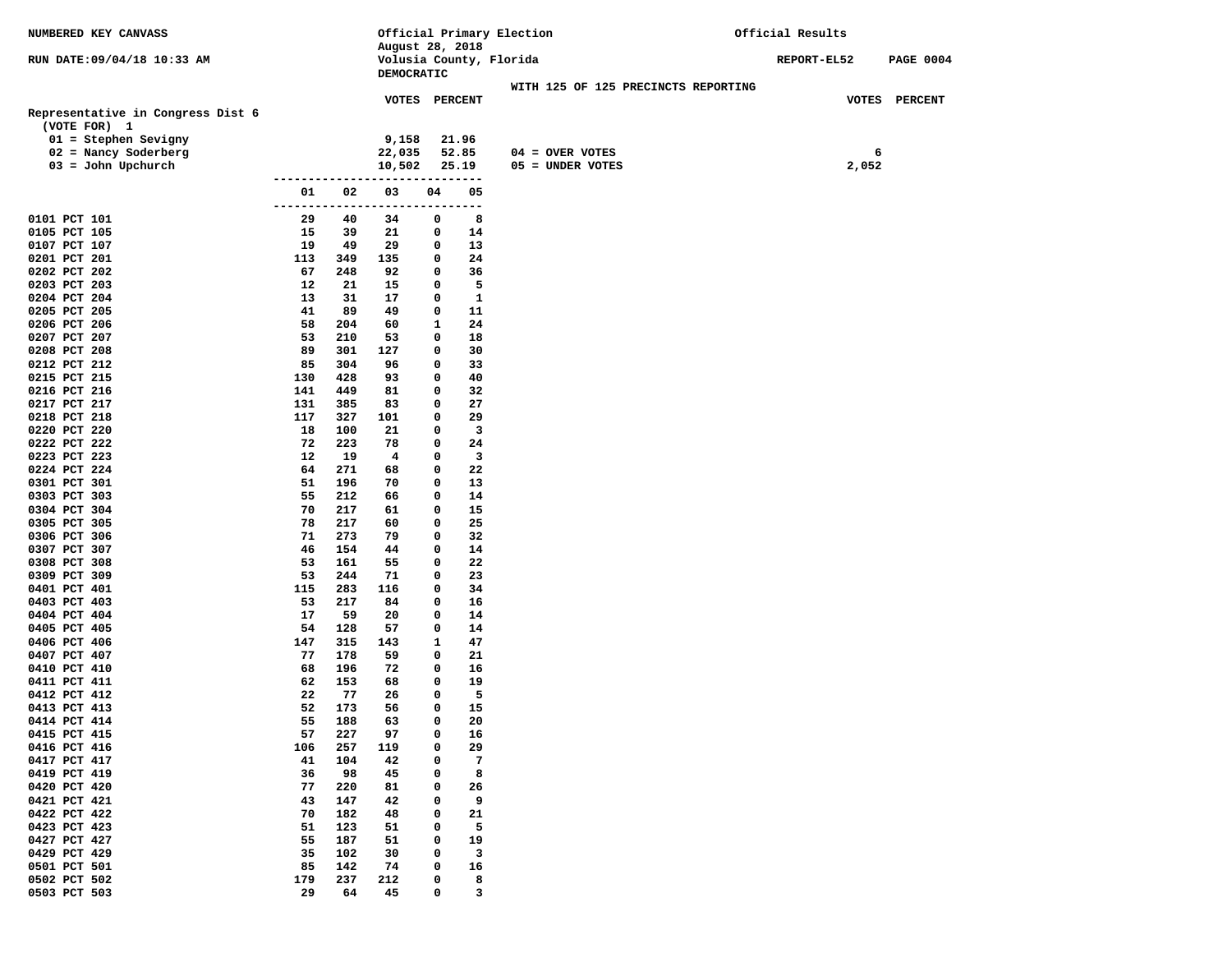| NUMBERED KEY CANVASS              |               |            |                         |            |                | Official Primary Election           | Official Results |                  |  |
|-----------------------------------|---------------|------------|-------------------------|------------|----------------|-------------------------------------|------------------|------------------|--|
|                                   |               |            | August 28, 2018         |            |                |                                     |                  |                  |  |
| RUN DATE: 09/04/18 10:33 AM       |               |            | Volusia County, Florida |            |                |                                     | REPORT-EL52      | <b>PAGE 0004</b> |  |
|                                   |               |            | DEMOCRATIC              |            |                | WITH 125 OF 125 PRECINCTS REPORTING |                  |                  |  |
|                                   |               |            | VOTES PERCENT           |            |                |                                     |                  | VOTES PERCENT    |  |
| Representative in Congress Dist 6 |               |            |                         |            |                |                                     |                  |                  |  |
| (VOTE FOR) 1                      |               |            |                         |            |                |                                     |                  |                  |  |
| $01 =$ Stephen Sevigny            |               |            | 9,158                   |            | 21.96          |                                     |                  |                  |  |
| 02 = Nancy Soderberg              |               |            | 22,035                  |            | 52.85          | $04 =$ OVER VOTES                   |                  | 6                |  |
| $03 =$ John Upchurch              |               |            | 10,502                  |            | 25.19          | 05 = UNDER VOTES                    | 2,052            |                  |  |
|                                   | ------------- |            |                         | ---------- |                |                                     |                  |                  |  |
|                                   | 01            | 02         | 03                      | 04         | 05             |                                     |                  |                  |  |
|                                   | -------       |            |                         |            | .              |                                     |                  |                  |  |
| 0101 PCT 101                      | 29            | 40         | 34                      | 0          | 8              |                                     |                  |                  |  |
| 0105 PCT 105                      | 15            | 39         | 21                      | 0          | 14             |                                     |                  |                  |  |
| 0107 PCT 107                      | 19            | 49         | 29                      | 0          | 13             |                                     |                  |                  |  |
| 0201 PCT 201<br>0202 PCT 202      | 113<br>67     | 349<br>248 | 135<br>92               | 0<br>0     | 24<br>36       |                                     |                  |                  |  |
| 0203 PCT 203                      | 12            | 21         | 15                      | 0          | 5              |                                     |                  |                  |  |
| 0204 PCT 204                      | 13            | 31         | 17                      | 0          | $\mathbf{1}$   |                                     |                  |                  |  |
| 0205 PCT 205                      | 41            | 89         | 49                      | 0          | 11             |                                     |                  |                  |  |
| 0206 PCT 206                      | 58            | 204        | 60                      | 1          | 24             |                                     |                  |                  |  |
| 0207 PCT 207                      | 53            | 210        | 53                      | 0          | 18             |                                     |                  |                  |  |
| 0208 PCT 208                      | 89            | 301        | 127                     | 0          | 30             |                                     |                  |                  |  |
| 0212 PCT 212                      | 85            | 304        | 96                      | 0          | 33             |                                     |                  |                  |  |
| 0215 PCT 215                      | 130           | 428        | 93                      | 0          | 40             |                                     |                  |                  |  |
| 0216 PCT 216                      | 141           | 449        | 81                      | 0          | 32             |                                     |                  |                  |  |
| 0217 PCT 217                      | 131           | 385        | 83                      | 0          | 27             |                                     |                  |                  |  |
| 0218 PCT 218                      | 117           | 327        | 101                     | 0          | 29             |                                     |                  |                  |  |
| 0220 PCT 220                      | 18            | 100        | 21                      | 0          | 3              |                                     |                  |                  |  |
| 0222 PCT 222                      | 72            | 223        | 78                      | 0          | 24             |                                     |                  |                  |  |
| 0223 PCT 223<br>0224 PCT 224      | 12<br>64      | 19<br>271  | 4<br>68                 | 0<br>0     | 3<br>22        |                                     |                  |                  |  |
| 0301 PCT 301                      | 51            | 196        | 70                      | 0          | 13             |                                     |                  |                  |  |
| 0303 PCT 303                      | 55            | 212        | 66                      | 0          | 14             |                                     |                  |                  |  |
| 0304 PCT 304                      | 70            | 217        | 61                      | 0          | 15             |                                     |                  |                  |  |
| 0305 PCT 305                      | 78            | 217        | 60                      | 0          | 25             |                                     |                  |                  |  |
| 0306 PCT 306                      | 71            | 273        | 79                      | 0          | 32             |                                     |                  |                  |  |
| 0307 PCT 307                      | 46            | 154        | 44                      | 0          | 14             |                                     |                  |                  |  |
| 0308 PCT 308                      | 53            | 161        | 55                      | 0          | 22             |                                     |                  |                  |  |
| 0309 PCT 309                      | 53            | 244        | 71                      | 0          | 23             |                                     |                  |                  |  |
| 0401 PCT 401                      | 115           | 283        | 116                     | 0          | 34             |                                     |                  |                  |  |
| 0403 PCT 403                      | 53            | 217        | 84                      | 0          | 16             |                                     |                  |                  |  |
| 0404 PCT 404                      | 17            | 59         | 20                      | 0          | 14             |                                     |                  |                  |  |
| 0405 PCT 405                      | 54            | 128        | 57                      | 0          | 14<br>47       |                                     |                  |                  |  |
| 0406 PCT 406<br>0407 PCT 407      | 147<br>77     | 315<br>178 | 143<br>59               | 1<br>0     | 21             |                                     |                  |                  |  |
| 0410 PCT 410                      | 68            | 196        | 72                      | 0          | 16             |                                     |                  |                  |  |
| 0411 PCT 411                      | 62            | 153        | 68                      | 0          | 19             |                                     |                  |                  |  |
| 0412 PCT 412                      | 22            | 77         | 26                      | 0          | 5              |                                     |                  |                  |  |
| 0413 PCT 413                      | 52            | 173        | 56                      | 0          | 15             |                                     |                  |                  |  |
| 0414 PCT 414                      | 55            | 188        | 63                      | 0          | 20             |                                     |                  |                  |  |
| 0415 PCT 415                      | 57            | 227        | 97                      | 0          | 16             |                                     |                  |                  |  |
| 0416 PCT 416                      | 106           | 257        | 119                     | 0          | 29             |                                     |                  |                  |  |
| 0417 PCT 417                      | 41            | 104        | 42                      | 0          | $\overline{7}$ |                                     |                  |                  |  |
| 0419 PCT 419                      | 36            | 98         | 45                      | 0          | 8              |                                     |                  |                  |  |
| 0420 PCT 420                      | 77            | 220        | 81                      | 0          | 26             |                                     |                  |                  |  |
| 0421 PCT 421                      | 43            | 147        | 42                      | 0          | 9              |                                     |                  |                  |  |
| 0422 PCT 422                      | 70            | 182        | 48                      | 0          | 21             |                                     |                  |                  |  |
| 0423 PCT 423<br>0427 PCT 427      | 51<br>55      | 123<br>187 | 51                      | 0<br>0     | 5              |                                     |                  |                  |  |
| 0429 PCT 429                      | 35            | 102        | 51<br>30                | 0          | 19<br>3        |                                     |                  |                  |  |
| 0501 PCT 501                      | 85            | 142        | 74                      | 0          | 16             |                                     |                  |                  |  |
| 0502 PCT 502                      | 179           | 237        | 212                     | 0          | 8              |                                     |                  |                  |  |
| 0503 PCT 503                      | 29            | 64         | 45                      | 0          | 3              |                                     |                  |                  |  |
|                                   |               |            |                         |            |                |                                     |                  |                  |  |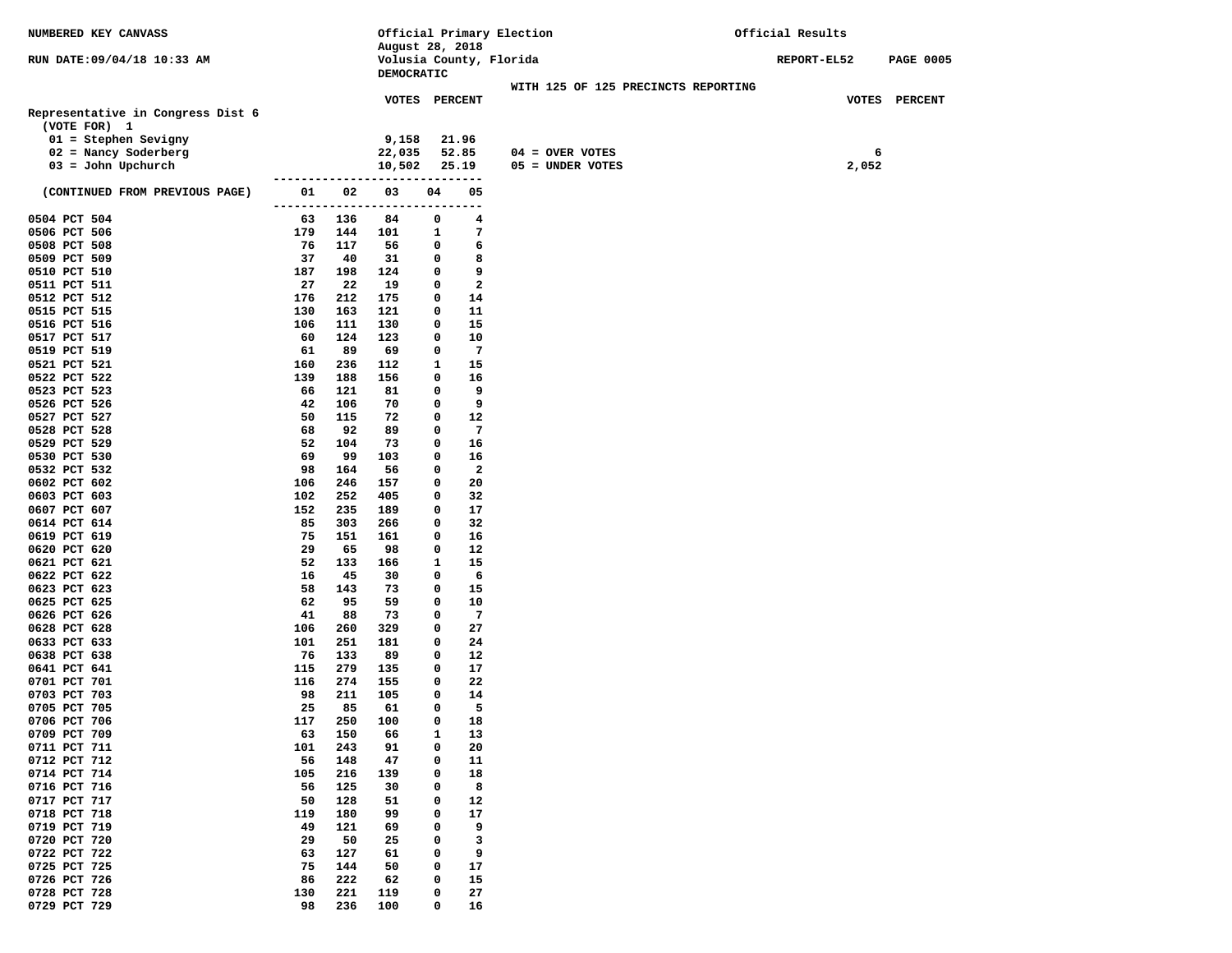| NUMBERED KEY CANVASS              |            |            | Official Primary Election                  |        |                        |  |                   | Official Results                    |             |       |                  |
|-----------------------------------|------------|------------|--------------------------------------------|--------|------------------------|--|-------------------|-------------------------------------|-------------|-------|------------------|
|                                   |            |            | August 28, 2018<br>Volusia County, Florida |        |                        |  |                   |                                     |             |       |                  |
| RUN DATE: 09/04/18 10:33 AM       |            |            | DEMOCRATIC                                 |        |                        |  |                   |                                     | REPORT-EL52 |       | <b>PAGE 0005</b> |
|                                   |            |            |                                            |        |                        |  |                   | WITH 125 OF 125 PRECINCTS REPORTING |             |       |                  |
|                                   |            |            | VOTES PERCENT                              |        |                        |  |                   |                                     |             |       | VOTES PERCENT    |
| Representative in Congress Dist 6 |            |            |                                            |        |                        |  |                   |                                     |             |       |                  |
| (VOTE FOR) 1                      |            |            |                                            |        |                        |  |                   |                                     |             |       |                  |
| $01 =$ Stephen Sevigny            |            |            | 9,158                                      |        | 21.96                  |  |                   |                                     |             |       |                  |
| 02 = Nancy Soderberg              |            |            | 22,035                                     |        | 52.85                  |  | $04 = OVER VOTES$ |                                     |             | 6     |                  |
| $03 =$ John Upchurch              |            |            | 10,502                                     |        | 25.19<br>$- - - - - -$ |  | 05 = UNDER VOTES  |                                     |             | 2,052 |                  |
| (CONTINUED FROM PREVIOUS PAGE)    | 01         | 02         | 03                                         | 04     | 05                     |  |                   |                                     |             |       |                  |
|                                   | ------     |            |                                            |        | --                     |  |                   |                                     |             |       |                  |
| 0504 PCT 504                      | 63         | 136        | 84                                         | 0      | 4                      |  |                   |                                     |             |       |                  |
| 0506 PCT 506                      | 179        | 144        | 101                                        | 1      | 7                      |  |                   |                                     |             |       |                  |
| 0508 PCT 508                      | 76         | 117        | 56                                         | 0      | 6                      |  |                   |                                     |             |       |                  |
| 0509 PCT 509                      | 37         | 40         | 31                                         | 0      | 8                      |  |                   |                                     |             |       |                  |
| 0510 PCT 510                      | 187        | 198        | 124                                        | 0      | 9                      |  |                   |                                     |             |       |                  |
| 0511 PCT 511                      | 27         | 22         | 19                                         | 0      | 2                      |  |                   |                                     |             |       |                  |
| 0512 PCT 512<br>0515 PCT 515      | 176<br>130 | 212<br>163 | 175<br>121                                 | 0<br>0 | 14<br>11               |  |                   |                                     |             |       |                  |
| 0516 PCT 516                      | 106        | 111        | 130                                        | 0      | 15                     |  |                   |                                     |             |       |                  |
| 0517 PCT 517                      | 60         | 124        | 123                                        | 0      | 10                     |  |                   |                                     |             |       |                  |
| 0519 PCT 519                      | 61         | 89         | 69                                         | 0      | 7                      |  |                   |                                     |             |       |                  |
| 0521 PCT 521                      | 160        | 236        | 112                                        | 1      | 15                     |  |                   |                                     |             |       |                  |
| 0522 PCT 522                      | 139        | 188        | 156                                        | 0      | 16                     |  |                   |                                     |             |       |                  |
| 0523 PCT 523                      | 66         | 121        | 81                                         | 0      | 9                      |  |                   |                                     |             |       |                  |
| 0526 PCT 526                      | 42         | 106        | 70                                         | 0      | 9                      |  |                   |                                     |             |       |                  |
| 0527 PCT 527                      | 50         | 115        | 72                                         | 0      | 12                     |  |                   |                                     |             |       |                  |
| 0528 PCT 528                      | 68         | 92         | 89                                         | 0      | 7                      |  |                   |                                     |             |       |                  |
| 0529 PCT 529                      | 52         | 104        | 73                                         | 0      | 16                     |  |                   |                                     |             |       |                  |
| 0530 PCT 530                      | 69<br>98   | 99         | 103                                        | 0      | 16<br>$\mathbf{2}$     |  |                   |                                     |             |       |                  |
| 0532 PCT 532<br>0602 PCT 602      | 106        | 164<br>246 | 56<br>157                                  | 0<br>0 | 20                     |  |                   |                                     |             |       |                  |
| 0603 PCT 603                      | 102        | 252        | 405                                        | 0      | 32                     |  |                   |                                     |             |       |                  |
| 0607 PCT 607                      | 152        | 235        | 189                                        | 0      | 17                     |  |                   |                                     |             |       |                  |
| 0614 PCT 614                      | 85         | 303        | 266                                        | 0      | 32                     |  |                   |                                     |             |       |                  |
| 0619 PCT 619                      | 75         | 151        | 161                                        | 0      | 16                     |  |                   |                                     |             |       |                  |
| 0620 PCT 620                      | 29         | 65         | 98                                         | 0      | 12                     |  |                   |                                     |             |       |                  |
| 0621 PCT 621                      | 52         | 133        | 166                                        | 1      | 15                     |  |                   |                                     |             |       |                  |
| 0622 PCT 622                      | 16         | 45         | 30                                         | 0      | 6                      |  |                   |                                     |             |       |                  |
| 0623 PCT 623                      | 58         | 143        | 73                                         | 0      | 15                     |  |                   |                                     |             |       |                  |
| 0625 PCT 625                      | 62<br>41   | 95<br>88   | 59<br>73                                   | 0<br>0 | 10<br>7                |  |                   |                                     |             |       |                  |
| 0626 PCT 626<br>0628 PCT 628      | 106        | 260        | 329                                        | 0      | 27                     |  |                   |                                     |             |       |                  |
| 0633 PCT 633                      | 101        | 251        | 181                                        | 0      | 24                     |  |                   |                                     |             |       |                  |
| 0638 PCT 638                      | 76         | 133        | 89                                         | 0      | 12                     |  |                   |                                     |             |       |                  |
| 0641 PCT 641                      | 115        | 279        | 135                                        | 0      | 17                     |  |                   |                                     |             |       |                  |
| 0701 PCT 701                      | 116        | 274        | 155                                        | 0      | 22                     |  |                   |                                     |             |       |                  |
| 0703 PCT 703                      | 98         | 211        | 105                                        | 0      | 14                     |  |                   |                                     |             |       |                  |
| 0705 PCT 705                      | 25         | 85         | 61                                         | 0      | 5                      |  |                   |                                     |             |       |                  |
| 0706 PCT 706                      | 117        | 250        | 100                                        | 0      | 18                     |  |                   |                                     |             |       |                  |
| 0709 PCT 709                      | 63         | 150        | 66                                         | 1      | 13                     |  |                   |                                     |             |       |                  |
| 0711 PCT 711                      | 101        | 243        | 91                                         | 0      | 20                     |  |                   |                                     |             |       |                  |
| 0712 PCT 712                      | 56         | 148        | 47                                         | 0      | 11                     |  |                   |                                     |             |       |                  |
| 0714 PCT 714<br>0716 PCT 716      | 105<br>56  | 216<br>125 | 139<br>30                                  | 0<br>0 | 18<br>8                |  |                   |                                     |             |       |                  |
| 0717 PCT 717                      | 50         | 128        | 51                                         | 0      | 12                     |  |                   |                                     |             |       |                  |
| 0718 PCT 718                      | 119        | 180        | 99                                         | 0      | 17                     |  |                   |                                     |             |       |                  |
| 0719 PCT 719                      | 49         | 121        | 69                                         | 0      | 9                      |  |                   |                                     |             |       |                  |
| 0720 PCT 720                      | 29         | 50         | 25                                         | 0      | 3                      |  |                   |                                     |             |       |                  |
| 0722 PCT 722                      | 63         | 127        | 61                                         | 0      | 9                      |  |                   |                                     |             |       |                  |
| 0725 PCT 725                      | 75         | 144        | 50                                         | 0      | 17                     |  |                   |                                     |             |       |                  |
| 0726 PCT 726                      | 86         | 222        | 62                                         | 0      | 15                     |  |                   |                                     |             |       |                  |
| 0728 PCT 728                      | 130        | 221        | 119                                        | 0      | 27                     |  |                   |                                     |             |       |                  |
| 0729 PCT 729                      | 98         | 236        | 100                                        | 0      | 16                     |  |                   |                                     |             |       |                  |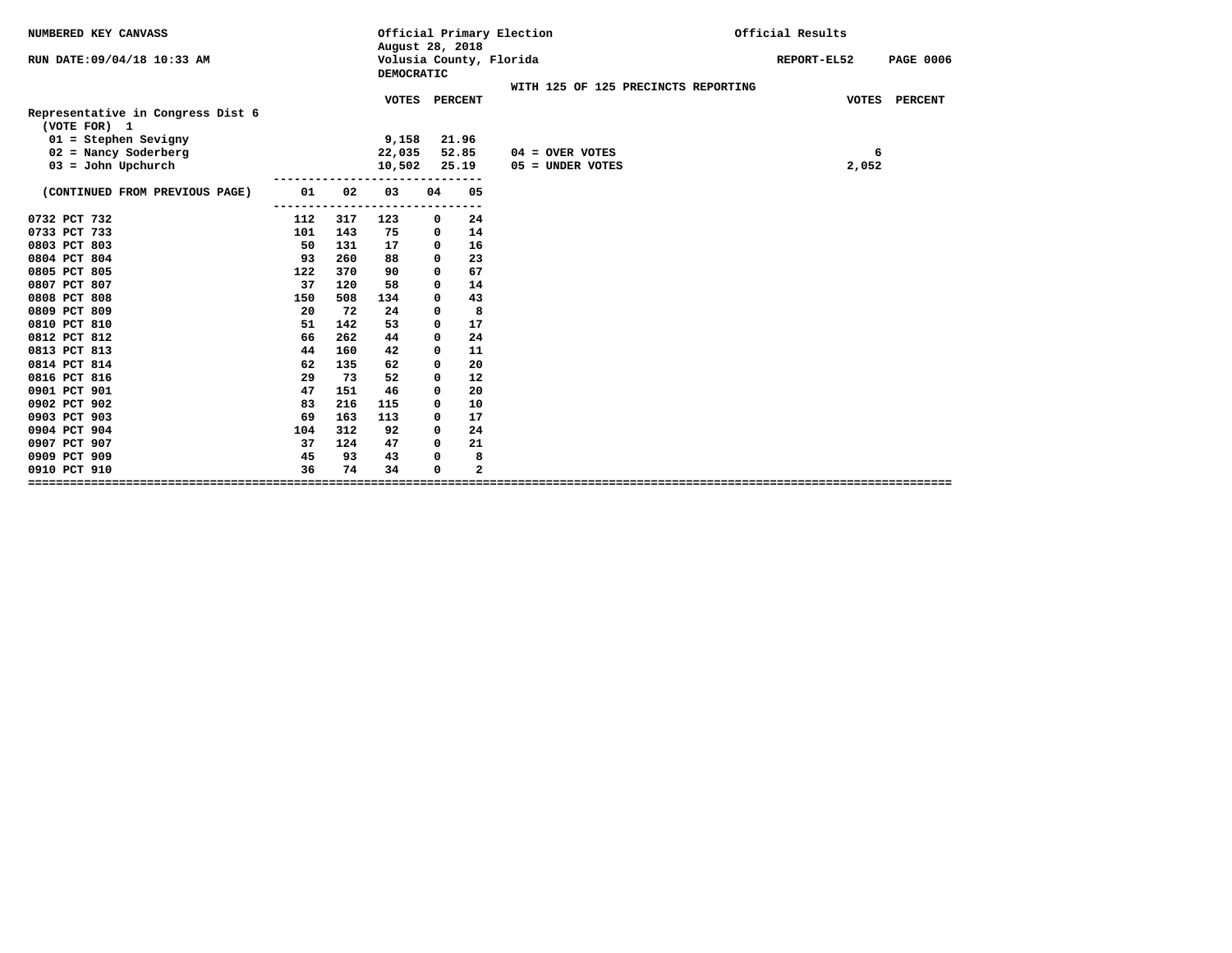| NUMBERED KEY CANVASS                                                                                  |          |     | August 28, 2018                       |                                           |                | Official Primary Election               | Official Results                |
|-------------------------------------------------------------------------------------------------------|----------|-----|---------------------------------------|-------------------------------------------|----------------|-----------------------------------------|---------------------------------|
| RUN DATE: 09/04/18 10:33 AM                                                                           |          |     | Volusia County, Florida<br>DEMOCRATIC |                                           |                |                                         | REPORT-EL52<br><b>PAGE 0006</b> |
|                                                                                                       |          |     |                                       |                                           |                | WITH 125 OF 125 PRECINCTS REPORTING     |                                 |
| Representative in Congress Dist 6<br>(VOTE FOR) 1<br>$01 =$ Stephen Sevigny<br>$02$ = Nancy Soderberg |          |     | 9,158                                 | VOTES PERCENT<br>21.96<br>22,035<br>52.85 |                |                                         | VOTES PERCENT                   |
| $03 =$ John Upchurch                                                                                  |          |     | 10,502                                |                                           | 25.19          | $04 =$ OVER VOTES<br>$05 =$ UNDER VOTES | 6<br>2,052                      |
|                                                                                                       |          |     |                                       |                                           |                |                                         |                                 |
| (CONTINUED FROM PREVIOUS PAGE)                                                                        | 01       | 02  | 03                                    | 04                                        | 05             |                                         |                                 |
| 0732 PCT 732                                                                                          | .<br>112 | 317 | 123                                   | 0                                         | $- - -$<br>24  |                                         |                                 |
| 0733 PCT 733                                                                                          | 101      | 143 | 75                                    | 0                                         | 14             |                                         |                                 |
| 0803 PCT 803                                                                                          | 50       | 131 | 17                                    | 0                                         | 16             |                                         |                                 |
| 0804 PCT 804                                                                                          | 93       | 260 | 88                                    | 0                                         | 23             |                                         |                                 |
| 0805 PCT 805                                                                                          | 122      | 370 | 90                                    | $\Omega$                                  | 67             |                                         |                                 |
| 0807 PCT 807                                                                                          | 37       | 120 | 58                                    | 0                                         | 14             |                                         |                                 |
| 0808 PCT 808                                                                                          | 150      | 508 | 134                                   | 0                                         | 43             |                                         |                                 |
| 0809 PCT 809                                                                                          | 20       | 72  | 24                                    | 0                                         | 8              |                                         |                                 |
| 0810 PCT 810                                                                                          | 51       | 142 | 53                                    | 0                                         | 17             |                                         |                                 |
| 0812 PCT 812                                                                                          | 66       | 262 | 44                                    | 0                                         | 24             |                                         |                                 |
| 0813 PCT 813                                                                                          | 44       | 160 | 42                                    | 0                                         | 11             |                                         |                                 |
| 0814 PCT 814                                                                                          | 62       | 135 | 62                                    | 0                                         | 20             |                                         |                                 |
| 0816 PCT 816                                                                                          | 29       | 73  | 52                                    | $\Omega$                                  | 12             |                                         |                                 |
| 0901 PCT 901                                                                                          | 47       | 151 | 46                                    | 0                                         | 20             |                                         |                                 |
| 0902 PCT 902                                                                                          | 83       | 216 | 115                                   | 0                                         | 10             |                                         |                                 |
| 0903 PCT 903                                                                                          | 69       | 163 | 113                                   | $\Omega$                                  | 17             |                                         |                                 |
| 0904 PCT 904                                                                                          | 104      | 312 | 92                                    | $\Omega$                                  | 24             |                                         |                                 |
| 0907 PCT 907                                                                                          | 37       | 124 | 47                                    | 0                                         | 21             |                                         |                                 |
| 0909 PCT 909                                                                                          | 45       | 93  | 43<br>8<br>0                          |                                           |                |                                         |                                 |
| 0910 PCT 910                                                                                          | 36       | 74  | 34                                    | 0                                         | $\overline{a}$ |                                         |                                 |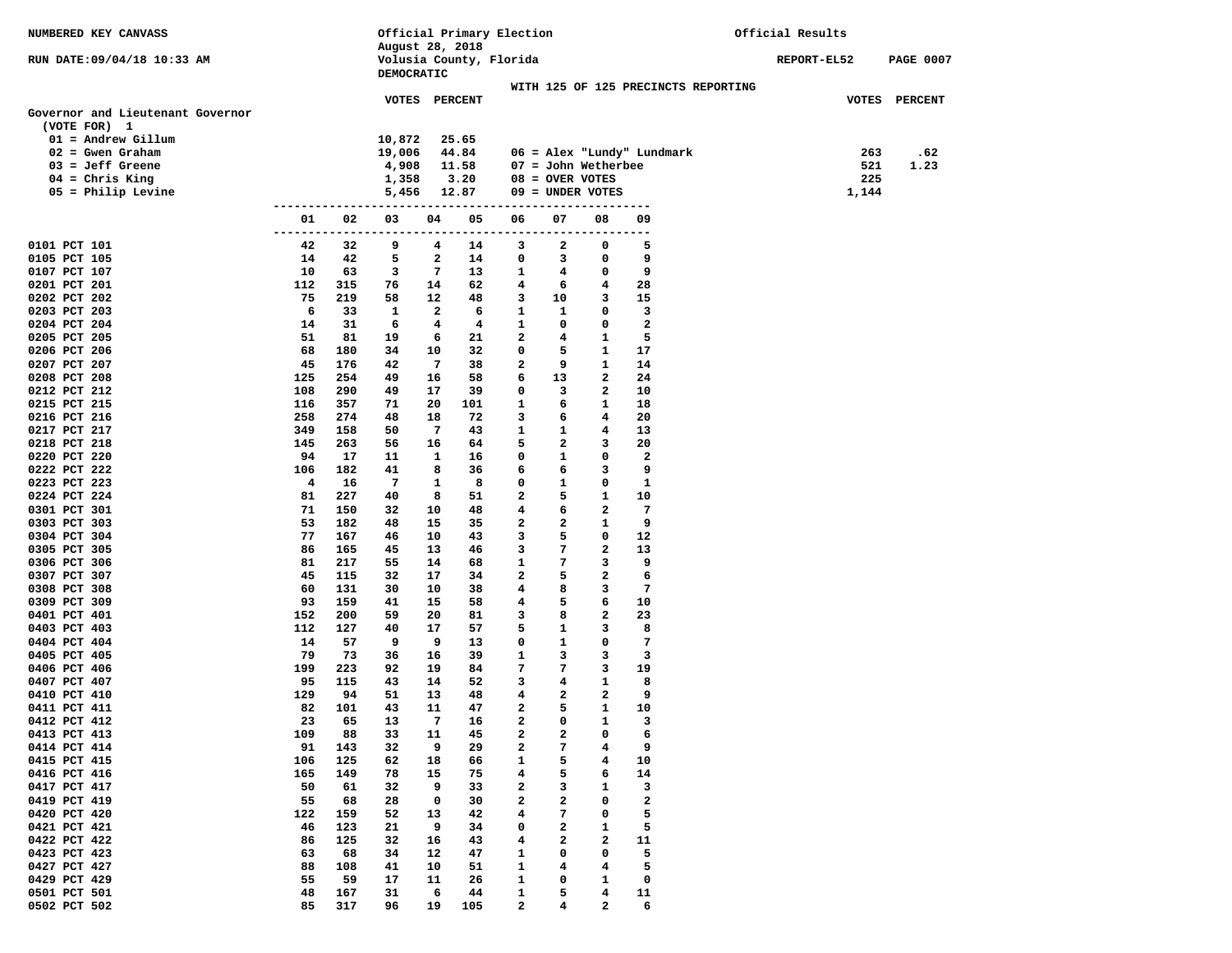| NUMBERED KEY CANVASS             |                            |            |                 |          | Official Primary Election |                |                   |                              |                                     | Official Results |                  |
|----------------------------------|----------------------------|------------|-----------------|----------|---------------------------|----------------|-------------------|------------------------------|-------------------------------------|------------------|------------------|
|                                  |                            |            | August 28, 2018 |          |                           |                |                   |                              |                                     |                  |                  |
| RUN DATE: 09/04/18 10:33 AM      |                            |            |                 |          | Volusia County, Florida   |                |                   |                              |                                     | REPORT-EL52      | <b>PAGE 0007</b> |
|                                  |                            |            | DEMOCRATIC      |          |                           |                |                   |                              |                                     |                  |                  |
|                                  |                            |            |                 |          | VOTES PERCENT             |                |                   |                              | WITH 125 OF 125 PRECINCTS REPORTING |                  | VOTES PERCENT    |
| Governor and Lieutenant Governor |                            |            |                 |          |                           |                |                   |                              |                                     |                  |                  |
| (VOTE FOR) 1                     |                            |            |                 |          |                           |                |                   |                              |                                     |                  |                  |
| $01 =$ Andrew Gillum             |                            |            | 10,872          |          | 25.65                     |                |                   |                              |                                     |                  |                  |
| $02 =$ Gwen Graham               |                            |            | 19,006          |          | 44.84                     |                |                   |                              | 06 = Alex "Lundy" Lundmark          | 263              | .62              |
| $03 = Jeff$ Greene               |                            |            | 4,908           |          | 11.58                     |                |                   | $07 =$ John Wetherbee        |                                     | 521              | 1.23             |
| $04$ = Chris King                |                            |            | 1,358           |          | 3.20                      |                | $08 =$ OVER VOTES |                              |                                     | 225              |                  |
| $05$ = Philip Levine             |                            |            | 5,456           |          | 12.87                     |                |                   | $09 =$ UNDER VOTES           |                                     | 1,144            |                  |
|                                  | -------------------------- |            |                 |          |                           | ------------   |                   | ---------------              |                                     |                  |                  |
|                                  | 01                         | 02         | 03              | 04       | 05                        | 06             | 07                | 08                           | 09                                  |                  |                  |
|                                  | ---------                  | ----       | -------         | ------   |                           | -----------    | -----             | . - - - - - - - -            |                                     |                  |                  |
| 0101 PCT 101                     | 42                         | 32         | 9               | 4        | 14                        | 3              | 2                 | 0                            | 5<br>9                              |                  |                  |
| 0105 PCT 105<br>0107 PCT 107     | 14<br>10                   | 42<br>63   | 5<br>3          | 2<br>7   | 14<br>13                  | 0<br>1         | 3<br>4            | 0<br>$\mathbf 0$             | 9                                   |                  |                  |
| 0201 PCT 201                     | 112                        | 315        | 76              | 14       | 62                        | 4              | 6                 | $4\phantom{1}$               | 28                                  |                  |                  |
| 0202 PCT 202                     | 75                         | 219        | 58              | 12       | 48                        | 3              | 10                | 3                            | 15                                  |                  |                  |
| 0203 PCT 203                     | 6                          | 33         | 1               | 2        | 6                         | 1              | 1                 | 0                            | 3                                   |                  |                  |
| 0204 PCT 204                     | 14                         | 31         | 6               | 4        | 4                         | 1              | 0                 | 0                            | $\mathbf{2}$                        |                  |                  |
| 0205 PCT 205                     | 51                         | 81         | 19              | 6        | 21                        | $\mathbf{2}$   | 4                 | $\mathbf{1}$                 | 5                                   |                  |                  |
| 0206 PCT 206                     | 68                         | 180        | 34              | 10       | 32                        | 0              | 5                 | $\mathbf{1}$                 | 17                                  |                  |                  |
| 0207 PCT 207                     | 45                         | 176        | 42              | 7        | 38                        | 2              | 9                 | $\mathbf{1}$                 | 14                                  |                  |                  |
| 0208 PCT 208                     | 125                        | 254        | 49              | 16       | 58                        | 6              | 13                | $\mathbf{2}$                 | 24                                  |                  |                  |
| 0212 PCT 212                     | 108                        | 290        | 49              | 17       | 39                        | 0              | 3                 | 2                            | 10                                  |                  |                  |
| 0215 PCT 215                     | 116                        | 357        | 71              | 20       | 101                       | 1              | 6                 | $\mathbf{1}$                 | 18                                  |                  |                  |
| 0216 PCT 216                     | 258                        | 274        | 48              | 18       | 72                        | 3              | 6                 | 4                            | 20                                  |                  |                  |
| 0217 PCT 217                     | 349                        | 158        | 50              | 7        | 43                        | 1              | 1                 | 4                            | 13                                  |                  |                  |
| 0218 PCT 218                     | 145                        | 263        | 56              | 16       | 64                        | 5              | 2                 | 3                            | 20                                  |                  |                  |
| 0220 PCT 220                     | 94                         | 17         | 11              | 1        | 16                        | 0              | 1                 | $\mathbf 0$                  | $\mathbf{2}$<br>9                   |                  |                  |
| 0222 PCT 222<br>0223 PCT 223     | 106<br>4                   | 182<br>16  | 41<br>7         | 8<br>1   | 36<br>8                   | 6<br>0         | 6<br>$\mathbf{1}$ | 3<br>0                       | $\mathbf{1}$                        |                  |                  |
| 0224 PCT 224                     | 81                         | 227        | 40              | 8        | 51                        | $\mathbf{2}$   | 5                 | $\mathbf{1}$                 | 10                                  |                  |                  |
| 0301 PCT 301                     | 71                         | 150        | 32              | 10       | 48                        | 4              | 6                 | $\mathbf{2}$                 | 7                                   |                  |                  |
| 0303 PCT 303                     | 53                         | 182        | 48              | 15       | 35                        | 2              | 2                 | 1                            | 9                                   |                  |                  |
| 0304 PCT 304                     | 77                         | 167        | 46              | 10       | 43                        | 3              | 5                 | $\mathbf 0$                  | 12                                  |                  |                  |
| 0305 PCT 305                     | 86                         | 165        | 45              | 13       | 46                        | 3              | 7                 | $\mathbf{2}$                 | 13                                  |                  |                  |
| 0306 PCT 306                     | 81                         | 217        | 55              | 14       | 68                        | 1              | 7                 | 3                            | 9                                   |                  |                  |
| 0307 PCT 307                     | 45                         | 115        | 32              | 17       | 34                        | $\mathbf{2}$   | 5                 | $\mathbf{2}$                 | 6                                   |                  |                  |
| 0308 PCT 308                     | 60                         | 131        | 30              | 10       | 38                        | 4              | 8                 | 3                            | 7                                   |                  |                  |
| 0309 PCT 309                     | 93                         | 159        | 41              | 15       | 58                        | 4              | 5                 | 6                            | 10                                  |                  |                  |
| 0401 PCT 401                     | 152                        | 200        | 59              | 20       | 81                        | 3              | 8                 | $\mathbf{2}$                 | 23                                  |                  |                  |
| 0403 PCT 403                     | 112                        | 127        | 40              | 17       | 57                        | 5              | 1                 | 3                            | 8                                   |                  |                  |
| 0404 PCT 404                     | 14                         | 57         | 9               | 9        | 13                        | 0              | $\mathbf{1}$      | 0                            | 7                                   |                  |                  |
| 0405 PCT 405                     | 79                         | 73         | 36              | 16       | 39                        | 1              | 3                 | 3                            | 3                                   |                  |                  |
| 0406 PCT 406<br>0407 PCT 407     | 199<br>95                  | 223<br>115 | 92<br>43        | 19<br>14 | 84<br>52                  | 7<br>3         | 7<br>4            | 3<br>$\mathbf{1}$            | 19<br>8                             |                  |                  |
| 0410 PCT 410                     | 129                        | 94         | 51              | 13       | 48                        | 4              | 2                 | $\overline{\mathbf{2}}$      | 9                                   |                  |                  |
| 0411 PCT 411                     | 82                         | 101        | 43              | 11       | 47                        | $\mathbf{2}$   | 5                 | $\mathbf{1}$                 | 10                                  |                  |                  |
| 0412 PCT 412                     | 23                         | 65         | 13              | 7        | 16                        | $\overline{a}$ | 0                 | $\mathbf{1}$                 | 3                                   |                  |                  |
| 0413 PCT 413                     | 109                        | 88         | 33              | 11       | 45                        | 2              | 2                 | 0                            | 6                                   |                  |                  |
| 0414 PCT 414                     | 91                         | 143        | 32              | 9        | 29                        | 2              | 7                 | 4                            | 9                                   |                  |                  |
| 0415 PCT 415                     | 106                        | 125        | 62              | 18       | 66                        | 1              | 5                 | 4                            | 10                                  |                  |                  |
| 0416 PCT 416                     | 165                        | 149        | 78              | 15       | 75                        | 4              | 5                 | 6                            | 14                                  |                  |                  |
| 0417 PCT 417                     | 50                         | 61         | 32              | 9        | 33                        | 2              | 3                 | 1                            | 3                                   |                  |                  |
| 0419 PCT 419                     | 55                         | 68         | 28              | 0        | 30                        | 2              | 2                 | 0                            | $\mathbf{2}$                        |                  |                  |
| 0420 PCT 420                     | 122                        | 159        | 52              | 13       | 42                        | 4              | 7                 | 0                            | 5                                   |                  |                  |
| 0421 PCT 421                     | 46                         | 123        | 21              | 9        | 34                        | 0              | 2                 | 1                            | 5                                   |                  |                  |
| 0422 PCT 422                     | 86                         | 125        | 32              | 16       | 43                        | 4              | 2                 | 2                            | 11                                  |                  |                  |
| 0423 PCT 423                     | 63                         | 68         | 34              | 12       | 47                        | 1              | 0                 | 0                            | 5                                   |                  |                  |
| 0427 PCT 427                     | 88                         | 108        | 41              | 10       | 51                        | 1              | 4                 | 4                            | 5                                   |                  |                  |
| 0429 PCT 429<br>0501 PCT 501     | 55<br>48                   | 59<br>167  | 17<br>31        | 11<br>6  | 26<br>44                  | 1<br>1         | 0<br>5            | 1<br>$\overline{\mathbf{4}}$ | 0<br>11                             |                  |                  |
| 0502 PCT 502                     | 85                         | 317        | 96              | 19       | 105                       | $\mathbf{2}$   | 4                 | $\mathbf{2}$                 | 6                                   |                  |                  |
|                                  |                            |            |                 |          |                           |                |                   |                              |                                     |                  |                  |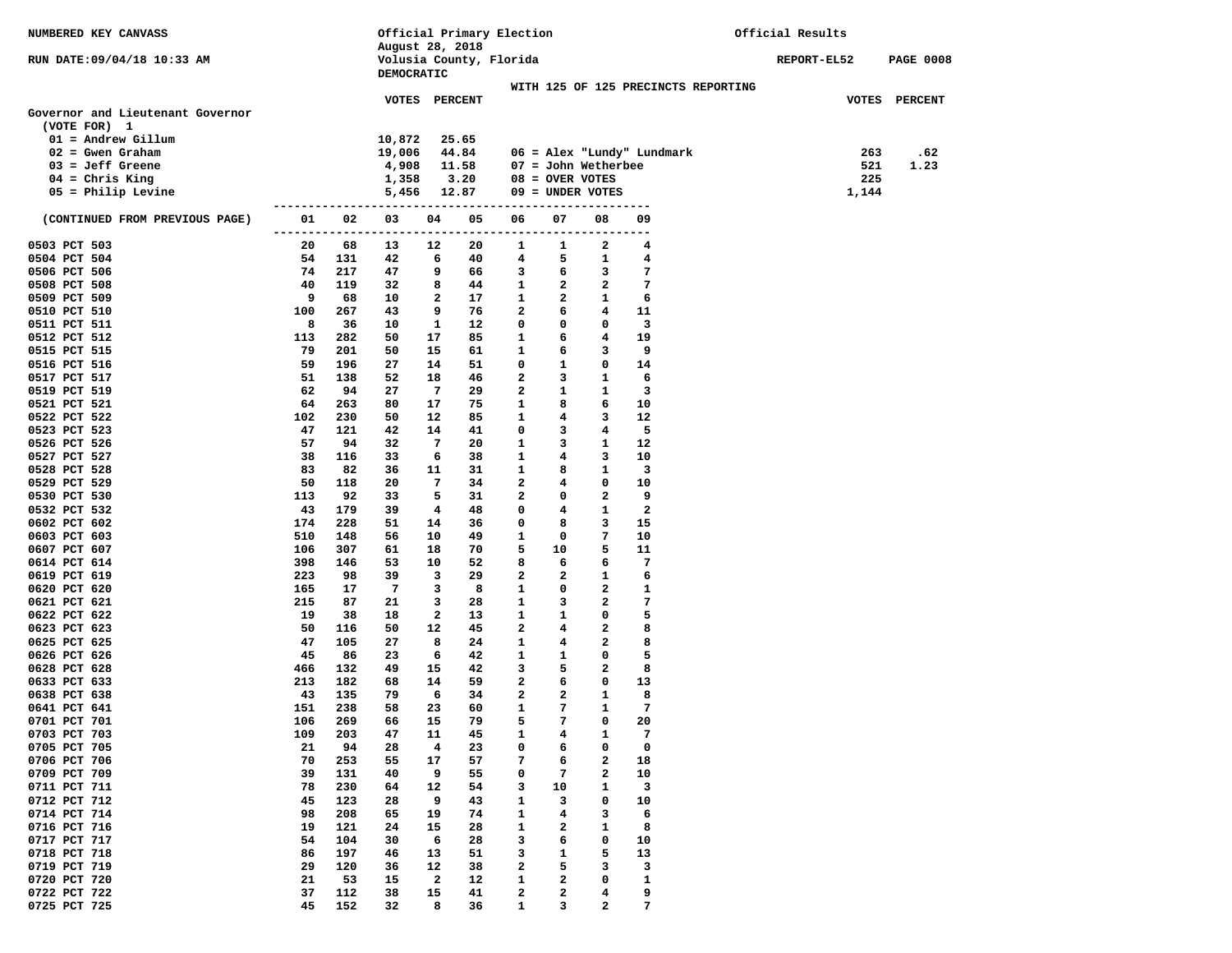| NUMBERED KEY CANVASS             |                      |                   | Official Primary Election |               |          |                         |                       |                   | Official Results                    |                    |                  |
|----------------------------------|----------------------|-------------------|---------------------------|---------------|----------|-------------------------|-----------------------|-------------------|-------------------------------------|--------------------|------------------|
|                                  |                      |                   | August 28, 2018           |               |          |                         |                       |                   |                                     |                    |                  |
| RUN DATE:09/04/18 10:33 AM       |                      |                   |                           |               |          | Volusia County, Florida |                       |                   |                                     | <b>REPORT-EL52</b> | <b>PAGE 0008</b> |
|                                  |                      |                   | DEMOCRATIC                |               |          |                         |                       |                   |                                     |                    |                  |
|                                  |                      |                   |                           |               |          |                         |                       |                   | WITH 125 OF 125 PRECINCTS REPORTING |                    |                  |
|                                  |                      |                   |                           | VOTES PERCENT |          |                         |                       |                   |                                     |                    | VOTES PERCENT    |
| Governor and Lieutenant Governor |                      |                   |                           |               |          |                         |                       |                   |                                     |                    |                  |
| (VOTE FOR) 1                     |                      |                   |                           |               |          |                         |                       |                   |                                     |                    |                  |
| $01 =$ Andrew Gillum             |                      |                   | 10,872                    |               | 25.65    |                         |                       |                   |                                     |                    |                  |
| $02 =$ Gwen Graham               |                      |                   | 19,006                    |               | 44.84    |                         |                       |                   | 06 = Alex "Lundy" Lundmark          | 263                | .62              |
| $03 = Jeff$ Greene               |                      |                   | 4,908                     |               | 11.58    |                         | $07 =$ John Wetherbee |                   |                                     | 521                | 1.23             |
| $04$ = Chris King                |                      |                   | 1,358                     |               | 3.20     |                         | $08 =$ OVER VOTES     |                   |                                     | 225                |                  |
| $05$ = Philip Levine             |                      | ----------------- | 5,456                     |               | 12.87    |                         | $09 =$ UNDER VOTES    |                   | ----                                | 1,144              |                  |
| (CONTINUED FROM PREVIOUS PAGE)   | 01                   | 02                | 03                        | 04            | 05       | 06                      | 07                    | 08                | 09                                  |                    |                  |
|                                  | -------------------- |                   |                           | ------        |          | -----------             | ------                | ------            | ---                                 |                    |                  |
| 0503 PCT 503                     | 20                   | 68                | 13                        | 12            | 20       | 1                       | 1                     | 2                 | 4                                   |                    |                  |
| 0504 PCT 504                     | 54                   | 131               | 42                        | 6             | 40       | 4                       | 5                     | 1                 | 4                                   |                    |                  |
| 0506 PCT 506                     | 74                   | 217               | 47                        | 9             | 66       | 3                       | 6                     | 3                 | 7                                   |                    |                  |
| 0508 PCT 508                     | 40                   | 119               | 32                        | 8             | 44       | 1                       | 2                     | $\mathbf{2}$      | 7                                   |                    |                  |
| 0509 PCT 509                     | 9                    | 68                | 10                        | 2             | 17       | 1                       | $\mathbf{2}$          | 1                 | 6                                   |                    |                  |
| 0510 PCT 510                     | 100                  | 267               | 43                        | 9             | 76       | 2                       | 6                     | 4                 | 11                                  |                    |                  |
| 0511 PCT 511                     | 8                    | 36                | 10                        | 1             | 12       | 0                       | 0                     | $\mathbf 0$       | 3                                   |                    |                  |
| 0512 PCT 512                     | 113                  | 282               | 50                        | 17            | 85       | 1                       | 6                     | $4\overline{ }$   | 19                                  |                    |                  |
| 0515 PCT 515                     | 79                   | 201               | 50                        | 15            | 61       | 1                       | 6                     | 3                 | 9                                   |                    |                  |
| 0516 PCT 516                     | 59                   | 196               | 27                        | 14            | 51       | 0                       | 1                     | $\mathbf 0$       | 14                                  |                    |                  |
| 0517 PCT 517                     | 51                   | 138               | 52                        | 18            | 46       | 2                       | 3                     | $\mathbf{1}$      | 6                                   |                    |                  |
| 0519 PCT 519                     | 62                   | 94                | 27                        | 7             | 29       | 2                       | 1                     | $\mathbf{1}$      | 3                                   |                    |                  |
| 0521 PCT 521                     | 64                   | 263               | 80                        | 17            | 75       | 1                       | 8                     | 6                 | 10                                  |                    |                  |
| 0522 PCT 522                     | 102                  | 230               | 50                        | 12            | 85       | 1                       | 4                     | 3                 | 12                                  |                    |                  |
| 0523 PCT 523                     | 47                   | 121               | 42                        | 14            | 41       | 0                       | 3                     | $\overline{4}$    | 5                                   |                    |                  |
| 0526 PCT 526                     | 57                   | 94                | 32                        | 7             | 20       | 1                       | 3                     | $\mathbf{1}$      | 12                                  |                    |                  |
| 0527 PCT 527                     | 38                   | 116               | 33                        | 6             | 38       | 1                       | 4                     | 3                 | 10                                  |                    |                  |
| 0528 PCT 528                     | 83                   | 82                | 36                        | 11            | 31       | 1                       | 8                     | $\mathbf{1}$      | 3                                   |                    |                  |
| 0529 PCT 529                     | 50                   | 118               | 20                        | 7             | 34       | $\mathbf{2}$            | 4                     | 0                 | 10                                  |                    |                  |
| 0530 PCT 530                     | 113                  | 92                | 33                        | 5             | 31       | $\mathbf{2}$            | 0                     | $\overline{a}$    | 9                                   |                    |                  |
| 0532 PCT 532                     | 43                   | 179               | 39                        | 4             | 48       | 0                       | 4                     | $\mathbf{1}$      | $\mathbf{2}$                        |                    |                  |
| 0602 PCT 602                     | 174                  | 228               | 51                        | 14            | 36       | 0                       | 8                     | 3                 | 15                                  |                    |                  |
| 0603 PCT 603                     | 510                  | 148               | 56                        | 10            | 49       | 1                       | 0                     | 7                 | 10                                  |                    |                  |
| 0607 PCT 607                     | 106                  | 307               | 61                        | 18            | 70       | 5                       | 10                    | 5                 | 11                                  |                    |                  |
| 0614 PCT 614                     | 398<br>223           | 146               | 53                        | 10            | 52       | 8<br>$\mathbf{2}$       | 6<br>$\mathbf{2}$     | 6<br>$\mathbf{1}$ | 7                                   |                    |                  |
| 0619 PCT 619                     |                      | 98                | 39                        | 3             | 29       |                         |                       | $\mathbf{2}$      | 6                                   |                    |                  |
| 0620 PCT 620                     | 165                  | 17<br>87          | 7                         | з             | 8        | 1<br>1                  | 0<br>3                | $\overline{a}$    | 1<br>7                              |                    |                  |
| 0621 PCT 621<br>0622 PCT 622     | 215<br>19            | 38                | 21<br>18                  | з<br>2        | 28<br>13 | 1                       | $\mathbf{1}$          | 0                 | 5                                   |                    |                  |
| 0623 PCT 623                     | 50                   | 116               | 50                        | 12            | 45       | $\mathbf{2}$            | 4                     | $\mathbf{2}$      | 8                                   |                    |                  |
| 0625 PCT 625                     | 47                   | 105               | 27                        | 8             | 24       | 1                       | $\overline{4}$        | $\overline{a}$    | 8                                   |                    |                  |
| 0626 PCT 626                     | 45                   | 86                | 23                        | 6             | 42       | 1                       | 1                     | $\mathbf 0$       | 5                                   |                    |                  |
| 0628 PCT 628                     | 466                  | 132               | 49                        | 15            | 42       | 3                       | 5                     | $\mathbf{2}$      | 8                                   |                    |                  |
| 0633 PCT 633                     | 213                  | 182               | 68                        | 14            | 59       | 2                       | 6                     | 0                 | 13                                  |                    |                  |
| 0638 PCT 638                     | 43                   | 135               | 79                        | 6             | 34       | $\mathbf{2}$            | 2                     | 1                 | 8                                   |                    |                  |
| 0641 PCT 641                     | 151                  | 238               | 58                        | 23            | 60       | 1                       | 7                     | $\mathbf{1}$      | 7                                   |                    |                  |
| 0701 PCT 701                     | 106                  | 269               | 66                        | 15            | 79       | 5                       | 7                     | 0                 | 20                                  |                    |                  |
| 0703 PCT 703                     | 109                  | 203               | 47                        | 11            | 45       | 1                       | 4                     | 1                 | 7                                   |                    |                  |
| 0705 PCT 705                     | 21                   | 94                | 28                        | 4             | 23       | 0                       | 6                     | 0                 | 0                                   |                    |                  |
| 0706 PCT 706                     | 70                   | 253               | 55                        | 17            | 57       | 7                       | 6                     | 2                 | 18                                  |                    |                  |
| 0709 PCT 709                     | 39                   | 131               | 40                        | 9             | 55       | 0                       | 7                     | 2                 | 10                                  |                    |                  |
| 0711 PCT 711                     | 78                   | 230               | 64                        | 12            | 54       | з                       | 10                    | 1                 | 3                                   |                    |                  |
| 0712 PCT 712                     | 45                   | 123               | 28                        | 9             | 43       | 1                       | 3                     | 0                 | 10                                  |                    |                  |
| 0714 PCT 714                     | 98                   | 208               | 65                        | 19            | 74       | 1                       | 4                     | 3                 | 6                                   |                    |                  |
| 0716 PCT 716                     | 19                   | 121               | 24                        | 15            | 28       | 1                       | 2                     | 1                 | 8                                   |                    |                  |
| 0717 PCT 717                     | 54                   | 104               | 30                        | 6             | 28       | з                       | 6                     | 0                 | 10                                  |                    |                  |
| 0718 PCT 718                     | 86                   | 197               | 46                        | 13            | 51       | з                       | 1                     | 5                 | 13                                  |                    |                  |
| 0719 PCT 719                     | 29                   | 120               | 36                        | 12            | 38       | 2                       | 5                     | 3                 | 3                                   |                    |                  |
| 0720 PCT 720                     | 21                   | 53                | 15                        | 2             | 12       | 1                       | 2                     | 0                 | 1                                   |                    |                  |
| 0722 PCT 722                     | 37                   | 112               | 38                        | 15            | 41       | 2                       | 2                     | 4                 | 9                                   |                    |                  |
| 0725 PCT 725                     | 45                   | 152               | 32                        | 8             | 36       | 1                       | з                     | 2                 | 7                                   |                    |                  |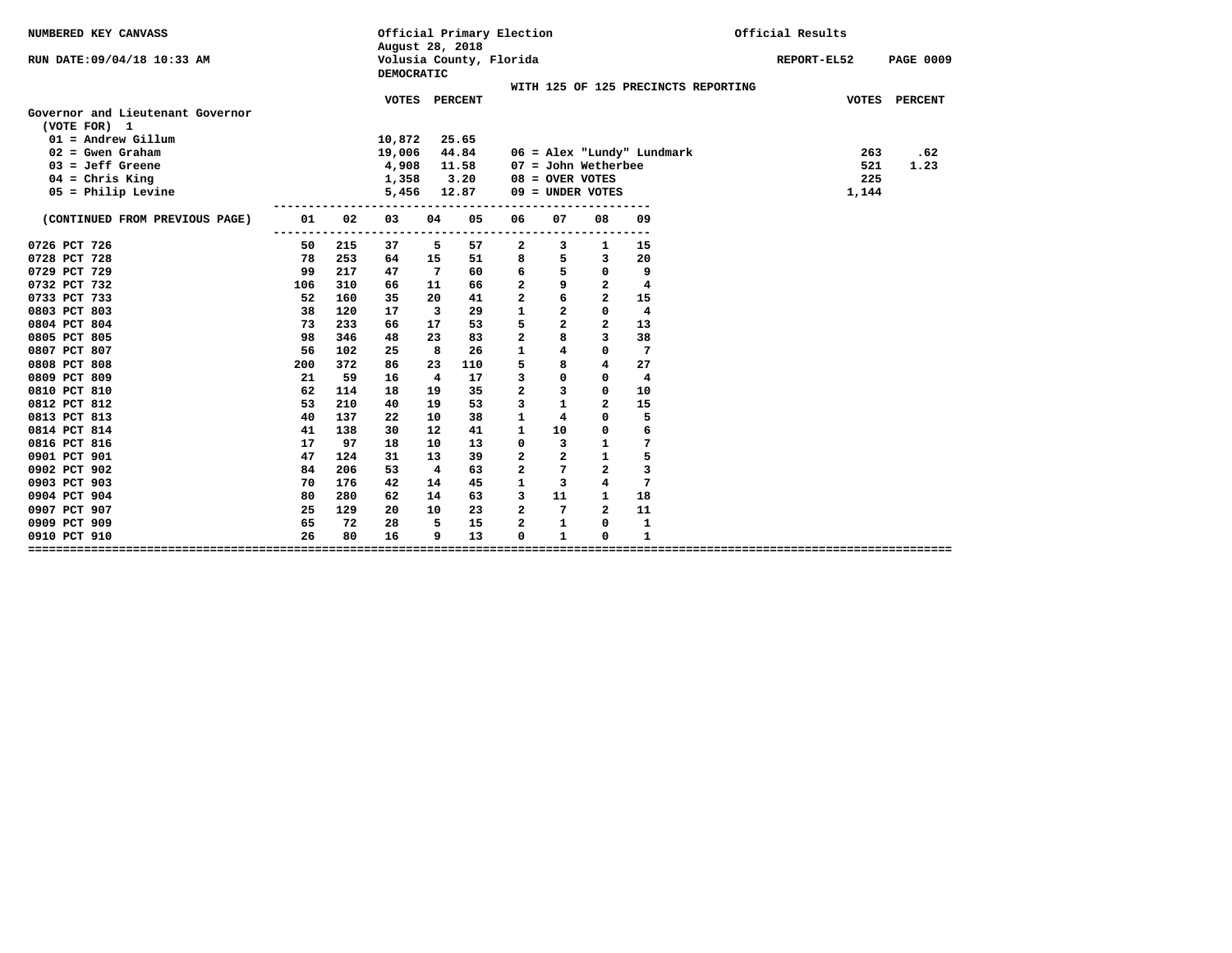| NUMBERED KEY CANVASS                             |               |     | August 28, 2018                       |                         |                | Official Primary Election |                         |                         |                                     | Official Results |                  |
|--------------------------------------------------|---------------|-----|---------------------------------------|-------------------------|----------------|---------------------------|-------------------------|-------------------------|-------------------------------------|------------------|------------------|
| RUN DATE:09/04/18 10:33 AM                       |               |     | Volusia County, Florida<br>DEMOCRATIC |                         |                |                           |                         |                         |                                     | REPORT-EL52      | <b>PAGE 0009</b> |
|                                                  |               |     |                                       |                         |                |                           |                         |                         | WITH 125 OF 125 PRECINCTS REPORTING |                  |                  |
| Governor and Lieutenant Governor<br>(VOTE FOR) 1 |               |     | <b>VOTES</b>                          |                         | <b>PERCENT</b> |                           |                         |                         |                                     | <b>VOTES</b>     | <b>PERCENT</b>   |
| $01 =$ Andrew Gillum                             |               |     | 10,872                                |                         | 25.65          |                           |                         |                         |                                     |                  |                  |
| $02 =$ Gwen Graham                               |               |     | 19,006                                |                         | 44.84          |                           |                         |                         | 06 = Alex "Lundy" Lundmark          | 263              | .62              |
| $03 = Jeff$ Greene                               |               |     | 4,908                                 |                         | 11.58          |                           |                         | $07 =$ John Wetherbee   |                                     | 521              | 1.23             |
| $04$ = Chris King                                |               |     | 1,358                                 |                         | 3.20           |                           |                         | $08 =$ OVER VOTES       |                                     | 225              |                  |
| $05$ = Philip Levine                             |               |     | 5,456                                 |                         | 12.87          |                           |                         | $09 =$ UNDER VOTES      |                                     | 1,144            |                  |
| (CONTINUED FROM PREVIOUS PAGE)                   | 01<br>$- - -$ | 02  | 03                                    | 04                      | 05             | 06                        | 07                      | 08                      | 09                                  |                  |                  |
| 0726 PCT 726                                     | 50            | 215 | 37                                    | 5                       | 57             | 2                         | 3                       | 1                       | 15                                  |                  |                  |
| 0728 PCT 728                                     | 78            | 253 | 64                                    | 15                      | 51             | 8                         | 5                       | 3                       | 20                                  |                  |                  |
| 0729 PCT 729                                     | 99            | 217 | 47                                    | 7                       | 60             | 6                         | 5                       | 0                       | 9                                   |                  |                  |
| 0732 PCT 732                                     | 106           | 310 | 66                                    | 11                      | 66             | $\overline{2}$            | 9                       | $\mathbf{2}$            | 4                                   |                  |                  |
| 0733 PCT 733                                     | 52            | 160 | 35                                    | 20                      | 41             | $\overline{a}$            | 6                       | $\overline{a}$          | 15                                  |                  |                  |
| 0803 PCT 803                                     | 38            | 120 | 17                                    | $\overline{\mathbf{3}}$ | 29             | $\mathbf{1}$              | $\overline{\mathbf{2}}$ | 0                       | 4                                   |                  |                  |
| 0804 PCT 804                                     | 73            | 233 | 66                                    | 17                      | 53             | 5                         | $\overline{a}$          | $\overline{a}$          | 13                                  |                  |                  |
| 0805 PCT 805                                     | 98            | 346 | 48                                    | 23                      | 83             | $\overline{a}$            | 8                       | 3                       | 38                                  |                  |                  |
| 0807 PCT 807                                     | 56            | 102 | 25                                    | 8                       | 26             | $\mathbf{1}$              | 4                       | 0                       | 7                                   |                  |                  |
| 0808 PCT 808                                     | 200           | 372 | 86                                    | 23                      | 110            | 5                         | 8                       | $\overline{\mathbf{4}}$ | 27                                  |                  |                  |
| 0809 PCT 809                                     | 21            | 59  | 16                                    | 4                       | 17             | 3                         | $\mathbf 0$             | 0                       | 4                                   |                  |                  |
| 0810 PCT 810                                     | 62            | 114 | 18                                    | 19                      | 35             | $\overline{a}$            | 3                       | 0                       | 10                                  |                  |                  |
| 0812 PCT 812                                     | 53            | 210 | 40                                    | 19                      | 53             | 3                         | $\mathbf{1}$            | $\overline{a}$          | 15                                  |                  |                  |
| 0813 PCT 813                                     | 40            | 137 | 22                                    | 10                      | 38             | $\mathbf{1}$              | 4                       | 0                       | 5                                   |                  |                  |
| 0814 PCT 814                                     | 41            | 138 | 30                                    | 12                      | 41             | 1                         | 10                      | 0                       | 6                                   |                  |                  |
| 0816 PCT 816                                     | 17            | 97  | 18                                    | 10                      | 13             | $\mathbf{0}$              | 3                       | $\mathbf{1}$            | 7                                   |                  |                  |
| 0901 PCT 901                                     | 47            | 124 | 31                                    | 13                      | 39             | 2                         | $\overline{a}$          | $\mathbf{1}$            | 5                                   |                  |                  |
| 0902 PCT 902                                     | 84            | 206 | 53                                    | $\overline{4}$          | 63             | $\overline{a}$            | $7\phantom{.0}$         | $\overline{a}$          | 3                                   |                  |                  |
| 0903 PCT 903                                     | 70            | 176 | 42                                    | 14                      | 45             | $\mathbf{1}$              | $\overline{\mathbf{3}}$ | $\overline{\bf 4}$      | $7\phantom{.0}$                     |                  |                  |
| 0904 PCT 904                                     | 80            | 280 | 62                                    | 14                      | 63             | 3                         | 11                      | $\mathbf{1}$            | 18                                  |                  |                  |
| 0907 PCT 907                                     | 25            | 129 | 20                                    | 10                      | 23             | $\overline{a}$            | 7                       | $\overline{a}$          | 11                                  |                  |                  |
| 0909 PCT 909                                     | 65            | 72  | 28                                    | 5                       | 15             | $\overline{a}$            | $\mathbf{1}$            | 0                       | ${\bf 1}$                           |                  |                  |
| 0910 PCT 910                                     | 26            | 80  | 16                                    | 9                       | 13             | 0                         | $\mathbf{1}$            | 0                       | $\mathbf{1}$                        |                  |                  |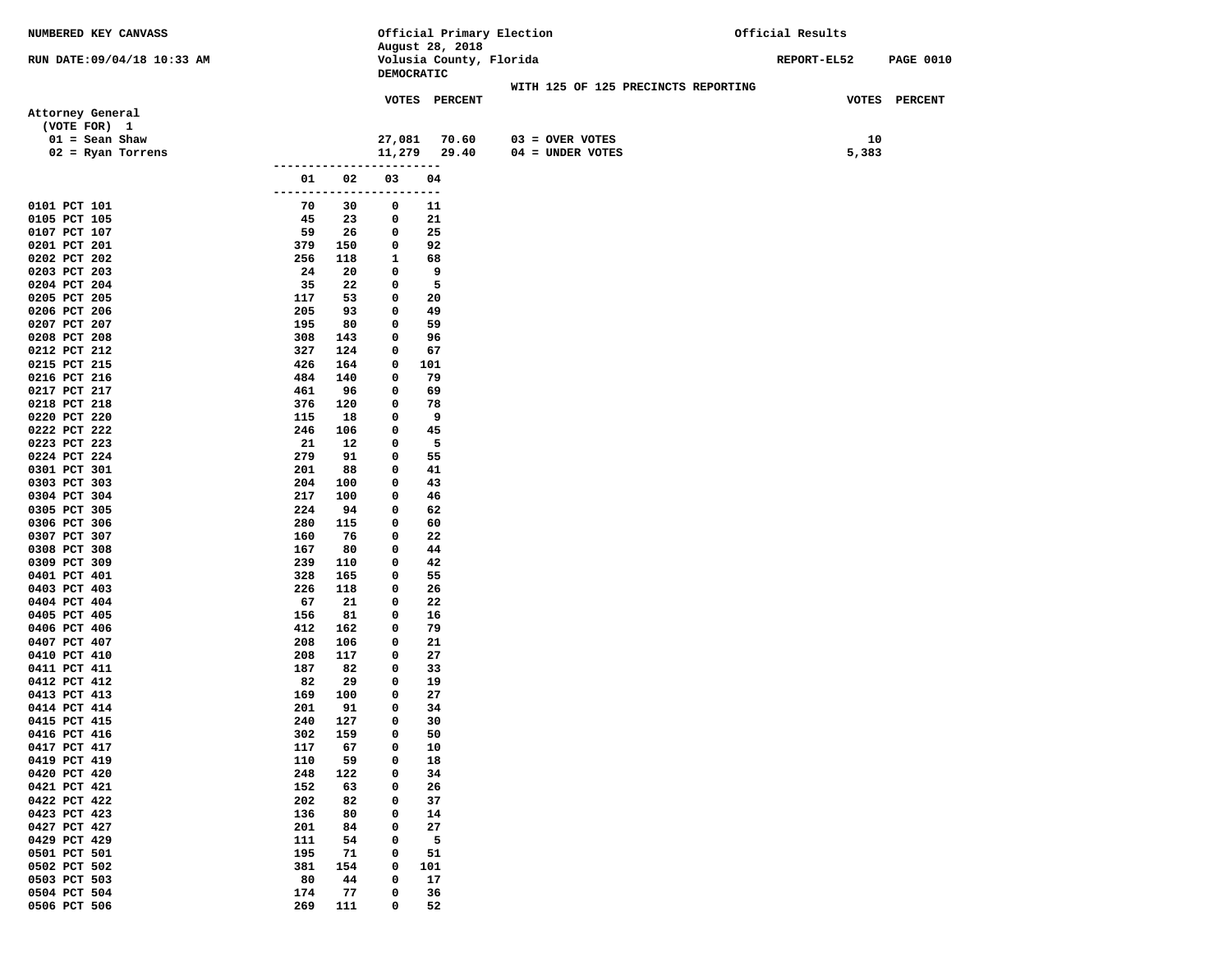| NUMBERED KEY CANVASS         |               |           |           | Official Primary Election |                                     | Official Results |       |                  |  |
|------------------------------|---------------|-----------|-----------|---------------------------|-------------------------------------|------------------|-------|------------------|--|
|                              |               |           |           | August 28, 2018           |                                     |                  |       |                  |  |
| RUN DATE:09/04/18 10:33 AM   |               |           |           | Volusia County, Florida   |                                     | REPORT-EL52      |       | <b>PAGE 0010</b> |  |
|                              |               |           |           | DEMOCRATIC                |                                     |                  |       |                  |  |
|                              |               |           |           | VOTES PERCENT             | WITH 125 OF 125 PRECINCTS REPORTING |                  |       | VOTES PERCENT    |  |
| Attorney General             |               |           |           |                           |                                     |                  |       |                  |  |
| (VOTE FOR) 1                 |               |           |           |                           |                                     |                  |       |                  |  |
| $01 =$ Sean Shaw             |               |           | 27,081    | 70.60                     | $03 =$ OVER VOTES                   |                  | 10    |                  |  |
| $02$ = Ryan Torrens          |               |           |           | 11,279 29.40              | $04 = UNDER VOTES$                  |                  | 5,383 |                  |  |
|                              | ------------- |           | --------- |                           |                                     |                  |       |                  |  |
|                              | 01            | 02        | 03        | 04                        |                                     |                  |       |                  |  |
|                              | ---------     | ----      | ----      | $---$                     |                                     |                  |       |                  |  |
| 0101 PCT 101                 | 70            | 30        | 0         | 11                        |                                     |                  |       |                  |  |
| 0105 PCT 105<br>0107 PCT 107 | 45<br>59      | 23<br>26  | 0<br>0    | 21<br>25                  |                                     |                  |       |                  |  |
| 0201 PCT 201                 | 379           | 150       | 0         | 92                        |                                     |                  |       |                  |  |
| 0202 PCT 202                 | 256           | 118       | 1         | 68                        |                                     |                  |       |                  |  |
| 0203 PCT 203                 | 24            | 20        | 0         | 9                         |                                     |                  |       |                  |  |
| 0204 PCT 204                 | 35            | 22        | 0         | 5                         |                                     |                  |       |                  |  |
| 0205 PCT 205                 | 117           | 53        | 0         | 20                        |                                     |                  |       |                  |  |
| 0206 PCT 206                 | 205           | 93        | 0         | 49                        |                                     |                  |       |                  |  |
| 0207 PCT 207                 | 195           | 80        | 0         | 59                        |                                     |                  |       |                  |  |
| 0208 PCT 208                 | 308           | 143       | 0         | 96                        |                                     |                  |       |                  |  |
| 0212 PCT 212                 | 327           | 124       | 0         | 67                        |                                     |                  |       |                  |  |
| 0215 PCT 215                 | 426           | 164       | 0         | 101                       |                                     |                  |       |                  |  |
| 0216 PCT 216<br>0217 PCT 217 | 484<br>461    | 140<br>96 | 0<br>0    | 79<br>69                  |                                     |                  |       |                  |  |
| 0218 PCT 218                 | 376           | 120       | 0         | 78                        |                                     |                  |       |                  |  |
| 0220 PCT 220                 | 115           | 18        | 0         | 9                         |                                     |                  |       |                  |  |
| 0222 PCT 222                 | 246           | 106       | 0         | 45                        |                                     |                  |       |                  |  |
| 0223 PCT 223                 | 21            | 12        | 0         | 5                         |                                     |                  |       |                  |  |
| 0224 PCT 224                 | 279           | 91        | 0         | 55                        |                                     |                  |       |                  |  |
| 0301 PCT 301                 | 201           | 88        | 0         | 41                        |                                     |                  |       |                  |  |
| 0303 PCT 303                 | 204           | 100       | 0         | 43                        |                                     |                  |       |                  |  |
| 0304 PCT 304                 | 217           | 100       | 0         | 46                        |                                     |                  |       |                  |  |
| 0305 PCT 305                 | 224           | 94        | 0         | 62                        |                                     |                  |       |                  |  |
| 0306 PCT 306                 | 280           | 115       | 0         | 60                        |                                     |                  |       |                  |  |
| 0307 PCT 307<br>0308 PCT 308 | 160<br>167    | 76<br>80  | 0<br>0    | 22<br>44                  |                                     |                  |       |                  |  |
| 0309 PCT 309                 | 239           | 110       | 0         | 42                        |                                     |                  |       |                  |  |
| 0401 PCT 401                 | 328           | 165       | 0         | 55                        |                                     |                  |       |                  |  |
| 0403 PCT 403                 | 226           | 118       | 0         | 26                        |                                     |                  |       |                  |  |
| 0404 PCT 404                 | 67            | 21        | 0         | 22                        |                                     |                  |       |                  |  |
| 0405 PCT 405                 | 156           | 81        | 0         | 16                        |                                     |                  |       |                  |  |
| 0406 PCT 406                 | 412           | 162       | 0         | 79                        |                                     |                  |       |                  |  |
| 0407 PCT 407                 | 208           | 106       | 0         | 21                        |                                     |                  |       |                  |  |
| 0410 PCT 410                 | 208           | 117       | 0         | 27                        |                                     |                  |       |                  |  |
| 0411 PCT 411                 | 187           | 82        | 0         | 33                        |                                     |                  |       |                  |  |
| 0412 PCT 412<br>0413 PCT 413 | 82<br>169     | 29<br>100 | 0<br>0    | 19<br>27                  |                                     |                  |       |                  |  |
| 0414 PCT 414                 | 201           | 91        | 0         | 34                        |                                     |                  |       |                  |  |
| 0415 PCT 415                 | 240           | 127       | 0         | 30                        |                                     |                  |       |                  |  |
| 0416 PCT 416                 | 302           | 159       | 0         | 50                        |                                     |                  |       |                  |  |
| 0417 PCT 417                 | 117           | 67        | 0         | 10                        |                                     |                  |       |                  |  |
| 0419 PCT 419                 | 110           | 59        | 0         | 18                        |                                     |                  |       |                  |  |
| 0420 PCT 420                 | 248           | 122       | 0         | 34                        |                                     |                  |       |                  |  |
| 0421 PCT 421                 | 152           | 63        | 0         | 26                        |                                     |                  |       |                  |  |
| 0422 PCT 422                 | 202           | 82        | 0         | 37                        |                                     |                  |       |                  |  |
| 0423 PCT 423                 | 136           | 80        | 0         | 14                        |                                     |                  |       |                  |  |
| 0427 PCT 427                 | 201           | 84        | 0         | 27                        |                                     |                  |       |                  |  |
| 0429 PCT 429<br>0501 PCT 501 | 111<br>195    | 54<br>71  | 0<br>0    | 5<br>51                   |                                     |                  |       |                  |  |
| 0502 PCT 502                 | 381           | 154       | 0         | 101                       |                                     |                  |       |                  |  |
| 0503 PCT 503                 | 80            | 44        | 0         | 17                        |                                     |                  |       |                  |  |
| 0504 PCT 504                 | 174           | 77        | 0         | 36                        |                                     |                  |       |                  |  |
| 0506 PCT 506                 | 269           | 111       | 0         | 52                        |                                     |                  |       |                  |  |
|                              |               |           |           |                           |                                     |                  |       |                  |  |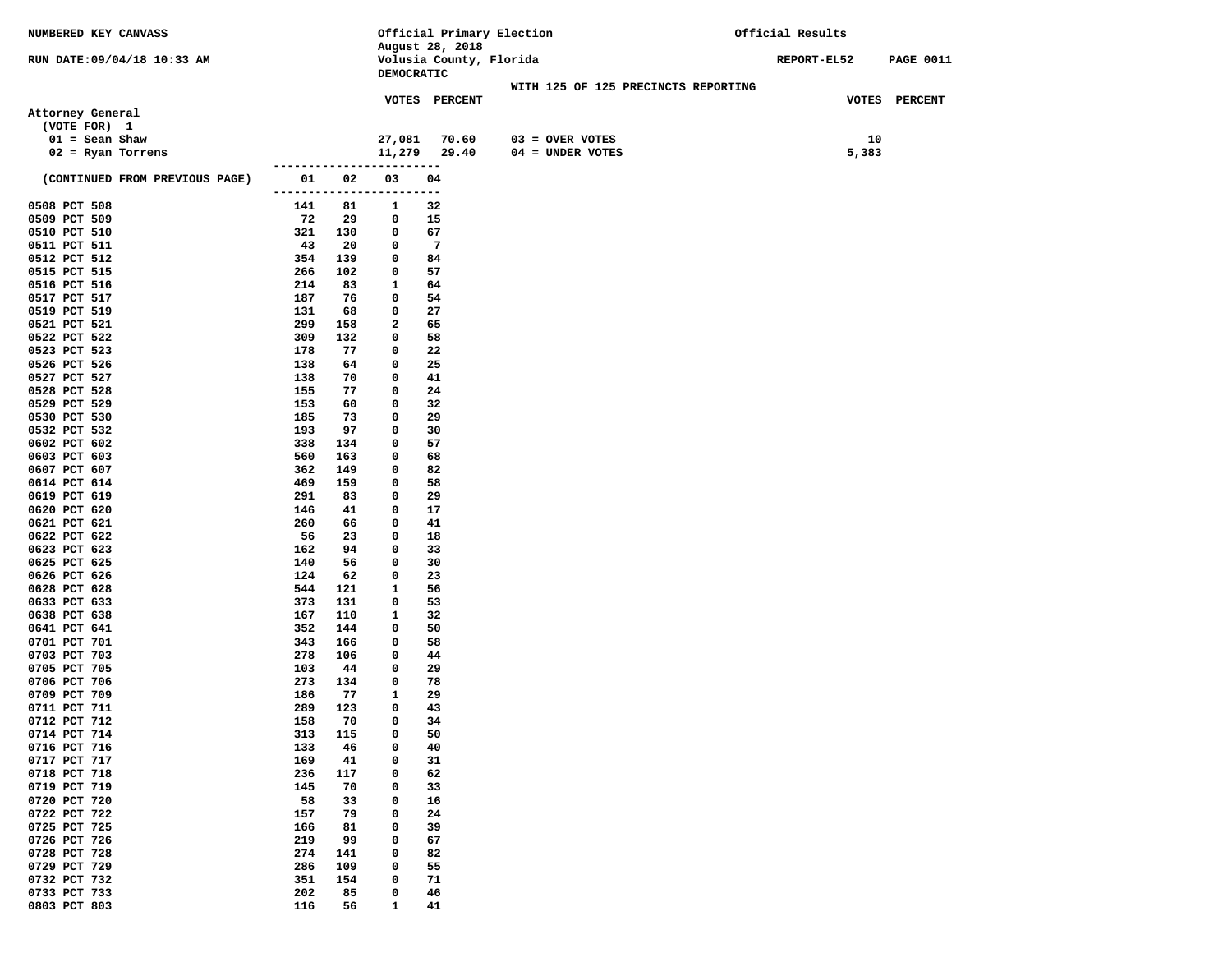| NUMBERED KEY CANVASS           |               |           |                             | Official Primary Election |                                     | Official Results |       |                  |
|--------------------------------|---------------|-----------|-----------------------------|---------------------------|-------------------------------------|------------------|-------|------------------|
|                                |               |           |                             | August 28, 2018           |                                     |                  |       |                  |
| RUN DATE: 09/04/18 10:33 AM    |               |           | DEMOCRATIC                  | Volusia County, Florida   |                                     | REPORT-EL52      |       | <b>PAGE 0011</b> |
|                                |               |           |                             |                           | WITH 125 OF 125 PRECINCTS REPORTING |                  |       |                  |
|                                |               |           |                             | VOTES PERCENT             |                                     |                  |       | VOTES PERCENT    |
| Attorney General               |               |           |                             |                           |                                     |                  |       |                  |
| (VOTE FOR) 1                   |               |           |                             |                           |                                     |                  |       |                  |
| $01 =$ Sean Shaw               |               |           | 27,081                      | 70.60                     | $03 =$ OVER VOTES                   |                  | 10    |                  |
| $02$ = Ryan Torrens            |               |           |                             | 11,279 29.40              | $04 = UNDER VOTES$                  |                  | 5,383 |                  |
| (CONTINUED FROM PREVIOUS PAGE) | 01            | 02        | ---------------------<br>03 | 04                        |                                     |                  |       |                  |
|                                | ------------- |           |                             | ---                       |                                     |                  |       |                  |
| 0508 PCT 508                   | 141           | 81        | 1                           | 32                        |                                     |                  |       |                  |
| 0509 PCT 509                   | 72            | 29        | 0                           | 15                        |                                     |                  |       |                  |
| 0510 PCT 510                   | 321           | 130       | 0                           | 67                        |                                     |                  |       |                  |
| 0511 PCT 511<br>0512 PCT 512   | 43<br>354     | 20<br>139 | 0<br>0                      | $\overline{7}$<br>84      |                                     |                  |       |                  |
| 0515 PCT 515                   | 266           | 102       | 0                           | 57                        |                                     |                  |       |                  |
| 0516 PCT 516                   | 214           | 83        | 1                           | 64                        |                                     |                  |       |                  |
| 0517 PCT 517                   | 187           | 76        | 0                           | 54                        |                                     |                  |       |                  |
| 0519 PCT 519                   | 131           | 68        | 0                           | 27                        |                                     |                  |       |                  |
| 0521 PCT 521                   | 299           | 158       | 2                           | 65                        |                                     |                  |       |                  |
| 0522 PCT 522                   | 309           | 132       | 0                           | 58                        |                                     |                  |       |                  |
| 0523 PCT 523                   | 178           | 77        | 0                           | 22                        |                                     |                  |       |                  |
| 0526 PCT 526                   | 138           | 64        | 0                           | 25                        |                                     |                  |       |                  |
| 0527 PCT 527                   | 138           | 70        | 0                           | 41                        |                                     |                  |       |                  |
| 0528 PCT 528<br>0529 PCT 529   | 155<br>153    | 77<br>60  | 0<br>0                      | 24<br>32                  |                                     |                  |       |                  |
| 0530 PCT 530                   | 185           | 73        | 0                           | 29                        |                                     |                  |       |                  |
| 0532 PCT 532                   | 193           | 97        | 0                           | 30                        |                                     |                  |       |                  |
| 0602 PCT 602                   | 338           | 134       | 0                           | 57                        |                                     |                  |       |                  |
| 0603 PCT 603                   | 560           | 163       | 0                           | 68                        |                                     |                  |       |                  |
| 0607 PCT 607                   | 362           | 149       | 0                           | 82                        |                                     |                  |       |                  |
| 0614 PCT 614                   | 469           | 159       | 0                           | 58                        |                                     |                  |       |                  |
| 0619 PCT 619                   | 291           | 83        | 0                           | 29                        |                                     |                  |       |                  |
| 0620 PCT 620                   | 146           | 41        | 0                           | 17                        |                                     |                  |       |                  |
| 0621 PCT 621                   | 260           | 66        | 0                           | 41                        |                                     |                  |       |                  |
| 0622 PCT 622<br>0623 PCT 623   | 56<br>162     | 23<br>94  | 0<br>0                      | 18<br>33                  |                                     |                  |       |                  |
| 0625 PCT 625                   | 140           | 56        | 0                           | 30                        |                                     |                  |       |                  |
| 0626 PCT 626                   | 124           | 62        | 0                           | 23                        |                                     |                  |       |                  |
| 0628 PCT 628                   | 544           | 121       | 1                           | 56                        |                                     |                  |       |                  |
| 0633 PCT 633                   | 373           | 131       | 0                           | 53                        |                                     |                  |       |                  |
| 0638 PCT 638                   | 167           | 110       | 1                           | 32                        |                                     |                  |       |                  |
| 0641 PCT 641                   | 352           | 144       | $\mathbf{o}$                | 50                        |                                     |                  |       |                  |
| 0701 PCT 701                   | 343           | 166       | 0                           | 58                        |                                     |                  |       |                  |
| 0703 PCT 703<br>0705 PCT 705   | 278           | 106       | 0                           | 44                        |                                     |                  |       |                  |
| 0706 PCT 706                   | 103<br>273    | 44<br>134 | 0<br>0                      | 29<br>78                  |                                     |                  |       |                  |
| 0709 PCT 709                   | 186           | 77        | 1                           | 29                        |                                     |                  |       |                  |
| 0711 PCT 711                   | 289           | 123       | 0                           | 43                        |                                     |                  |       |                  |
| 0712 PCT 712                   | 158           | 70        | 0                           | 34                        |                                     |                  |       |                  |
| 0714 PCT 714                   | 313           | 115       | 0                           | 50                        |                                     |                  |       |                  |
| 0716 PCT 716                   | 133           | 46        | 0                           | 40                        |                                     |                  |       |                  |
| 0717 PCT 717                   | 169           | 41        | 0                           | 31                        |                                     |                  |       |                  |
| 0718 PCT 718                   | 236           | 117       | 0                           | 62                        |                                     |                  |       |                  |
| 0719 PCT 719                   | 145           | 70        | 0                           | 33                        |                                     |                  |       |                  |
| 0720 PCT 720<br>0722 PCT 722   | 58<br>157     | 33<br>79  | 0<br>0                      | 16<br>24                  |                                     |                  |       |                  |
| 0725 PCT 725                   | 166           | 81        | 0                           | 39                        |                                     |                  |       |                  |
| 0726 PCT 726                   | 219           | 99        | 0                           | 67                        |                                     |                  |       |                  |
| 0728 PCT 728                   | 274           | 141       | 0                           | 82                        |                                     |                  |       |                  |
| 0729 PCT 729                   | 286           | 109       | 0                           | 55                        |                                     |                  |       |                  |
| 0732 PCT 732                   | 351           | 154       | 0                           | 71                        |                                     |                  |       |                  |
| 0733 PCT 733                   | 202           | 85        | 0                           | 46                        |                                     |                  |       |                  |
| 0803 PCT 803                   | 116           | 56        | 1                           | 41                        |                                     |                  |       |                  |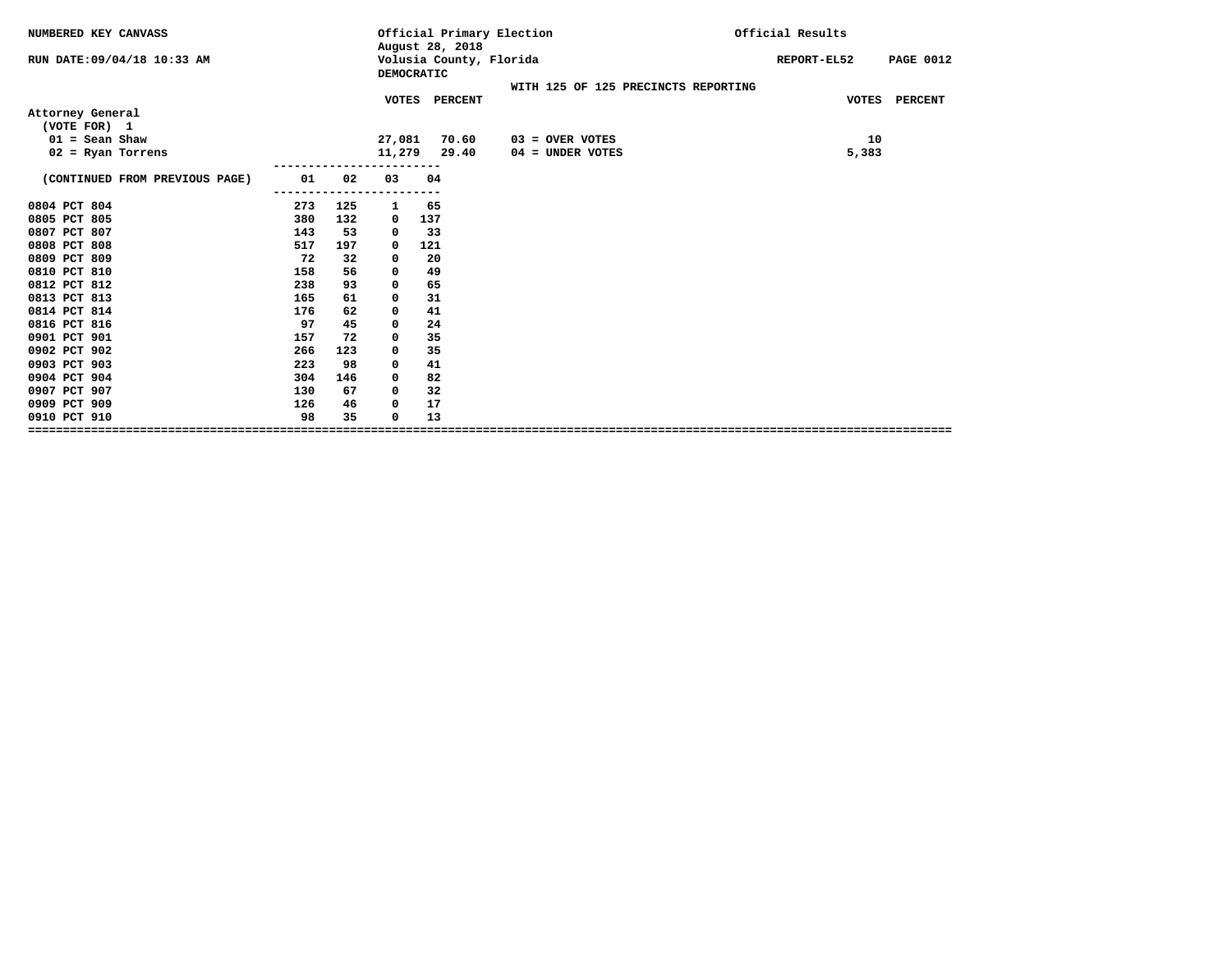| NUMBERED KEY CANVASS           |     |     |              | Official Primary Election<br>August 28, 2018 |                                     | Official Results                |  |  |
|--------------------------------|-----|-----|--------------|----------------------------------------------|-------------------------------------|---------------------------------|--|--|
| RUN DATE:09/04/18 10:33 AM     |     |     | DEMOCRATIC   | Volusia County, Florida                      |                                     | <b>PAGE 0012</b><br>REPORT-EL52 |  |  |
|                                |     |     |              |                                              | WITH 125 OF 125 PRECINCTS REPORTING |                                 |  |  |
|                                |     |     |              | VOTES PERCENT                                |                                     | VOTES PERCENT                   |  |  |
| Attorney General               |     |     |              |                                              |                                     |                                 |  |  |
| (VOTE FOR) 1                   |     |     |              |                                              |                                     |                                 |  |  |
| $01 =$ Sean Shaw               |     |     | 27,081       | 70.60                                        | $03 =$ OVER VOTES                   | 10                              |  |  |
| $02$ = Ryan Torrens            |     |     | 11,279       | 29.40                                        | $04 =$ UNDER VOTES                  | 5,383                           |  |  |
|                                |     |     |              |                                              |                                     |                                 |  |  |
| (CONTINUED FROM PREVIOUS PAGE) | 01  | 02  | 03           | 04                                           |                                     |                                 |  |  |
| 0804 PCT 804                   | 273 | 125 | 1            | 65                                           |                                     |                                 |  |  |
| 0805 PCT 805                   | 380 | 132 | 0            | 137                                          |                                     |                                 |  |  |
| 0807 PCT 807                   | 143 | 53  | $\mathbf{o}$ | 33                                           |                                     |                                 |  |  |
| 0808 PCT 808                   | 517 | 197 | $\mathbf{o}$ | 121                                          |                                     |                                 |  |  |
| 0809 PCT 809                   | 72  | 32  | 0            | 20                                           |                                     |                                 |  |  |
| 0810 PCT 810                   | 158 | 56  | 0            | 49                                           |                                     |                                 |  |  |
| 0812 PCT 812                   | 238 | 93  | 0            | 65                                           |                                     |                                 |  |  |
| 0813 PCT 813                   | 165 | 61  | 0            | 31                                           |                                     |                                 |  |  |
| 0814 PCT 814                   | 176 | 62  | 0            | 41                                           |                                     |                                 |  |  |
| 0816 PCT 816                   | 97  | 45  | 0            | 24                                           |                                     |                                 |  |  |
| 0901 PCT 901                   | 157 | 72  | 0            | 35                                           |                                     |                                 |  |  |
| 0902 PCT 902                   | 266 | 123 | 0            | 35                                           |                                     |                                 |  |  |
| 0903 PCT 903                   | 223 | 98  | 0            | 41                                           |                                     |                                 |  |  |
| 0904 PCT 904                   | 304 | 146 | 0            | 82                                           |                                     |                                 |  |  |
| 0907 PCT 907                   | 130 | 67  | 0            | 32                                           |                                     |                                 |  |  |
| 0909 PCT 909                   | 126 | 46  | 0            | 17                                           |                                     |                                 |  |  |
| 0910 PCT 910                   | 98  | 35  | 0            | 13                                           |                                     |                                 |  |  |
|                                |     |     |              |                                              |                                     |                                 |  |  |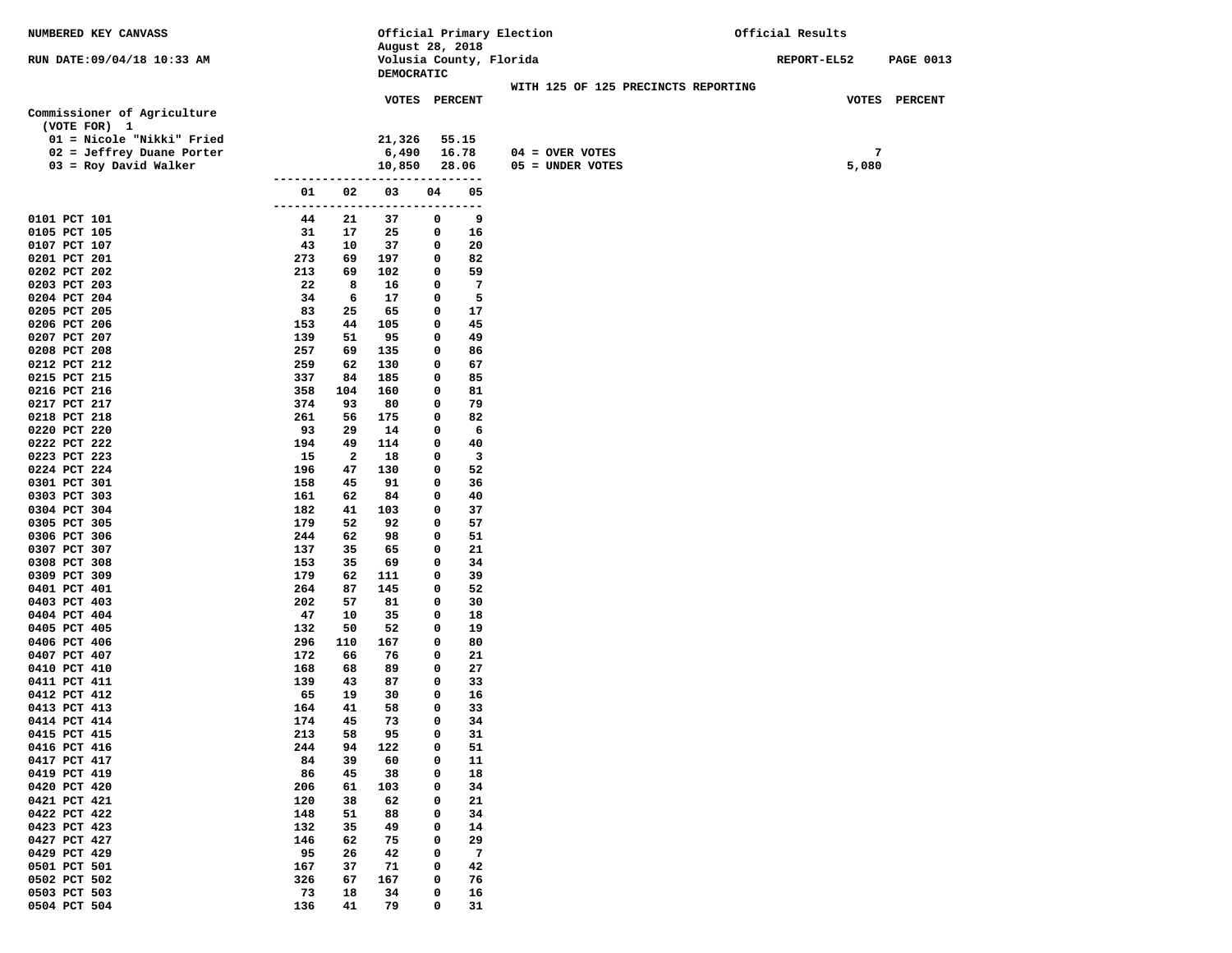| NUMBERED KEY CANVASS         |                |          |                                       |                 |          | Official Primary Election           | Official Results |       |                  |
|------------------------------|----------------|----------|---------------------------------------|-----------------|----------|-------------------------------------|------------------|-------|------------------|
|                              |                |          | August 28, 2018                       |                 |          |                                     |                  |       |                  |
| RUN DATE:09/04/18 10:33 AM   |                |          | Volusia County, Florida<br>DEMOCRATIC |                 |          |                                     | REPORT-EL52      |       | <b>PAGE 0013</b> |
|                              |                |          |                                       |                 |          | WITH 125 OF 125 PRECINCTS REPORTING |                  |       |                  |
|                              |                |          | VOTES PERCENT                         |                 |          |                                     |                  |       | VOTES PERCENT    |
| Commissioner of Agriculture  |                |          |                                       |                 |          |                                     |                  |       |                  |
| (VOTE FOR) 1                 |                |          |                                       |                 |          |                                     |                  |       |                  |
| 01 = Nicole "Nikki" Fried    |                |          | 21,326                                |                 | 55.15    |                                     |                  |       |                  |
| 02 = Jeffrey Duane Porter    |                |          | 6,490                                 |                 | 16.78    | $04 =$ OVER VOTES                   |                  | 7     |                  |
| 03 = Roy David Walker        |                |          | 10,850                                |                 | 28.06    | 05 = UNDER VOTES                    |                  | 5,080 |                  |
|                              |                |          |                                       |                 |          |                                     |                  |       |                  |
|                              | 01<br>-------- | 02       | 03<br>----------                      | 04<br>--------- | 05       |                                     |                  |       |                  |
| 0101 PCT 101                 | 44             | 21       | 37                                    | 0               | 9        |                                     |                  |       |                  |
| 0105 PCT 105                 | 31             | 17       | 25                                    | 0               | 16       |                                     |                  |       |                  |
| 0107 PCT 107                 | 43             | 10       | 37                                    | 0               | 20       |                                     |                  |       |                  |
| 0201 PCT 201                 | 273            | 69       | 197                                   | 0               | 82       |                                     |                  |       |                  |
| 0202 PCT 202                 | 213            | 69       | 102                                   | 0               | 59       |                                     |                  |       |                  |
| 0203 PCT 203                 | 22             | 8        | 16                                    | 0               | 7        |                                     |                  |       |                  |
| 0204 PCT 204                 | 34             | 6        | 17                                    | 0               | 5        |                                     |                  |       |                  |
| 0205 PCT 205                 | 83             | 25       | 65                                    | 0               | 17       |                                     |                  |       |                  |
| 0206 PCT 206                 | 153            | 44       | 105                                   | 0               | 45       |                                     |                  |       |                  |
| 0207 PCT 207<br>0208 PCT 208 | 139<br>257     | 51<br>69 | 95<br>135                             | 0<br>0          | 49<br>86 |                                     |                  |       |                  |
| 0212 PCT 212                 | 259            | 62       | 130                                   | 0               | 67       |                                     |                  |       |                  |
| 0215 PCT 215                 | 337            | 84       | 185                                   | 0               | 85       |                                     |                  |       |                  |
| 0216 PCT 216                 | 358            | 104      | 160                                   | 0               | 81       |                                     |                  |       |                  |
| 0217 PCT 217                 | 374            | 93       | 80                                    | 0               | 79       |                                     |                  |       |                  |
| 0218 PCT 218                 | 261            | 56       | 175                                   | 0               | 82       |                                     |                  |       |                  |
| 0220 PCT 220                 | 93             | 29       | 14                                    | 0               | 6        |                                     |                  |       |                  |
| 0222 PCT 222                 | 194            | 49       | 114                                   | 0               | 40       |                                     |                  |       |                  |
| 0223 PCT 223                 | 15             | 2        | 18                                    | 0               | 3        |                                     |                  |       |                  |
| 0224 PCT 224                 | 196            | 47       | 130                                   | 0               | 52       |                                     |                  |       |                  |
| 0301 PCT 301<br>0303 PCT 303 | 158<br>161     | 45<br>62 | 91<br>84                              | 0<br>0          | 36<br>40 |                                     |                  |       |                  |
| 0304 PCT 304                 | 182            | 41       | 103                                   | 0               | 37       |                                     |                  |       |                  |
| 0305 PCT 305                 | 179            | 52       | 92                                    | 0               | 57       |                                     |                  |       |                  |
| 0306 PCT 306                 | 244            | 62       | 98                                    | 0               | 51       |                                     |                  |       |                  |
| 0307 PCT 307                 | 137            | 35       | 65                                    | 0               | 21       |                                     |                  |       |                  |
| 0308 PCT 308                 | 153            | 35       | 69                                    | 0               | 34       |                                     |                  |       |                  |
| 0309 PCT 309                 | 179            | 62       | 111                                   | 0               | 39       |                                     |                  |       |                  |
| 0401 PCT 401                 | 264            | 87       | 145                                   | 0               | 52       |                                     |                  |       |                  |
| 0403 PCT 403                 | 202            | 57       | 81                                    | 0<br>0          | 30       |                                     |                  |       |                  |
| 0404 PCT 404<br>0405 PCT 405 | 47<br>132      | 10<br>50 | 35<br>52                              | 0               | 18<br>19 |                                     |                  |       |                  |
| 0406 PCT 406                 | 296            | 110      | 167                                   | 0               | 80       |                                     |                  |       |                  |
| 0407 PCT 407                 | 172            | 66       | 76                                    | 0               | 21       |                                     |                  |       |                  |
| 0410 PCT 410                 | 168            | 68       | 89                                    | 0               | 27       |                                     |                  |       |                  |
| 0411 PCT 411                 | 139            | 43       | 87                                    | 0               | 33       |                                     |                  |       |                  |
| 0412 PCT 412                 | 65             | 19       | 30                                    | 0               | 16       |                                     |                  |       |                  |
| 0413 PCT 413                 | 164            | 41       | 58                                    | 0               | 33       |                                     |                  |       |                  |
| 0414 PCT 414                 | 174            | 45       | 73                                    | 0               | 34       |                                     |                  |       |                  |
| 0415 PCT 415<br>0416 PCT 416 | 213            | 58       | 95                                    | 0               | 31       |                                     |                  |       |                  |
| 0417 PCT 417                 | 244<br>84      | 94<br>39 | 122<br>60                             | 0<br>0          | 51<br>11 |                                     |                  |       |                  |
| 0419 PCT 419                 | 86             | 45       | 38                                    | 0               | 18       |                                     |                  |       |                  |
| 0420 PCT 420                 | 206            | 61       | 103                                   | 0               | 34       |                                     |                  |       |                  |
| 0421 PCT 421                 | 120            | 38       | 62                                    | 0               | 21       |                                     |                  |       |                  |
| 0422 PCT 422                 | 148            | 51       | 88                                    | 0               | 34       |                                     |                  |       |                  |
| 0423 PCT 423                 | 132            | 35       | 49                                    | 0               | 14       |                                     |                  |       |                  |
| 0427 PCT 427                 | 146            | 62       | 75                                    | 0               | 29       |                                     |                  |       |                  |
| 0429 PCT 429                 | 95             | 26       | 42                                    | 0               | 7        |                                     |                  |       |                  |
| 0501 PCT 501                 | 167            | 37       | 71                                    | 0               | 42       |                                     |                  |       |                  |
| 0502 PCT 502<br>0503 PCT 503 | 326<br>73      | 67       | 167                                   | 0<br>0          | 76       |                                     |                  |       |                  |
| 0504 PCT 504                 | 136            | 18<br>41 | 34<br>79                              | 0               | 16<br>31 |                                     |                  |       |                  |
|                              |                |          |                                       |                 |          |                                     |                  |       |                  |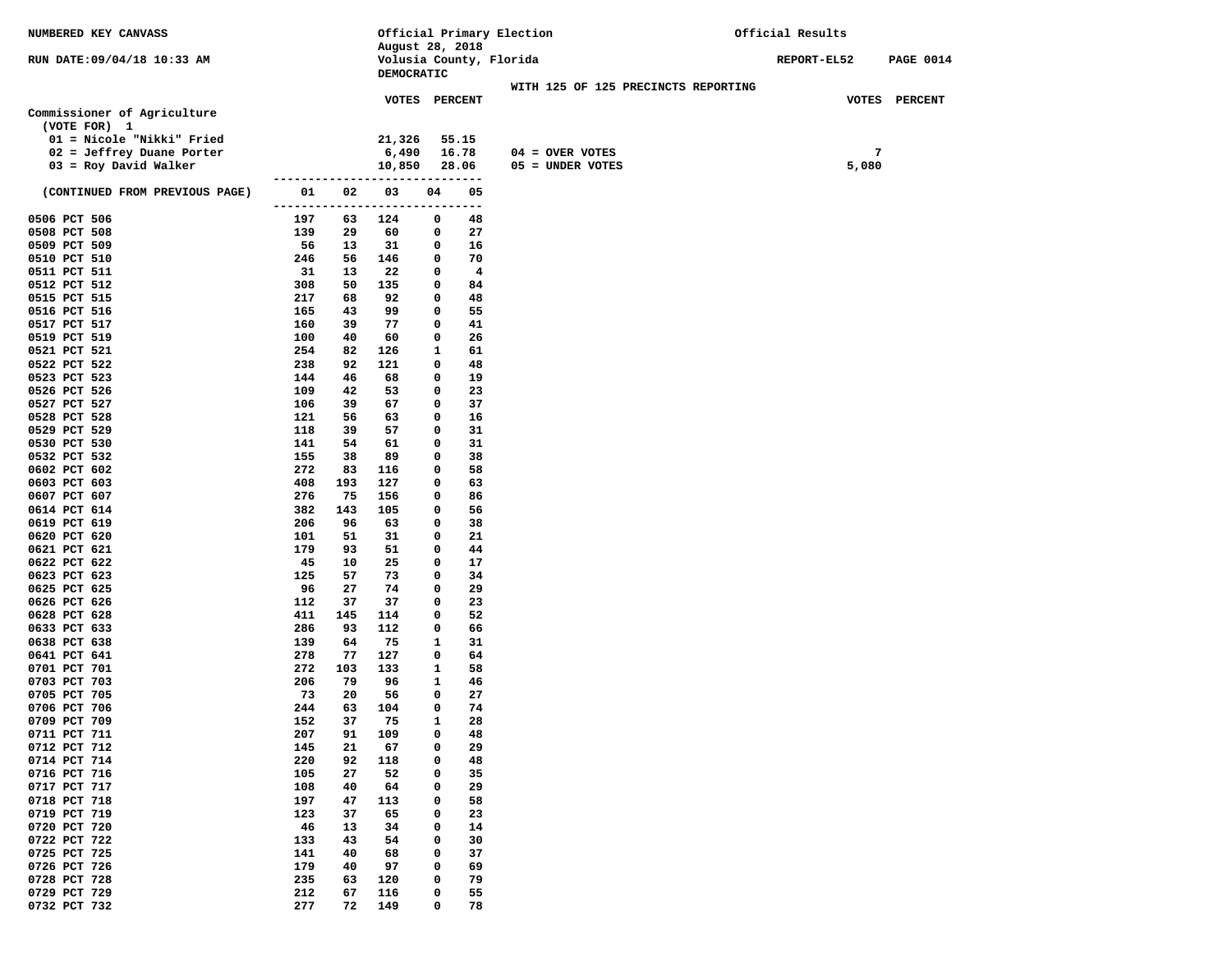| NUMBERED KEY CANVASS           |                     |           |                                            |              |           | Official Primary Election           | Official Results |                  |  |  |
|--------------------------------|---------------------|-----------|--------------------------------------------|--------------|-----------|-------------------------------------|------------------|------------------|--|--|
| RUN DATE:09/04/18 10:33 AM     |                     |           | August 28, 2018<br>Volusia County, Florida |              |           |                                     | REPORT-EL52      | <b>PAGE 0014</b> |  |  |
|                                |                     |           | DEMOCRATIC                                 |              |           |                                     |                  |                  |  |  |
|                                |                     |           |                                            |              |           | WITH 125 OF 125 PRECINCTS REPORTING |                  |                  |  |  |
| Commissioner of Agriculture    |                     |           | VOTES PERCENT                              |              |           |                                     |                  | VOTES PERCENT    |  |  |
| (VOTE FOR) 1                   |                     |           |                                            |              |           |                                     |                  |                  |  |  |
| 01 = Nicole "Nikki" Fried      |                     |           | 21,326                                     |              | 55.15     |                                     |                  |                  |  |  |
| 02 = Jeffrey Duane Porter      |                     |           | 6,490                                      |              | 16.78     | $04 = OVER VOTES$                   |                  | 7                |  |  |
| $03 = Roy David Walker$        |                     |           | 10,850                                     |              | 28.06     | 05 = UNDER VOTES                    | 5,080            |                  |  |  |
|                                |                     |           |                                            |              |           |                                     |                  |                  |  |  |
| (CONTINUED FROM PREVIOUS PAGE) | 01<br>------------- | 02        | 03<br>-----                                | 04           | 05<br>--- |                                     |                  |                  |  |  |
| 0506 PCT 506                   | 197                 | 63        | 124                                        | 0            | 48        |                                     |                  |                  |  |  |
| 0508 PCT 508                   | 139                 | 29        | 60                                         | 0            | 27        |                                     |                  |                  |  |  |
| 0509 PCT 509                   | 56                  | 13        | 31                                         | 0            | 16        |                                     |                  |                  |  |  |
| 0510 PCT 510<br>0511 PCT 511   | 246<br>31           | 56<br>13  | 146<br>22                                  | 0<br>0       | 70<br>4   |                                     |                  |                  |  |  |
| 0512 PCT 512                   | 308                 | 50        | 135                                        | 0            | 84        |                                     |                  |                  |  |  |
| 0515 PCT 515                   | 217                 | 68        | 92                                         | 0            | 48        |                                     |                  |                  |  |  |
| 0516 PCT 516                   | 165                 | 43        | 99                                         | 0            | 55        |                                     |                  |                  |  |  |
| 0517 PCT 517                   | 160                 | 39        | 77                                         | 0            | 41        |                                     |                  |                  |  |  |
| 0519 PCT 519                   | 100                 | 40        | 60                                         | 0            | 26        |                                     |                  |                  |  |  |
| 0521 PCT 521                   | 254                 | 82        | 126                                        | 1            | 61        |                                     |                  |                  |  |  |
| 0522 PCT 522                   | 238                 | 92        | 121<br>68                                  | 0<br>0       | 48        |                                     |                  |                  |  |  |
| 0523 PCT 523<br>0526 PCT 526   | 144<br>109          | 46<br>42  | 53                                         | 0            | 19<br>23  |                                     |                  |                  |  |  |
| 0527 PCT 527                   | 106                 | 39        | 67                                         | 0            | 37        |                                     |                  |                  |  |  |
| 0528 PCT 528                   | 121                 | 56        | 63                                         | 0            | 16        |                                     |                  |                  |  |  |
| 0529 PCT 529                   | 118                 | 39        | 57                                         | 0            | 31        |                                     |                  |                  |  |  |
| 0530 PCT 530                   | 141                 | 54        | 61                                         | 0            | 31        |                                     |                  |                  |  |  |
| 0532 PCT 532                   | 155                 | 38        | 89                                         | 0            | 38        |                                     |                  |                  |  |  |
| 0602 PCT 602<br>0603 PCT 603   | 272<br>408          | 83<br>193 | 116<br>127                                 | 0<br>0       | 58<br>63  |                                     |                  |                  |  |  |
| 0607 PCT 607                   | 276                 | 75        | 156                                        | 0            | 86        |                                     |                  |                  |  |  |
| 0614 PCT 614                   | 382                 | 143       | 105                                        | 0            | 56        |                                     |                  |                  |  |  |
| 0619 PCT 619                   | 206                 | 96        | 63                                         | 0            | 38        |                                     |                  |                  |  |  |
| 0620 PCT 620                   | 101                 | 51        | 31                                         | 0            | 21        |                                     |                  |                  |  |  |
| 0621 PCT 621                   | 179                 | 93        | 51                                         | 0            | 44        |                                     |                  |                  |  |  |
| 0622 PCT 622                   | 45                  | 10        | 25                                         | 0            | 17        |                                     |                  |                  |  |  |
| 0623 PCT 623<br>0625 PCT 625   | 125<br>96           | 57<br>27  | 73<br>74                                   | 0<br>0       | 34<br>29  |                                     |                  |                  |  |  |
| 0626 PCT 626                   | 112                 | 37        | 37                                         | 0            | 23        |                                     |                  |                  |  |  |
| 0628 PCT 628                   | 411                 | 145       | 114                                        | 0            | 52        |                                     |                  |                  |  |  |
| 0633 PCT 633                   | 286                 | 93        | 112                                        | 0            | 66        |                                     |                  |                  |  |  |
| 0638 PCT 638                   | 139                 | 64        | 75                                         | 1            | 31        |                                     |                  |                  |  |  |
| 0641 PCT 641                   | 278                 | 77        | 127                                        | 0            | 64        |                                     |                  |                  |  |  |
| 0701 PCT 701                   | 272                 | 103       | 133                                        | 1            | 58        |                                     |                  |                  |  |  |
| 0703 PCT 703<br>0705 PCT 705   | 206<br>73           | 79<br>20  | 96<br>56                                   | 1<br>0       | 46<br>27  |                                     |                  |                  |  |  |
| 0706 PCT 706                   | 244                 | 63        | 104                                        | 0            | 74        |                                     |                  |                  |  |  |
| 0709 PCT 709                   | 152                 | 37        | 75                                         | $\mathbf{1}$ | 28        |                                     |                  |                  |  |  |
| 0711 PCT 711                   | 207                 | 91        | 109                                        | 0            | 48        |                                     |                  |                  |  |  |
| 0712 PCT 712                   | 145                 | 21        | 67                                         | 0            | 29        |                                     |                  |                  |  |  |
| 0714 PCT 714                   | 220                 | 92        | 118                                        | 0            | 48        |                                     |                  |                  |  |  |
| 0716 PCT 716<br>0717 PCT 717   | 105<br>108          | 27<br>40  | 52<br>64                                   | 0<br>0       | 35<br>29  |                                     |                  |                  |  |  |
| 0718 PCT 718                   | 197                 | 47        | 113                                        | 0            | 58        |                                     |                  |                  |  |  |
| 0719 PCT 719                   | 123                 | 37        | 65                                         | 0            | 23        |                                     |                  |                  |  |  |
| 0720 PCT 720                   | 46                  | 13        | 34                                         | 0            | 14        |                                     |                  |                  |  |  |
| 0722 PCT 722                   | 133                 | 43        | 54                                         | 0            | 30        |                                     |                  |                  |  |  |
| 0725 PCT 725                   | 141                 | 40        | 68                                         | 0            | 37        |                                     |                  |                  |  |  |
| 0726 PCT 726                   | 179                 | 40        | 97                                         | 0            | 69        |                                     |                  |                  |  |  |
| 0728 PCT 728<br>0729 PCT 729   | 235<br>212          | 63<br>67  | 120<br>116                                 | 0<br>0       | 79<br>55  |                                     |                  |                  |  |  |
| 0732 PCT 732                   | 277                 | 72        | 149                                        | 0            | 78        |                                     |                  |                  |  |  |
|                                |                     |           |                                            |              |           |                                     |                  |                  |  |  |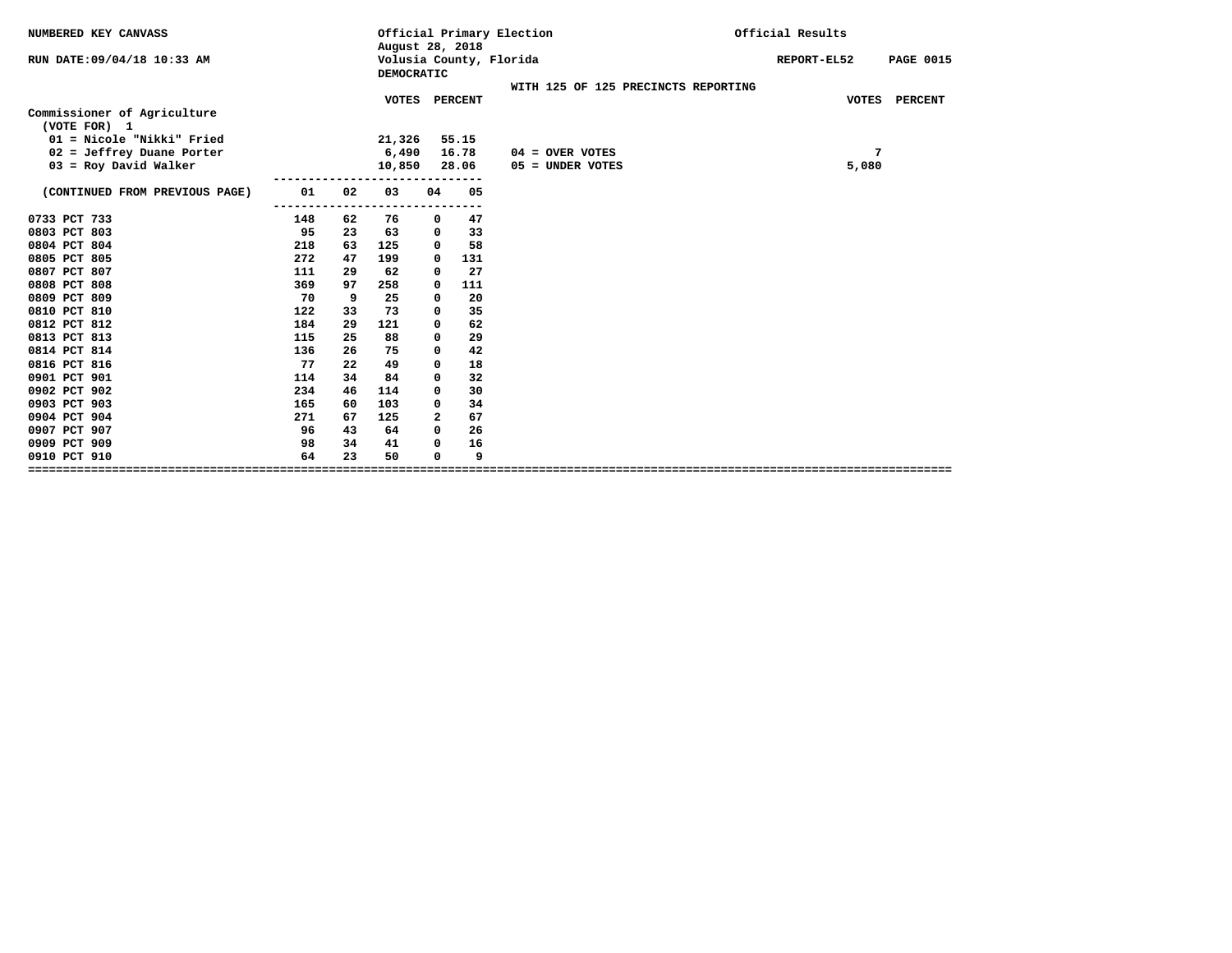| NUMBERED KEY CANVASS                      |     |    | August 28, 2018  |          |           | Official Primary Election           | Official Results                |
|-------------------------------------------|-----|----|------------------|----------|-----------|-------------------------------------|---------------------------------|
| RUN DATE: 09/04/18 10:33 AM               |     |    | DEMOCRATIC       |          |           | Volusia County, Florida             | REPORT-EL52<br><b>PAGE 0015</b> |
|                                           |     |    |                  |          |           | WITH 125 OF 125 PRECINCTS REPORTING |                                 |
|                                           |     |    | <b>VOTES</b>     |          | PERCENT   |                                     | VOTES PERCENT                   |
| Commissioner of Agriculture               |     |    |                  |          |           |                                     |                                 |
| (VOTE FOR) 1<br>01 = Nicole "Nikki" Fried |     |    | 21,326           |          | 55.15     |                                     |                                 |
| 02 = Jeffrey Duane Porter                 |     |    | 6,490            |          | 16.78     | $04 =$ OVER VOTES                   | 7                               |
| $03$ = Roy David Walker                   |     |    | 10,850           |          | 28.06     | 05 = UNDER VOTES                    | 5,080                           |
|                                           |     |    | ---------------- |          |           |                                     |                                 |
| (CONTINUED FROM PREVIOUS PAGE)            | 01  | 02 | 03               | 04       | 05        |                                     |                                 |
|                                           |     |    | .                |          | --------- |                                     |                                 |
| 0733 PCT 733                              | 148 | 62 | 76               | 0        | 47        |                                     |                                 |
| 0803 PCT 803                              | 95  | 23 | 63               | 0        | 33        |                                     |                                 |
| 0804 PCT 804                              | 218 | 63 | 125              | 0        | 58        |                                     |                                 |
| 0805 PCT 805                              | 272 | 47 | 199              | 0        | 131       |                                     |                                 |
| 0807 PCT 807                              | 111 | 29 | 62               | 0        | 27        |                                     |                                 |
| 0808 PCT 808                              | 369 | 97 | 258              | 0        | 111       |                                     |                                 |
| 0809 PCT 809                              | 70  | 9  | 25               | 0        | 20        |                                     |                                 |
| 0810 PCT 810                              | 122 | 33 | 73               | 0        | 35        |                                     |                                 |
| 0812 PCT 812                              | 184 | 29 | 121              | 0        | 62        |                                     |                                 |
| 0813 PCT 813                              | 115 | 25 | 88               | 0        | 29        |                                     |                                 |
| 0814 PCT 814                              | 136 | 26 | 75               | 0        | 42        |                                     |                                 |
| 0816 PCT 816                              | 77  | 22 | 49               | 0        | 18        |                                     |                                 |
| 0901 PCT 901                              | 114 | 34 | 84               | 0        | 32        |                                     |                                 |
| 0902 PCT 902                              | 234 | 46 | 114              | 0        | 30        |                                     |                                 |
| 0903 PCT 903                              | 165 | 60 | 103              | 0        | 34        |                                     |                                 |
| 0904 PCT 904                              | 271 | 67 | 125              | 2        | 67        |                                     |                                 |
| 0907 PCT 907                              | 96  | 43 | 64               | $\Omega$ | 26        |                                     |                                 |
| 0909 PCT 909                              | 98  | 34 | 41               | 0        | 16        |                                     |                                 |
| 0910 PCT 910                              | 64  | 23 | 50               | 0        | 9         |                                     |                                 |
|                                           |     |    |                  |          |           |                                     |                                 |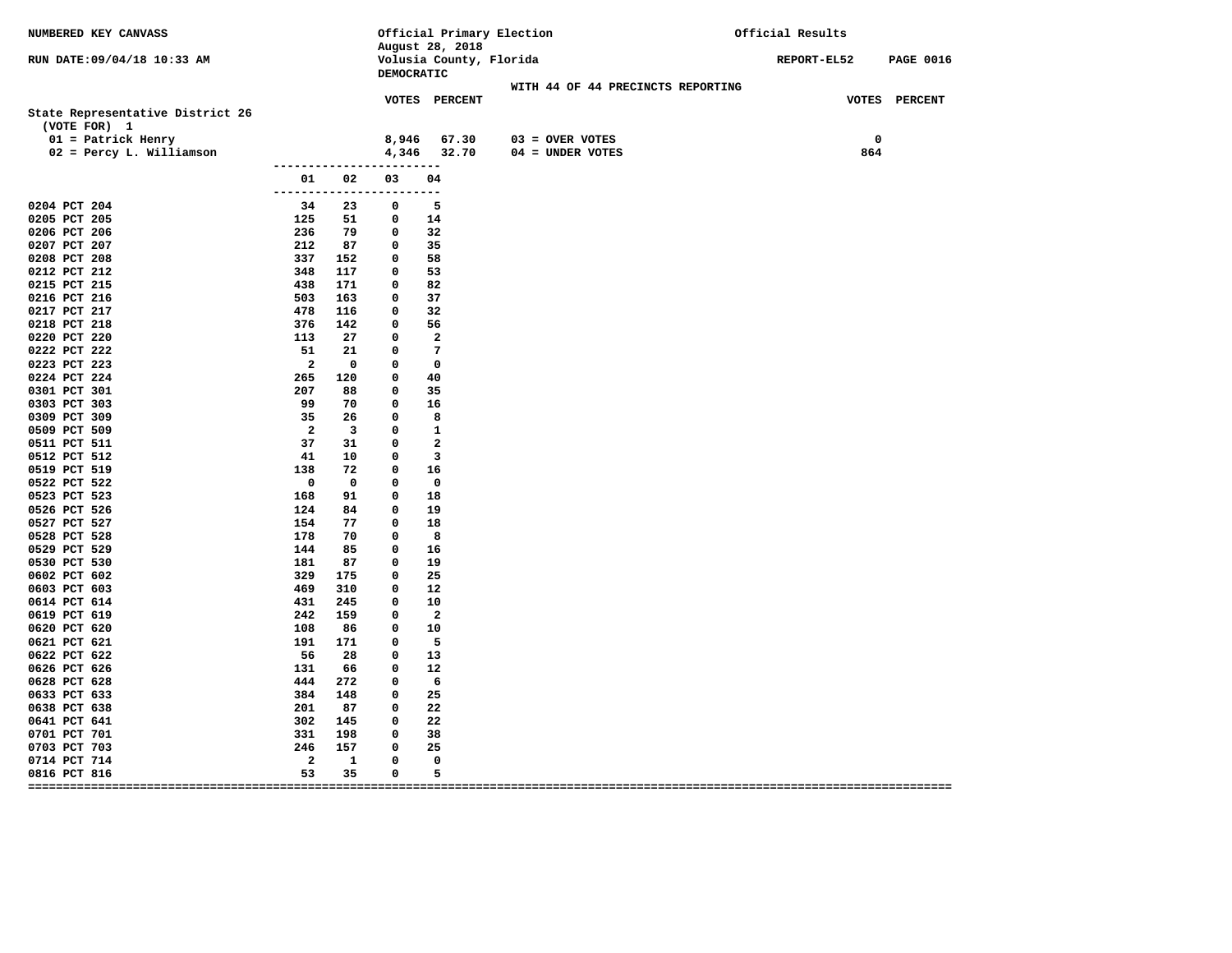| NUMBERED KEY CANVASS                             |                          |                         |                                | Official Primary Election<br>August 28, 2018 |                   |                                   |  | Official Results |                    |                  |
|--------------------------------------------------|--------------------------|-------------------------|--------------------------------|----------------------------------------------|-------------------|-----------------------------------|--|------------------|--------------------|------------------|
| RUN DATE: 09/04/18 10:33 AM                      |                          |                         | DEMOCRATIC                     | Volusia County, Florida                      |                   |                                   |  | REPORT-EL52      |                    | <b>PAGE 0016</b> |
|                                                  |                          |                         |                                |                                              |                   | WITH 44 OF 44 PRECINCTS REPORTING |  |                  |                    |                  |
| State Representative District 26<br>(VOTE FOR) 1 |                          |                         |                                | <b>VOTES PERCENT</b>                         |                   |                                   |  |                  |                    | VOTES PERCENT    |
| $01$ = Patrick Henry<br>02 = Percy L. Williamson |                          |                         | 8,946                          | 67.30<br>4,346 32.70                         | $03 =$ OVER VOTES | $04 =$ UNDER VOTES                |  |                  | $\mathbf 0$<br>864 |                  |
|                                                  |                          |                         | ------------------------       |                                              |                   |                                   |  |                  |                    |                  |
|                                                  | 01                       | 02                      | 03<br>------------------------ | 04                                           |                   |                                   |  |                  |                    |                  |
| 0204 PCT 204                                     | 34                       | 23                      | $\overline{\mathbf{0}}$        | 5                                            |                   |                                   |  |                  |                    |                  |
| 0205 PCT 205                                     | 125                      |                         | 51 0                           | 14                                           |                   |                                   |  |                  |                    |                  |
| 0206 PCT 206                                     | 236                      | 79                      | $\overline{\mathbf{0}}$        | 32                                           |                   |                                   |  |                  |                    |                  |
| 0207 PCT 207                                     | 212                      | 87                      | $\mathbf 0$                    | 35                                           |                   |                                   |  |                  |                    |                  |
| 0208 PCT 208                                     | 337                      | 152                     | $\mathbf 0$                    | 58                                           |                   |                                   |  |                  |                    |                  |
| 0212 PCT 212                                     | 348                      | 117                     | $\mathbf 0$                    | 53                                           |                   |                                   |  |                  |                    |                  |
| 0215 PCT 215                                     | 438                      | 171                     | $\mathbf 0$                    | 82                                           |                   |                                   |  |                  |                    |                  |
| 0216 PCT 216                                     | 503                      | 163                     | $\mathbf 0$                    | 37                                           |                   |                                   |  |                  |                    |                  |
| 0217 PCT 217                                     | 478                      | 116                     | $\mathbf 0$                    | 32                                           |                   |                                   |  |                  |                    |                  |
| 0218 PCT 218                                     | 376                      | 142                     | $\mathbf 0$                    | 56                                           |                   |                                   |  |                  |                    |                  |
| 0220 PCT 220                                     | 113                      | 27                      | $\mathbf 0$                    | $\overline{\mathbf{2}}$                      |                   |                                   |  |                  |                    |                  |
| 0222 PCT 222                                     | 51                       | 21                      | $\mathbf 0$                    | $\overline{7}$                               |                   |                                   |  |                  |                    |                  |
| 0223 PCT 223                                     | $\overline{\phantom{a}}$ | $\overline{\mathbf{0}}$ | $\mathbf 0$                    | $\overline{\mathbf{0}}$                      |                   |                                   |  |                  |                    |                  |
| 0224 PCT 224                                     | 265                      | 120                     | $\mathbf 0$                    | 40                                           |                   |                                   |  |                  |                    |                  |
| 0301 PCT 301                                     | 207                      | 88                      | $\mathbf 0$                    | 35                                           |                   |                                   |  |                  |                    |                  |
| 0303 PCT 303                                     | 99                       | 70                      | $\mathbf 0$                    | 16                                           |                   |                                   |  |                  |                    |                  |
| 0309 PCT 309                                     | 35                       | 26                      | $\mathbf{o}$                   | 8                                            |                   |                                   |  |                  |                    |                  |
| 0509 PCT 509                                     | $\overline{\mathbf{2}}$  | $\overline{\mathbf{3}}$ | $\mathbf 0$                    | $\overline{\phantom{a}}$                     |                   |                                   |  |                  |                    |                  |
| 0511 PCT 511                                     | 37                       | 31                      | 0                              | $\overline{\phantom{a}}$                     |                   |                                   |  |                  |                    |                  |
| 0512 PCT 512                                     | 41                       | 10                      | $\mathbf 0$                    | $\overline{\mathbf{3}}$                      |                   |                                   |  |                  |                    |                  |
| 0519 PCT 519                                     | 138                      | 72                      | $\mathbf 0$                    | 16                                           |                   |                                   |  |                  |                    |                  |
| 0522 PCT 522                                     | $\overline{\mathbf{0}}$  | $^{\circ}$              | $\mathbf 0$                    | $\overline{\mathbf{0}}$                      |                   |                                   |  |                  |                    |                  |
| 0523 PCT 523                                     | 168                      | 91                      | $\mathbf 0$                    | 18                                           |                   |                                   |  |                  |                    |                  |
| 0526 PCT 526                                     | 124                      | 84                      | $\mathbf 0$                    | 19                                           |                   |                                   |  |                  |                    |                  |
| 0527 PCT 527<br>0528 PCT 528                     | 154<br>178               | 77<br>70                | $\mathbf 0$                    | 18<br>8                                      |                   |                                   |  |                  |                    |                  |
|                                                  |                          | 85                      | $\mathbf 0$<br>$\mathbf 0$     |                                              |                   |                                   |  |                  |                    |                  |
| 0529 PCT 529<br>0530 PCT 530                     | 144<br>181               | 87                      | $\mathbf 0$                    | 16<br>19                                     |                   |                                   |  |                  |                    |                  |
| 0602 PCT 602                                     | 329                      | 175                     | $\mathbf 0$                    | 25                                           |                   |                                   |  |                  |                    |                  |
| 0603 PCT 603                                     | 469                      | 310                     | 0                              | 12                                           |                   |                                   |  |                  |                    |                  |
| 0614 PCT 614                                     | 431                      | 245                     | $\mathbf 0$                    | 10                                           |                   |                                   |  |                  |                    |                  |
| 0619 PCT 619                                     | 242                      | 159                     | $\mathbf 0$                    | $\overline{\phantom{a}}$                     |                   |                                   |  |                  |                    |                  |
| 0620 PCT 620                                     | 108                      | 86                      | $\mathbf 0$                    | 10                                           |                   |                                   |  |                  |                    |                  |
| 0621 PCT 621                                     |                          | 191 171                 | $\mathbf 0$                    | 5                                            |                   |                                   |  |                  |                    |                  |
| 0622 PCT 622                                     | 56                       | 28                      | $\mathbf 0$                    | 13                                           |                   |                                   |  |                  |                    |                  |
| 0626 PCT 626                                     | 131                      | 66                      | $\mathbf 0$                    | 12                                           |                   |                                   |  |                  |                    |                  |
| 0628 PCT 628                                     | 444 272                  |                         | $\mathbf 0$                    | - 6                                          |                   |                                   |  |                  |                    |                  |
| 0633 PCT 633                                     | 384 148                  |                         | $\mathbf 0$                    | 25                                           |                   |                                   |  |                  |                    |                  |
| 0638 PCT 638                                     | 201                      | 87                      | $\mathbf 0$                    | 22                                           |                   |                                   |  |                  |                    |                  |
| 0641 PCT 641                                     | 302                      | 145                     | $\mathbf 0$                    | 22                                           |                   |                                   |  |                  |                    |                  |
| 0701 PCT 701                                     | 331                      | 198                     | $\mathbf 0$                    | 38                                           |                   |                                   |  |                  |                    |                  |
| 0703 PCT 703                                     | 246                      | 157                     | 0                              | 25                                           |                   |                                   |  |                  |                    |                  |
| 0714 PCT 714                                     | $\overline{\mathbf{2}}$  | 1                       | 0                              | 0                                            |                   |                                   |  |                  |                    |                  |
| 0816 PCT 816                                     | 53                       | 35                      | 0                              | 5                                            |                   |                                   |  |                  |                    |                  |
|                                                  |                          |                         |                                |                                              |                   |                                   |  |                  |                    |                  |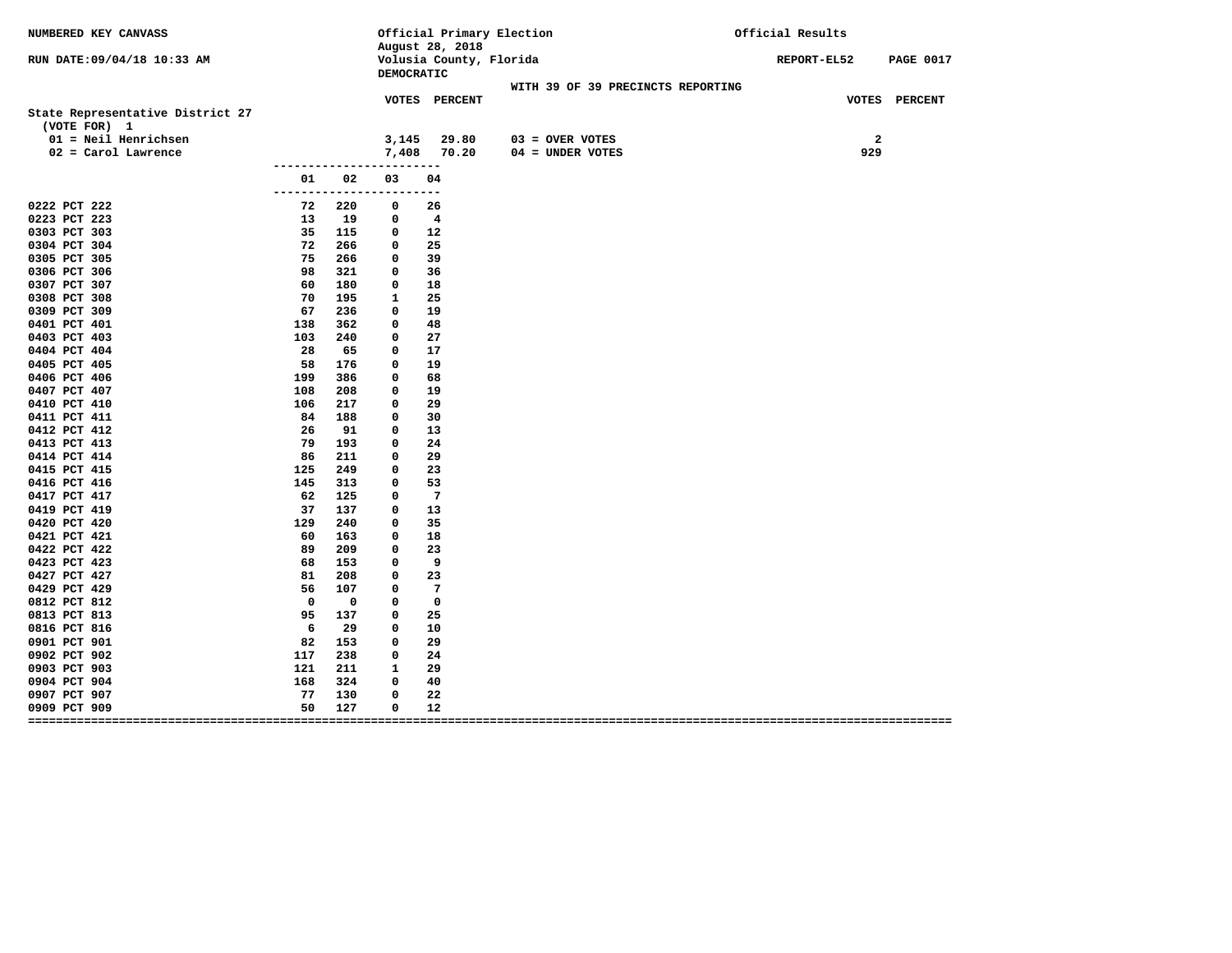| NUMBERED KEY CANVASS             |                     |             |                  | August 28, 2018         | Official Primary Election         | Official Results                |
|----------------------------------|---------------------|-------------|------------------|-------------------------|-----------------------------------|---------------------------------|
| RUN DATE:09/04/18 10:33 AM       |                     |             | DEMOCRATIC       | Volusia County, Florida |                                   | REPORT-EL52<br><b>PAGE 0017</b> |
|                                  |                     |             |                  |                         | WITH 39 OF 39 PRECINCTS REPORTING |                                 |
|                                  |                     |             |                  | VOTES PERCENT           |                                   | VOTES PERCENT                   |
| State Representative District 27 |                     |             |                  |                         |                                   |                                 |
| (VOTE FOR) 1                     |                     |             |                  |                         |                                   |                                 |
| 01 = Neil Henrichsen             |                     |             | 3,145            | 29.80                   | $03 =$ OVER VOTES                 | $\overline{\mathbf{2}}$         |
| $02 = Card$ Lawrence             |                     |             | 7,408            | 70.20                   | 04 = UNDER VOTES                  | 929                             |
|                                  |                     | 02          |                  |                         |                                   |                                 |
|                                  | 01<br>------------- |             | 03<br>---------- | 04                      |                                   |                                 |
| 0222 PCT 222                     | 72                  | 220         | 0                | 26                      |                                   |                                 |
| 0223 PCT 223                     | 13                  | 19          | 0                | $\overline{4}$          |                                   |                                 |
| 0303 PCT 303                     | 35                  | 115         | $^{\circ}$       | 12                      |                                   |                                 |
| 0304 PCT 304                     | 72                  | 266         | $\mathbf 0$      | 25                      |                                   |                                 |
| 0305 PCT 305                     | 75                  | 266         | 0                | 39                      |                                   |                                 |
| 0306 PCT 306                     | 98                  | 321         | 0                | 36                      |                                   |                                 |
| 0307 PCT 307                     | 60                  | 180         | 0                | 18                      |                                   |                                 |
| 0308 PCT 308                     | 70                  | 195         | 1                | 25                      |                                   |                                 |
| 0309 PCT 309                     | 67                  | 236         | 0                | 19                      |                                   |                                 |
| 0401 PCT 401                     | 138                 | 362         | 0                | 48                      |                                   |                                 |
| 0403 PCT 403                     | 103                 | 240         | $\mathbf 0$      | 27                      |                                   |                                 |
| 0404 PCT 404                     | 28                  | 65          | 0                | 17                      |                                   |                                 |
| 0405 PCT 405                     | 58                  | 176         | $\Omega$         | 19                      |                                   |                                 |
| 0406 PCT 406                     | 199                 | 386         | 0                | 68                      |                                   |                                 |
| 0407 PCT 407                     | 108                 | 208         | 0                | 19                      |                                   |                                 |
| 0410 PCT 410                     | 106                 | 217         | 0                | 29                      |                                   |                                 |
| 0411 PCT 411                     | 84                  | 188         | 0                | 30                      |                                   |                                 |
| 0412 PCT 412                     | 26                  | 91          | 0                | 13                      |                                   |                                 |
| 0413 PCT 413                     | 79<br>86            | 193         | 0                | 24<br>29                |                                   |                                 |
| 0414 PCT 414<br>0415 PCT 415     | 125                 | 211<br>249  | 0<br>$\mathbf 0$ | 23                      |                                   |                                 |
| 0416 PCT 416                     | 145                 | 313         | 0                | 53                      |                                   |                                 |
| 0417 PCT 417                     | 62                  | 125         | 0                | $\overline{7}$          |                                   |                                 |
| 0419 PCT 419                     | 37                  | 137         | 0                | 13                      |                                   |                                 |
| 0420 PCT 420                     | 129                 | 240         | 0                | 35                      |                                   |                                 |
| 0421 PCT 421                     | 60                  | 163         | 0                | 18                      |                                   |                                 |
| 0422 PCT 422                     | 89                  | 209         | 0                | 23                      |                                   |                                 |
| 0423 PCT 423                     | 68                  | 153         | 0                | 9                       |                                   |                                 |
| 0427 PCT 427                     | 81                  | 208         | 0                | 23                      |                                   |                                 |
| 0429 PCT 429                     | 56                  | 107         | $^{\circ}$       | $\overline{7}$          |                                   |                                 |
| 0812 PCT 812                     | $\Omega$            | $\mathbf 0$ | 0                | $\Omega$                |                                   |                                 |
| 0813 PCT 813                     | 95                  | 137         | 0                | 25                      |                                   |                                 |
| 0816 PCT 816                     | 6                   | 29          | 0                | 10                      |                                   |                                 |
| 0901 PCT 901                     | 82                  | 153         | 0                | 29                      |                                   |                                 |
| 0902 PCT 902                     | 117                 | 238         | 0                | 24                      |                                   |                                 |
| 0903 PCT 903                     | 121                 | 211         | 1                | 29                      |                                   |                                 |
| 0904 PCT 904                     | 168                 | 324         | $^{\circ}$       | 40                      |                                   |                                 |
| 0907 PCT 907                     | 77                  | 130         | $\mathbf 0$      | 22                      |                                   |                                 |
| 0909 PCT 909                     | 50                  | 127         | 0                | 12                      |                                   |                                 |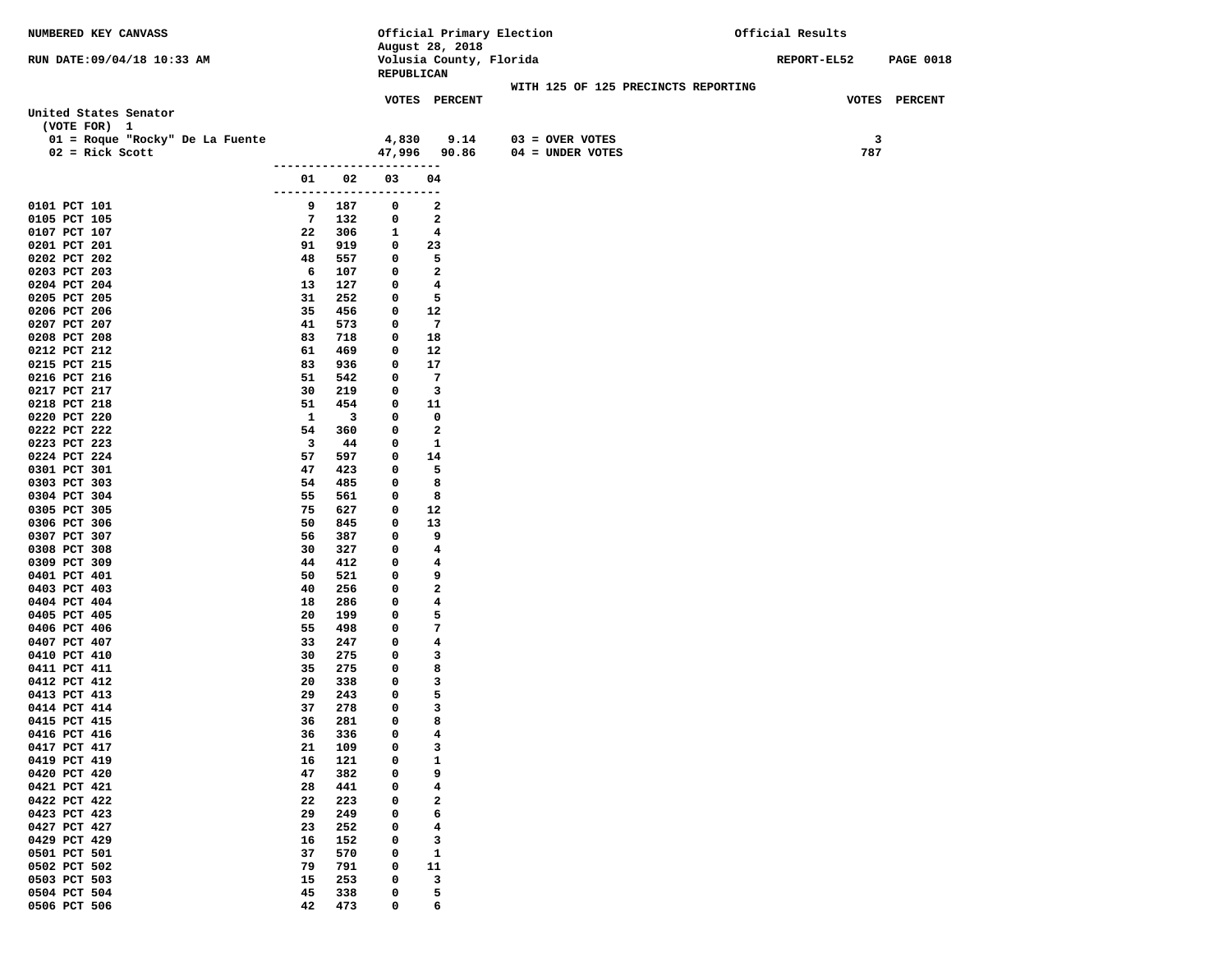| NUMBERED KEY CANVASS            |                     | Official Primary Election |                          |                                         |                                     | Official Results |     |                  |
|---------------------------------|---------------------|---------------------------|--------------------------|-----------------------------------------|-------------------------------------|------------------|-----|------------------|
|                                 |                     |                           | August 28, 2018          |                                         |                                     |                  |     |                  |
| RUN DATE: 09/04/18 10:33 AM     |                     |                           |                          | Volusia County, Florida<br>REPUBLICAN   |                                     | REPORT-EL52      |     | <b>PAGE 0018</b> |
|                                 |                     |                           |                          |                                         | WITH 125 OF 125 PRECINCTS REPORTING |                  |     |                  |
|                                 |                     |                           |                          | VOTES PERCENT                           |                                     |                  |     | VOTES PERCENT    |
| United States Senator           |                     |                           |                          |                                         |                                     |                  |     |                  |
| (VOTE FOR) 1                    |                     |                           |                          |                                         |                                     |                  |     |                  |
| 01 = Roque "Rocky" De La Fuente |                     |                           | 4,830                    | 9.14                                    | $03 =$ OVER VOTES                   |                  | 3   |                  |
| $02 =$ Rick Scott               |                     |                           |                          | 47,996 90.86                            | $04 = UNDER VOTES$                  |                  | 787 |                  |
|                                 |                     |                           | ------------------------ |                                         |                                     |                  |     |                  |
|                                 | 01<br>------------- | 02                        | 03                       | 04<br>$- -$                             |                                     |                  |     |                  |
| 0101 PCT 101                    | 9                   | 187                       | 0                        | 2                                       |                                     |                  |     |                  |
| 0105 PCT 105                    | 7                   | 132                       | 0                        | 2                                       |                                     |                  |     |                  |
| 0107 PCT 107                    | 22                  | 306                       | 1                        | 4                                       |                                     |                  |     |                  |
| 0201 PCT 201                    | 91                  | 919                       | 0                        | 23                                      |                                     |                  |     |                  |
| 0202 PCT 202                    | 48                  | 557                       | 0                        | 5                                       |                                     |                  |     |                  |
| 0203 PCT 203                    | 6                   | 107                       | 0                        | $\overline{\mathbf{2}}$                 |                                     |                  |     |                  |
| 0204 PCT 204                    | 13                  | 127                       | 0                        | 4                                       |                                     |                  |     |                  |
| 0205 PCT 205                    | 31<br>35            | 252<br>456                | 0<br>0                   | 5<br>12                                 |                                     |                  |     |                  |
| 0206 PCT 206<br>0207 PCT 207    | 41                  | 573                       | 0                        | $\overline{7}$                          |                                     |                  |     |                  |
| 0208 PCT 208                    | 83                  | 718                       | 0                        | 18                                      |                                     |                  |     |                  |
| 0212 PCT 212                    | 61                  | 469                       | 0                        | 12                                      |                                     |                  |     |                  |
| 0215 PCT 215                    | 83                  | 936                       | 0                        | 17                                      |                                     |                  |     |                  |
| 0216 PCT 216                    | 51                  | 542                       | 0                        | 7                                       |                                     |                  |     |                  |
| 0217 PCT 217                    | 30                  | 219                       | 0                        | 3                                       |                                     |                  |     |                  |
| 0218 PCT 218                    | 51                  | 454                       | 0                        | 11                                      |                                     |                  |     |                  |
| 0220 PCT 220                    | 1                   | $\overline{\mathbf{3}}$   | 0                        | 0                                       |                                     |                  |     |                  |
| 0222 PCT 222                    | 54                  | 360                       | 0                        | $\overline{\mathbf{2}}$                 |                                     |                  |     |                  |
| 0223 PCT 223<br>0224 PCT 224    | 3                   | 44                        | 0                        | 1                                       |                                     |                  |     |                  |
| 0301 PCT 301                    | 57<br>47            | 597<br>423                | 0<br>0                   | 14<br>5                                 |                                     |                  |     |                  |
| 0303 PCT 303                    | 54                  | 485                       | 0                        | 8                                       |                                     |                  |     |                  |
| 0304 PCT 304                    | 55                  | 561                       | 0                        | 8                                       |                                     |                  |     |                  |
| 0305 PCT 305                    | 75                  | 627                       | 0                        | 12                                      |                                     |                  |     |                  |
| 0306 PCT 306                    | 50                  | 845                       | 0                        | 13                                      |                                     |                  |     |                  |
| 0307 PCT 307                    | 56                  | 387                       | 0                        | 9                                       |                                     |                  |     |                  |
| 0308 PCT 308                    | 30                  | 327                       | 0                        | 4                                       |                                     |                  |     |                  |
| 0309 PCT 309                    | 44                  | 412                       | 0                        | 4                                       |                                     |                  |     |                  |
| 0401 PCT 401                    | 50                  | 521                       | 0                        | 9                                       |                                     |                  |     |                  |
| 0403 PCT 403<br>0404 PCT 404    | 40<br>18            | 256<br>286                | 0<br>0                   | $\mathbf{2}$<br>$\overline{\mathbf{4}}$ |                                     |                  |     |                  |
| 0405 PCT 405                    | 20                  | 199                       | 0                        | 5                                       |                                     |                  |     |                  |
| 0406 PCT 406                    | 55                  | 498                       | 0                        | 7                                       |                                     |                  |     |                  |
| 0407 PCT 407                    | 33                  | 247                       | 0                        | $\overline{\mathbf{4}}$                 |                                     |                  |     |                  |
| 0410 PCT 410                    | 30                  | 275                       | 0                        | 3                                       |                                     |                  |     |                  |
| 0411 PCT 411                    | 35                  | 275                       | 0                        | 8                                       |                                     |                  |     |                  |
| 0412 PCT 412                    | 20                  | 338                       | 0                        | 3                                       |                                     |                  |     |                  |
| 0413 PCT 413                    | 29                  | 243                       | 0                        | 5                                       |                                     |                  |     |                  |
| 0414 PCT 414                    | 37                  | 278                       | $\mathbf 0$<br>0         | 3<br>8                                  |                                     |                  |     |                  |
| 0415 PCT 415<br>0416 PCT 416    | 36<br>36            | 281<br>336                | 0                        | 4                                       |                                     |                  |     |                  |
| 0417 PCT 417                    | 21                  | 109                       | 0                        | 3                                       |                                     |                  |     |                  |
| 0419 PCT 419                    | 16                  | 121                       | 0                        | $\mathbf{1}$                            |                                     |                  |     |                  |
| 0420 PCT 420                    | 47                  | 382                       | 0                        | 9                                       |                                     |                  |     |                  |
| 0421 PCT 421                    | 28                  | 441                       | 0                        | $\overline{\mathbf{4}}$                 |                                     |                  |     |                  |
| 0422 PCT 422                    | 22                  | 223                       | 0                        | $\mathbf{2}$                            |                                     |                  |     |                  |
| 0423 PCT 423                    | 29                  | 249                       | 0                        | 6                                       |                                     |                  |     |                  |
| 0427 PCT 427                    | 23                  | 252                       | 0                        | $\overline{\mathbf{4}}$                 |                                     |                  |     |                  |
| 0429 PCT 429                    | 16                  | 152                       | 0                        | 3                                       |                                     |                  |     |                  |
| 0501 PCT 501                    | 37                  | 570                       | 0                        | $\mathbf{1}$                            |                                     |                  |     |                  |
| 0502 PCT 502<br>0503 PCT 503    | 79<br>15            | 791<br>253                | 0<br>0                   | 11<br>3                                 |                                     |                  |     |                  |
| 0504 PCT 504                    | 45                  | 338                       | 0                        | 5                                       |                                     |                  |     |                  |
| 0506 PCT 506                    | 42                  | 473                       | 0                        | 6                                       |                                     |                  |     |                  |
|                                 |                     |                           |                          |                                         |                                     |                  |     |                  |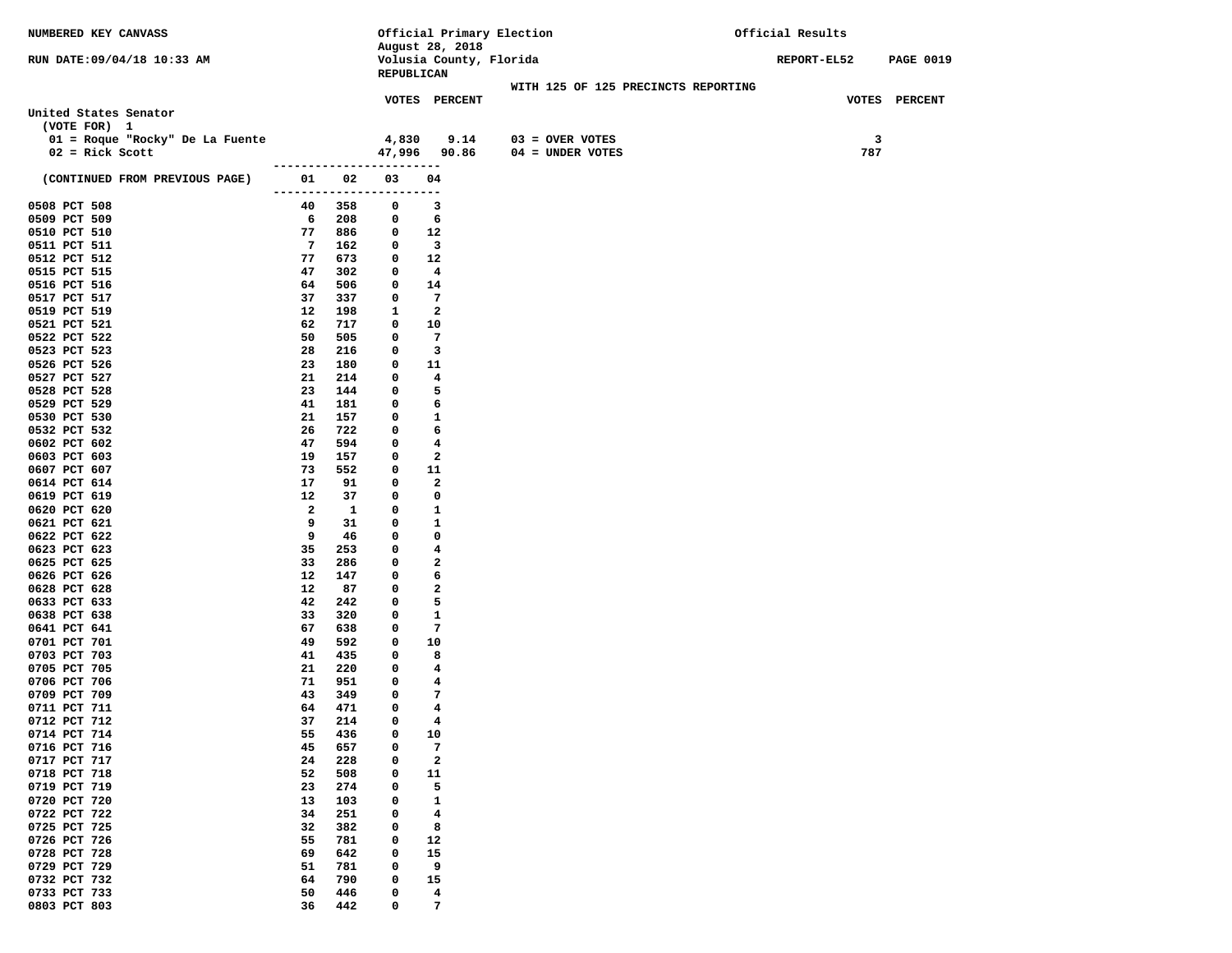| NUMBERED KEY CANVASS                  |                           |              |              | Official Primary Election                  |                                     | Official Results   |     |                  |  |  |  |
|---------------------------------------|---------------------------|--------------|--------------|--------------------------------------------|-------------------------------------|--------------------|-----|------------------|--|--|--|
| RUN DATE: 09/04/18 10:33 AM           |                           |              |              | August 28, 2018<br>Volusia County, Florida |                                     | <b>REPORT-EL52</b> |     | <b>PAGE 0019</b> |  |  |  |
|                                       |                           |              | REPUBLICAN   |                                            |                                     |                    |     |                  |  |  |  |
|                                       |                           |              |              |                                            | WITH 125 OF 125 PRECINCTS REPORTING |                    |     |                  |  |  |  |
|                                       |                           |              |              | VOTES PERCENT                              |                                     |                    |     | VOTES PERCENT    |  |  |  |
| United States Senator<br>(VOTE FOR) 1 |                           |              |              |                                            |                                     |                    |     |                  |  |  |  |
| 01 = Roque "Rocky" De La Fuente       |                           |              | 4,830        | 9.14                                       | $03 =$ OVER VOTES                   |                    | 3   |                  |  |  |  |
| $02 =$ Rick Scott                     |                           |              |              | 47,996 90.86                               | 04 = UNDER VOTES                    |                    | 787 |                  |  |  |  |
|                                       |                           |              |              |                                            |                                     |                    |     |                  |  |  |  |
| (CONTINUED FROM PREVIOUS PAGE)        | 01                        | 02           | 03           | 04                                         |                                     |                    |     |                  |  |  |  |
| 0508 PCT 508                          | -------------------<br>40 | 358          | 0            | ---<br>3                                   |                                     |                    |     |                  |  |  |  |
| 0509 PCT 509                          | 6                         | 208          | 0            | 6                                          |                                     |                    |     |                  |  |  |  |
| 0510 PCT 510                          | 77                        | 886          | 0            | 12                                         |                                     |                    |     |                  |  |  |  |
| 0511 PCT 511                          | $7\phantom{.0}$           | 162          | 0            | $\overline{\mathbf{3}}$                    |                                     |                    |     |                  |  |  |  |
| 0512 PCT 512                          | 77                        | 673          | 0            | 12                                         |                                     |                    |     |                  |  |  |  |
| 0515 PCT 515                          | 47                        | 302          | 0            | 4                                          |                                     |                    |     |                  |  |  |  |
| 0516 PCT 516                          | 64                        | 506          | 0            | 14                                         |                                     |                    |     |                  |  |  |  |
| 0517 PCT 517                          | 37                        | 337          | $\mathbf{o}$ | -7                                         |                                     |                    |     |                  |  |  |  |
| 0519 PCT 519                          | 12                        | 198          | 1            | $\mathbf{2}$                               |                                     |                    |     |                  |  |  |  |
| 0521 PCT 521<br>0522 PCT 522          | 62<br>50                  | 717<br>505   | 0<br>0       | 10<br>$\overline{7}$                       |                                     |                    |     |                  |  |  |  |
| 0523 PCT 523                          | 28                        | 216          | 0            | 3                                          |                                     |                    |     |                  |  |  |  |
| 0526 PCT 526                          | 23                        | 180          | 0            | 11                                         |                                     |                    |     |                  |  |  |  |
| 0527 PCT 527                          | 21                        | 214          | 0            | 4                                          |                                     |                    |     |                  |  |  |  |
| 0528 PCT 528                          | 23                        | 144          | 0            | 5                                          |                                     |                    |     |                  |  |  |  |
| 0529 PCT 529                          | 41                        | 181          | 0            | 6                                          |                                     |                    |     |                  |  |  |  |
| 0530 PCT 530                          | 21                        | 157          | 0            | 1                                          |                                     |                    |     |                  |  |  |  |
| 0532 PCT 532                          | 26                        | 722          | 0            | 6                                          |                                     |                    |     |                  |  |  |  |
| 0602 PCT 602                          | 47                        | 594          | 0            | 4                                          |                                     |                    |     |                  |  |  |  |
| 0603 PCT 603                          | 19                        | 157          | 0            | 2                                          |                                     |                    |     |                  |  |  |  |
| 0607 PCT 607<br>0614 PCT 614          | 73<br>17                  | 552<br>91    | 0<br>0       | 11<br>2                                    |                                     |                    |     |                  |  |  |  |
| 0619 PCT 619                          | 12                        | 37           | 0            | 0                                          |                                     |                    |     |                  |  |  |  |
| 0620 PCT 620                          | $\mathbf{2}$              | $\mathbf{1}$ | 0            | 1                                          |                                     |                    |     |                  |  |  |  |
| 0621 PCT 621                          | 9                         | 31           | 0            | 1                                          |                                     |                    |     |                  |  |  |  |
| 0622 PCT 622                          | 9                         | 46           | 0            | 0                                          |                                     |                    |     |                  |  |  |  |
| 0623 PCT 623                          | 35                        | 253          | 0            | 4                                          |                                     |                    |     |                  |  |  |  |
| 0625 PCT 625                          | 33                        | 286          | 0            | 2                                          |                                     |                    |     |                  |  |  |  |
| 0626 PCT 626<br>0628 PCT 628          | 12<br>12                  | 147<br>87    | 0<br>0       | 6<br>2                                     |                                     |                    |     |                  |  |  |  |
| 0633 PCT 633                          | 42                        | 242          | 0            | 5                                          |                                     |                    |     |                  |  |  |  |
| 0638 PCT 638                          | 33                        | 320          | 0            | 1                                          |                                     |                    |     |                  |  |  |  |
| 0641 PCT 641                          | 67                        | 638          | 0            | 7                                          |                                     |                    |     |                  |  |  |  |
| 0701 PCT 701                          | 49                        | 592          | 0            | 10                                         |                                     |                    |     |                  |  |  |  |
| 0703 PCT 703                          | 41                        | 435          | 0            | 8                                          |                                     |                    |     |                  |  |  |  |
| 0705 PCT 705                          | 21                        | 220          | 0            | 4                                          |                                     |                    |     |                  |  |  |  |
| 0706 PCT 706<br>0709 PCT 709          | 71<br>43                  | 951<br>349   | 0<br>0       | 4<br>7                                     |                                     |                    |     |                  |  |  |  |
| 0711 PCT 711                          | 64                        | 471          | 0            | 4                                          |                                     |                    |     |                  |  |  |  |
| 0712 PCT 712                          | 37                        | 214          | 0            | 4                                          |                                     |                    |     |                  |  |  |  |
| 0714 PCT 714                          | 55                        | 436          | 0            | 10                                         |                                     |                    |     |                  |  |  |  |
| 0716 PCT 716                          | 45                        | 657          | 0            | 7                                          |                                     |                    |     |                  |  |  |  |
| 0717 PCT 717                          | 24                        | 228          | 0            | $\mathbf{2}$                               |                                     |                    |     |                  |  |  |  |
| 0718 PCT 718                          | 52                        | 508          | 0            | 11                                         |                                     |                    |     |                  |  |  |  |
| 0719 PCT 719                          | 23                        | 274          | 0            | 5                                          |                                     |                    |     |                  |  |  |  |
| 0720 PCT 720<br>0722 PCT 722          | 13<br>34                  | 103<br>251   | 0<br>0       | 1<br>4                                     |                                     |                    |     |                  |  |  |  |
| 0725 PCT 725                          | 32                        | 382          | 0            | 8                                          |                                     |                    |     |                  |  |  |  |
| 0726 PCT 726                          | 55                        | 781          | 0            | 12                                         |                                     |                    |     |                  |  |  |  |
| 0728 PCT 728                          | 69                        | 642          | 0            | 15                                         |                                     |                    |     |                  |  |  |  |
| 0729 PCT 729                          | 51                        | 781          | 0            | 9                                          |                                     |                    |     |                  |  |  |  |
| 0732 PCT 732                          | 64                        | 790          | 0            | 15                                         |                                     |                    |     |                  |  |  |  |
| 0733 PCT 733                          | 50                        | 446          | 0            | 4                                          |                                     |                    |     |                  |  |  |  |
| 0803 PCT 803                          | 36                        | 442          | 0            | 7                                          |                                     |                    |     |                  |  |  |  |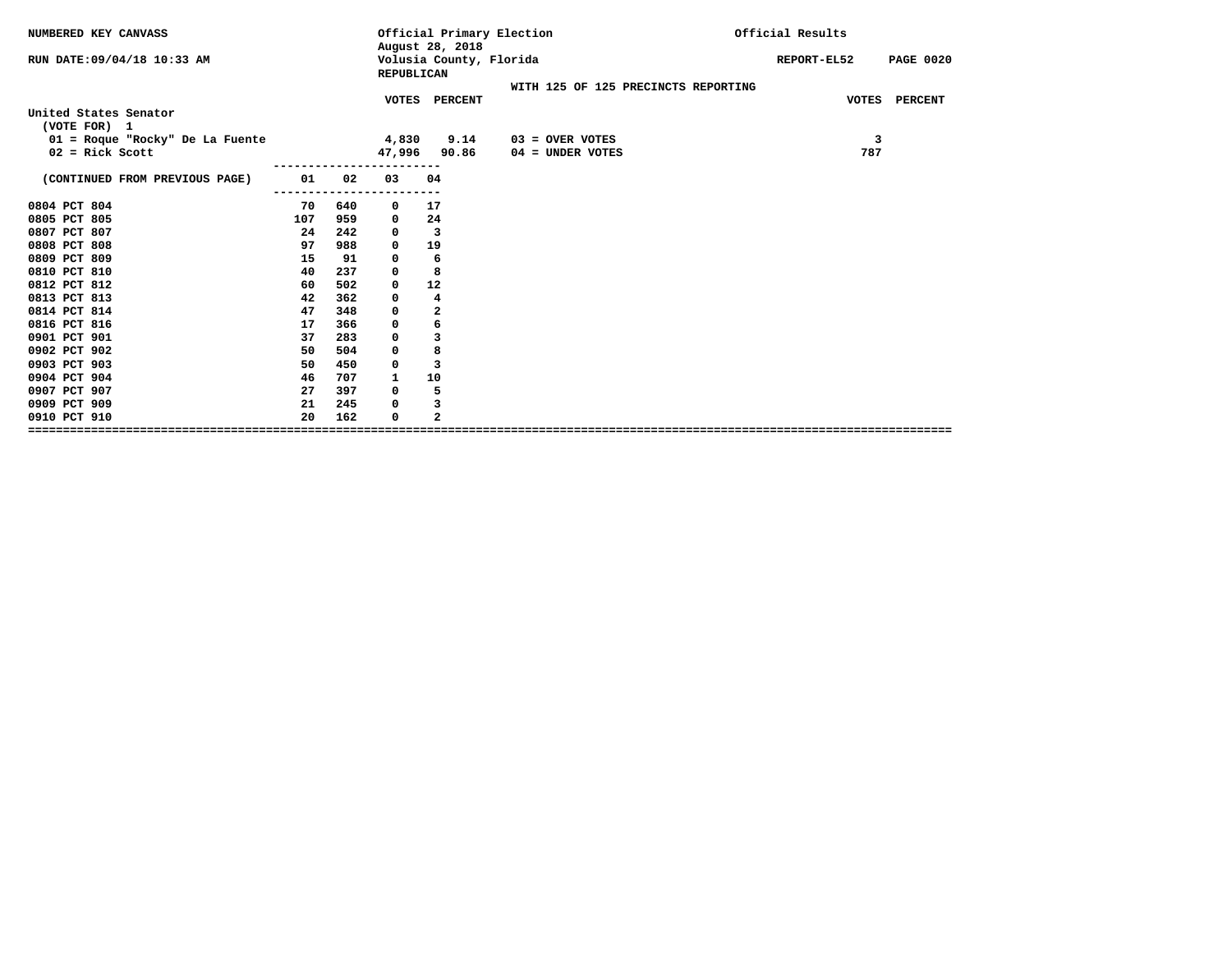| NUMBERED KEY CANVASS                                 |     |     |             | August 28, 2018         | Official Primary Election               | Official Results |             |                  |
|------------------------------------------------------|-----|-----|-------------|-------------------------|-----------------------------------------|------------------|-------------|------------------|
| RUN DATE:09/04/18 10:33 AM                           |     |     | REPUBLICAN  | Volusia County, Florida |                                         |                  | REPORT-EL52 | <b>PAGE 0020</b> |
|                                                      |     |     |             |                         | WITH 125 OF 125 PRECINCTS REPORTING     |                  |             |                  |
|                                                      |     |     |             | VOTES PERCENT           |                                         |                  |             | VOTES PERCENT    |
| United States Senator                                |     |     |             |                         |                                         |                  |             |                  |
| (VOTE FOR) 1                                         |     |     |             |                         |                                         |                  |             |                  |
| 01 = Roque "Rocky" De La Fuente<br>$02$ = Rick Scott |     |     | 4,830       | 9.14<br>47,996 90.86    | $03 =$ OVER VOTES<br>$04 =$ UNDER VOTES |                  | 3<br>787    |                  |
|                                                      |     |     |             |                         |                                         |                  |             |                  |
| (CONTINUED FROM PREVIOUS PAGE)                       | 01  | 02  | 03          | 04                      |                                         |                  |             |                  |
|                                                      |     |     |             |                         |                                         |                  |             |                  |
| 0804 PCT 804                                         | 70  | 640 | 0           | 17                      |                                         |                  |             |                  |
| 0805 PCT 805                                         | 107 | 959 | 0           | 24                      |                                         |                  |             |                  |
| 0807 PCT 807                                         | 24  | 242 | 0           | $\overline{\mathbf{3}}$ |                                         |                  |             |                  |
| 0808 PCT 808                                         | 97  | 988 | 0           | 19                      |                                         |                  |             |                  |
| 0809 PCT 809                                         | 15  | 91  | 0           | 6                       |                                         |                  |             |                  |
| 0810 PCT 810                                         | 40  | 237 | $\mathbf 0$ | 8                       |                                         |                  |             |                  |
| 0812 PCT 812                                         | 60  | 502 | 0           | 12                      |                                         |                  |             |                  |
| 0813 PCT 813                                         | 42  | 362 | 0           | 4                       |                                         |                  |             |                  |
| 0814 PCT 814                                         | 47  | 348 | $\mathbf 0$ | $\overline{\mathbf{2}}$ |                                         |                  |             |                  |
| 0816 PCT 816                                         | 17  | 366 | 0           | 6                       |                                         |                  |             |                  |
| 0901 PCT 901                                         | 37  | 283 | 0           | 3                       |                                         |                  |             |                  |
| 0902 PCT 902                                         | 50  | 504 | 0           | 8                       |                                         |                  |             |                  |
| 0903 PCT 903                                         | 50  | 450 | 0           | 3                       |                                         |                  |             |                  |
| 0904 PCT 904                                         | 46  | 707 | 1           | 10                      |                                         |                  |             |                  |
| 0907 PCT 907                                         | 27  | 397 | 0           | 5                       |                                         |                  |             |                  |
| 0909 PCT 909                                         | 21  | 245 | 0           | 3                       |                                         |                  |             |                  |
| 0910 PCT 910                                         | 20  | 162 | $\mathbf 0$ | $\overline{\mathbf{2}}$ |                                         |                  |             |                  |
|                                                      |     |     |             |                         |                                         |                  |             |                  |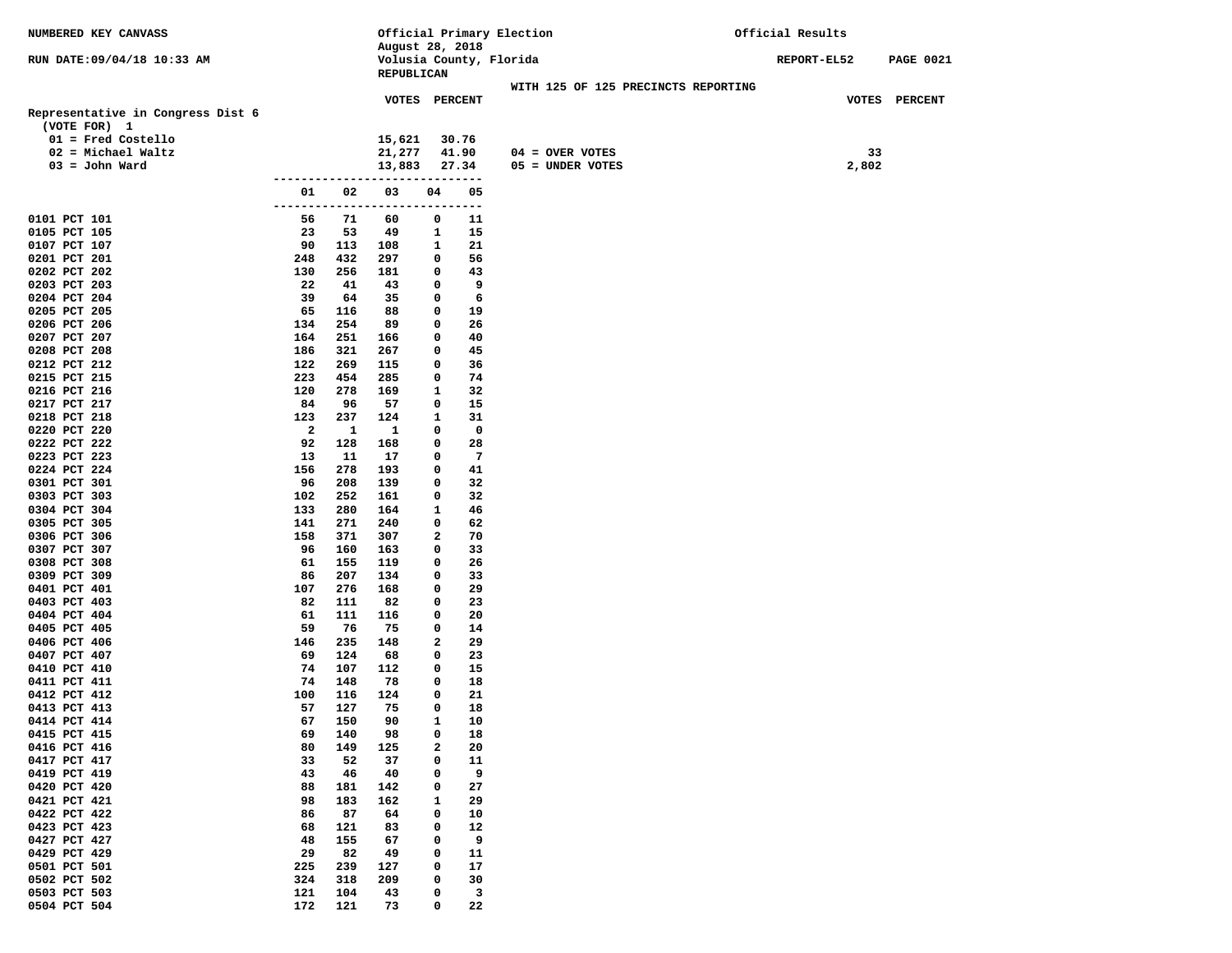| NUMBERED KEY CANVASS                     |                         |            |                                            |              |                | Official Primary Election             | Official Results |             |                  |
|------------------------------------------|-------------------------|------------|--------------------------------------------|--------------|----------------|---------------------------------------|------------------|-------------|------------------|
| RUN DATE: 09/04/18 10:33 AM              |                         |            | August 28, 2018<br>Volusia County, Florida |              |                |                                       | REPORT-EL52      |             | <b>PAGE 0021</b> |
|                                          |                         |            | REPUBLICAN                                 |              |                |                                       |                  |             |                  |
|                                          |                         |            |                                            |              |                | WITH 125 OF 125 PRECINCTS REPORTING   |                  |             |                  |
|                                          |                         |            | <b>VOTES PERCENT</b>                       |              |                |                                       |                  |             | VOTES PERCENT    |
| Representative in Congress Dist 6        |                         |            |                                            |              |                |                                       |                  |             |                  |
| (VOTE FOR) 1                             |                         |            |                                            |              |                |                                       |                  |             |                  |
| $01$ = Fred Costello                     |                         |            | 15,621                                     |              | 30.76          |                                       |                  |             |                  |
| $02$ = Michael Waltz<br>$03 =$ John Ward |                         |            | 21,277<br>13,883                           |              | 41.90<br>27.34 | $04 =$ OVER VOTES<br>05 = UNDER VOTES |                  | 33<br>2,802 |                  |
|                                          |                         |            |                                            |              |                |                                       |                  |             |                  |
|                                          | 01                      | 02         | 03                                         | 04           | 05             |                                       |                  |             |                  |
|                                          | --------                |            | ----------                                 |              | ---            |                                       |                  |             |                  |
| 0101 PCT 101                             | 56                      | 71         | 60                                         | 0            | 11             |                                       |                  |             |                  |
| 0105 PCT 105                             | 23                      | 53         | 49                                         | 1            | 15             |                                       |                  |             |                  |
| 0107 PCT 107<br>0201 PCT 201             | 90<br>248               | 113<br>432 | 108<br>297                                 | 1<br>0       | 21<br>56       |                                       |                  |             |                  |
| 0202 PCT 202                             | 130                     | 256        | 181                                        | 0            | 43             |                                       |                  |             |                  |
| 0203 PCT 203                             | 22                      | 41         | 43                                         | 0            | 9              |                                       |                  |             |                  |
| 0204 PCT 204                             | 39                      | 64         | 35                                         | 0            | 6              |                                       |                  |             |                  |
| 0205 PCT 205                             | 65                      | 116        | 88                                         | 0            | 19             |                                       |                  |             |                  |
| 0206 PCT 206                             | 134                     | 254        | 89                                         | 0            | 26             |                                       |                  |             |                  |
| 0207 PCT 207                             | 164                     | 251        | 166                                        | 0            | 40             |                                       |                  |             |                  |
| 0208 PCT 208<br>0212 PCT 212             | 186<br>122              | 321<br>269 | 267<br>115                                 | 0<br>0       | 45<br>36       |                                       |                  |             |                  |
| 0215 PCT 215                             | 223                     | 454        | 285                                        | 0            | 74             |                                       |                  |             |                  |
| 0216 PCT 216                             | 120                     | 278        | 169                                        | 1            | 32             |                                       |                  |             |                  |
| 0217 PCT 217                             | 84                      | 96         | 57                                         | 0            | 15             |                                       |                  |             |                  |
| 0218 PCT 218                             | 123                     | 237        | 124                                        | 1            | 31             |                                       |                  |             |                  |
| 0220 PCT 220                             | $\overline{\mathbf{2}}$ | 1          | 1                                          | 0            | $\mathbf 0$    |                                       |                  |             |                  |
| 0222 PCT 222                             | 92                      | 128        | 168                                        | 0            | 28             |                                       |                  |             |                  |
| 0223 PCT 223<br>0224 PCT 224             | 13<br>156               | 11<br>278  | 17<br>193                                  | 0<br>0       | 7<br>41        |                                       |                  |             |                  |
| 0301 PCT 301                             | 96                      | 208        | 139                                        | 0            | 32             |                                       |                  |             |                  |
| 0303 PCT 303                             | 102                     | 252        | 161                                        | 0            | 32             |                                       |                  |             |                  |
| 0304 PCT 304                             | 133                     | 280        | 164                                        | 1            | 46             |                                       |                  |             |                  |
| 0305 PCT 305                             | 141                     | 271        | 240                                        | 0            | 62             |                                       |                  |             |                  |
| 0306 PCT 306                             | 158                     | 371        | 307                                        | 2            | 70             |                                       |                  |             |                  |
| 0307 PCT 307                             | 96                      | 160        | 163                                        | 0            | 33             |                                       |                  |             |                  |
| 0308 PCT 308                             | 61<br>86                | 155        | 119                                        | 0<br>0       | 26<br>33       |                                       |                  |             |                  |
| 0309 PCT 309<br>0401 PCT 401             | 107                     | 207<br>276 | 134<br>168                                 | 0            | 29             |                                       |                  |             |                  |
| 0403 PCT 403                             | 82                      | 111        | 82                                         | 0            | 23             |                                       |                  |             |                  |
| 0404 PCT 404                             | 61                      | 111        | 116                                        | 0            | 20             |                                       |                  |             |                  |
| 0405 PCT 405                             | 59                      | 76         | 75                                         | 0            | 14             |                                       |                  |             |                  |
| 0406 PCT 406                             | 146                     | 235        | 148                                        | 2            | 29             |                                       |                  |             |                  |
| 0407 PCT 407                             | 69                      | 124        | 68                                         | 0            | 23             |                                       |                  |             |                  |
| 0410 PCT 410<br>0411 PCT 411             | 74<br>74                | 107<br>148 | 112<br>78                                  | 0<br>0       | 15<br>18       |                                       |                  |             |                  |
| 0412 PCT 412                             | 100                     | 116        | 124                                        | 0            | 21             |                                       |                  |             |                  |
| 0413 PCT 413                             | 57                      | 127        | 75                                         | 0            | 18             |                                       |                  |             |                  |
| 0414 PCT 414                             | 67                      | 150        | 90                                         | $\mathbf{1}$ | 10             |                                       |                  |             |                  |
| 0415 PCT 415                             | 69                      | 140        | 98                                         | 0            | 18             |                                       |                  |             |                  |
| 0416 PCT 416                             | 80                      | 149        | 125                                        | $\mathbf{2}$ | 20             |                                       |                  |             |                  |
| 0417 PCT 417                             | 33                      | 52         | 37                                         | 0            | 11             |                                       |                  |             |                  |
| 0419 PCT 419<br>0420 PCT 420             | 43<br>88                | 46<br>181  | 40<br>142                                  | 0<br>0       | 9<br>27        |                                       |                  |             |                  |
| 0421 PCT 421                             | 98                      | 183        | 162                                        | 1            | 29             |                                       |                  |             |                  |
| 0422 PCT 422                             | 86                      | 87         | 64                                         | 0            | 10             |                                       |                  |             |                  |
| 0423 PCT 423                             | 68                      | 121        | 83                                         | 0            | 12             |                                       |                  |             |                  |
| 0427 PCT 427                             | 48                      | 155        | 67                                         | 0            | 9              |                                       |                  |             |                  |
| 0429 PCT 429                             | 29                      | 82         | 49                                         | 0            | 11             |                                       |                  |             |                  |
| 0501 PCT 501                             | 225                     | 239        | 127                                        | 0            | 17             |                                       |                  |             |                  |
| 0502 PCT 502<br>0503 PCT 503             | 324<br>121              | 318<br>104 | 209<br>43                                  | 0<br>0       | 30<br>3        |                                       |                  |             |                  |
| 0504 PCT 504                             | 172                     | 121        | 73                                         | 0            | 22             |                                       |                  |             |                  |
|                                          |                         |            |                                            |              |                |                                       |                  |             |                  |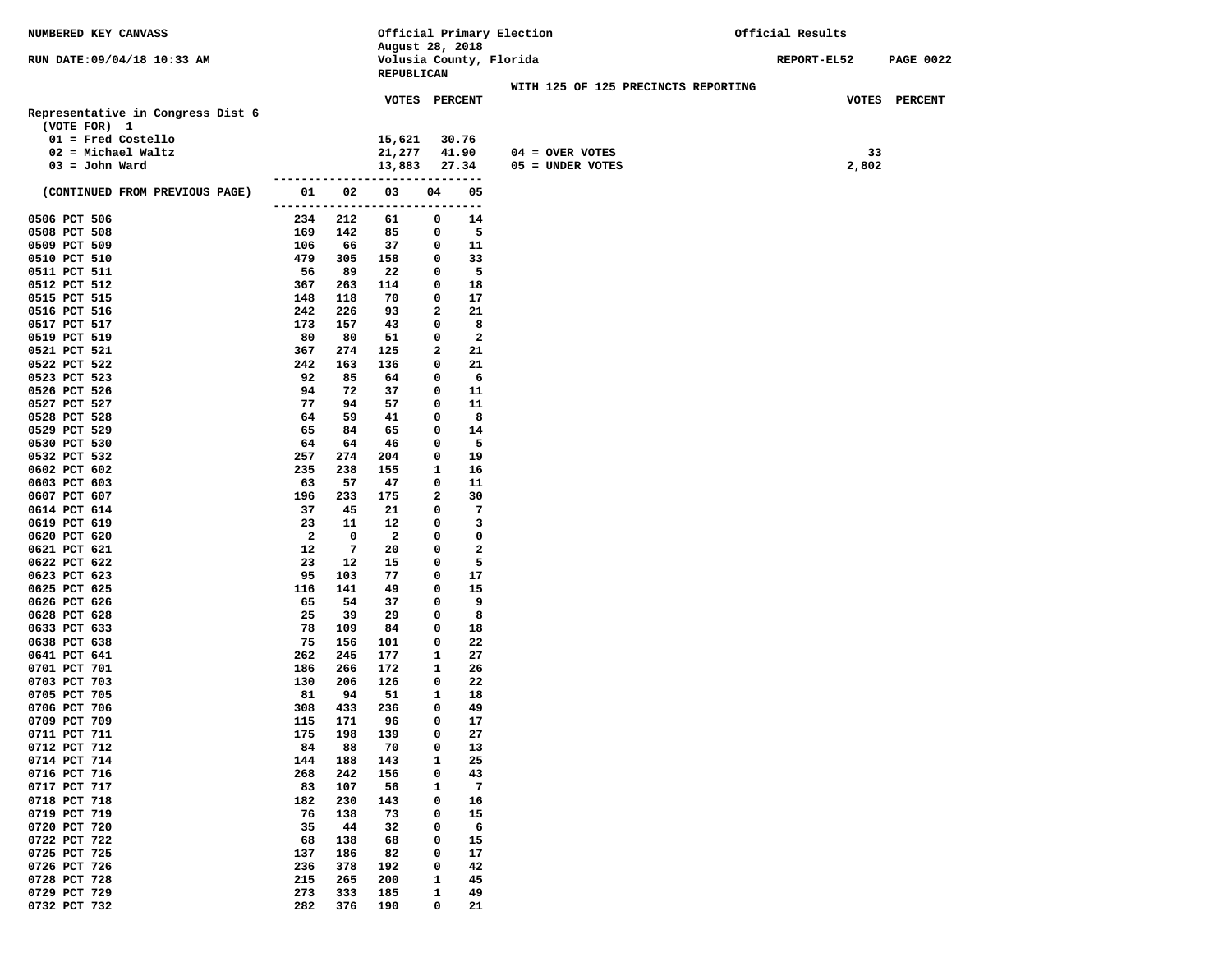| NUMBERED KEY CANVASS                     |                      |            | Official Primary Election                    |        |                    |                                         | Official Results   |             |                  |
|------------------------------------------|----------------------|------------|----------------------------------------------|--------|--------------------|-----------------------------------------|--------------------|-------------|------------------|
|                                          |                      |            | August 28, 2018                              |        |                    |                                         |                    |             |                  |
| RUN DATE: 09/04/18 10:33 AM              |                      |            | Volusia County, Florida<br><b>REPUBLICAN</b> |        |                    |                                         | <b>REPORT-EL52</b> |             | <b>PAGE 0022</b> |
|                                          |                      |            |                                              |        |                    | WITH 125 OF 125 PRECINCTS REPORTING     |                    |             |                  |
|                                          |                      |            | VOTES PERCENT                                |        |                    |                                         |                    |             | VOTES PERCENT    |
| Representative in Congress Dist 6        |                      |            |                                              |        |                    |                                         |                    |             |                  |
| (VOTE FOR) 1                             |                      |            |                                              |        |                    |                                         |                    |             |                  |
| $01$ = Fred Costello                     |                      |            | 15,621                                       |        | 30.76              |                                         |                    |             |                  |
| $02$ = Michael Waltz<br>$03 =$ John Ward |                      |            | 21,277<br>13,883                             |        | 41.90<br>27.34     | $04 =$ OVER VOTES<br>$05 = UNDER VOTES$ |                    | 33<br>2,802 |                  |
|                                          |                      |            |                                              |        | ------             |                                         |                    |             |                  |
| (CONTINUED FROM PREVIOUS PAGE)           | 01                   | 02         | 03                                           | 04     | 05                 |                                         |                    |             |                  |
|                                          | ------               |            |                                              |        | ---                |                                         |                    |             |                  |
| 0506 PCT 506                             | 234                  | 212        | 61                                           | 0      | 14                 |                                         |                    |             |                  |
| 0508 PCT 508<br>0509 PCT 509             | 169                  | 142<br>66  | 85<br>37                                     | 0<br>0 | 5                  |                                         |                    |             |                  |
| 0510 PCT 510                             | 106<br>479           | 305        | 158                                          | 0      | 11<br>33           |                                         |                    |             |                  |
| 0511 PCT 511                             | 56                   | 89         | 22                                           | 0      | 5                  |                                         |                    |             |                  |
| 0512 PCT 512                             | 367                  | 263        | 114                                          | 0      | 18                 |                                         |                    |             |                  |
| 0515 PCT 515                             | 148                  | 118        | 70                                           | 0      | 17                 |                                         |                    |             |                  |
| 0516 PCT 516                             | 242                  | 226        | 93                                           | 2      | 21                 |                                         |                    |             |                  |
| 0517 PCT 517                             | 173                  | 157        | 43                                           | 0      | 8                  |                                         |                    |             |                  |
| 0519 PCT 519<br>0521 PCT 521             | 80<br>367            | 80<br>274  | 51<br>125                                    | 0<br>2 | $\mathbf{2}$<br>21 |                                         |                    |             |                  |
| 0522 PCT 522                             | 242                  | 163        | 136                                          | 0      | 21                 |                                         |                    |             |                  |
| 0523 PCT 523                             | 92                   | 85         | 64                                           | 0      | 6                  |                                         |                    |             |                  |
| 0526 PCT 526                             | 94                   | 72         | 37                                           | 0      | 11                 |                                         |                    |             |                  |
| 0527 PCT 527                             | 77                   | 94         | 57                                           | 0      | 11                 |                                         |                    |             |                  |
| 0528 PCT 528                             | 64                   | 59         | 41                                           | 0      | 8                  |                                         |                    |             |                  |
| 0529 PCT 529                             | 65                   | 84         | 65                                           | 0      | 14<br>5            |                                         |                    |             |                  |
| 0530 PCT 530<br>0532 PCT 532             | 64<br>257            | 64<br>274  | 46<br>204                                    | 0<br>0 | 19                 |                                         |                    |             |                  |
| 0602 PCT 602                             | 235                  | 238        | 155                                          | 1      | 16                 |                                         |                    |             |                  |
| 0603 PCT 603                             | 63                   | 57         | 47                                           | 0      | 11                 |                                         |                    |             |                  |
| 0607 PCT 607                             | 196                  | 233        | 175                                          | 2      | 30                 |                                         |                    |             |                  |
| 0614 PCT 614                             | 37                   | 45         | 21                                           | 0      | 7                  |                                         |                    |             |                  |
| 0619 PCT 619                             | 23                   | 11         | 12                                           | 0      | 3                  |                                         |                    |             |                  |
| 0620 PCT 620<br>0621 PCT 621             | $\overline{a}$<br>12 | 0<br>7     | 2<br>20                                      | 0<br>0 | 0<br>2             |                                         |                    |             |                  |
| 0622 PCT 622                             | 23                   | 12         | 15                                           | 0      | 5                  |                                         |                    |             |                  |
| 0623 PCT 623                             | 95                   | 103        | 77                                           | 0      | 17                 |                                         |                    |             |                  |
| 0625 PCT 625                             | 116                  | 141        | 49                                           | 0      | 15                 |                                         |                    |             |                  |
| 0626 PCT 626                             | 65                   | 54         | 37                                           | 0      | 9                  |                                         |                    |             |                  |
| 0628 PCT 628                             | 25                   | 39         | 29                                           | 0      | 8                  |                                         |                    |             |                  |
| 0633 PCT 633                             | 78<br>75             | 109<br>156 | 84                                           | 0<br>0 | 18<br>22           |                                         |                    |             |                  |
| 0638 PCT 638<br>0641 PCT 641             | 262                  | 245        | 101<br>177                                   | 1      | 27                 |                                         |                    |             |                  |
| 0701 PCT 701                             | 186                  | 266        | 172                                          | 1      | 26                 |                                         |                    |             |                  |
| 0703 PCT 703                             | 130                  | 206        | 126                                          | 0      | 22                 |                                         |                    |             |                  |
| 0705 PCT 705                             | 81                   | 94         | 51                                           | 1      | 18                 |                                         |                    |             |                  |
| 0706 PCT 706                             | 308                  | 433        | 236                                          | 0      | 49                 |                                         |                    |             |                  |
| 0709 PCT 709                             | 115                  | 171        | 96                                           | 0      | 17                 |                                         |                    |             |                  |
| 0711 PCT 711<br>0712 PCT 712             | 175<br>84            | 198<br>88  | 139<br>70                                    | 0<br>0 | 27<br>13           |                                         |                    |             |                  |
| 0714 PCT 714                             | 144                  | 188        | 143                                          | 1      | 25                 |                                         |                    |             |                  |
| 0716 PCT 716                             | 268                  | 242        | 156                                          | 0      | 43                 |                                         |                    |             |                  |
| 0717 PCT 717                             | 83                   | 107        | 56                                           | 1      | 7                  |                                         |                    |             |                  |
| 0718 PCT 718                             | 182                  | 230        | 143                                          | 0      | 16                 |                                         |                    |             |                  |
| 0719 PCT 719                             | 76                   | 138        | 73                                           | 0      | 15                 |                                         |                    |             |                  |
| 0720 PCT 720<br>0722 PCT 722             | 35<br>68             | 44<br>138  | 32<br>68                                     | 0<br>0 | 6                  |                                         |                    |             |                  |
| 0725 PCT 725                             | 137                  | 186        | 82                                           | 0      | 15<br>17           |                                         |                    |             |                  |
| 0726 PCT 726                             | 236                  | 378        | 192                                          | 0      | 42                 |                                         |                    |             |                  |
| 0728 PCT 728                             | 215                  | 265        | 200                                          | 1      | 45                 |                                         |                    |             |                  |
| 0729 PCT 729                             | 273                  | 333        | 185                                          | 1      | 49                 |                                         |                    |             |                  |
| 0732 PCT 732                             | 282                  | 376        | 190                                          | 0      | 21                 |                                         |                    |             |                  |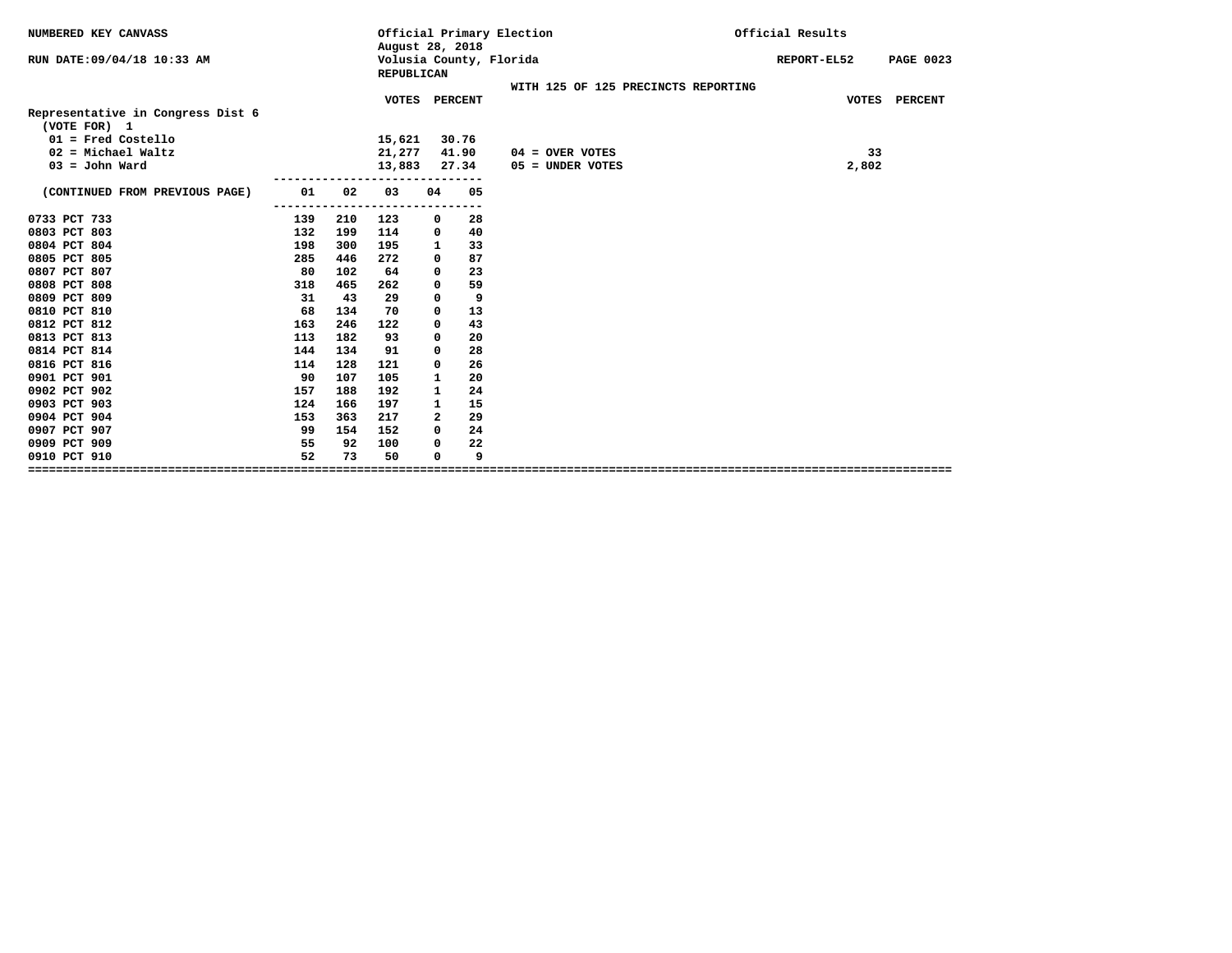| NUMBERED KEY CANVASS                              |     |              | August 28, 2018                   |              |           | Official Primary Election           | Official Results                |
|---------------------------------------------------|-----|--------------|-----------------------------------|--------------|-----------|-------------------------------------|---------------------------------|
| RUN DATE: 09/04/18 10:33 AM                       |     |              | REPUBLICAN                        |              |           | Volusia County, Florida             | REPORT-EL52<br><b>PAGE 0023</b> |
|                                                   |     |              |                                   |              |           | WITH 125 OF 125 PRECINCTS REPORTING |                                 |
| Representative in Congress Dist 6<br>(VOTE FOR) 1 |     |              | VOTES                             | PERCENT      |           |                                     | VOTES PERCENT                   |
| $01$ = Fred Costello                              |     |              | 15,621                            |              | 30.76     |                                     |                                 |
| $02$ = Michael Waltz                              |     |              | 21,277                            |              | 41.90     | $04 =$ OVER VOTES                   | 33                              |
| $03 =$ John Ward                                  |     |              | 13,883                            |              | 27.34     | 05 = UNDER VOTES                    | 2,802                           |
| (CONTINUED FROM PREVIOUS PAGE)                    | 01  | 02           | ---------------------------<br>03 | 04           | 05        |                                     |                                 |
| 0733 PCT 733                                      | 139 | -----<br>210 | 123                               | 0            | ---<br>28 |                                     |                                 |
| 0803 PCT 803                                      | 132 | 199          | 114                               | 0            | 40        |                                     |                                 |
| 0804 PCT 804                                      | 198 | 300          | 195                               | 1            | 33        |                                     |                                 |
| 0805 PCT 805                                      | 285 | 446          | 272                               | 0            | 87        |                                     |                                 |
| 0807 PCT 807                                      | 80  | 102          | 64                                | 0            | 23        |                                     |                                 |
| 0808 PCT 808                                      | 318 | 465          | 262                               | 0            | 59        |                                     |                                 |
| 0809 PCT 809                                      | 31  | 43           | 29                                | 0            | 9         |                                     |                                 |
| 0810 PCT 810                                      | 68  | 134          | 70                                | 0            | 13        |                                     |                                 |
| 0812 PCT 812                                      | 163 | 246          | 122                               | 0            | 43        |                                     |                                 |
| 0813 PCT 813                                      | 113 | 182          | 93                                | 0            | 20        |                                     |                                 |
| 0814 PCT 814                                      | 144 | 134          | 91                                | 0            | 28        |                                     |                                 |
| 0816 PCT 816                                      | 114 | 128          | 121                               | 0            | 26        |                                     |                                 |
| 0901 PCT 901                                      | 90  | 107          | 105                               | 1            | 20        |                                     |                                 |
| 0902 PCT 902                                      | 157 | 188          | 192                               | 1            | 24        |                                     |                                 |
| 0903 PCT 903                                      | 124 | 166          | 197                               | $\mathbf{1}$ | 15        |                                     |                                 |
| 0904 PCT 904                                      | 153 | 363          | 217                               | $\mathbf{2}$ | 29        |                                     |                                 |
| 0907 PCT 907                                      | 99  | 154          | 152                               | $\Omega$     | 24        |                                     |                                 |
| 0909 PCT 909                                      | 55  | 92           | 100                               | 0            | 22        |                                     |                                 |
| 0910 PCT 910                                      | 52  | 73           | 50                                | 0            | 9         |                                     |                                 |
|                                                   |     |              |                                   |              |           |                                     |                                 |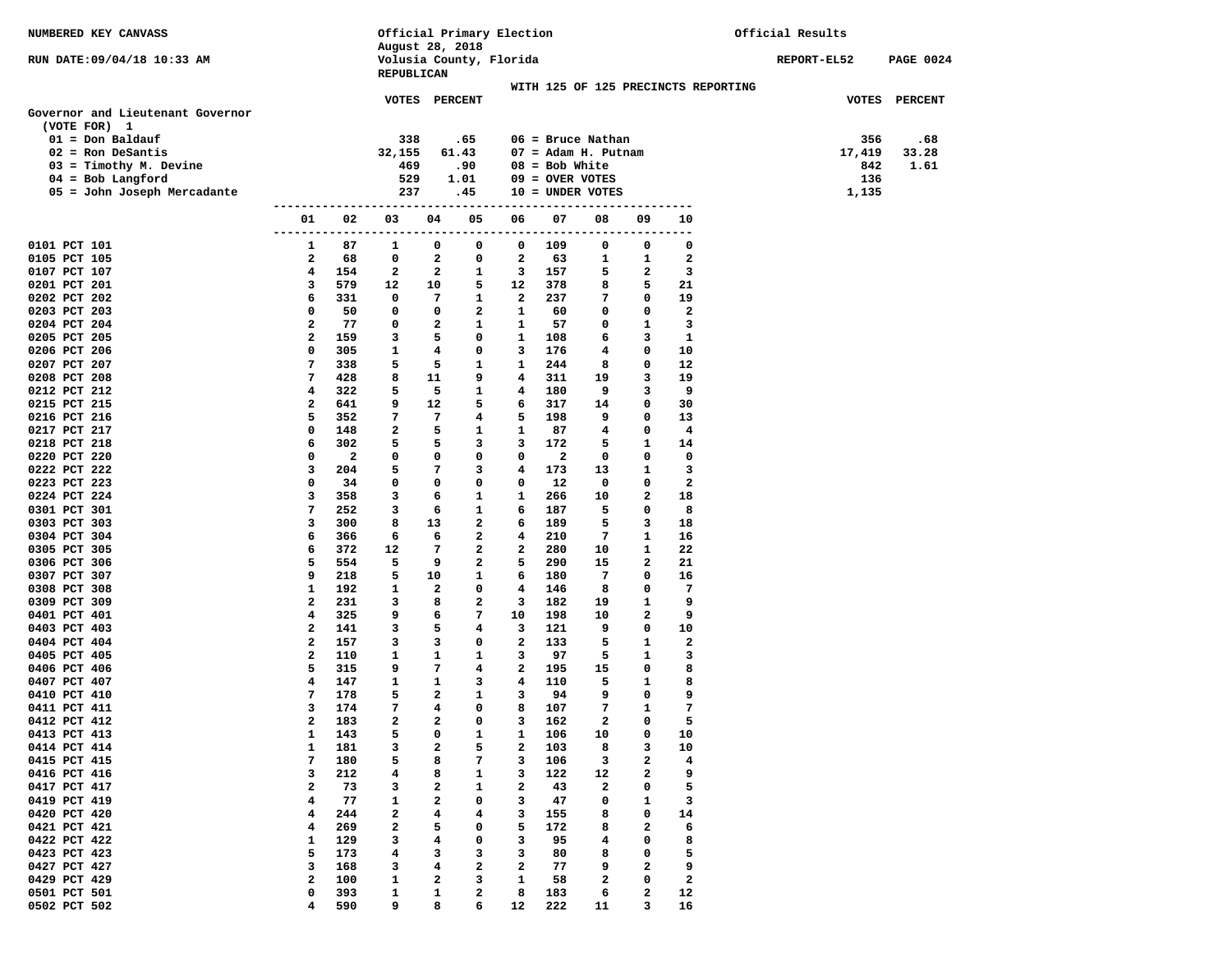| NUMBERED KEY CANVASS             |                   |            | Official Primary Election |                         |                         |              |                              |              |              | Official Results                    |             |                  |  |
|----------------------------------|-------------------|------------|---------------------------|-------------------------|-------------------------|--------------|------------------------------|--------------|--------------|-------------------------------------|-------------|------------------|--|
|                                  |                   |            | August 28, 2018           |                         |                         |              |                              |              |              |                                     |             |                  |  |
| RUN DATE:09/04/18 10:33 AM       |                   |            |                           |                         | Volusia County, Florida |              |                              |              |              |                                     | REPORT-EL52 | <b>PAGE 0024</b> |  |
|                                  |                   |            | REPUBLICAN                |                         |                         |              |                              |              |              | WITH 125 OF 125 PRECINCTS REPORTING |             |                  |  |
|                                  |                   |            |                           | VOTES PERCENT           |                         |              |                              |              |              |                                     |             | VOTES PERCENT    |  |
| Governor and Lieutenant Governor |                   |            |                           |                         |                         |              |                              |              |              |                                     |             |                  |  |
| (VOTE FOR) 1                     |                   |            |                           |                         |                         |              |                              |              |              |                                     |             |                  |  |
| $01 = Don$ Baldauf               |                   |            | 338                       |                         | .65                     |              | $06$ = Bruce Nathan          |              |              |                                     | 356         | .68              |  |
| $02$ = Ron DeSantis              |                   |            | 32,155                    |                         | 61.43                   |              | $07 = \text{Adam H. Putnam}$ |              |              |                                     | 17,419      | 33.28            |  |
| $03 =$ Timothy M. Devine         |                   |            | 469                       |                         | .90                     |              | $08 = Bob White$             |              |              |                                     | 842         | 1.61             |  |
| $04 = Bob$ Langford              |                   |            | 529                       |                         | 1.01                    |              | $09 =$ OVER VOTES            |              |              |                                     | 136         |                  |  |
| 05 = John Joseph Mercadante      |                   |            | 237                       |                         | .45                     |              | $10 = UNDER VOTES$           |              |              |                                     | 1,135       |                  |  |
|                                  | 01                | 02         | 03                        | 04                      | 05                      | 06           | 07                           | 08           | 09           | 10                                  |             |                  |  |
|                                  | ---------         | ----       | ------                    | ------                  |                         | ----------   | ----                         | ------       | ----         | ---                                 |             |                  |  |
| 0101 PCT 101                     | 1                 | 87         | 1                         | 0                       | 0                       | 0            | 109                          | 0            | 0            | 0                                   |             |                  |  |
| 0105 PCT 105                     | 2                 | 68         | 0                         | 2                       | 0                       | $\mathbf{2}$ | 63                           | 1            | 1            | 2                                   |             |                  |  |
| 0107 PCT 107<br>0201 PCT 201     | 4<br>3            | 154<br>579 | 2<br>12                   | 2<br>10                 | 1<br>5                  | 3<br>12      | 157<br>378                   | 5<br>8       | 2<br>5       | з<br>21                             |             |                  |  |
| 0202 PCT 202                     | 6                 | 331        | 0                         | 7                       | 1                       | $\mathbf{2}$ | 237                          | 7            | 0            | 19                                  |             |                  |  |
| 0203 PCT 203                     | 0                 | 50         | 0                         | 0                       | 2                       | 1            | 60                           | 0            | 0            | 2                                   |             |                  |  |
| 0204 PCT 204                     | $\mathbf{2}$      | 77         | 0                         | 2                       | 1                       | 1            | 57                           | 0            | 1            | з                                   |             |                  |  |
| 0205 PCT 205                     | 2                 | 159        | 3                         | 5                       | 0                       | 1            | 108                          | 6            | 3            | 1                                   |             |                  |  |
| 0206 PCT 206                     | 0                 | 305        | 1                         | 4                       | 0                       | 3            | 176                          | 4            | 0            | 10                                  |             |                  |  |
| 0207 PCT 207                     | 7                 | 338        | 5                         | 5                       | 1                       | 1            | 244                          | 8            | 0            | 12                                  |             |                  |  |
| 0208 PCT 208                     | 7                 | 428        | 8                         | 11                      | 9                       | 4            | 311                          | 19           | 3            | 19                                  |             |                  |  |
| 0212 PCT 212                     | 4                 | 322        | 5                         | 5                       | 1                       | 4            | 180                          | 9            | з            | 9                                   |             |                  |  |
| 0215 PCT 215                     | $\mathbf{2}$      | 641        | 9                         | 12                      | 5                       | 6            | 317                          | 14           | 0            | 30                                  |             |                  |  |
| 0216 PCT 216                     | 5                 | 352        | 7                         | 7                       | 4                       | 5            | 198                          | 9            | 0            | 13                                  |             |                  |  |
| 0217 PCT 217                     | 0                 | 148        | 2                         | 5                       | 1                       | 1            | 87                           | 4            | 0            | 4                                   |             |                  |  |
| 0218 PCT 218<br>0220 PCT 220     | 6<br>0            | 302<br>2   | 5<br>0                    | 5<br>0                  | 3<br>0                  | 3<br>0       | 172<br>2                     | 5<br>0       | 1<br>0       | 14<br>0                             |             |                  |  |
| 0222 PCT 222                     | 3                 | 204        | 5                         | 7                       | 3                       | 4            | 173                          | 13           | 1            | з                                   |             |                  |  |
| 0223 PCT 223                     | 0                 | 34         | 0                         | 0                       | 0                       | 0            | 12                           | 0            | 0            | $\overline{\mathbf{2}}$             |             |                  |  |
| 0224 PCT 224                     | 3                 | 358        | з                         | 6                       | 1                       | 1            | 266                          | 10           | 2            | 18                                  |             |                  |  |
| 0301 PCT 301                     | 7                 | 252        | 3                         | 6                       | 1                       | 6            | 187                          | 5            | 0            | 8                                   |             |                  |  |
| 0303 PCT 303                     | 3                 | 300        | 8                         | 13                      | 2                       | 6            | 189                          | 5            | 3            | 18                                  |             |                  |  |
| 0304 PCT 304                     | 6                 | 366        | 6                         | 6                       | 2                       | 4            | 210                          | 7            | 1            | 16                                  |             |                  |  |
| 0305 PCT 305                     | 6                 | 372        | 12                        | 7                       | 2                       | $\mathbf{2}$ | 280                          | 10           | 1            | 22                                  |             |                  |  |
| 0306 PCT 306                     | 5                 | 554        | 5                         | 9                       | 2                       | 5            | 290                          | 15           | $\mathbf{z}$ | 21                                  |             |                  |  |
| 0307 PCT 307                     | 9                 | 218        | 5                         | 10                      | 1                       | 6            | 180                          | 7            | 0            | 16                                  |             |                  |  |
| 0308 PCT 308                     | $\mathbf{1}$      | 192        | 1                         | 2                       | 0                       | 4            | 146                          | 8            | 0            | 7                                   |             |                  |  |
| 0309 PCT 309                     | $\mathbf{2}$<br>4 | 231<br>325 | 3<br>9                    | 8                       | $\mathbf{2}$<br>7       | 3<br>10      | 182<br>198                   | 19           | 1<br>2       | 9<br>9                              |             |                  |  |
| 0401 PCT 401<br>0403 PCT 403     | 2                 | 141        | 3                         | 6<br>5                  | 4                       | 3            | 121                          | 10<br>9      | 0            | 10                                  |             |                  |  |
| 0404 PCT 404                     | $\mathbf{2}$      | 157        | 3                         | 3                       | 0                       | $\mathbf{2}$ | 133                          | 5            | 1            | $\overline{\mathbf{2}}$             |             |                  |  |
| 0405 PCT 405                     | 2                 | 110        | 1                         | 1                       | 1                       | 3            | 97                           | 5            | 1            | з                                   |             |                  |  |
| 0406 PCT 406                     | 5                 | 315        | 9                         | 7                       | 4                       | 2            | 195                          | 15           | 0            | 8                                   |             |                  |  |
| 0407 PCT 407                     | 4                 | 147        | 1                         | 1                       | 3                       | 4            | 110                          | 5            | 1            | 8                                   |             |                  |  |
| 0410 PCT 410                     | 7                 | 178        | 5                         | 2                       | 1                       | 3            | 94                           | 9            | 0            | 9                                   |             |                  |  |
| 0411 PCT 411                     | 3                 | 174        | 7                         | 4                       | 0                       | 8            | 107                          | 7            | 1            | 7                                   |             |                  |  |
| 0412 PCT 412                     | $\mathbf{2}$      | 183        | $\mathbf{z}$              | $\overline{\mathbf{2}}$ | $\mathbf 0$             | 3            | 162                          | $\mathbf{2}$ | 0            | 5                                   |             |                  |  |
| 0413 PCT 413                     | 1                 | 143        | 5                         | 0                       | 1                       | 1            | 106                          | 10           | 0            | 10                                  |             |                  |  |
| 0414 PCT 414                     | 1                 | 181        | 3                         | 2                       | 5                       | $\mathbf{2}$ | 103                          | 8            | 3            | 10                                  |             |                  |  |
| 0415 PCT 415                     | 7                 | 180        | 5                         | 8                       | 7                       | 3            | 106                          | 3            | 2            | 4                                   |             |                  |  |
| 0416 PCT 416<br>0417 PCT 417     | 3<br>2            | 212<br>73  | 4<br>3                    | 8<br>2                  | 1<br>1                  | 3<br>2       | 122<br>43                    | 12<br>2      | 2<br>0       | 9<br>5                              |             |                  |  |
| 0419 PCT 419                     | 4                 | 77         | 1                         | 2                       | 0                       | 3            | 47                           | 0            | 1            | 3                                   |             |                  |  |
| 0420 PCT 420                     | 4                 | 244        | 2                         | 4                       | 4                       | 3            | 155                          | 8            | 0            | 14                                  |             |                  |  |
| 0421 PCT 421                     | 4                 | 269        | $\mathbf{2}$              | 5                       | 0                       | 5            | 172                          | 8            | 2            | 6                                   |             |                  |  |
| 0422 PCT 422                     | 1                 | 129        | 3                         | 4                       | 0                       | 3            | 95                           | 4            | 0            | 8                                   |             |                  |  |
| 0423 PCT 423                     | 5                 | 173        | 4                         | з                       | з                       | 3            | 80                           | 8            | 0            | 5                                   |             |                  |  |
| 0427 PCT 427                     | 3                 | 168        | 3                         | 4                       | 2                       | 2            | 77                           | 9            | 2            | 9                                   |             |                  |  |
| 0429 PCT 429                     | $\mathbf{2}$      | 100        | 1                         | 2                       | з                       | 1            | 58                           | $\mathbf{2}$ | 0            | 2                                   |             |                  |  |
| 0501 PCT 501                     | 0                 | 393        | 1                         | 1                       | 2                       | 8            | 183                          | 6            | 2            | 12                                  |             |                  |  |
| 0502 PCT 502                     | 4                 | 590        | 9                         | 8                       | 6                       | 12           | 222                          | 11           | 3            | 16                                  |             |                  |  |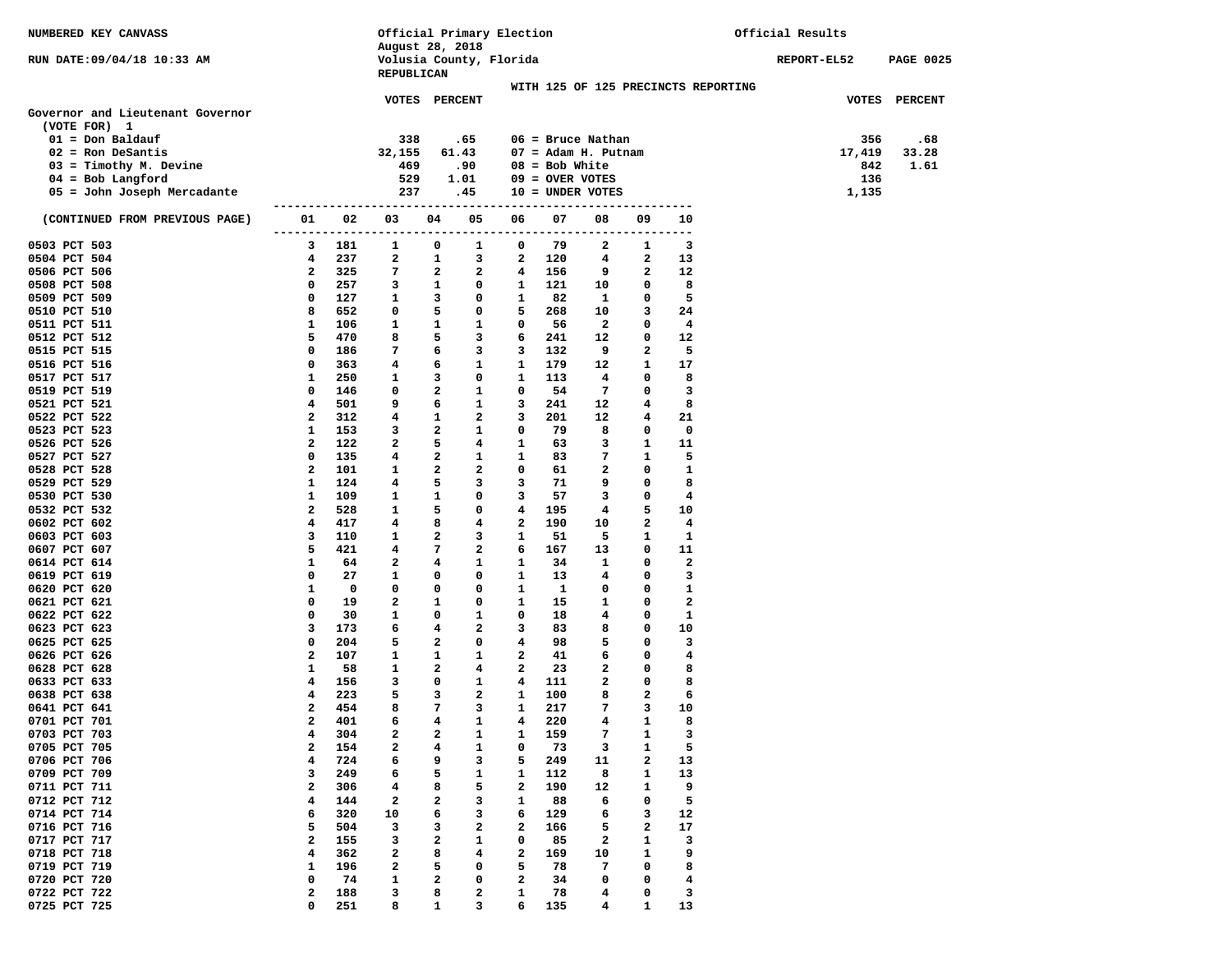| NUMBERED KEY CANVASS                               |              |             | August 28, 2018 |                         |              | Official Primary Election |                   |                              |              |                                     | Official Results   |                  |
|----------------------------------------------------|--------------|-------------|-----------------|-------------------------|--------------|---------------------------|-------------------|------------------------------|--------------|-------------------------------------|--------------------|------------------|
| RUN DATE:09/04/18 10:33 AM                         |              |             | REPUBLICAN      |                         |              | Volusia County, Florida   |                   |                              |              |                                     | <b>REPORT-EL52</b> | <b>PAGE 0025</b> |
|                                                    |              |             |                 |                         |              |                           |                   |                              |              | WITH 125 OF 125 PRECINCTS REPORTING |                    |                  |
| Governor and Lieutenant Governor                   |              |             |                 | VOTES PERCENT           |              |                           |                   |                              |              |                                     |                    | VOTES PERCENT    |
| (VOTE FOR) 1                                       |              |             |                 |                         |              |                           |                   |                              |              |                                     |                    |                  |
| $01 = Don$ Baldauf                                 |              |             | 338             |                         | .65          |                           |                   | $06$ = Bruce Nathan          |              |                                     | 356                | .68              |
| $02$ = Ron DeSantis                                |              |             | 32,155          |                         | 61.43        |                           |                   | $07 = \text{Adam H. Putnam}$ |              |                                     | 17,419             | 33.28            |
| $03 =$ Timothy M. Devine                           |              |             | 469             |                         | .90          |                           | $08 = Bob White$  |                              |              |                                     | 842                | 1.61             |
| $04 = Bob$ Langford<br>05 = John Joseph Mercadante |              |             | 529<br>237      |                         | 1.01<br>.45  |                           | $09 =$ OVER VOTES | $10 = UNDER VOTES$           |              |                                     | 136<br>1,135       |                  |
|                                                    |              |             |                 |                         |              |                           |                   |                              | ---------    |                                     |                    |                  |
| (CONTINUED FROM PREVIOUS PAGE)                     | 01           | 02          | 03<br>------    | 04                      | 05           | 06                        | 07                | 08                           | 09           | 10<br>---                           |                    |                  |
| 0503 PCT 503                                       | 3            | 181         | 1               | 0                       | 1            | 0                         | 79                | 2                            | 1            | 3                                   |                    |                  |
| 0504 PCT 504                                       | 4            | 237         | 2               | 1                       | 3            | 2                         | 120               | 4                            | 2            | 13                                  |                    |                  |
| 0506 PCT 506                                       | 2            | 325         | 7               | 2                       | 2            | 4                         | 156               | 9                            | 2            | 12                                  |                    |                  |
| 0508 PCT 508                                       | 0            | 257         | 3               | 1                       | 0            | 1                         | 121               | 10                           | 0            | 8                                   |                    |                  |
| 0509 PCT 509                                       | 0<br>8       | 127<br>652  | 1<br>0          | 3<br>5                  | 0<br>0       | 1<br>5                    | 82                | 1                            | 0<br>3       | 5<br>24                             |                    |                  |
| 0510 PCT 510<br>0511 PCT 511                       | 1            | 106         | 1               | 1                       | 1            | 0                         | 268<br>56         | 10<br>$\mathbf{2}$           | 0            | 4                                   |                    |                  |
| 0512 PCT 512                                       | 5            | 470         | 8               | 5                       | 3            | 6                         | 241               | 12                           | $\mathbf 0$  | 12                                  |                    |                  |
| 0515 PCT 515                                       | 0            | 186         | 7               | 6                       | 3            | 3                         | 132               | 9                            | 2            | 5                                   |                    |                  |
| 0516 PCT 516                                       | 0            | 363         | 4               | 6                       | 1            | 1                         | 179               | 12                           | 1            | 17                                  |                    |                  |
| 0517 PCT 517                                       | 1            | 250         | 1               | 3                       | 0            | 1                         | 113               | 4                            | 0            | 8                                   |                    |                  |
| 0519 PCT 519                                       | 0            | 146         | 0               | 2                       | $\mathbf{1}$ | 0                         | 54                | 7                            | 0            | з                                   |                    |                  |
| 0521 PCT 521                                       | 4            | 501         | 9               | 6                       | $\mathbf{1}$ | 3                         | 241               | 12                           | 4            | 8                                   |                    |                  |
| 0522 PCT 522                                       | 2            | 312         | 4               | 1                       | 2            | 3                         | 201               | 12                           | 4            | 21                                  |                    |                  |
| 0523 PCT 523                                       | 1            | 153         | 3               | $\overline{\mathbf{2}}$ | 1            | 0                         | 79                | 8                            | 0            | $\mathbf 0$                         |                    |                  |
| 0526 PCT 526                                       | $\mathbf{2}$ | 122         | $\overline{a}$  | 5                       | 4            | 1                         | 63                | 3                            | 1            | 11                                  |                    |                  |
| 0527 PCT 527                                       | 0            | 135         | 4               | 2                       | 1            | 1                         | 83                | 7                            | 1            | 5                                   |                    |                  |
| 0528 PCT 528                                       | 2            | 101         | 1               | $\mathbf{2}$            | 2            | 0                         | 61                | 2                            | 0            | 1                                   |                    |                  |
| 0529 PCT 529                                       | 1            | 124         | 4               | 5                       | 3            | 3                         | 71                | 9                            | 0            | 8                                   |                    |                  |
| 0530 PCT 530                                       | 1            | 109         | 1               | 1<br>5                  | 0<br>0       | 3<br>4                    | 57                | 3                            | 0<br>5       | 4<br>10                             |                    |                  |
| 0532 PCT 532<br>0602 PCT 602                       | 2<br>4       | 528<br>417  | 1<br>4          | 8                       | 4            | $\mathbf{2}$              | 195<br>190        | 4<br>10                      | 2            | 4                                   |                    |                  |
| 0603 PCT 603                                       | 3            | 110         | 1               | 2                       | 3            | 1                         | 51                | 5                            | 1            | 1                                   |                    |                  |
| 0607 PCT 607                                       | 5            | 421         | 4               | 7                       | $\mathbf{2}$ | 6                         | 167               | 13                           | 0            | 11                                  |                    |                  |
| 0614 PCT 614                                       | 1            | 64          | $\mathbf{2}$    | 4                       | $\mathbf{1}$ | 1                         | 34                | 1                            | 0            | $\mathbf{2}$                        |                    |                  |
| 0619 PCT 619                                       | 0            | 27          | 1               | 0                       | 0            | 1                         | 13                | 4                            | 0            | з                                   |                    |                  |
| 0620 PCT 620                                       | 1            | $\mathbf 0$ | 0               | 0                       | 0            | 1                         | $\mathbf{1}$      | 0                            | 0            | 1                                   |                    |                  |
| 0621 PCT 621                                       | 0            | 19          | $\mathbf{2}$    | 1                       | 0            | 1                         | 15                | 1                            | 0            | $\mathbf{2}$                        |                    |                  |
| 0622 PCT 622                                       | 0            | 30          | 1               | 0                       | $\mathbf{1}$ | 0                         | 18                | 4                            | 0            | 1                                   |                    |                  |
| 0623 PCT 623                                       | 3            | 173         | 6               | 4                       | 2            | 3                         | 83                | 8                            | 0            | 10                                  |                    |                  |
| 0625 PCT 625                                       | $\mathbf 0$  | 204         | 5               | $\overline{\mathbf{2}}$ | 0            | 4                         | 98                | 5                            | 0            | 3                                   |                    |                  |
| 0626 PCT 626<br>0628 PCT 628                       | 2<br>1       | 107         | 1<br>1          | 1<br>2                  | 1<br>4       | 2<br>2                    | 41<br>23          | 6                            | 0<br>0       | 4<br>8                              |                    |                  |
| 0633 PCT 633                                       | 4            | 58<br>156   | 3               | 0                       | $\mathbf{1}$ | 4                         | 111               | 2<br>2                       | $\mathbf{o}$ | 8                                   |                    |                  |
| 0638 PCT 638                                       | 4            | 223         | 5               | 3                       | $\mathbf{2}$ | 1                         | 100               | 8                            | 2            | 6                                   |                    |                  |
| 0641 PCT 641                                       | $\mathbf{2}$ | 454         | 8               | 7                       | 3            | $\mathbf{1}$              | 217               | 7                            | 3            | 10                                  |                    |                  |
| 0701 PCT 701                                       | $2^{\circ}$  | 401         | 6               | $\overline{4}$          | 1            | 4                         | 220               | $\overline{\mathbf{4}}$      | $\mathbf{1}$ | 8                                   |                    |                  |
| 0703 PCT 703                                       | 4            | 304         | 2               | 2                       | 1            | 1                         | 159               | 7                            | 1            | 3                                   |                    |                  |
| 0705 PCT 705                                       | 2            | 154         | 2               | 4                       | 1            | 0                         | 73                | 3                            | 1            | 5                                   |                    |                  |
| 0706 PCT 706                                       | 4            | 724         | 6               | 9                       | 3            | 5                         | 249               | 11                           | 2            | 13                                  |                    |                  |
| 0709 PCT 709                                       | 3            | 249         | 6               | 5                       | 1            | 1                         | 112               | 8                            | 1            | 13                                  |                    |                  |
| 0711 PCT 711                                       | 2            | 306         | 4               | 8                       | 5            | 2                         | 190               | 12                           | 1            | 9                                   |                    |                  |
| 0712 PCT 712                                       | 4            | 144         | 2               | 2                       | 3            | 1                         | 88                | 6                            | 0            | 5                                   |                    |                  |
| 0714 PCT 714                                       | 6            | 320         | 10              | 6                       | 3            | 6                         | 129               | 6                            | з            | 12                                  |                    |                  |
| 0716 PCT 716                                       | 5<br>2       | 504         | 3               | з                       | 2            | 2<br>0                    | 166               | 5<br>$\overline{\mathbf{2}}$ | 2<br>1       | 17<br>3                             |                    |                  |
| 0717 PCT 717<br>0718 PCT 718                       | 4            | 155<br>362  | 3<br>2          | 2<br>8                  | 1<br>4       | 2                         | 85<br>169         | 10                           | 1            | 9                                   |                    |                  |
| 0719 PCT 719                                       | 1            | 196         | 2               | 5                       | 0            | 5                         | 78                | 7                            | 0            | 8                                   |                    |                  |
| 0720 PCT 720                                       | 0            | 74          | 1               | 2                       | 0            | 2                         | 34                | 0                            | 0            | $\overline{\mathbf{4}}$             |                    |                  |
| 0722 PCT 722                                       | 2            | 188         | 3               | 8                       | 2            | 1                         | 78                | 4                            | 0            | 3                                   |                    |                  |
| 0725 PCT 725                                       | 0            | 251         | 8               | 1                       | 3            | 6                         | 135               | 4                            | 1            | 13                                  |                    |                  |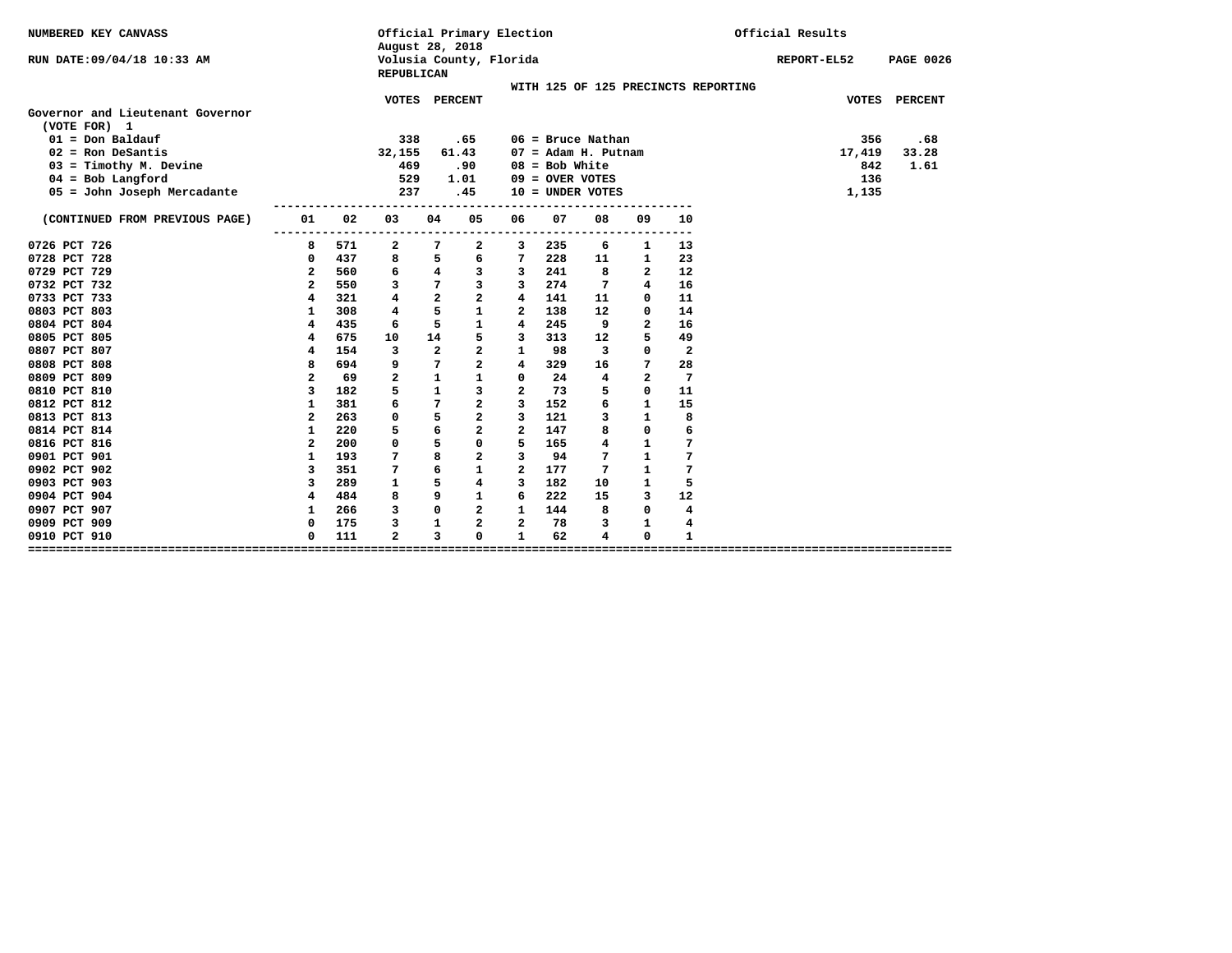| NUMBERED KEY CANVASS                             |                              |     | August 28, 2018         |                         | Official Primary Election |                         |                   |                              |                |                                     | Official Results |                  |
|--------------------------------------------------|------------------------------|-----|-------------------------|-------------------------|---------------------------|-------------------------|-------------------|------------------------------|----------------|-------------------------------------|------------------|------------------|
| RUN DATE:09/04/18 10:33 AM                       |                              |     | <b>REPUBLICAN</b>       |                         | Volusia County, Florida   |                         |                   |                              |                |                                     | REPORT-EL52      | <b>PAGE 0026</b> |
|                                                  |                              |     |                         |                         |                           |                         |                   |                              |                | WITH 125 OF 125 PRECINCTS REPORTING |                  |                  |
|                                                  |                              |     | <b>VOTES</b>            |                         | <b>PERCENT</b>            |                         |                   |                              |                |                                     | <b>VOTES</b>     | <b>PERCENT</b>   |
| Governor and Lieutenant Governor<br>(VOTE FOR) 1 |                              |     |                         |                         |                           |                         |                   |                              |                |                                     |                  |                  |
| $01 = Don$ Baldauf                               |                              |     | 338                     |                         | .65                       |                         |                   | $06$ = Bruce Nathan          |                |                                     | 356              | .68              |
| $02$ = Ron DeSantis                              |                              |     | 32,155                  |                         | 61.43                     |                         |                   | $07 = \text{Adam H. Putnam}$ |                |                                     | 17,419           | 33.28            |
| $03 =$ Timothy M. Devine                         |                              |     | 469                     |                         | .90                       |                         | $08 = Bob White$  |                              |                |                                     | 842              | 1.61             |
| $04 = Bob$ Langford                              |                              |     | 529                     |                         | 1.01                      |                         | $09 =$ OVER VOTES |                              |                |                                     | 136              |                  |
| 05 = John Joseph Mercadante                      |                              |     | 237                     |                         | .45                       |                         |                   | $10 =$ UNDER VOTES           |                |                                     | 1,135            |                  |
|                                                  |                              |     |                         |                         |                           |                         |                   |                              |                |                                     |                  |                  |
| (CONTINUED FROM PREVIOUS PAGE)                   | 01                           | 02  | 03                      | 04                      | 05                        | 06                      | 07                | 08                           | 09             | 10                                  |                  |                  |
| 0726 PCT 726                                     | . - - - - - - - - - - -<br>8 | 571 | $\mathbf{2}$            | 7                       | $\mathbf{2}$              | 3                       | 235               | 6                            | 1              | $- - -$<br>13                       |                  |                  |
| 0728 PCT 728                                     | 0                            | 437 | 8                       | 5                       | 6                         | 7                       | 228               | 11                           | 1              | 23                                  |                  |                  |
| 0729 PCT 729                                     | $\mathbf{2}$                 | 560 | 6                       | $\overline{\mathbf{4}}$ | 3                         | 3                       | 241               | 8                            | $\mathbf{2}$   | 12                                  |                  |                  |
| 0732 PCT 732                                     | $\mathbf{2}$                 | 550 | 3                       | 7                       | 3                         | 3                       | 274               | 7                            | 4              | 16                                  |                  |                  |
| 0733 PCT 733                                     | $\overline{4}$               | 321 | 4                       | $\overline{a}$          | $\mathbf{2}$              | 4                       | 141               | 11                           | $\mathbf 0$    | 11                                  |                  |                  |
| 0803 PCT 803                                     | 1                            | 308 | 4                       | 5                       | $\mathbf{1}$              | $\overline{\mathbf{2}}$ | 138               | 12                           | 0              | 14                                  |                  |                  |
| 0804 PCT 804                                     | 4                            | 435 | 6                       | 5                       | $\mathbf{1}$              | $\overline{4}$          | 245               | 9                            | $\mathbf{z}$   | 16                                  |                  |                  |
| 0805 PCT 805                                     | 4                            | 675 | 10                      | 14                      | 5                         | 3                       | 313               | 12                           | 5              | 49                                  |                  |                  |
| 0807 PCT 807                                     | 4                            | 154 | 3                       | $\mathbf{2}$            | $\overline{a}$            | $\mathbf{1}$            | 98                | 3                            | 0              | $\overline{2}$                      |                  |                  |
| 0808 PCT 808                                     | 8                            | 694 | 9                       | 7                       | $\overline{a}$            | $\overline{4}$          | 329               | 16                           | 7              | 28                                  |                  |                  |
| 0809 PCT 809                                     | $\overline{a}$               | 69  | $\overline{a}$          | $\mathbf{1}$            | $\mathbf{1}$              | $\Omega$                | 24                | 4                            | $\overline{a}$ | 7                                   |                  |                  |
| 0810 PCT 810                                     | 3                            | 182 | 5                       | $\mathbf{1}$            | 3                         | $\overline{a}$          | 73                | 5                            | 0              | 11                                  |                  |                  |
| 0812 PCT 812                                     | 1                            | 381 | 6                       | 7                       | $\overline{a}$            | 3                       | 152               | 6                            | $\mathbf{1}$   | 15                                  |                  |                  |
| 0813 PCT 813                                     | $\overline{a}$               | 263 | 0                       | 5                       | $\overline{a}$            | 3                       | 121               | 3                            | $\mathbf{1}$   | 8                                   |                  |                  |
| 0814 PCT 814                                     | 1                            | 220 | 5                       | 6                       | $\overline{a}$            | $\overline{a}$          | 147               | 8                            | $\mathbf 0$    | 6                                   |                  |                  |
| 0816 PCT 816                                     | $\mathbf{2}$                 | 200 | 0                       | 5                       | 0                         | 5                       | 165               | 4                            | 1              | 7                                   |                  |                  |
| 0901 PCT 901                                     | $\mathbf{1}$                 | 193 | 7                       | 8                       | $\overline{a}$            | 3                       | 94                | 7                            | $\mathbf{1}$   | 7                                   |                  |                  |
| 0902 PCT 902                                     | 3                            | 351 | 7                       | 6                       | $\mathbf{1}$              | $\overline{a}$          | 177               | 7                            | $\mathbf{1}$   | 7                                   |                  |                  |
| 0903 PCT 903                                     | 3                            | 289 | 1                       | 5                       | $\overline{\mathbf{4}}$   | 3                       | 182               | 10                           | $\mathbf{1}$   | 5                                   |                  |                  |
| 0904 PCT 904                                     | 4                            | 484 | 8                       | 9                       | $\mathbf{1}$              | 6                       | 222               | 15                           | 3              | 12                                  |                  |                  |
| 0907 PCT 907                                     | $\mathbf{1}$                 | 266 | 3                       | $\mathbf 0$             | $\overline{a}$            | 1                       | 144               | 8                            | $\mathbf 0$    | 4                                   |                  |                  |
| 0909 PCT 909                                     | 0                            | 175 | 3                       | 1                       | $\mathbf{z}$              | $\overline{a}$          | 78                | 3                            | 1              | 4                                   |                  |                  |
| 0910 PCT 910                                     | 0                            | 111 | $\overline{\mathbf{2}}$ | 3                       | 0                         | $\mathbf{1}$            | 62                | 4                            | 0              | $\mathbf{1}$                        |                  |                  |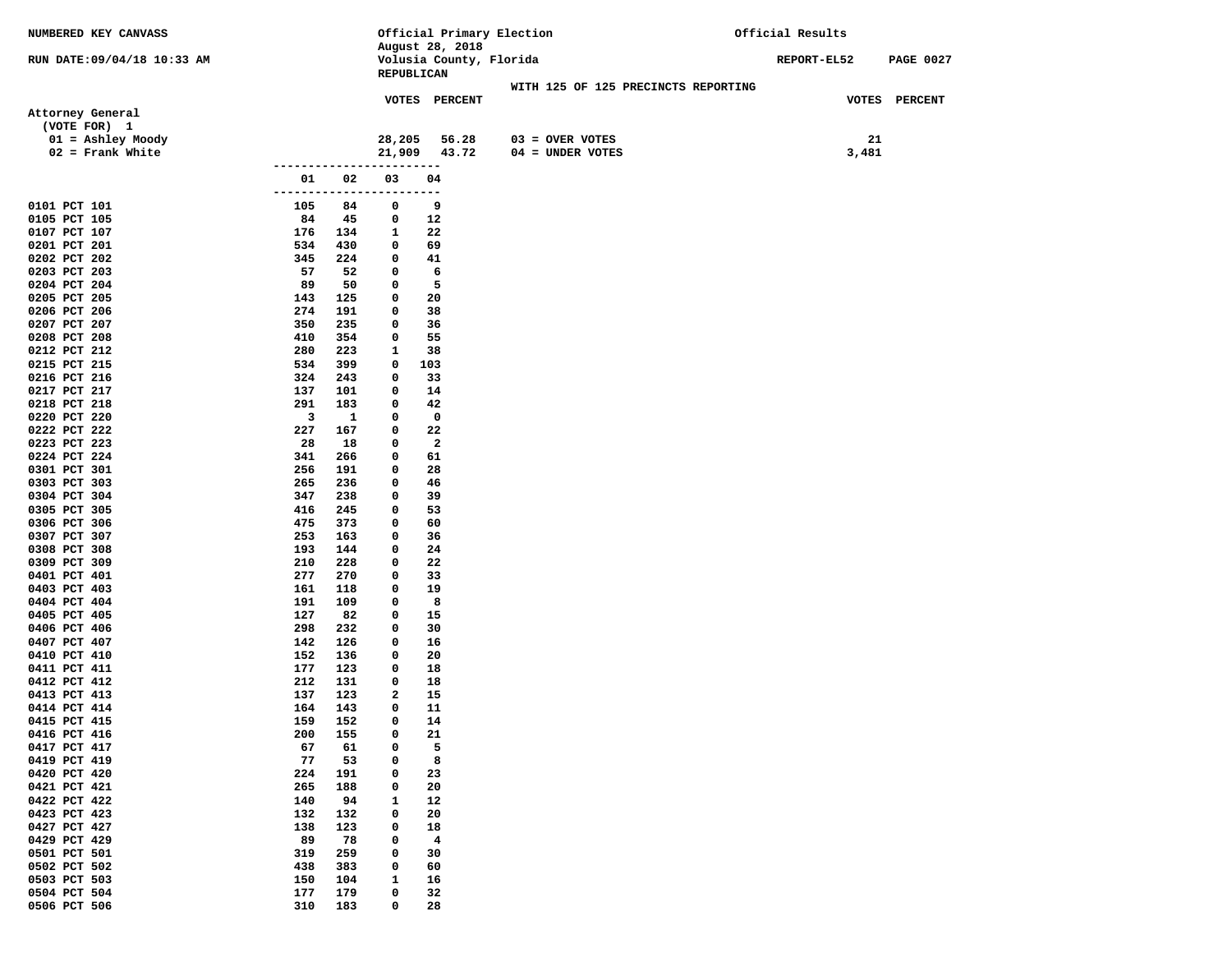| NUMBERED KEY CANVASS                      |                          |                 | Official Primary Election                  |                                         | Official Results |                  |
|-------------------------------------------|--------------------------|-----------------|--------------------------------------------|-----------------------------------------|------------------|------------------|
| RUN DATE: 09/04/18 10:33 AM               |                          |                 | August 28, 2018<br>Volusia County, Florida |                                         | REPORT-EL52      | <b>PAGE 0027</b> |
|                                           |                          |                 | REPUBLICAN                                 |                                         |                  |                  |
|                                           |                          |                 | VOTES PERCENT                              | WITH 125 OF 125 PRECINCTS REPORTING     |                  | VOTES PERCENT    |
| Attorney General                          |                          |                 |                                            |                                         |                  |                  |
| (VOTE FOR) 1                              |                          |                 |                                            |                                         |                  |                  |
| $01 =$ Ashley Moody<br>$02$ = Frank White |                          |                 | 28,205<br>56.28<br>21,909 43.72            | $03 =$ OVER VOTES<br>$04 = UNDER VOTES$ | 21<br>3,481      |                  |
|                                           | ---------------------    |                 |                                            |                                         |                  |                  |
|                                           | 02<br>01                 | 03              | 04                                         |                                         |                  |                  |
| 0101 PCT 101                              | -------------<br>105     | ----<br>84<br>0 | ---<br>9                                   |                                         |                  |                  |
| 0105 PCT 105                              | 84<br>45                 | 0               | 12                                         |                                         |                  |                  |
| 0107 PCT 107                              | 176<br>134               | 1               | 22                                         |                                         |                  |                  |
| 0201 PCT 201                              | 534<br>430               | 0               | 69                                         |                                         |                  |                  |
| 0202 PCT 202<br>0203 PCT 203              | 345<br>224<br>57<br>52   | 0<br>0          | 41<br>6                                    |                                         |                  |                  |
| 0204 PCT 204                              | 89<br>50                 | 0               | 5                                          |                                         |                  |                  |
| 0205 PCT 205                              | 143<br>125               | 0               | 20                                         |                                         |                  |                  |
| 0206 PCT 206                              | 274<br>191               | 0               | 38                                         |                                         |                  |                  |
| 0207 PCT 207                              | 350<br>235               | 0               | 36                                         |                                         |                  |                  |
| 0208 PCT 208<br>0212 PCT 212              | 410<br>354<br>280<br>223 | 0<br>1          | 55<br>38                                   |                                         |                  |                  |
| 0215 PCT 215                              | 534<br>399               | 0               | 103                                        |                                         |                  |                  |
| 0216 PCT 216                              | 324<br>243               | 0               | 33                                         |                                         |                  |                  |
| 0217 PCT 217                              | 137<br>101               | 0               | 14                                         |                                         |                  |                  |
| 0218 PCT 218                              | 291<br>183               | 0               | 42                                         |                                         |                  |                  |
| 0220 PCT 220<br>0222 PCT 222              | 3<br>227<br>167          | 1<br>0<br>0     | $\mathbf 0$<br>22                          |                                         |                  |                  |
| 0223 PCT 223                              | 28<br>18                 | 0               | $\mathbf{2}$                               |                                         |                  |                  |
| 0224 PCT 224                              | 341<br>266               | 0               | 61                                         |                                         |                  |                  |
| 0301 PCT 301                              | 256<br>191               | 0               | 28                                         |                                         |                  |                  |
| 0303 PCT 303                              | 265<br>236               | 0               | 46                                         |                                         |                  |                  |
| 0304 PCT 304<br>0305 PCT 305              | 347<br>238<br>416<br>245 | 0<br>0          | 39<br>53                                   |                                         |                  |                  |
| 0306 PCT 306                              | 475<br>373               | 0               | 60                                         |                                         |                  |                  |
| 0307 PCT 307                              | 253<br>163               | 0               | 36                                         |                                         |                  |                  |
| 0308 PCT 308                              | 193<br>144               | 0               | 24                                         |                                         |                  |                  |
| 0309 PCT 309                              | 210<br>228               | 0               | 22                                         |                                         |                  |                  |
| 0401 PCT 401<br>0403 PCT 403              | 277<br>270<br>161<br>118 | 0<br>0          | 33<br>19                                   |                                         |                  |                  |
| 0404 PCT 404                              | 191<br>109               | 0               | 8                                          |                                         |                  |                  |
| 0405 PCT 405                              | 127<br>82                | 0               | 15                                         |                                         |                  |                  |
| 0406 PCT 406                              | 298<br>232               | 0               | 30                                         |                                         |                  |                  |
| 0407 PCT 407                              | 142<br>126               | 0               | 16                                         |                                         |                  |                  |
| 0410 PCT 410<br>0411 PCT 411              | 152<br>136<br>177<br>123 | 0<br>0          | 20<br>18                                   |                                         |                  |                  |
| 0412 PCT 412                              | 212<br>131               | 0               | 18                                         |                                         |                  |                  |
| 0413 PCT 413                              | 137<br>123               | 2               | 15                                         |                                         |                  |                  |
| 0414 PCT 414                              | 164<br>143               | 0               | 11                                         |                                         |                  |                  |
| 0415 PCT 415                              | 159<br>152               | 0               | 14                                         |                                         |                  |                  |
| 0416 PCT 416<br>0417 PCT 417              | 200<br>155<br>67<br>61   | 0<br>0          | 21<br>5                                    |                                         |                  |                  |
| 0419 PCT 419                              | 77<br>53                 | 0               | 8                                          |                                         |                  |                  |
| 0420 PCT 420                              | 224<br>191               | 0               | 23                                         |                                         |                  |                  |
| 0421 PCT 421                              | 265<br>188               | 0               | 20                                         |                                         |                  |                  |
| 0422 PCT 422                              | 140<br>94                | 1               | 12                                         |                                         |                  |                  |
| 0423 PCT 423<br>0427 PCT 427              | 132<br>132<br>138<br>123 | 0<br>0          | 20<br>18                                   |                                         |                  |                  |
| 0429 PCT 429                              | 89<br>78                 | 0               | $\overline{\mathbf{4}}$                    |                                         |                  |                  |
| 0501 PCT 501                              | 319<br>259               | 0               | 30                                         |                                         |                  |                  |
| 0502 PCT 502                              | 438<br>383               | 0               | 60                                         |                                         |                  |                  |
| 0503 PCT 503                              | 150<br>104               | 1               | 16                                         |                                         |                  |                  |
| 0504 PCT 504                              | 177<br>179               | 0               | 32                                         |                                         |                  |                  |
| 0506 PCT 506                              | 310<br>183               | 0               | 28                                         |                                         |                  |                  |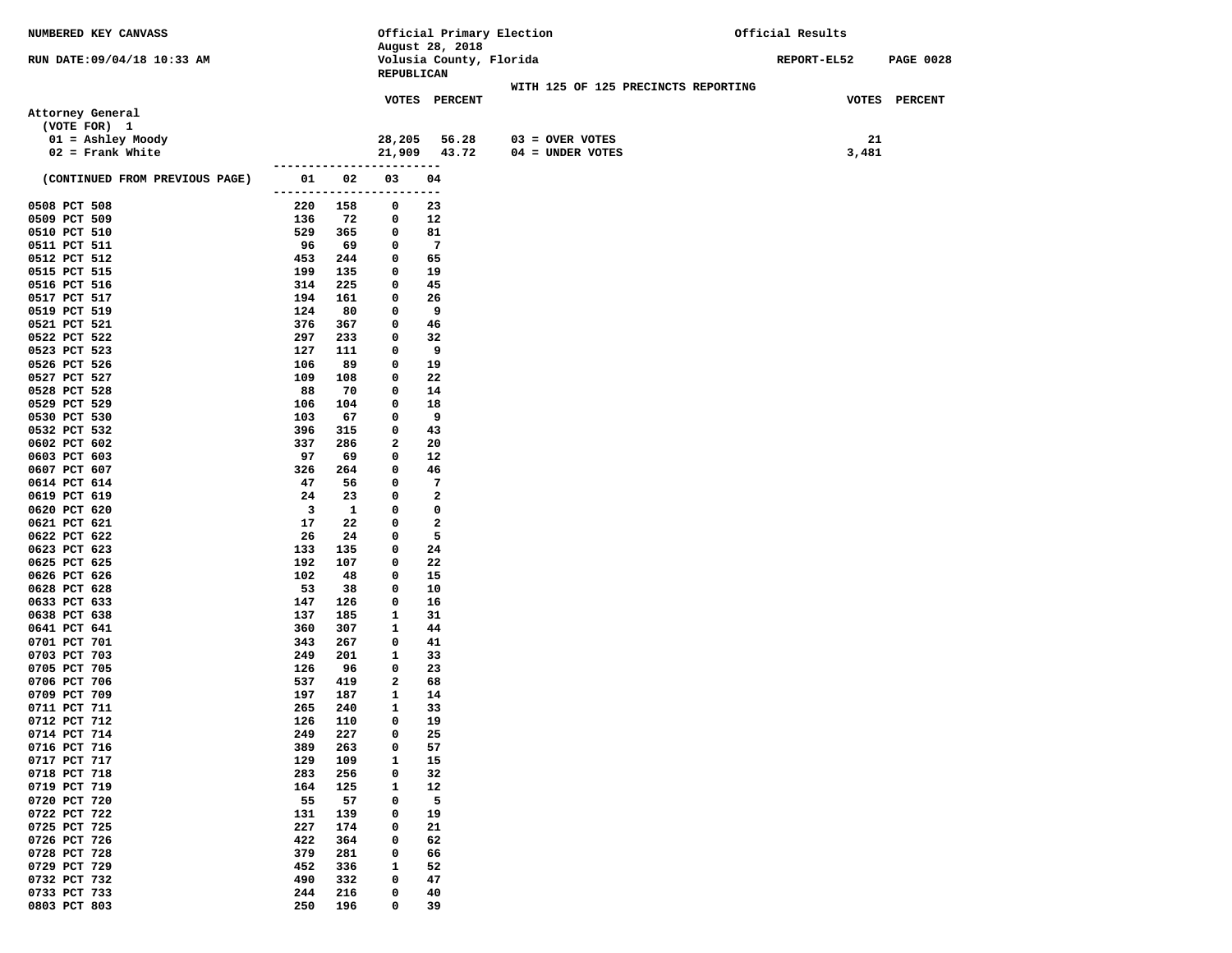| NUMBERED KEY CANVASS           |                              |        | Official Primary Election             |                                     | Official Results |                  |
|--------------------------------|------------------------------|--------|---------------------------------------|-------------------------------------|------------------|------------------|
|                                |                              |        | August 28, 2018                       |                                     |                  |                  |
| RUN DATE: 09/04/18 10:33 AM    |                              |        | Volusia County, Florida<br>REPUBLICAN |                                     | REPORT-EL52      | <b>PAGE 0028</b> |
|                                |                              |        |                                       | WITH 125 OF 125 PRECINCTS REPORTING |                  |                  |
|                                |                              |        | VOTES PERCENT                         |                                     |                  | VOTES PERCENT    |
| Attorney General               |                              |        |                                       |                                     |                  |                  |
| (VOTE FOR) 1                   |                              |        |                                       |                                     |                  |                  |
| $01 =$ Ashley Moody            |                              | 28,205 | 56.28                                 | $03 =$ OVER VOTES                   |                  | 21               |
| $02$ = Frank White             |                              | 21,909 | 43.72                                 | 04 = UNDER VOTES                    | 3,481            |                  |
|                                | -----------------------      |        |                                       |                                     |                  |                  |
| (CONTINUED FROM PREVIOUS PAGE) | 01<br>02                     | 03     | 04                                    |                                     |                  |                  |
|                                | -------------                | ----   | ---                                   |                                     |                  |                  |
| 0508 PCT 508                   | 220<br>158                   | 0      | 23                                    |                                     |                  |                  |
| 0509 PCT 509<br>0510 PCT 510   | 136<br>72<br>529<br>365      | 0      | 12<br>81                              |                                     |                  |                  |
| 0511 PCT 511                   | 96<br>69                     | 0<br>0 | -7                                    |                                     |                  |                  |
| 0512 PCT 512                   | 453<br>244                   | 0      | 65                                    |                                     |                  |                  |
| 0515 PCT 515                   | 199<br>135                   | 0      | 19                                    |                                     |                  |                  |
| 0516 PCT 516                   | 314<br>225                   | 0      | 45                                    |                                     |                  |                  |
| 0517 PCT 517                   | 194<br>161                   | 0      | 26                                    |                                     |                  |                  |
| 0519 PCT 519                   | 124<br>80                    | 0      | 9                                     |                                     |                  |                  |
| 0521 PCT 521                   | 376<br>367                   | 0      | 46                                    |                                     |                  |                  |
| 0522 PCT 522                   | 297<br>233                   | 0      | 32                                    |                                     |                  |                  |
| 0523 PCT 523                   | 127<br>111                   | 0      | 9                                     |                                     |                  |                  |
| 0526 PCT 526                   | 106<br>89                    | 0      | 19                                    |                                     |                  |                  |
| 0527 PCT 527                   | 109<br>108                   | 0      | 22                                    |                                     |                  |                  |
| 0528 PCT 528<br>0529 PCT 529   | 88<br>70<br>106<br>104       | 0<br>0 | 14<br>18                              |                                     |                  |                  |
| 0530 PCT 530                   | 103<br>67                    | 0      | 9                                     |                                     |                  |                  |
| 0532 PCT 532                   | 396<br>315                   | 0      | 43                                    |                                     |                  |                  |
| 0602 PCT 602                   | 337<br>286                   | 2      | 20                                    |                                     |                  |                  |
| 0603 PCT 603                   | 97<br>69                     | 0      | 12                                    |                                     |                  |                  |
| 0607 PCT 607                   | 326<br>264                   | 0      | 46                                    |                                     |                  |                  |
| 0614 PCT 614                   | 47<br>56                     | 0      | 7                                     |                                     |                  |                  |
| 0619 PCT 619                   | 24<br>23                     | 0      | 2                                     |                                     |                  |                  |
| 0620 PCT 620                   | $\overline{\mathbf{3}}$<br>1 | 0      | 0                                     |                                     |                  |                  |
| 0621 PCT 621                   | 17<br>22                     | 0      | $\mathbf{2}$                          |                                     |                  |                  |
| 0622 PCT 622                   | 26<br>24                     | 0      | 5                                     |                                     |                  |                  |
| 0623 PCT 623<br>0625 PCT 625   | 133<br>135<br>192<br>107     | 0<br>0 | 24<br>22                              |                                     |                  |                  |
| 0626 PCT 626                   | 102<br>48                    | 0      | 15                                    |                                     |                  |                  |
| 0628 PCT 628                   | 53<br>38                     | 0      | 10                                    |                                     |                  |                  |
| 0633 PCT 633                   | 147<br>126                   | 0      | 16                                    |                                     |                  |                  |
| 0638 PCT 638                   | 137<br>185                   | 1      | 31                                    |                                     |                  |                  |
| 0641 PCT 641                   | 360<br>307                   | 1      | 44                                    |                                     |                  |                  |
| 0701 PCT 701                   | 343<br>267                   | 0      | 41                                    |                                     |                  |                  |
| 0703 PCT 703                   | 249<br>201                   | 1      | 33                                    |                                     |                  |                  |
| 0705 PCT 705                   | 126<br>96                    | 0      | 23                                    |                                     |                  |                  |
| 0706 PCT 706                   | 537<br>419                   | 2      | 68                                    |                                     |                  |                  |
| 0709 PCT 709<br>0711 PCT 711   | 197<br>187<br>265<br>240     | 1<br>1 | 14<br>33                              |                                     |                  |                  |
| 0712 PCT 712                   | 126<br>110                   | 0      | 19                                    |                                     |                  |                  |
| 0714 PCT 714                   | 249<br>227                   | 0      | 25                                    |                                     |                  |                  |
| 0716 PCT 716                   | 389<br>263                   | 0      | 57                                    |                                     |                  |                  |
| 0717 PCT 717                   | 129<br>109                   | 1      | 15                                    |                                     |                  |                  |
| 0718 PCT 718                   | 283<br>256                   | 0      | 32                                    |                                     |                  |                  |
| 0719 PCT 719                   | 164<br>125                   | 1      | 12                                    |                                     |                  |                  |
| 0720 PCT 720                   | 55<br>57                     | 0      | 5                                     |                                     |                  |                  |
| 0722 PCT 722                   | 131<br>139                   | 0      | 19                                    |                                     |                  |                  |
| 0725 PCT 725                   | 227<br>174                   | 0      | 21                                    |                                     |                  |                  |
| 0726 PCT 726                   | 422<br>364                   | 0      | 62                                    |                                     |                  |                  |
| 0728 PCT 728                   | 379<br>281                   | 0      | 66                                    |                                     |                  |                  |
| 0729 PCT 729<br>0732 PCT 732   | 452<br>336<br>490<br>332     | 1<br>0 | 52<br>47                              |                                     |                  |                  |
| 0733 PCT 733                   | 244<br>216                   | 0      | 40                                    |                                     |                  |                  |
| 0803 PCT 803                   | 250<br>196                   | 0      | 39                                    |                                     |                  |                  |
|                                |                              |        |                                       |                                     |                  |                  |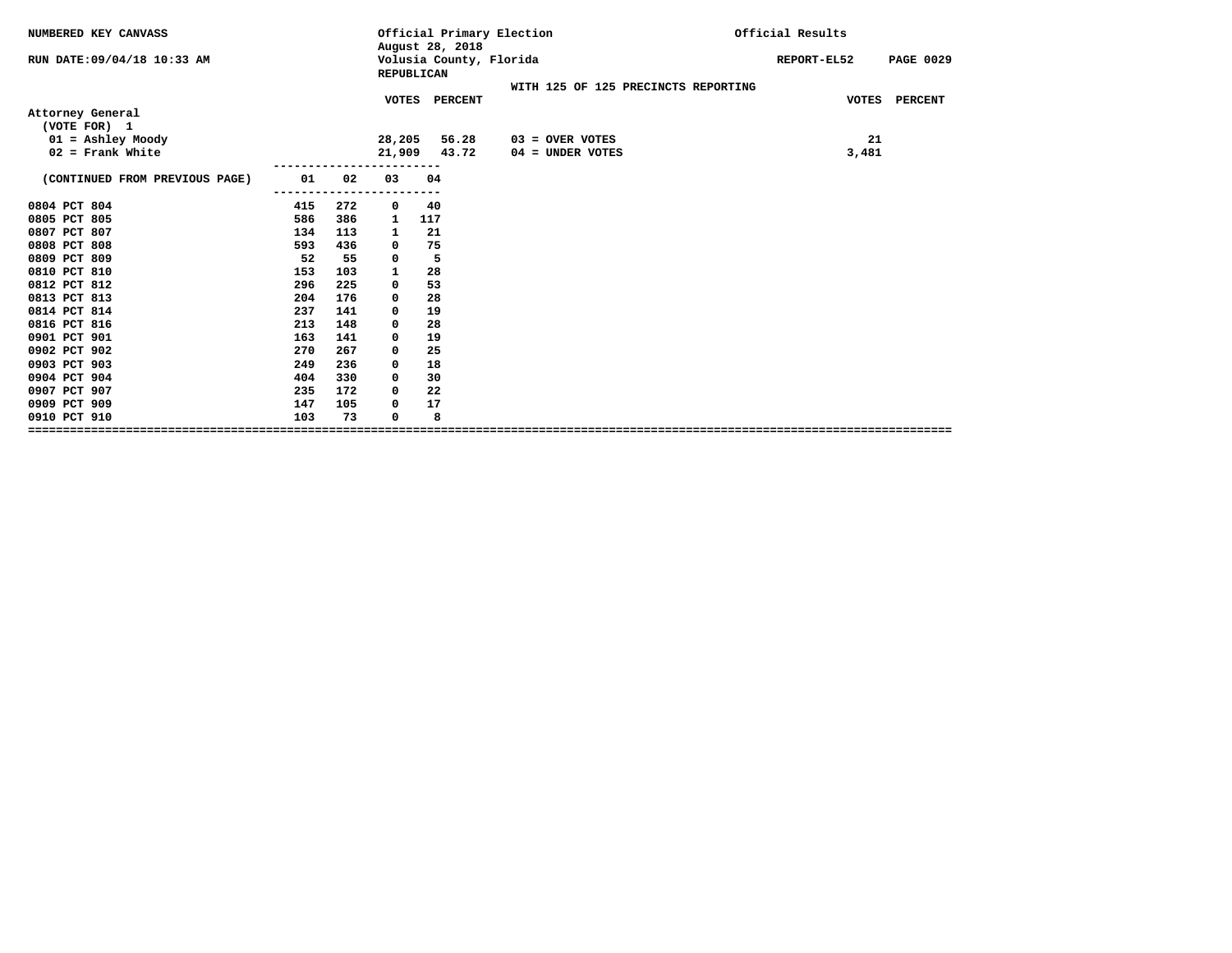| NUMBERED KEY CANVASS           |     |     |              | Official Primary Election<br>August 28, 2018 |                                     | Official Results |                         |
|--------------------------------|-----|-----|--------------|----------------------------------------------|-------------------------------------|------------------|-------------------------|
| RUN DATE:09/04/18 10:33 AM     |     |     | REPUBLICAN   | Volusia County, Florida                      |                                     | REPORT-EL52      | <b>PAGE 0029</b>        |
|                                |     |     |              |                                              | WITH 125 OF 125 PRECINCTS REPORTING |                  |                         |
|                                |     |     |              | VOTES PERCENT                                |                                     |                  | <b>VOTES</b><br>PERCENT |
| Attorney General               |     |     |              |                                              |                                     |                  |                         |
| (VOTE FOR) 1                   |     |     |              |                                              |                                     |                  |                         |
| $01 =$ Ashley Moody            |     |     | 28,205       | 56.28                                        | $03 =$ OVER VOTES                   |                  | 21                      |
| $02$ = Frank White             |     |     | 21,909       | 43.72                                        | 04 = UNDER VOTES                    |                  | 3,481                   |
| (CONTINUED FROM PREVIOUS PAGE) | 01  | 02  | 03           | 04                                           |                                     |                  |                         |
|                                |     |     |              |                                              |                                     |                  |                         |
| 0804 PCT 804                   | 415 | 272 | 0            | 40                                           |                                     |                  |                         |
| 0805 PCT 805                   | 586 | 386 | 1            | 117                                          |                                     |                  |                         |
| 0807 PCT 807                   | 134 | 113 | 1            | 21                                           |                                     |                  |                         |
| 0808 PCT 808                   | 593 | 436 | 0            | 75                                           |                                     |                  |                         |
| 0809 PCT 809                   | 52  | 55  | 0            | 5                                            |                                     |                  |                         |
| 0810 PCT 810                   | 153 | 103 | $\mathbf{1}$ | 28                                           |                                     |                  |                         |
| 0812 PCT 812                   | 296 | 225 | 0            | 53                                           |                                     |                  |                         |
| 0813 PCT 813                   | 204 | 176 | 0            | 28                                           |                                     |                  |                         |
| 0814 PCT 814                   | 237 | 141 | 0            | 19                                           |                                     |                  |                         |
| 0816 PCT 816                   | 213 | 148 | 0            | 28                                           |                                     |                  |                         |
| 0901 PCT 901                   | 163 | 141 | 0            | 19                                           |                                     |                  |                         |
| 0902 PCT 902                   | 270 | 267 | 0            | 25                                           |                                     |                  |                         |
| 0903 PCT 903                   | 249 | 236 | 0            | 18                                           |                                     |                  |                         |
| 0904 PCT 904                   | 404 | 330 | 0            | 30                                           |                                     |                  |                         |
| 0907 PCT 907                   | 235 | 172 | 0            | 22                                           |                                     |                  |                         |
| 0909 PCT 909                   | 147 | 105 | 0            | 17                                           |                                     |                  |                         |
| 0910 PCT 910                   | 103 | 73  | 0            | 8                                            |                                     |                  |                         |
|                                |     |     |              |                                              |                                     |                  |                         |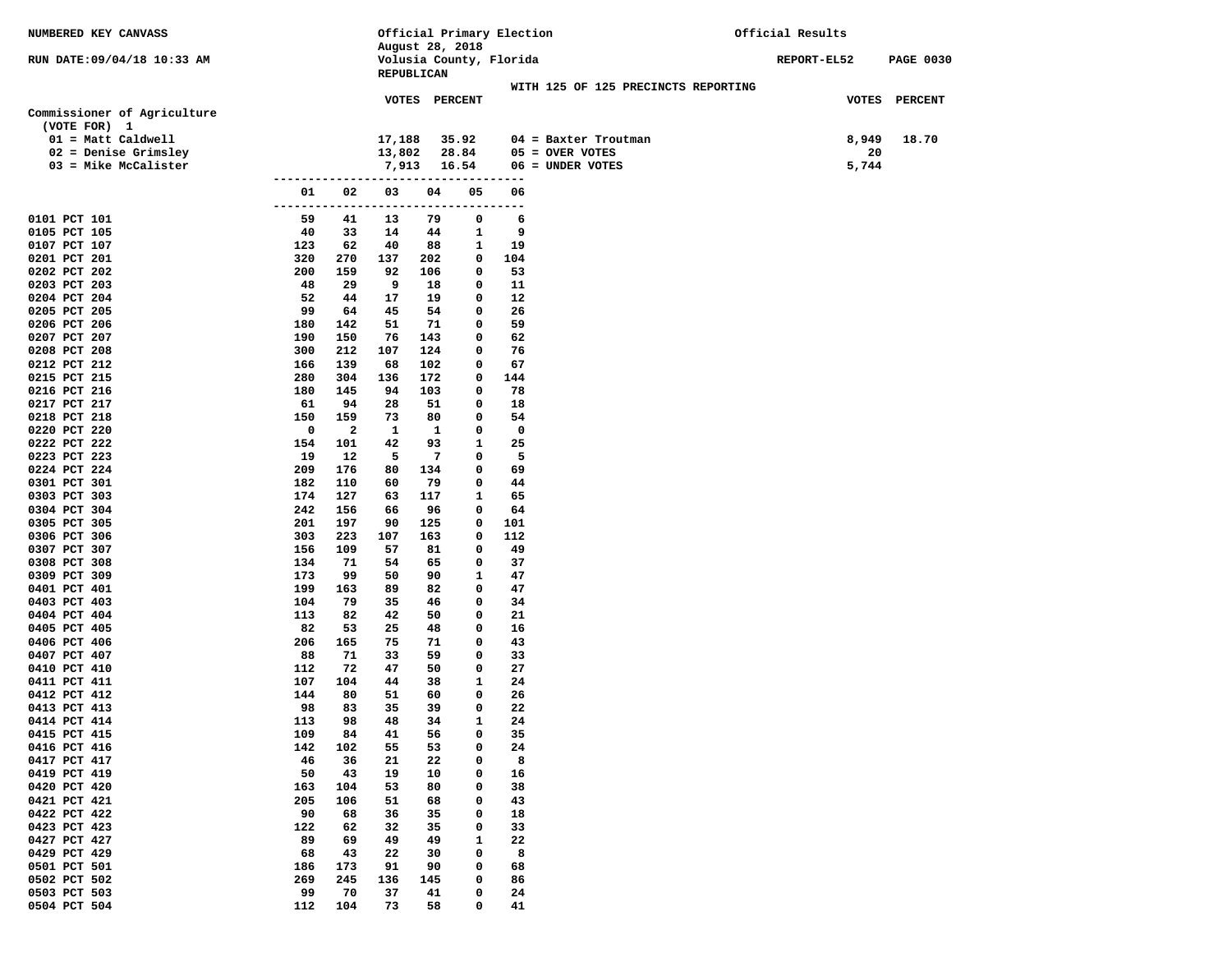| NUMBERED KEY CANVASS                 |                |                         |                          |                 |                | Official Primary Election |                                     | Official Results |       |                  |
|--------------------------------------|----------------|-------------------------|--------------------------|-----------------|----------------|---------------------------|-------------------------------------|------------------|-------|------------------|
| RUN DATE: 09/04/18 10:33 AM          |                |                         |                          | August 28, 2018 |                | Volusia County, Florida   |                                     | REPORT-EL52      |       | <b>PAGE 0030</b> |
|                                      |                |                         |                          | REPUBLICAN      |                |                           | WITH 125 OF 125 PRECINCTS REPORTING |                  |       |                  |
|                                      |                |                         |                          | VOTES PERCENT   |                |                           |                                     |                  |       | VOTES PERCENT    |
| Commissioner of Agriculture          |                |                         |                          |                 |                |                           |                                     |                  |       |                  |
| (VOTE FOR) 1<br>$01 = Matt$ Caldwell |                |                         | 17,188                   |                 | 35.92          |                           | $04$ = Baxter Troutman              |                  | 8,949 | 18.70            |
| $02$ = Denise Grimsley               |                |                         | 13,802                   |                 | 28.84          |                           | $05 =$ OVER VOTES                   |                  | 20    |                  |
| $03$ = Mike McCalister               |                |                         | 7,913                    |                 | 16.54          |                           | 06 = UNDER VOTES                    |                  | 5,744 |                  |
|                                      | ---------      |                         |                          |                 | -------------- |                           |                                     |                  |       |                  |
|                                      | 01<br>-------- | 02                      | 03<br>------------------ | 04              | 05             | 06<br>---------           |                                     |                  |       |                  |
| 0101 PCT 101                         | 59             | 41                      | 13                       | 79              | 0              | 6                         |                                     |                  |       |                  |
| 0105 PCT 105                         | 40             | 33                      | 14                       | 44              | $\mathbf{1}$   | 9                         |                                     |                  |       |                  |
| 0107 PCT 107<br>0201 PCT 201         | 123<br>320     | 62<br>270               | 40<br>137                | 88<br>202       | 1<br>0         | 19<br>104                 |                                     |                  |       |                  |
| 0202 PCT 202                         | 200            | 159                     | 92                       | 106             | 0              | 53                        |                                     |                  |       |                  |
| 0203 PCT 203                         | 48             | 29                      | 9                        | 18              | 0              | 11                        |                                     |                  |       |                  |
| 0204 PCT 204                         | 52             | 44                      | 17                       | 19              | 0              | 12                        |                                     |                  |       |                  |
| 0205 PCT 205                         | 99             | 64                      | 45                       | 54              | 0              | 26                        |                                     |                  |       |                  |
| 0206 PCT 206                         | 180            | 142                     | 51                       | 71              | 0              | 59                        |                                     |                  |       |                  |
| 0207 PCT 207<br>0208 PCT 208         | 190<br>300     | 150<br>212              | 76<br>107                | 143<br>124      | 0<br>0         | 62<br>76                  |                                     |                  |       |                  |
| 0212 PCT 212                         | 166            | 139                     | 68                       | 102             | 0              | 67                        |                                     |                  |       |                  |
| 0215 PCT 215                         | 280            | 304                     | 136                      | 172             | 0              | 144                       |                                     |                  |       |                  |
| 0216 PCT 216                         | 180            | 145                     | 94                       | 103             | 0              | 78                        |                                     |                  |       |                  |
| 0217 PCT 217                         | 61             | 94                      | 28                       | 51              | 0              | 18                        |                                     |                  |       |                  |
| 0218 PCT 218                         | 150            | 159                     | 73                       | 80              | 0              | 54                        |                                     |                  |       |                  |
| 0220 PCT 220                         | 0              | $\overline{\mathbf{2}}$ | 1                        | 1               | 0              | 0                         |                                     |                  |       |                  |
| 0222 PCT 222<br>0223 PCT 223         | 154<br>19      | 101<br>12               | 42<br>5                  | 93<br>7         | 1<br>0         | 25<br>5                   |                                     |                  |       |                  |
| 0224 PCT 224                         | 209            | 176                     | 80                       | 134             | 0              | 69                        |                                     |                  |       |                  |
| 0301 PCT 301                         | 182            | 110                     | 60                       | 79              | 0              | 44                        |                                     |                  |       |                  |
| 0303 PCT 303                         | 174            | 127                     | 63                       | 117             | 1              | 65                        |                                     |                  |       |                  |
| 0304 PCT 304                         | 242            | 156                     | 66                       | 96              | 0              | 64                        |                                     |                  |       |                  |
| 0305 PCT 305                         | 201            | 197                     | 90                       | 125             | 0              | 101                       |                                     |                  |       |                  |
| 0306 PCT 306<br>0307 PCT 307         | 303<br>156     | 223<br>109              | 107<br>57                | 163<br>81       | 0<br>0         | 112<br>49                 |                                     |                  |       |                  |
| 0308 PCT 308                         | 134            | 71                      | 54                       | 65              | 0              | 37                        |                                     |                  |       |                  |
| 0309 PCT 309                         | 173            | 99                      | 50                       | 90              | 1              | 47                        |                                     |                  |       |                  |
| 0401 PCT 401                         | 199            | 163                     | 89                       | 82              | 0              | 47                        |                                     |                  |       |                  |
| 0403 PCT 403                         | 104            | 79                      | 35                       | 46              | 0              | 34                        |                                     |                  |       |                  |
| 0404 PCT 404                         | 113            | 82                      | 42                       | 50              | 0              | 21                        |                                     |                  |       |                  |
| 0405 PCT 405<br>0406 PCT 406         | 82<br>206      | 53<br>165               | 25<br>75                 | 48<br>71        | 0<br>0         | 16<br>43                  |                                     |                  |       |                  |
| 0407 PCT 407                         | 88             | 71                      | 33                       | 59              | 0              | 33                        |                                     |                  |       |                  |
| 0410 PCT 410                         | 112            | 72                      | 47                       | 50              | 0              | 27                        |                                     |                  |       |                  |
| 0411 PCT 411                         | 107            | 104                     | 44                       | 38              | 1              | 24                        |                                     |                  |       |                  |
| 0412 PCT 412                         | 144            | 80                      | 51                       | 60              | 0              | 26                        |                                     |                  |       |                  |
| 0413 PCT 413                         | 98             | 83                      | 35                       | 39              | 0              | 22                        |                                     |                  |       |                  |
| 0414 PCT 414                         | 113            | 98                      | 48                       | 34              | $\mathbf{1}$   | 24                        |                                     |                  |       |                  |
| 0415 PCT 415<br>0416 PCT 416         | 109<br>142     | 84<br>102               | 41<br>55                 | 56<br>53        | 0<br>0         | 35<br>24                  |                                     |                  |       |                  |
| 0417 PCT 417                         | 46             | 36                      | 21                       | 22              | 0              | 8                         |                                     |                  |       |                  |
| 0419 PCT 419                         | 50             | 43                      | 19                       | 10              | 0              | 16                        |                                     |                  |       |                  |
| 0420 PCT 420                         | 163            | 104                     | 53                       | 80              | 0              | 38                        |                                     |                  |       |                  |
| 0421 PCT 421                         | 205            | 106                     | 51                       | 68              | 0              | 43                        |                                     |                  |       |                  |
| 0422 PCT 422                         | 90             | 68                      | 36                       | 35              | 0              | 18                        |                                     |                  |       |                  |
| 0423 PCT 423<br>0427 PCT 427         | 122<br>89      | 62<br>69                | 32<br>49                 | 35<br>49        | 0<br>1         | 33<br>22                  |                                     |                  |       |                  |
| 0429 PCT 429                         | 68             | 43                      | 22                       | 30              | 0              | 8                         |                                     |                  |       |                  |
| 0501 PCT 501                         | 186            | 173                     | 91                       | 90              | 0              | 68                        |                                     |                  |       |                  |
| 0502 PCT 502                         | 269            | 245                     | 136                      | 145             | 0              | 86                        |                                     |                  |       |                  |
| 0503 PCT 503                         | 99             | 70                      | 37                       | 41              | 0              | 24                        |                                     |                  |       |                  |
| 0504 PCT 504                         | 112            | 104                     | 73                       | 58              | 0              | 41                        |                                     |                  |       |                  |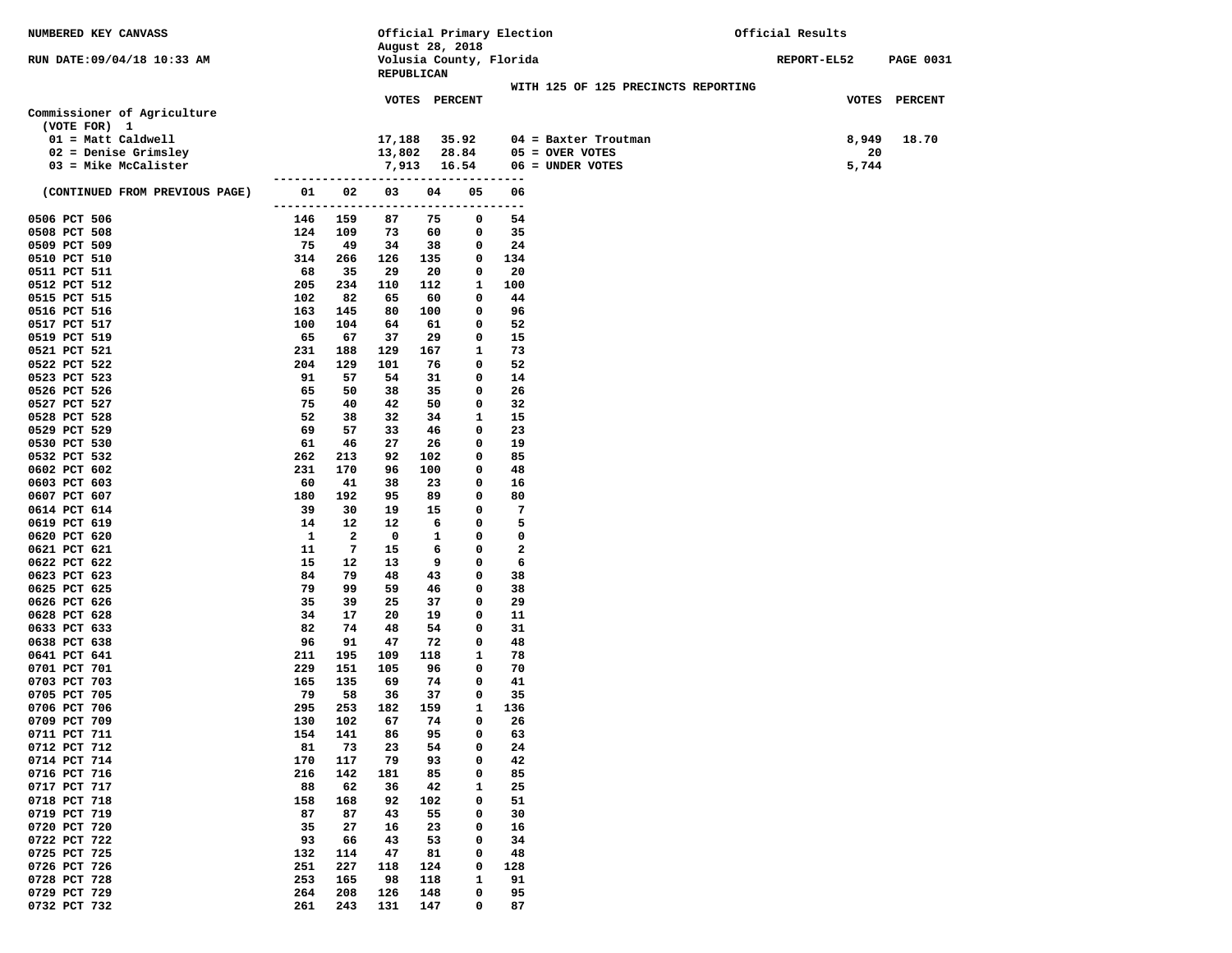| NUMBERED KEY CANVASS           |                             |                         |           |                 |                  | Official Primary Election |                                     | Official Results   |                  |
|--------------------------------|-----------------------------|-------------------------|-----------|-----------------|------------------|---------------------------|-------------------------------------|--------------------|------------------|
|                                |                             |                         |           | August 28, 2018 |                  |                           |                                     |                    |                  |
| RUN DATE: 09/04/18 10:33 AM    |                             |                         |           | REPUBLICAN      |                  | Volusia County, Florida   |                                     | <b>REPORT-EL52</b> | <b>PAGE 0031</b> |
|                                |                             |                         |           |                 |                  |                           | WITH 125 OF 125 PRECINCTS REPORTING |                    |                  |
|                                |                             |                         |           | VOTES PERCENT   |                  |                           |                                     |                    | VOTES PERCENT    |
| Commissioner of Agriculture    |                             |                         |           |                 |                  |                           |                                     |                    |                  |
| (VOTE FOR) 1                   |                             |                         |           |                 |                  |                           |                                     |                    |                  |
| $01 = Matt$ Caldwell           |                             |                         | 17,188    |                 | 35.92            |                           | 04 = Baxter Troutman                | 8,949              | 18.70            |
| 02 = Denise Grimsley           |                             |                         | 13,802    |                 | 28.84            |                           | $05 =$ OVER VOTES                   | 20                 |                  |
| 03 = Mike McCalister           |                             |                         | 7,913     |                 | 16.54            |                           | 06 = UNDER VOTES                    | 5,744              |                  |
| (CONTINUED FROM PREVIOUS PAGE) | 01                          | 02                      | 03        | 04              | 05               | 06                        |                                     |                    |                  |
|                                | --------------------------- |                         |           |                 |                  | ---------                 |                                     |                    |                  |
| 0506 PCT 506                   | 146                         | 159                     | 87        | 75              | 0                | 54                        |                                     |                    |                  |
| 0508 PCT 508                   | 124                         | 109                     | 73        | 60              | 0                | 35                        |                                     |                    |                  |
| 0509 PCT 509                   | 75                          | 49                      | 34        | 38              | 0                | 24                        |                                     |                    |                  |
| 0510 PCT 510                   | 314                         | 266                     | 126       | 135             | 0                | 134                       |                                     |                    |                  |
| 0511 PCT 511                   | 68                          | 35                      | 29        | 20              | 0                | 20                        |                                     |                    |                  |
| 0512 PCT 512                   | 205<br>102                  | 234<br>82               | 110       | 112             | 1<br>0           | 100<br>44                 |                                     |                    |                  |
| 0515 PCT 515<br>0516 PCT 516   | 163                         | 145                     | 65<br>80  | 60<br>100       | 0                | 96                        |                                     |                    |                  |
| 0517 PCT 517                   | 100                         | 104                     | 64        | 61              | 0                | 52                        |                                     |                    |                  |
| 0519 PCT 519                   | 65                          | 67                      | 37        | 29              | 0                | 15                        |                                     |                    |                  |
| 0521 PCT 521                   | 231                         | 188                     | 129       | 167             | 1                | 73                        |                                     |                    |                  |
| 0522 PCT 522                   | 204                         | 129                     | 101       | 76              | 0                | 52                        |                                     |                    |                  |
| 0523 PCT 523                   | 91                          | 57                      | 54        | 31              | 0                | 14                        |                                     |                    |                  |
| 0526 PCT 526                   | 65                          | 50                      | 38        | 35              | 0                | 26                        |                                     |                    |                  |
| 0527 PCT 527                   | 75                          | 40                      | 42        | 50              | 0                | 32                        |                                     |                    |                  |
| 0528 PCT 528                   | 52                          | 38                      | 32        | 34              | 1                | 15                        |                                     |                    |                  |
| 0529 PCT 529                   | 69                          | 57                      | 33        | 46              | 0                | 23                        |                                     |                    |                  |
| 0530 PCT 530<br>0532 PCT 532   | 61<br>262                   | 46<br>213               | 27<br>92  | 26<br>102       | 0<br>0           | 19<br>85                  |                                     |                    |                  |
| 0602 PCT 602                   | 231                         | 170                     | 96        | 100             | 0                | 48                        |                                     |                    |                  |
| 0603 PCT 603                   | 60                          | 41                      | 38        | 23              | 0                | 16                        |                                     |                    |                  |
| 0607 PCT 607                   | 180                         | 192                     | 95        | 89              | 0                | 80                        |                                     |                    |                  |
| 0614 PCT 614                   | 39                          | 30                      | 19        | 15              | 0                | 7                         |                                     |                    |                  |
| 0619 PCT 619                   | 14                          | 12                      | 12        | 6               | 0                | 5                         |                                     |                    |                  |
| 0620 PCT 620                   | $\mathbf{1}$                | $\overline{\mathbf{2}}$ | 0         | $\mathbf{1}$    | 0                | 0                         |                                     |                    |                  |
| 0621 PCT 621                   | 11                          | 7                       | 15        | 6               | 0                | 2                         |                                     |                    |                  |
| 0622 PCT 622                   | 15                          | 12                      | 13        | 9               | 0                | 6                         |                                     |                    |                  |
| 0623 PCT 623                   | 84                          | 79                      | 48        | 43              | 0                | 38                        |                                     |                    |                  |
| 0625 PCT 625<br>0626 PCT 626   | 79<br>35                    | 99<br>39                | 59<br>25  | 46<br>37        | 0<br>0           | 38<br>29                  |                                     |                    |                  |
| 0628 PCT 628                   | 34                          | 17                      | 20        | 19              | 0                | 11                        |                                     |                    |                  |
| 0633 PCT 633                   | 82                          | 74                      | 48        | 54              | 0                | 31                        |                                     |                    |                  |
| 0638 PCT 638                   | 96                          | 91                      | 47        | 72              | 0                | 48                        |                                     |                    |                  |
| 0641 PCT 641                   | 211                         | 195                     | 109       | 118             | 1                | 78                        |                                     |                    |                  |
| 0701 PCT 701                   | 229                         | 151                     | 105       | 96              | 0                | 70                        |                                     |                    |                  |
| 0703 PCT 703                   | 165                         | 135                     | 69        | 74              | 0                | 41                        |                                     |                    |                  |
| 0705 PCT 705                   | 79                          | 58                      | 36        | 37              | 0                | 35                        |                                     |                    |                  |
| 0706 PCT 706                   | 295                         | 253                     | 182       | 159             | 1                | 136                       |                                     |                    |                  |
| 0709 PCT 709<br>0711 PCT 711   | 130                         | 102<br>141              | 67        | 74<br>95        | $\mathbf 0$<br>0 | 26<br>63                  |                                     |                    |                  |
| 0712 PCT 712                   | 154<br>81                   | 73                      | 86<br>23  | 54              | 0                | 24                        |                                     |                    |                  |
| 0714 PCT 714                   | 170                         | 117                     | 79        | 93              | 0                | 42                        |                                     |                    |                  |
| 0716 PCT 716                   | 216                         | 142                     | 181       | 85              | 0                | 85                        |                                     |                    |                  |
| 0717 PCT 717                   | 88                          | 62                      | 36        | 42              | 1                | 25                        |                                     |                    |                  |
| 0718 PCT 718                   | 158                         | 168                     | 92        | 102             | 0                | 51                        |                                     |                    |                  |
| 0719 PCT 719                   | 87                          | 87                      | 43        | 55              | 0                | 30                        |                                     |                    |                  |
| 0720 PCT 720                   | 35                          | 27                      | 16        | 23              | 0                | 16                        |                                     |                    |                  |
| 0722 PCT 722                   | 93                          | 66                      | 43        | 53              | 0                | 34                        |                                     |                    |                  |
| 0725 PCT 725                   | 132                         | 114                     | 47        | 81              | 0                | 48                        |                                     |                    |                  |
| 0726 PCT 726<br>0728 PCT 728   | 251<br>253                  | 227<br>165              | 118<br>98 | 124<br>118      | 0<br>1           | 128<br>91                 |                                     |                    |                  |
| 0729 PCT 729                   | 264                         | 208                     | 126       | 148             | 0                | 95                        |                                     |                    |                  |
| 0732 PCT 732                   | 261                         | 243                     | 131       | 147             | 0                | 87                        |                                     |                    |                  |
|                                |                             |                         |           |                 |                  |                           |                                     |                    |                  |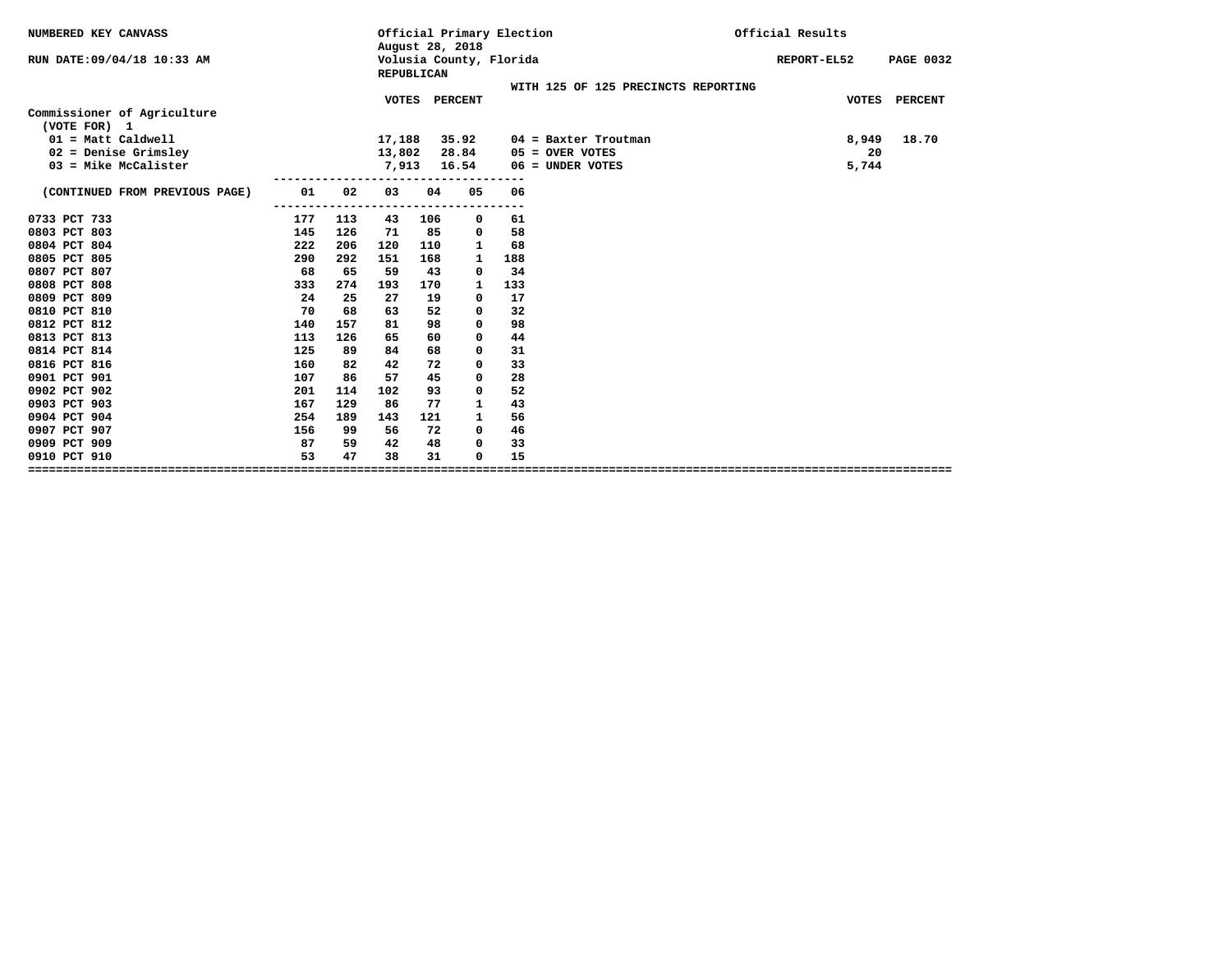| NUMBERED KEY CANVASS           |     |     |              | August 28, 2018   | Official Primary Election |     |                                     | Official Results                |
|--------------------------------|-----|-----|--------------|-------------------|---------------------------|-----|-------------------------------------|---------------------------------|
| RUN DATE: 09/04/18 10:33 AM    |     |     |              | <b>REPUBLICAN</b> | Volusia County, Florida   |     |                                     | REPORT-EL52<br><b>PAGE 0032</b> |
|                                |     |     |              |                   |                           |     | WITH 125 OF 125 PRECINCTS REPORTING |                                 |
|                                |     |     | <b>VOTES</b> |                   | <b>PERCENT</b>            |     |                                     | <b>VOTES</b><br><b>PERCENT</b>  |
| Commissioner of Agriculture    |     |     |              |                   |                           |     |                                     |                                 |
| (VOTE FOR) 1                   |     |     |              |                   |                           |     |                                     |                                 |
| $01 = Matt$ Caldwell           |     |     | 17,188       |                   | 35.92                     |     | $04$ = Baxter Troutman              | 18.70<br>8,949                  |
| $02$ = Denise Grimsley         |     |     | 13,802       |                   | 28.84                     |     | $05 =$ OVER VOTES                   | 20                              |
| $03$ = Mike McCalister         |     |     | 7,913        |                   | 16.54                     |     | $06 = UNDER VOTES$                  | 5,744                           |
|                                |     |     |              |                   | ----------------          |     |                                     |                                 |
| (CONTINUED FROM PREVIOUS PAGE) | 01  | 02  | 03           | 04                | 05                        | 06  |                                     |                                 |
|                                |     |     |              |                   |                           | --- |                                     |                                 |
| 0733 PCT 733                   | 177 | 113 | 43           | 106               | 0                         | 61  |                                     |                                 |
| 0803 PCT 803                   | 145 | 126 | 71           | 85                | 0                         | 58  |                                     |                                 |
| 0804 PCT 804                   | 222 | 206 | 120          | 110               | $\mathbf{1}$              | 68  |                                     |                                 |
| 0805 PCT 805                   | 290 | 292 | 151          | 168               | $\mathbf{1}$              | 188 |                                     |                                 |
| 0807 PCT 807                   | 68  | 65  | 59           | 43                | 0                         | 34  |                                     |                                 |
| 0808 PCT 808                   | 333 | 274 | 193          | 170               | 1                         | 133 |                                     |                                 |
| 0809 PCT 809                   | 24  | 25  | 27           | 19                | 0                         | 17  |                                     |                                 |
| 0810 PCT 810                   | 70  | 68  | 63           | 52                | 0                         | 32  |                                     |                                 |
| 0812 PCT 812                   | 140 | 157 | 81           | 98                | 0                         | 98  |                                     |                                 |
| 0813 PCT 813                   | 113 | 126 | 65           | 60                | 0                         | 44  |                                     |                                 |
| 0814 PCT 814                   | 125 | 89  | 84           | 68                | 0                         | 31  |                                     |                                 |
| 0816 PCT 816                   | 160 | 82  | 42           | 72                | 0                         | 33  |                                     |                                 |
| 0901 PCT 901                   | 107 | 86  | 57           | 45                | 0                         | 28  |                                     |                                 |
| 0902 PCT 902                   | 201 | 114 | 102          | 93                | 0                         | 52  |                                     |                                 |
| 0903 PCT 903                   | 167 | 129 | 86           | 77                | $\mathbf{1}$              | 43  |                                     |                                 |
| 0904 PCT 904                   | 254 | 189 | 143          | 121               | $\mathbf{1}$              | 56  |                                     |                                 |
| 0907 PCT 907                   | 156 | 99  | 56           | 72                | 0                         | 46  |                                     |                                 |
| 0909 PCT 909                   | 87  | 59  | 42           | 48                | 0                         | 33  |                                     |                                 |
| 0910 PCT 910                   | 53  | 47  | 38           | 31                | 0                         | 15  |                                     |                                 |
|                                |     |     |              |                   |                           |     |                                     |                                 |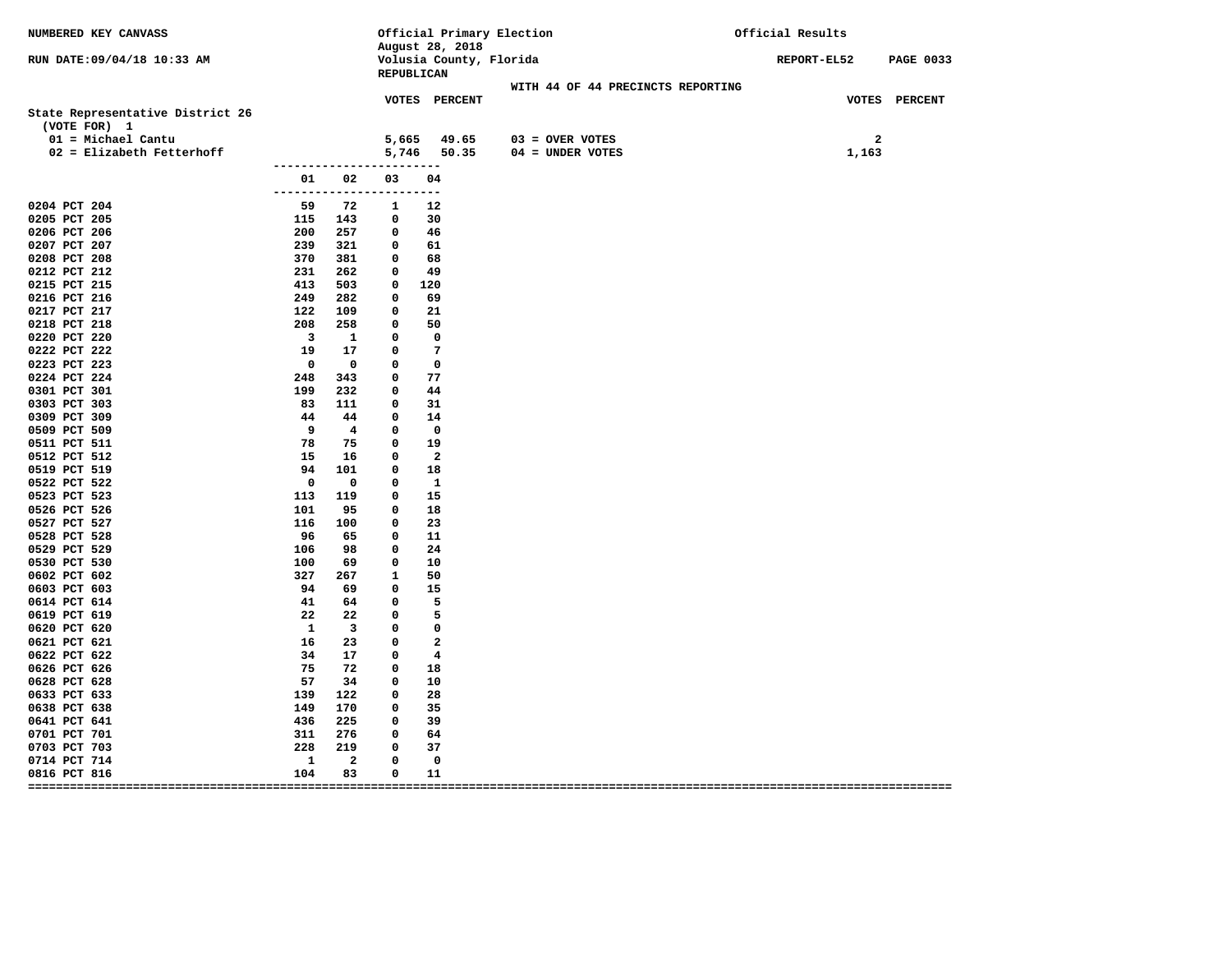| NUMBERED KEY CANVASS                              |                                 |                          |                          | August 28, 2018            | Official Primary Election |                                       | Official Results      |                  |
|---------------------------------------------------|---------------------------------|--------------------------|--------------------------|----------------------------|---------------------------|---------------------------------------|-----------------------|------------------|
| RUN DATE: 09/04/18 10:33 AM                       |                                 |                          | REPUBLICAN               |                            | Volusia County, Florida   |                                       | <b>REPORT-EL52</b>    | <b>PAGE 0033</b> |
|                                                   |                                 |                          |                          |                            |                           | WITH 44 OF 44 PRECINCTS REPORTING     |                       |                  |
| State Representative District 26<br>(VOTE FOR) 1  |                                 |                          |                          | <b>VOTES PERCENT</b>       |                           |                                       |                       | VOTES PERCENT    |
| 01 = Michael Cantu<br>$02$ = Elizabeth Fetterhoff |                                 |                          |                          | 5,665 49.65<br>5,746 50.35 |                           | $03 =$ OVER VOTES<br>04 = UNDER VOTES | $\mathbf{2}$<br>1,163 |                  |
|                                                   | ------------------------        |                          |                          |                            |                           |                                       |                       |                  |
|                                                   | 01                              | 02                       | 03                       | 04                         |                           |                                       |                       |                  |
| 0204 PCT 204                                      | -------------------------<br>59 | 72                       | $\mathbf{1}$             | 12                         |                           |                                       |                       |                  |
| 0205 PCT 205                                      | 115 143                         |                          | $\mathbf 0$              | 30                         |                           |                                       |                       |                  |
| 0206 PCT 206                                      | 200 257                         |                          | $\overline{\mathbf{0}}$  | 46                         |                           |                                       |                       |                  |
| 0207 PCT 207                                      |                                 |                          | $\mathbf 0$              | 61                         |                           |                                       |                       |                  |
| 0208 PCT 208                                      | 239 321<br>370 381              |                          | $\mathbf 0$              | 68                         |                           |                                       |                       |                  |
| 0212 PCT 212                                      | 231                             | 262                      | $\mathbf 0$              | - 49                       |                           |                                       |                       |                  |
| 0215 PCT 215                                      | 413                             | 503                      |                          | $0\quad 120$               |                           |                                       |                       |                  |
| 0216 PCT 216                                      | 249                             | 282                      | $\mathbf 0$              | 69                         |                           |                                       |                       |                  |
| 0217 PCT 217                                      | 122                             | 109                      | $\mathbf 0$              | -21                        |                           |                                       |                       |                  |
| 0218 PCT 218                                      | 208                             | 258                      | $\mathbf 0$              | 50                         |                           |                                       |                       |                  |
| 0220 PCT 220                                      | $\overline{\mathbf{3}}$         | $\mathbf{1}$             | $\mathbf 0$              | $\mathbf 0$                |                           |                                       |                       |                  |
| 0222 PCT 222                                      | 19                              | 17                       | $\overline{\phantom{0}}$ | $\overline{7}$             |                           |                                       |                       |                  |
| 0223 PCT 223                                      | $\overline{\phantom{0}}$        | $\overline{\phantom{0}}$ | 0                        | $\overline{\phantom{0}}$   |                           |                                       |                       |                  |
| 0224 PCT 224                                      | 248                             | 343                      | $\mathbf 0$              | 77                         |                           |                                       |                       |                  |
| 0301 PCT 301                                      | 199                             | 232                      | $\mathbf 0$              | 44                         |                           |                                       |                       |                  |
| 0303 PCT 303                                      | 83                              | 111                      | $\mathbf 0$              | 31                         |                           |                                       |                       |                  |
| 0309 PCT 309                                      | 44                              | 44                       | $\mathbf 0$              | 14                         |                           |                                       |                       |                  |
| 0509 PCT 509                                      |                                 | 9 4                      | $\overline{\phantom{0}}$ | $\overline{\phantom{0}}$   |                           |                                       |                       |                  |
| 0511 PCT 511                                      | 78                              | 75                       | $\mathbf 0$              | 19                         |                           |                                       |                       |                  |
| 0512 PCT 512                                      | 15                              | 16                       | $\mathbf 0$              | $\overline{\phantom{a}}$   |                           |                                       |                       |                  |
| 0519 PCT 519                                      | 94                              | 101                      | $\mathbf 0$              | 18                         |                           |                                       |                       |                  |
| 0522 PCT 522                                      | $\overline{\phantom{0}}$        | $\overline{\mathbf{0}}$  | $\mathbf 0$              | $\mathbf{1}$               |                           |                                       |                       |                  |
| 0523 PCT 523                                      | 113                             | 119                      | $\mathbf 0$              | 15                         |                           |                                       |                       |                  |
| 0526 PCT 526                                      | 101                             | 95                       | $\mathbf 0$              | 18                         |                           |                                       |                       |                  |
| 0527 PCT 527                                      | 116                             | 100                      | $\mathbf 0$              | 23                         |                           |                                       |                       |                  |
| 0528 PCT 528                                      | 96                              | 65                       | $\mathbf 0$              | 11                         |                           |                                       |                       |                  |
| 0529 PCT 529                                      | 106                             | 98                       | 0                        | 24                         |                           |                                       |                       |                  |
| 0530 PCT 530                                      | 100                             | 69                       | $\mathbf 0$              | 10                         |                           |                                       |                       |                  |
| 0602 PCT 602                                      |                                 | 327 267                  | $\mathbf{1}$             | 50                         |                           |                                       |                       |                  |
| 0603 PCT 603                                      | 94                              | 69 69                    | $\mathbf 0$              | 15                         |                           |                                       |                       |                  |
| 0614 PCT 614                                      | 41 64                           |                          | $\overline{\phantom{0}}$ | $\overline{\phantom{0}}$   |                           |                                       |                       |                  |
| 0619 PCT 619                                      | 22                              |                          | 22 0                     | $\overline{\phantom{0}}$   |                           |                                       |                       |                  |
| 0620 PCT 620                                      |                                 | $1 \quad 3$              | $\mathbf 0$              | $\overline{\phantom{0}}$   |                           |                                       |                       |                  |
| 0621 PCT 621                                      | 16                              | 23                       | $\mathbf 0$              | $\overline{\phantom{a}}$   |                           |                                       |                       |                  |
| 0622 PCT 622                                      | 34                              | 17                       | $\mathbf 0$              | $\overline{4}$             |                           |                                       |                       |                  |
| 0626 PCT 626                                      | 75                              | 72                       | $\mathbf 0$              | 18                         |                           |                                       |                       |                  |
| 0628 PCT 628                                      | 57                              | 34                       | $\mathbf 0$              | 10                         |                           |                                       |                       |                  |
| 0633 PCT 633                                      | 139                             | 122                      | $\mathbf 0$              | 28                         |                           |                                       |                       |                  |
| 0638 PCT 638                                      | 149                             | 170                      | 0                        | 35                         |                           |                                       |                       |                  |
| 0641 PCT 641                                      | 436                             | 225                      | $\mathbf 0$              | 39                         |                           |                                       |                       |                  |
| 0701 PCT 701                                      | 311                             | 276                      | $\mathbf 0$              | 64                         |                           |                                       |                       |                  |
| 0703 PCT 703                                      | 228                             | 219                      | $\mathbf 0$              | 37                         |                           |                                       |                       |                  |
| 0714 PCT 714                                      | -1                              | $\overline{a}$           | 0                        | 0                          |                           |                                       |                       |                  |
| 0816 PCT 816                                      | 104                             | 83                       | $\mathbf 0$              | 11                         |                           |                                       |                       |                  |
|                                                   |                                 |                          |                          |                            |                           |                                       |                       |                  |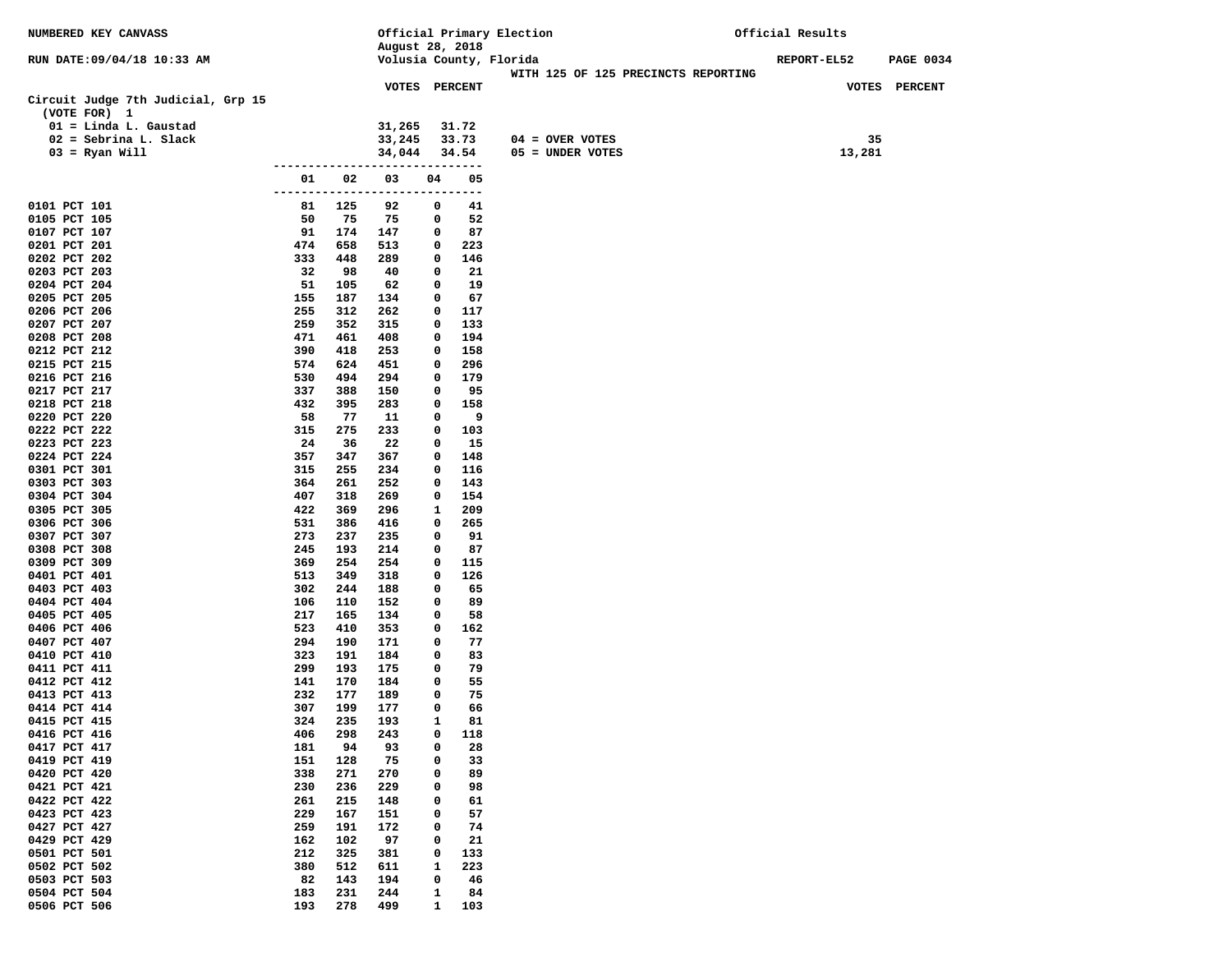| NUMBERED KEY CANVASS                               |               |            |                                 |              |            | Official Primary Election           | Official Results |                  |
|----------------------------------------------------|---------------|------------|---------------------------------|--------------|------------|-------------------------------------|------------------|------------------|
|                                                    |               |            | August 28, 2018                 |              |            |                                     |                  |                  |
| RUN DATE: 09/04/18 10:33 AM                        |               |            |                                 |              |            | Volusia County, Florida             | REPORT-EL52      | <b>PAGE 0034</b> |
|                                                    |               |            | VOTES PERCENT                   |              |            | WITH 125 OF 125 PRECINCTS REPORTING |                  | VOTES PERCENT    |
| Circuit Judge 7th Judicial, Grp 15<br>(VOTE FOR) 1 |               |            |                                 |              |            |                                     |                  |                  |
| $01 =$ Linda L. Gaustad                            |               |            | 31,265                          |              | 31.72      |                                     |                  |                  |
| $02 =$ Sebrina L. Slack                            |               |            | 33,245                          |              | 33.73      | $04 =$ OVER VOTES                   | 35               |                  |
| $03 =$ Ryan Will                                   |               |            | 34,044                          |              | 34.54      | 05 = UNDER VOTES                    | 13,281           |                  |
|                                                    |               |            | ------------------------------- |              |            |                                     |                  |                  |
|                                                    | 01            | 02         | 03                              | 04           | 05         |                                     |                  |                  |
| 0101 PCT 101                                       | -------<br>81 | 125        | ----------------<br>92          | 0            | ----<br>41 |                                     |                  |                  |
| 0105 PCT 105                                       | 50            | 75         | 75                              | 0            | 52         |                                     |                  |                  |
| 0107 PCT 107                                       | 91            | 174        | 147                             | 0            | 87         |                                     |                  |                  |
| 0201 PCT 201                                       | 474           | 658        | 513                             | 0            | 223        |                                     |                  |                  |
| 0202 PCT 202                                       | 333           | 448        | 289                             | 0            | 146        |                                     |                  |                  |
| 0203 PCT 203                                       | 32            | 98         | 40                              | 0            | 21         |                                     |                  |                  |
| 0204 PCT 204                                       | 51            | 105        | 62                              | 0            | 19         |                                     |                  |                  |
| 0205 PCT 205                                       | 155           | 187        | 134                             | 0            | 67         |                                     |                  |                  |
| 0206 PCT 206                                       | 255           | 312        | 262                             | 0            | 117        |                                     |                  |                  |
| 0207 PCT 207<br>0208 PCT 208                       | 259<br>471    | 352<br>461 | 315<br>408                      | 0<br>0       | 133<br>194 |                                     |                  |                  |
| 0212 PCT 212                                       | 390           | 418        | 253                             | 0            | 158        |                                     |                  |                  |
| 0215 PCT 215                                       | 574           | 624        | 451                             | 0            | 296        |                                     |                  |                  |
| 0216 PCT 216                                       | 530           | 494        | 294                             | 0            | 179        |                                     |                  |                  |
| 0217 PCT 217                                       | 337           | 388        | 150                             | 0            | 95         |                                     |                  |                  |
| 0218 PCT 218                                       | 432           | 395        | 283                             | 0            | 158        |                                     |                  |                  |
| 0220 PCT 220                                       | 58            | 77         | 11                              | 0            | - 9        |                                     |                  |                  |
| 0222 PCT 222                                       | 315           | 275        | 233                             | 0            | 103        |                                     |                  |                  |
| 0223 PCT 223<br>0224 PCT 224                       | 24<br>357     | 36<br>347  | 22<br>367                       | 0<br>0       | 15<br>148  |                                     |                  |                  |
| 0301 PCT 301                                       | 315           | 255        | 234                             | 0            | 116        |                                     |                  |                  |
| 0303 PCT 303                                       | 364           | 261        | 252                             | 0            | 143        |                                     |                  |                  |
| 0304 PCT 304                                       | 407           | 318        | 269                             | 0            | 154        |                                     |                  |                  |
| 0305 PCT 305                                       | 422           | 369        | 296                             | 1            | 209        |                                     |                  |                  |
| 0306 PCT 306                                       | 531           | 386        | 416                             | 0            | 265        |                                     |                  |                  |
| 0307 PCT 307                                       | 273           | 237        | 235                             | 0            | 91         |                                     |                  |                  |
| 0308 PCT 308<br>0309 PCT 309                       | 245<br>369    | 193<br>254 | 214<br>254                      | 0<br>0       | 87<br>115  |                                     |                  |                  |
| 0401 PCT 401                                       | 513           | 349        | 318                             | 0            | 126        |                                     |                  |                  |
| 0403 PCT 403                                       | 302           | 244        | 188                             | 0            | 65         |                                     |                  |                  |
| 0404 PCT 404                                       | 106           | 110        | 152                             | 0            | 89         |                                     |                  |                  |
| 0405 PCT 405                                       | 217           | 165        | 134                             | 0            | 58         |                                     |                  |                  |
| 0406 PCT 406                                       | 523           | 410        | 353                             | 0            | 162        |                                     |                  |                  |
| 0407 PCT 407<br>0410 PCT 410                       | 294<br>323    | 190<br>191 | 171<br>184                      | 0<br>0       | 77<br>83   |                                     |                  |                  |
| 0411 PCT 411                                       | 299           | 193        | 175                             | 0            | 79         |                                     |                  |                  |
| 0412 PCT 412                                       | 141           | 170        | 184                             | 0            | 55         |                                     |                  |                  |
| 0413 PCT 413                                       | 232           | 177        | 189                             | 0            | 75         |                                     |                  |                  |
| 0414 PCT 414                                       | 307           | 199        | 177                             | 0            | 66         |                                     |                  |                  |
| 0415 PCT 415                                       | 324           | 235        | 193                             | $\mathbf{1}$ | 81         |                                     |                  |                  |
| 0416 PCT 416                                       | 406           | 298        | 243                             | 0            | 118        |                                     |                  |                  |
| 0417 PCT 417<br>0419 PCT 419                       | 181<br>151    | 94<br>128  | 93<br>75                        | 0<br>0       | 28<br>33   |                                     |                  |                  |
| 0420 PCT 420                                       | 338           | 271        | 270                             | 0            | 89         |                                     |                  |                  |
| 0421 PCT 421                                       | 230           | 236        | 229                             | 0            | 98         |                                     |                  |                  |
| 0422 PCT 422                                       | 261           | 215        | 148                             | 0            | 61         |                                     |                  |                  |
| 0423 PCT 423                                       | 229           | 167        | 151                             | 0            | 57         |                                     |                  |                  |
| 0427 PCT 427                                       | 259           | 191        | 172                             | 0            | 74         |                                     |                  |                  |
| 0429 PCT 429                                       | 162           | 102        | 97                              | 0            | 21         |                                     |                  |                  |
| 0501 PCT 501<br>0502 PCT 502                       | 212<br>380    | 325<br>512 | 381                             | 0<br>1       | 133<br>223 |                                     |                  |                  |
| 0503 PCT 503                                       | 82            | 143        | 611<br>194                      | 0            | 46         |                                     |                  |                  |
| 0504 PCT 504                                       | 183           | 231        | 244                             | 1            | 84         |                                     |                  |                  |
| 0506 PCT 506                                       | 193           | 278        | 499                             | $\mathbf{1}$ | 103        |                                     |                  |                  |
|                                                    |               |            |                                 |              |            |                                     |                  |                  |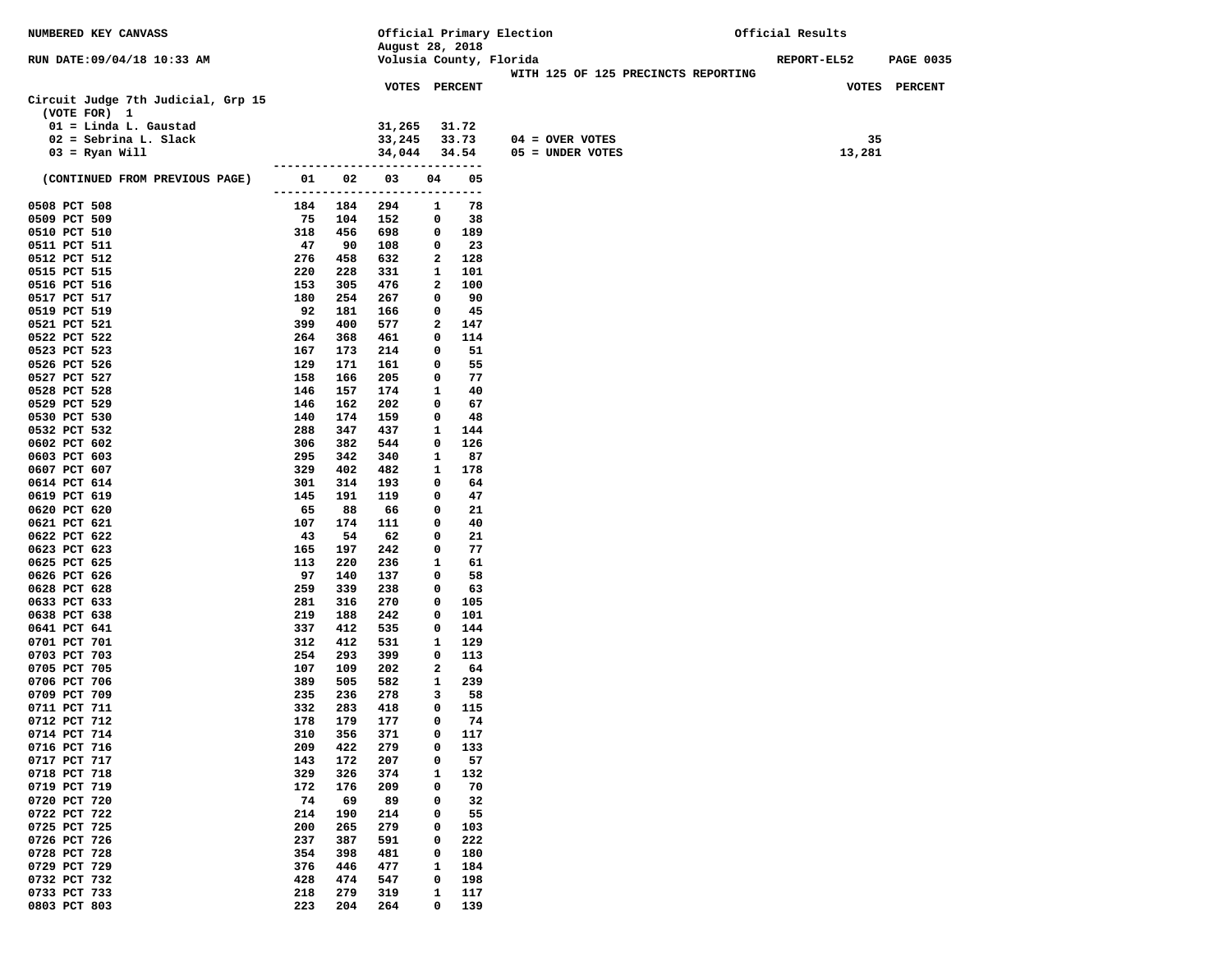| NUMBERED KEY CANVASS                               |                      |            |                                 |                   |             | Official Primary Election           | Official Results |                  |
|----------------------------------------------------|----------------------|------------|---------------------------------|-------------------|-------------|-------------------------------------|------------------|------------------|
|                                                    |                      |            | August 28, 2018                 |                   |             |                                     |                  |                  |
| RUN DATE: 09/04/18 10:33 AM                        |                      |            |                                 |                   |             | Volusia County, Florida             | REPORT-EL52      | <b>PAGE 0035</b> |
|                                                    |                      |            |                                 |                   |             | WITH 125 OF 125 PRECINCTS REPORTING |                  |                  |
| Circuit Judge 7th Judicial, Grp 15<br>(VOTE FOR) 1 |                      |            | VOTES PERCENT                   |                   |             |                                     |                  | VOTES PERCENT    |
| 01 = Linda L. Gaustad                              |                      |            | 31,265                          |                   | 31.72       |                                     |                  |                  |
| $02 =$ Sebrina L. Slack                            |                      |            | 33,245                          |                   | 33.73       | $04 =$ OVER VOTES                   | 35               |                  |
| $03 = Ryan Will$                                   |                      |            | 34,044                          |                   | 34.54       | 05 = UNDER VOTES                    | 13,281           |                  |
|                                                    |                      |            | ------------------------------- |                   |             |                                     |                  |                  |
| (CONTINUED FROM PREVIOUS PAGE)                     | 01<br>-------------- | 02         | 03                              | 04<br>-----       | 05<br>$---$ |                                     |                  |                  |
| 0508 PCT 508                                       | 184                  | 184        | 294                             | 1                 | 78          |                                     |                  |                  |
| 0509 PCT 509                                       | 75                   | 104        | 152                             | 0                 | 38          |                                     |                  |                  |
| 0510 PCT 510                                       | 318                  | 456        | 698                             | 0                 | 189         |                                     |                  |                  |
| 0511 PCT 511                                       | 47                   | 90         | 108                             | 0                 | 23          |                                     |                  |                  |
| 0512 PCT 512                                       | 276                  | 458        | 632                             | 2                 | 128         |                                     |                  |                  |
| 0515 PCT 515                                       | 220<br>153           | 228<br>305 | 331<br>476                      | $\mathbf{1}$<br>2 | 101<br>100  |                                     |                  |                  |
| 0516 PCT 516<br>0517 PCT 517                       | 180                  | 254        | 267                             | 0                 | 90          |                                     |                  |                  |
| 0519 PCT 519                                       | 92                   | 181        | 166                             | 0                 | 45          |                                     |                  |                  |
| 0521 PCT 521                                       | 399                  | 400        | 577                             | 2                 | 147         |                                     |                  |                  |
| 0522 PCT 522                                       | 264                  | 368        | 461                             | 0                 | 114         |                                     |                  |                  |
| 0523 PCT 523                                       | 167                  | 173        | 214                             | 0                 | 51          |                                     |                  |                  |
| 0526 PCT 526                                       | 129                  | 171        | 161                             | 0                 | 55          |                                     |                  |                  |
| 0527 PCT 527                                       | 158                  | 166        | 205                             | 0                 | 77          |                                     |                  |                  |
| 0528 PCT 528                                       | 146                  | 157        | 174                             | 1                 | 40          |                                     |                  |                  |
| 0529 PCT 529                                       | 146                  | 162        | 202                             | 0                 | 67          |                                     |                  |                  |
| 0530 PCT 530                                       | 140                  | 174        | 159                             | 0                 | 48          |                                     |                  |                  |
| 0532 PCT 532                                       | 288                  | 347        | 437                             | 1                 | 144         |                                     |                  |                  |
| 0602 PCT 602                                       | 306                  | 382        | 544                             | 0                 | 126         |                                     |                  |                  |
| 0603 PCT 603                                       | 295                  | 342        | 340                             | 1                 | 87          |                                     |                  |                  |
| 0607 PCT 607<br>0614 PCT 614                       | 329<br>301           | 402<br>314 | 482<br>193                      | 1<br>0            | 178<br>64   |                                     |                  |                  |
| 0619 PCT 619                                       | 145                  | 191        | 119                             | 0                 | 47          |                                     |                  |                  |
| 0620 PCT 620                                       | 65                   | 88         | 66                              | 0                 | 21          |                                     |                  |                  |
| 0621 PCT 621                                       | 107                  | 174        | 111                             | 0                 | 40          |                                     |                  |                  |
| 0622 PCT 622                                       | 43                   | 54         | 62                              | 0                 | 21          |                                     |                  |                  |
| 0623 PCT 623                                       | 165                  | 197        | 242                             | 0                 | 77          |                                     |                  |                  |
| 0625 PCT 625                                       | 113                  | 220        | 236                             | 1                 | 61          |                                     |                  |                  |
| 0626 PCT 626                                       | 97                   | 140        | 137                             | 0                 | 58          |                                     |                  |                  |
| 0628 PCT 628                                       | 259                  | 339        | 238                             | 0                 | 63          |                                     |                  |                  |
| 0633 PCT 633                                       | 281                  | 316        | 270                             | 0                 | 105         |                                     |                  |                  |
| 0638 PCT 638                                       | 219                  | 188        | 242                             | 0                 | 101         |                                     |                  |                  |
| 0641 PCT 641<br>0701 PCT 701                       | 337<br>312           | 412<br>412 | 535<br>531                      | 0<br>1            | 144<br>129  |                                     |                  |                  |
| 0703 PCT 703                                       | 254                  | 293        | 399                             | 0                 | 113         |                                     |                  |                  |
| 0705 PCT 705                                       | 107                  | 109        | 202                             | 2                 | 64          |                                     |                  |                  |
| 0706 PCT 706                                       | 389                  | 505        | 582                             | 1                 | 239         |                                     |                  |                  |
| 0709 PCT 709                                       | 235                  | 236        | 278                             | 3                 | 58          |                                     |                  |                  |
| 0711 PCT 711                                       | 332                  | 283        | 418                             | 0                 | 115         |                                     |                  |                  |
| 0712 PCT 712                                       | 178                  | 179        | 177                             | 0                 | 74          |                                     |                  |                  |
| 0714 PCT 714                                       | 310                  | 356        | 371                             | 0                 | 117         |                                     |                  |                  |
| 0716 PCT 716                                       | 209                  | 422        | 279                             | 0                 | 133         |                                     |                  |                  |
| 0717 PCT 717                                       | 143                  | 172        | 207                             | 0                 | 57          |                                     |                  |                  |
| 0718 PCT 718                                       | 329                  | 326        | 374                             | 1                 | 132         |                                     |                  |                  |
| 0719 PCT 719                                       | 172                  | 176        | 209                             | 0                 | 70          |                                     |                  |                  |
| 0720 PCT 720<br>0722 PCT 722                       | 74                   | 69         | 89                              | 0                 | 32<br>55    |                                     |                  |                  |
| 0725 PCT 725                                       | 214<br>200           | 190<br>265 | 214                             | 0<br>0            |             |                                     |                  |                  |
| 0726 PCT 726                                       | 237                  | 387        | 279<br>591                      | 0                 | 103<br>222  |                                     |                  |                  |
| 0728 PCT 728                                       | 354                  | 398        | 481                             | 0                 | 180         |                                     |                  |                  |
| 0729 PCT 729                                       | 376                  | 446        | 477                             | 1                 | 184         |                                     |                  |                  |
| 0732 PCT 732                                       | 428                  | 474        | 547                             | 0                 | 198         |                                     |                  |                  |
| 0733 PCT 733                                       | 218                  | 279        | 319                             | 1                 | 117         |                                     |                  |                  |
| 0803 PCT 803                                       | 223                  | 204        | 264                             | 0                 | 139         |                                     |                  |                  |
|                                                    |                      |            |                                 |                   |             |                                     |                  |                  |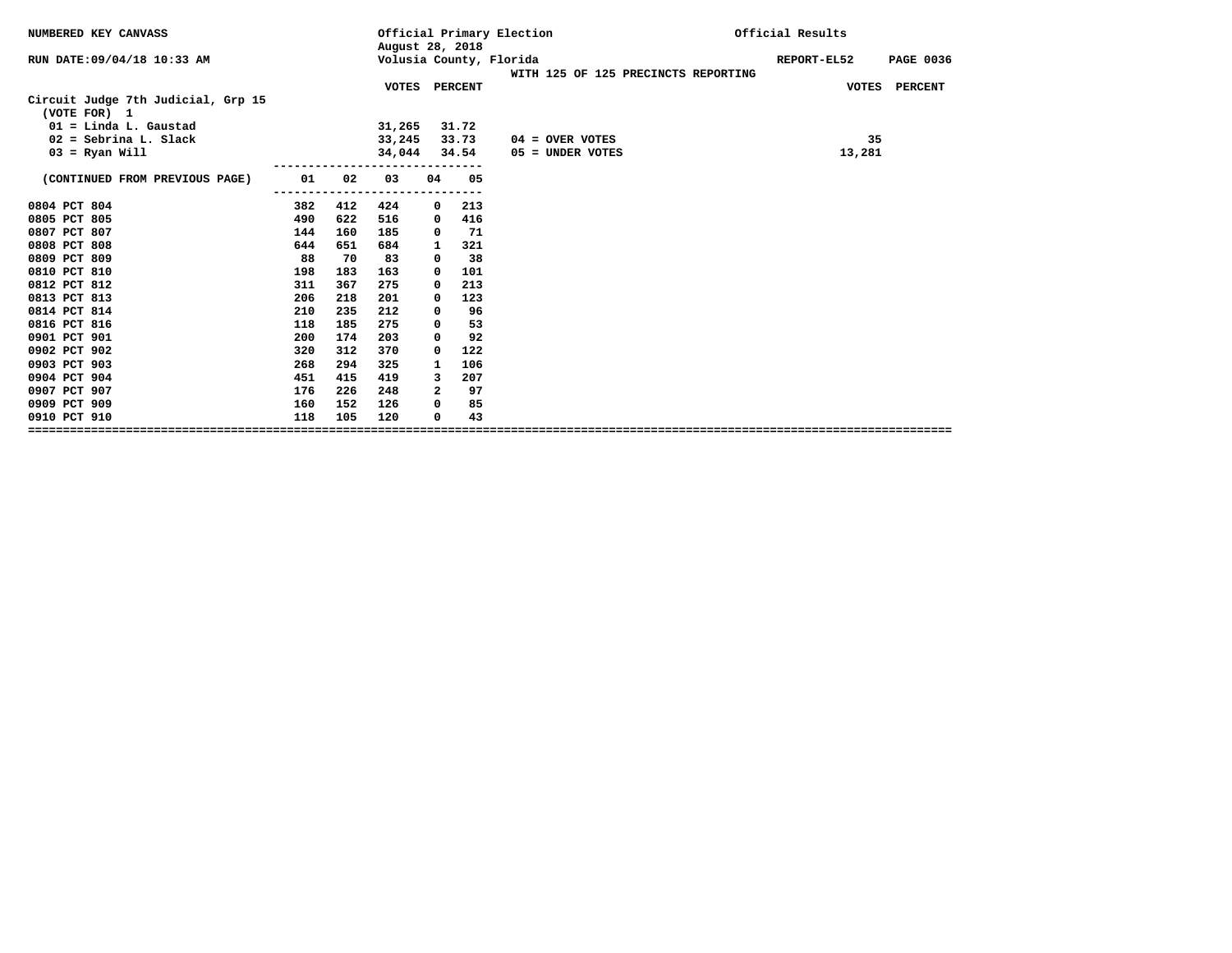| August 28, 2018<br>Volusia County, Florida<br>RUN DATE: 09/04/18 10:33 AM<br>REPORT-EL52<br><b>PAGE 0036</b><br>WITH 125 OF 125 PRECINCTS REPORTING<br>VOTES PERCENT<br>VOTES PERCENT<br>Circuit Judge 7th Judicial, Grp 15<br>(VOTE FOR) 1<br>$01 =$ Linda L. Gaustad<br>31,265<br>31.72<br>$02 =$ Sebrina L. Slack<br>33,245<br>35<br>33.73<br>$04 =$ OVER VOTES<br>$03$ = Ryan Will<br>34,044<br>34.54<br>13,281<br>05 = UNDER VOTES<br>(CONTINUED FROM PREVIOUS PAGE)<br>01<br>02<br>03<br>05<br>04<br>213<br>0804 PCT 804<br>382<br>412<br>424<br>0<br>0805 PCT 805<br>622<br>416<br>490<br>516<br>0<br>0807 PCT 807<br>71<br>144<br>160<br>185<br>0<br>0808 PCT 808<br>644<br>321<br>651<br>684<br>1<br>0809 PCT 809<br>88<br>38<br>70<br>83<br>0<br>0810 PCT 810<br>198<br>183<br>163<br>101<br>$^{\circ}$<br>0812 PCT 812<br>213<br>311<br>367<br>275<br>0<br>0813 PCT 813<br>123<br>206<br>218<br>201<br>$\Omega$<br>0814 PCT 814<br>96<br>210<br>235<br>212<br>0 |
|----------------------------------------------------------------------------------------------------------------------------------------------------------------------------------------------------------------------------------------------------------------------------------------------------------------------------------------------------------------------------------------------------------------------------------------------------------------------------------------------------------------------------------------------------------------------------------------------------------------------------------------------------------------------------------------------------------------------------------------------------------------------------------------------------------------------------------------------------------------------------------------------------------------------------------------------------------------------------|
|                                                                                                                                                                                                                                                                                                                                                                                                                                                                                                                                                                                                                                                                                                                                                                                                                                                                                                                                                                            |
|                                                                                                                                                                                                                                                                                                                                                                                                                                                                                                                                                                                                                                                                                                                                                                                                                                                                                                                                                                            |
|                                                                                                                                                                                                                                                                                                                                                                                                                                                                                                                                                                                                                                                                                                                                                                                                                                                                                                                                                                            |
|                                                                                                                                                                                                                                                                                                                                                                                                                                                                                                                                                                                                                                                                                                                                                                                                                                                                                                                                                                            |
|                                                                                                                                                                                                                                                                                                                                                                                                                                                                                                                                                                                                                                                                                                                                                                                                                                                                                                                                                                            |
|                                                                                                                                                                                                                                                                                                                                                                                                                                                                                                                                                                                                                                                                                                                                                                                                                                                                                                                                                                            |
|                                                                                                                                                                                                                                                                                                                                                                                                                                                                                                                                                                                                                                                                                                                                                                                                                                                                                                                                                                            |
|                                                                                                                                                                                                                                                                                                                                                                                                                                                                                                                                                                                                                                                                                                                                                                                                                                                                                                                                                                            |
|                                                                                                                                                                                                                                                                                                                                                                                                                                                                                                                                                                                                                                                                                                                                                                                                                                                                                                                                                                            |
|                                                                                                                                                                                                                                                                                                                                                                                                                                                                                                                                                                                                                                                                                                                                                                                                                                                                                                                                                                            |
|                                                                                                                                                                                                                                                                                                                                                                                                                                                                                                                                                                                                                                                                                                                                                                                                                                                                                                                                                                            |
|                                                                                                                                                                                                                                                                                                                                                                                                                                                                                                                                                                                                                                                                                                                                                                                                                                                                                                                                                                            |
|                                                                                                                                                                                                                                                                                                                                                                                                                                                                                                                                                                                                                                                                                                                                                                                                                                                                                                                                                                            |
|                                                                                                                                                                                                                                                                                                                                                                                                                                                                                                                                                                                                                                                                                                                                                                                                                                                                                                                                                                            |
|                                                                                                                                                                                                                                                                                                                                                                                                                                                                                                                                                                                                                                                                                                                                                                                                                                                                                                                                                                            |
|                                                                                                                                                                                                                                                                                                                                                                                                                                                                                                                                                                                                                                                                                                                                                                                                                                                                                                                                                                            |
| 0816 PCT 816<br>53<br>118<br>185<br>275<br>0                                                                                                                                                                                                                                                                                                                                                                                                                                                                                                                                                                                                                                                                                                                                                                                                                                                                                                                               |
| 0901 PCT 901<br>92<br>200<br>174<br>203<br>$^{\circ}$                                                                                                                                                                                                                                                                                                                                                                                                                                                                                                                                                                                                                                                                                                                                                                                                                                                                                                                      |
| 0902 PCT 902<br>312<br>370<br>122<br>320<br>0                                                                                                                                                                                                                                                                                                                                                                                                                                                                                                                                                                                                                                                                                                                                                                                                                                                                                                                              |
| 0903 PCT 903<br>294<br>106<br>268<br>325<br>1                                                                                                                                                                                                                                                                                                                                                                                                                                                                                                                                                                                                                                                                                                                                                                                                                                                                                                                              |
| 0904 PCT 904<br>207<br>451<br>415<br>419<br>3                                                                                                                                                                                                                                                                                                                                                                                                                                                                                                                                                                                                                                                                                                                                                                                                                                                                                                                              |
| 97<br>0907 PCT 907<br>$\overline{a}$<br>176<br>226<br>248                                                                                                                                                                                                                                                                                                                                                                                                                                                                                                                                                                                                                                                                                                                                                                                                                                                                                                                  |
| 0909 PCT 909<br>85<br>152<br>160<br>126<br>0                                                                                                                                                                                                                                                                                                                                                                                                                                                                                                                                                                                                                                                                                                                                                                                                                                                                                                                               |
| 118<br>43<br>0910 PCT 910<br>105<br>120<br>0                                                                                                                                                                                                                                                                                                                                                                                                                                                                                                                                                                                                                                                                                                                                                                                                                                                                                                                               |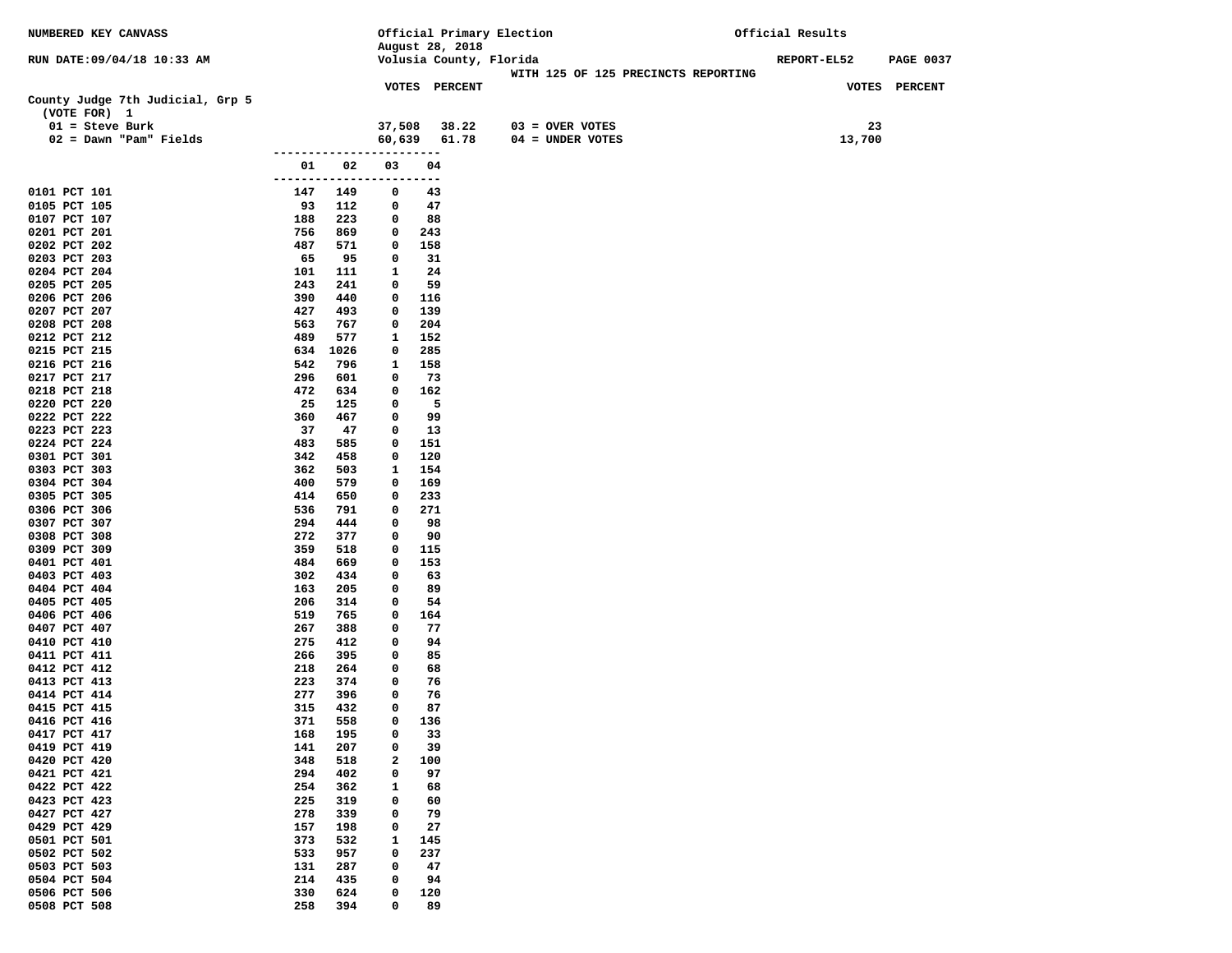| NUMBERED KEY CANVASS                             |                          |            |                   | Official Primary Election |                                     | Official Results |                  |  |  |
|--------------------------------------------------|--------------------------|------------|-------------------|---------------------------|-------------------------------------|------------------|------------------|--|--|
|                                                  |                          |            |                   | August 28, 2018           |                                     |                  |                  |  |  |
| RUN DATE:09/04/18 10:33 AM                       |                          |            |                   | Volusia County, Florida   | WITH 125 OF 125 PRECINCTS REPORTING | REPORT-EL52      | <b>PAGE 0037</b> |  |  |
|                                                  |                          |            |                   | VOTES PERCENT             |                                     |                  | VOTES PERCENT    |  |  |
| County Judge 7th Judicial, Grp 5<br>(VOTE FOR) 1 |                          |            |                   |                           |                                     |                  |                  |  |  |
| $01 =$ Steve Burk                                |                          |            | 37,508            | 38.22                     | $03 =$ OVER VOTES                   | 23               |                  |  |  |
| $02 =$ Dawn "Pam" Fields                         |                          |            | 60,639            | 61.78                     | $04 = UNDER VOTES$                  | 13,700           |                  |  |  |
|                                                  | --------------           |            |                   | ---                       |                                     |                  |                  |  |  |
|                                                  | 01 1                     | 02         | 03                | 04                        |                                     |                  |                  |  |  |
| 0101 PCT 101                                     | ------------------------ |            | 0                 |                           |                                     |                  |                  |  |  |
| 0105 PCT 105                                     | 147<br>93                | 149<br>112 | 0                 | 43<br>47                  |                                     |                  |                  |  |  |
| 0107 PCT 107                                     | 188                      | 223        | 0                 | 88                        |                                     |                  |                  |  |  |
| 0201 PCT 201                                     | 756                      | 869        | $\mathbf 0$       | 243                       |                                     |                  |                  |  |  |
| 0202 PCT 202                                     | 487                      | 571        | $\mathbf 0$       | 158                       |                                     |                  |                  |  |  |
| 0203 PCT 203                                     | 65                       | 95         | 0                 | 31                        |                                     |                  |                  |  |  |
| 0204 PCT 204                                     | 101                      | 111        | 1                 | 24                        |                                     |                  |                  |  |  |
| 0205 PCT 205                                     | 243                      | 241        | $\mathbf 0$       | 59                        |                                     |                  |                  |  |  |
| 0206 PCT 206<br>0207 PCT 207                     | 390<br>427               | 440<br>493 | 0<br>$\mathbf 0$  | 116<br>139                |                                     |                  |                  |  |  |
| 0208 PCT 208                                     | 563                      | 767        | $\mathbf 0$       | 204                       |                                     |                  |                  |  |  |
| 0212 PCT 212                                     | 489                      | 577        | $\mathbf{1}$      | 152                       |                                     |                  |                  |  |  |
| 0215 PCT 215                                     |                          | 634 1026   | $\mathbf 0$       | 285                       |                                     |                  |                  |  |  |
| 0216 PCT 216                                     | 542                      | 796        | 1                 | 158                       |                                     |                  |                  |  |  |
| 0217 PCT 217                                     | 296                      | 601        | 0                 | 73                        |                                     |                  |                  |  |  |
| 0218 PCT 218                                     | 472                      | 634        | 0                 | 162                       |                                     |                  |                  |  |  |
| 0220 PCT 220<br>0222 PCT 222                     | 25<br>360                | 125<br>467 | 0<br>$\mathbf{0}$ | 5<br>99                   |                                     |                  |                  |  |  |
| 0223 PCT 223                                     | 37                       | 47         | 0                 | 13                        |                                     |                  |                  |  |  |
| 0224 PCT 224                                     | 483                      | 585        | 0                 | 151                       |                                     |                  |                  |  |  |
| 0301 PCT 301                                     | 342                      | 458        | 0                 | 120                       |                                     |                  |                  |  |  |
| 0303 PCT 303                                     | 362                      | 503        | 1                 | 154                       |                                     |                  |                  |  |  |
| 0304 PCT 304                                     | 400                      | 579        | 0                 | 169                       |                                     |                  |                  |  |  |
| 0305 PCT 305                                     | 414                      | 650        | 0                 | 233                       |                                     |                  |                  |  |  |
| 0306 PCT 306                                     | 536<br>294               | 791<br>444 | 0<br>0            | 271<br>98                 |                                     |                  |                  |  |  |
| 0307 PCT 307<br>0308 PCT 308                     | 272                      | 377        | 0                 | 90                        |                                     |                  |                  |  |  |
| 0309 PCT 309                                     | 359                      | 518        | 0                 | 115                       |                                     |                  |                  |  |  |
| 0401 PCT 401                                     | 484                      | 669        | 0                 | 153                       |                                     |                  |                  |  |  |
| 0403 PCT 403                                     | 302                      | 434        | $^{\circ}$        | 63                        |                                     |                  |                  |  |  |
| 0404 PCT 404                                     | 163                      | 205        | 0                 | 89                        |                                     |                  |                  |  |  |
| 0405 PCT 405                                     | 206                      | 314        | 0                 | 54                        |                                     |                  |                  |  |  |
| 0406 PCT 406<br>0407 PCT 407                     | 519<br>267               | 765<br>388 | 0<br>0            | 164<br>77                 |                                     |                  |                  |  |  |
| 0410 PCT 410                                     | 275                      | 412        | 0                 | 94                        |                                     |                  |                  |  |  |
| 0411 PCT 411                                     | 266                      | 395        | $\mathbf 0$       | 85                        |                                     |                  |                  |  |  |
| 0412 PCT 412                                     | 218                      | 264        | $\mathbf 0$       | 68                        |                                     |                  |                  |  |  |
| 0413 PCT 413                                     | 223                      | 374        | 0                 | 76                        |                                     |                  |                  |  |  |
| 0414 PCT 414                                     | 277                      | 396        | 0                 | 76                        |                                     |                  |                  |  |  |
| 0415 PCT 415                                     | 315                      | 432        | 0                 | 87                        |                                     |                  |                  |  |  |
| 0416 PCT 416<br>0417 PCT 417                     | 371<br>168               | 558<br>195 | 0<br>0            | 136<br>33                 |                                     |                  |                  |  |  |
| 0419 PCT 419                                     | 141                      | 207        | 0                 | 39                        |                                     |                  |                  |  |  |
| 0420 PCT 420                                     | 348                      | 518        | $\mathbf{2}$      | 100                       |                                     |                  |                  |  |  |
| 0421 PCT 421                                     | 294                      | 402        | 0                 | 97                        |                                     |                  |                  |  |  |
| 0422 PCT 422                                     | 254                      | 362        | 1                 | 68                        |                                     |                  |                  |  |  |
| 0423 PCT 423                                     | 225                      | 319        | $\mathbf 0$       | 60                        |                                     |                  |                  |  |  |
| 0427 PCT 427                                     | 278                      | 339        | 0                 | 79                        |                                     |                  |                  |  |  |
| 0429 PCT 429                                     | 157                      | 198        | 0<br>$\mathbf{1}$ | 27                        |                                     |                  |                  |  |  |
| 0501 PCT 501<br>0502 PCT 502                     | 373<br>533               | 532<br>957 | 0                 | 145<br>237                |                                     |                  |                  |  |  |
| 0503 PCT 503                                     | 131                      | 287        | 0                 | 47                        |                                     |                  |                  |  |  |
| 0504 PCT 504                                     | 214                      | 435        | 0                 | 94                        |                                     |                  |                  |  |  |
| 0506 PCT 506                                     | 330                      | 624        | 0                 | 120                       |                                     |                  |                  |  |  |
| 0508 PCT 508                                     | 258                      | 394        | 0                 | 89                        |                                     |                  |                  |  |  |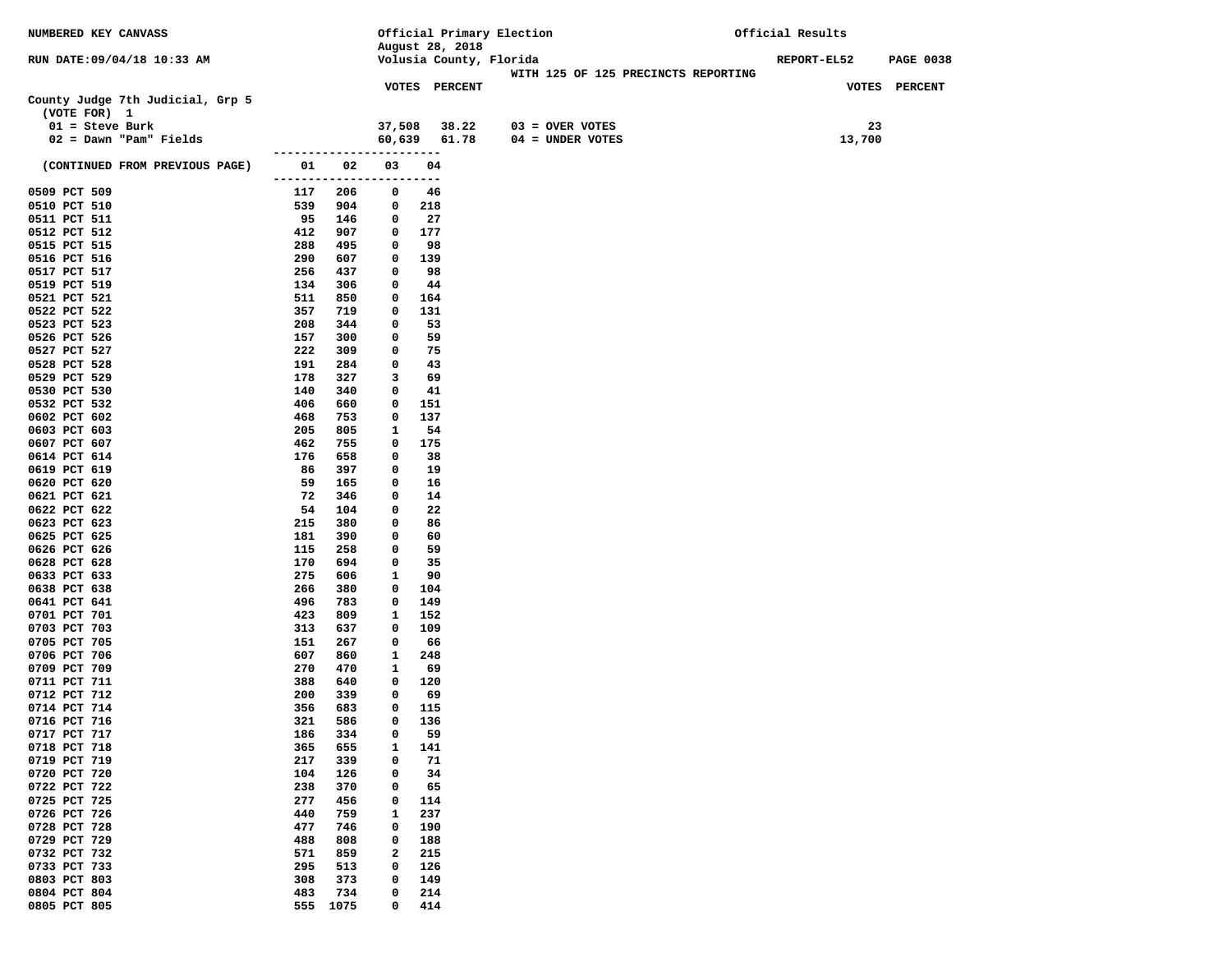| NUMBERED KEY CANVASS             |                          |            |                   | Official Primary Election |                                     | Official Results                |
|----------------------------------|--------------------------|------------|-------------------|---------------------------|-------------------------------------|---------------------------------|
|                                  |                          |            |                   | August 28, 2018           |                                     |                                 |
| RUN DATE:09/04/18 10:33 AM       |                          |            |                   | Volusia County, Florida   |                                     | REPORT-EL52<br><b>PAGE 0038</b> |
|                                  |                          |            |                   |                           | WITH 125 OF 125 PRECINCTS REPORTING |                                 |
|                                  |                          |            |                   | <b>VOTES PERCENT</b>      |                                     | VOTES PERCENT                   |
| County Judge 7th Judicial, Grp 5 |                          |            |                   |                           |                                     |                                 |
| (VOTE FOR) 1                     |                          |            |                   |                           |                                     |                                 |
| $01 =$ Steve Burk                |                          |            | 37,508            | 38.22                     | $03 =$ OVER VOTES                   | 23                              |
| $02 =$ Dawn "Pam" Fields         | -------------------      |            |                   | 60,639 61.78              | 04 = UNDER VOTES                    | 13,700                          |
|                                  | 01 1                     | 02         | 03                | 04                        |                                     |                                 |
| (CONTINUED FROM PREVIOUS PAGE)   | ------------------------ |            |                   |                           |                                     |                                 |
| 0509 PCT 509                     | 117                      | 206        | $\mathbf 0$       | 46                        |                                     |                                 |
| 0510 PCT 510                     | 539                      | 904        | $^{\circ}$        | 218                       |                                     |                                 |
| 0511 PCT 511                     | 95                       | 146        | $^{\circ}$        | 27                        |                                     |                                 |
| 0512 PCT 512                     | 412                      | 907        | 0                 | 177                       |                                     |                                 |
| 0515 PCT 515                     | 288                      | 495        | 0                 | 98                        |                                     |                                 |
| 0516 PCT 516                     | 290                      | 607        | 0                 | 139                       |                                     |                                 |
| 0517 PCT 517                     | 256                      | 437        | $\mathbf 0$       | 98                        |                                     |                                 |
| 0519 PCT 519                     | 134                      | 306        | $\mathbf 0$       | 44                        |                                     |                                 |
| 0521 PCT 521                     | 511                      | 850        | 0                 | 164                       |                                     |                                 |
| 0522 PCT 522                     | 357                      | 719        | 0                 | 131                       |                                     |                                 |
| 0523 PCT 523                     | 208                      | 344        | 0                 | 53                        |                                     |                                 |
| 0526 PCT 526                     | 157                      | 300        | 0                 | 59                        |                                     |                                 |
| 0527 PCT 527                     | 222                      | 309        | $\mathbf 0$       | 75                        |                                     |                                 |
| 0528 PCT 528                     | 191                      | 284        | $\mathbf 0$       | 43                        |                                     |                                 |
| 0529 PCT 529                     | 178                      | 327        | 3                 | 69                        |                                     |                                 |
| 0530 PCT 530                     | 140                      | 340        | 0                 | 41                        |                                     |                                 |
| 0532 PCT 532                     | 406                      | 660        | 0                 | 151                       |                                     |                                 |
| 0602 PCT 602                     | 468                      | 753        | 0                 | 137                       |                                     |                                 |
| 0603 PCT 603                     | 205<br>462               | 805        | 1<br>0            | 54                        |                                     |                                 |
| 0607 PCT 607<br>0614 PCT 614     | 176                      | 755<br>658 | 0                 | 175<br>38                 |                                     |                                 |
| 0619 PCT 619                     | 86                       | 397        | 0                 | 19                        |                                     |                                 |
| 0620 PCT 620                     | 59                       | 165        | 0                 | 16                        |                                     |                                 |
| 0621 PCT 621                     | 72                       | 346        | 0                 | 14                        |                                     |                                 |
| 0622 PCT 622                     | 54                       | 104        | $\mathbf 0$       | 22                        |                                     |                                 |
| 0623 PCT 623                     | 215                      | 380        | $\mathbf 0$       | 86                        |                                     |                                 |
| 0625 PCT 625                     | 181                      | 390        | 0                 | 60                        |                                     |                                 |
| 0626 PCT 626                     | 115                      | 258        | 0                 | 59                        |                                     |                                 |
| 0628 PCT 628                     | 170                      | 694        | 0                 | 35                        |                                     |                                 |
| 0633 PCT 633                     | 275                      | 606        | 1                 | 90                        |                                     |                                 |
| 0638 PCT 638                     | 266                      | 380        | $\mathbf 0$       | 104                       |                                     |                                 |
| 0641 PCT 641                     | 496                      | 783        | 0                 | 149                       |                                     |                                 |
| 0701 PCT 701                     | 423                      | 809        | $\mathbf{1}$      | 152                       |                                     |                                 |
| 0703 PCT 703                     | 313                      | 637        | 0                 | 109                       |                                     |                                 |
| 0705 PCT 705                     | 151                      | 267        | 0                 | 66                        |                                     |                                 |
| 0706 PCT 706<br>0709 PCT 709     | 607<br>270               | 860<br>470 | $\mathbf{1}$<br>1 | 248<br>69                 |                                     |                                 |
| 0711 PCT 711                     | 388                      | 640        | $^{\circ}$        | 120                       |                                     |                                 |
| 0712 PCT 712                     | 200                      | 339        | 0                 | 69                        |                                     |                                 |
| 0714 PCT 714                     | 356                      | 683        | 0                 | 115                       |                                     |                                 |
| 0716 PCT 716                     | 321                      | 586        | $\mathbf{0}$      | 136                       |                                     |                                 |
| 0717 PCT 717                     | 186                      | 334        | 0                 | 59                        |                                     |                                 |
| 0718 PCT 718                     | 365                      | 655        | 1                 | 141                       |                                     |                                 |
| 0719 PCT 719                     | 217                      | 339        | 0                 | 71                        |                                     |                                 |
| 0720 PCT 720                     | 104                      | 126        | 0                 | 34                        |                                     |                                 |
| 0722 PCT 722                     | 238                      | 370        | 0                 | 65                        |                                     |                                 |
| 0725 PCT 725                     | 277                      | 456        | 0                 | 114                       |                                     |                                 |
| 0726 PCT 726                     | 440                      | 759        | $\mathbf{1}$      | 237                       |                                     |                                 |
| 0728 PCT 728                     | 477                      | 746        | 0                 | 190                       |                                     |                                 |
| 0729 PCT 729                     | 488                      | 808        | 0                 | 188                       |                                     |                                 |
| 0732 PCT 732                     | 571                      | 859        | $\mathbf{2}$      | 215                       |                                     |                                 |
| 0733 PCT 733                     | 295                      | 513        | 0                 | 126                       |                                     |                                 |
| 0803 PCT 803                     | 308                      | 373        | 0                 | 149                       |                                     |                                 |
| 0804 PCT 804                     | 483                      | 734        | 0                 | 214                       |                                     |                                 |
| 0805 PCT 805                     |                          | 555 1075   | 0                 | 414                       |                                     |                                 |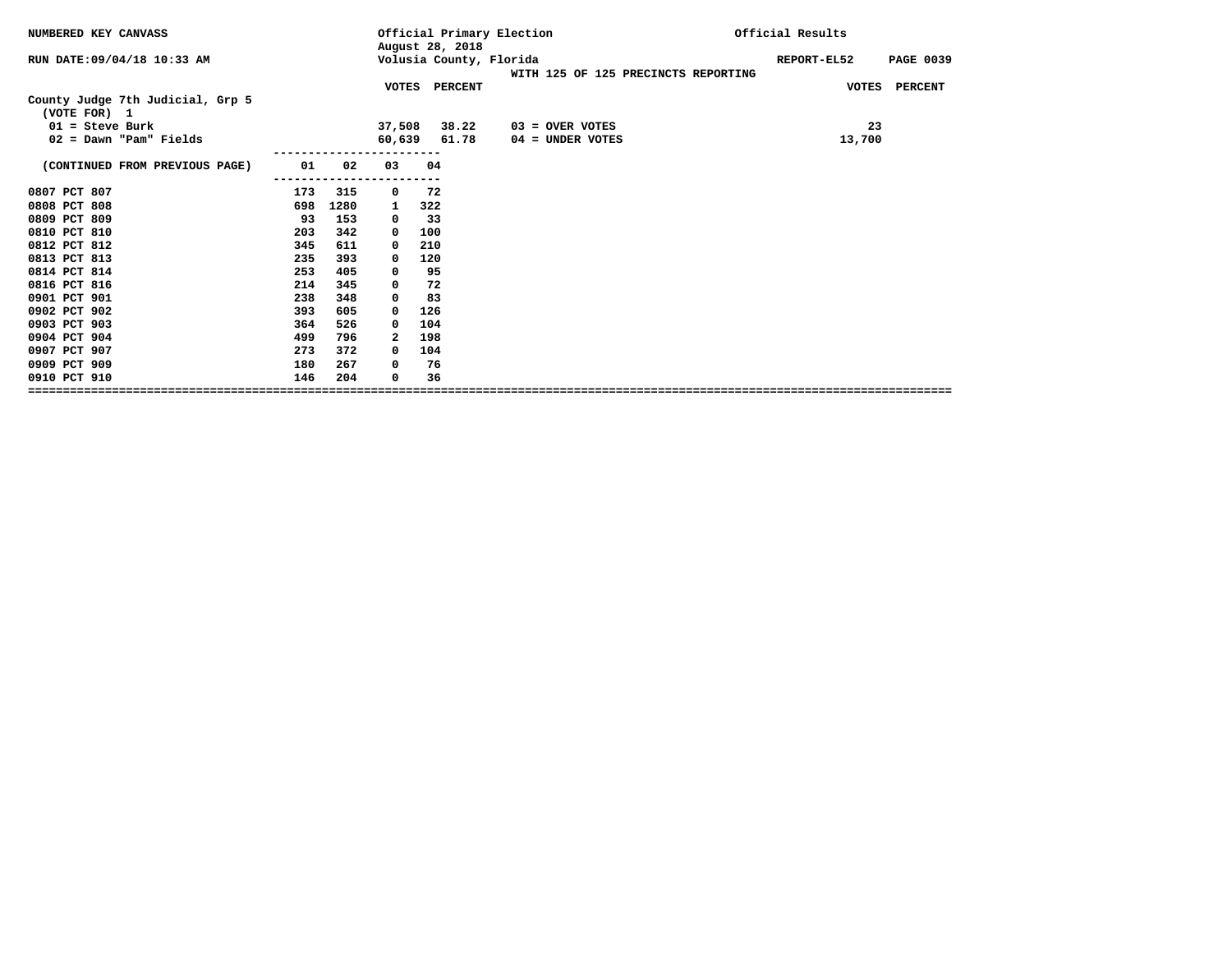|                                                                                                              | <b>PAGE 0039</b> |
|--------------------------------------------------------------------------------------------------------------|------------------|
| Volusia County, Florida<br>RUN DATE: 09/04/18 10:33 AM<br>REPORT-EL52<br>WITH 125 OF 125 PRECINCTS REPORTING |                  |
| VOTES PERCENT                                                                                                | VOTES PERCENT    |
| County Judge 7th Judicial, Grp 5<br>(VOTE FOR) 1                                                             |                  |
| $01 =$ Steve Burk<br>38.22<br>37,508<br>$03 =$ OVER VOTES<br>23                                              |                  |
| 60,639<br>$02 =$ Dawn "Pam" Fields<br>61.78<br>13,700<br>$04 =$ UNDER VOTES                                  |                  |
| 01<br>02<br>(CONTINUED FROM PREVIOUS PAGE)<br>03<br>04                                                       |                  |
| 0807 PCT 807<br>173<br>315<br>72<br>0                                                                        |                  |
| 0808 PCT 808<br>1280<br>698<br>322<br>1                                                                      |                  |
| 0809 PCT 809<br>33<br>93<br>153<br>$^{\circ}$                                                                |                  |
| 342<br>0810 PCT 810<br>203<br>100<br>0                                                                       |                  |
| 0812 PCT 812<br>611<br>345<br>210<br>0                                                                       |                  |
| 0813 PCT 813<br>235<br>393<br>120<br>0                                                                       |                  |
| 0814 PCT 814<br>253<br>405<br>95<br>0                                                                        |                  |
| 0816 PCT 816<br>345<br>72<br>214<br>0                                                                        |                  |
| 83<br>0901 PCT 901<br>238<br>348<br>0                                                                        |                  |
| 0902 PCT 902<br>605<br>393<br>126<br>0                                                                       |                  |
| 0903 PCT 903<br>364<br>526<br>104<br>0                                                                       |                  |
| 0904 PCT 904<br>796<br>198<br>499<br>2                                                                       |                  |
| 0907 PCT 907<br>273<br>372<br>104<br>0                                                                       |                  |
| 0909 PCT 909<br>180<br>267<br>76<br>0                                                                        |                  |
| 0910 PCT 910<br>146<br>204<br>36<br>0                                                                        |                  |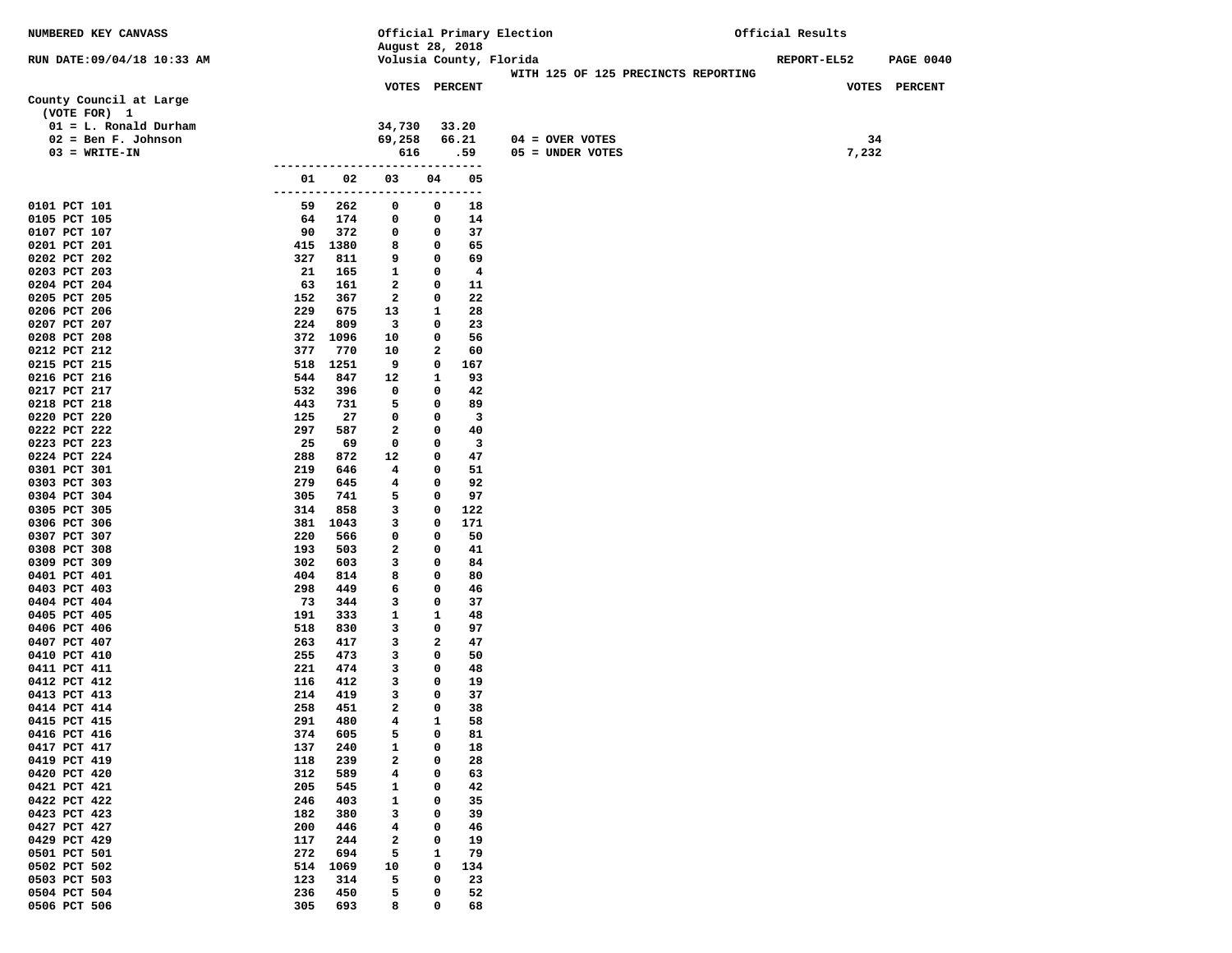| NUMBERED KEY CANVASS                    |                                |                              |                      | Official Primary Election                                      | Official Results                       |  |
|-----------------------------------------|--------------------------------|------------------------------|----------------------|----------------------------------------------------------------|----------------------------------------|--|
|                                         |                                |                              | August 28, 2018      |                                                                |                                        |  |
| RUN DATE:09/04/18 10:33 AM              |                                |                              |                      | Volusia County, Florida<br>WITH 125 OF 125 PRECINCTS REPORTING | <b>REPORT-EL52</b><br><b>PAGE 0040</b> |  |
|                                         |                                |                              | VOTES PERCENT        |                                                                | VOTES PERCENT                          |  |
| County Council at Large<br>(VOTE FOR) 1 |                                |                              |                      |                                                                |                                        |  |
| $01 = L$ . Ronald Durham                |                                | 34,730                       | 33.20                |                                                                |                                        |  |
| $02 = Ben F. Johnson$                   |                                | 69,258                       | 66.21                | $04 = OVER VOTES$                                              | 34                                     |  |
| $03 = WRITE-IN$                         |                                | 616                          | .59                  | 05 = UNDER VOTES                                               | 7,232                                  |  |
|                                         | ------------------------------ |                              |                      |                                                                |                                        |  |
|                                         | 02<br>01<br>--------           | 03<br>-----------            | 04<br>$---$<br>----- | 05                                                             |                                        |  |
| 0101 PCT 101                            | 262<br>59                      | 0                            | 0                    | 18                                                             |                                        |  |
| 0105 PCT 105                            | 174<br>64                      | 0                            | 0                    | 14                                                             |                                        |  |
| 0107 PCT 107                            | 90<br>372                      | 0                            | 0                    | 37                                                             |                                        |  |
| 0201 PCT 201                            | 415 1380                       | 8                            | 0                    | 65                                                             |                                        |  |
| 0202 PCT 202                            | 811<br>327                     | 9                            | 0                    | 69                                                             |                                        |  |
| 0203 PCT 203<br>0204 PCT 204            | 165<br>21<br>63<br>161         | $\mathbf{1}$<br>$\mathbf{2}$ | 0<br>0               | $\overline{\mathbf{4}}$<br>11                                  |                                        |  |
| 0205 PCT 205                            | 152<br>367                     | $\mathbf{2}$                 | 0                    | 22                                                             |                                        |  |
| 0206 PCT 206                            | 229<br>675                     | 13                           | 1                    | 28                                                             |                                        |  |
| 0207 PCT 207                            | 224<br>809                     | $\overline{\mathbf{3}}$      | 0                    | 23                                                             |                                        |  |
| 0208 PCT 208                            | 372 1096                       | 10                           | 0                    | 56                                                             |                                        |  |
| 0212 PCT 212                            | 377<br>770                     | 10                           | 2                    | 60                                                             |                                        |  |
| 0215 PCT 215                            | 1251<br>518                    | 9                            | 0<br>167             |                                                                |                                        |  |
| 0216 PCT 216                            | 544<br>847                     | 12                           | 1                    | 93                                                             |                                        |  |
| 0217 PCT 217                            | 532<br>396                     | 0                            | 0                    | 42                                                             |                                        |  |
| 0218 PCT 218                            | 731<br>443                     | 5                            | 0                    | 89                                                             |                                        |  |
| 0220 PCT 220                            | 125<br>27                      | 0                            | 0                    | $\overline{\mathbf{3}}$                                        |                                        |  |
| 0222 PCT 222<br>0223 PCT 223            | 297<br>587<br>25<br>69         | 2<br>0                       | 0<br>0               | 40<br>$\overline{\mathbf{3}}$                                  |                                        |  |
| 0224 PCT 224                            | 288<br>872                     | 12                           | 0                    | 47                                                             |                                        |  |
| 0301 PCT 301                            | 219<br>646                     | $4\phantom{1}$               | 0                    | 51                                                             |                                        |  |
| 0303 PCT 303                            | 279<br>645                     | 4                            | 0                    | 92                                                             |                                        |  |
| 0304 PCT 304                            | 305<br>741                     | 5                            | 0                    | 97                                                             |                                        |  |
| 0305 PCT 305                            | 314<br>858                     | 3                            | 0<br>122             |                                                                |                                        |  |
| 0306 PCT 306                            | 381 1043                       | 3                            | 0<br>171             |                                                                |                                        |  |
| 0307 PCT 307                            | 220<br>566                     | 0                            | 0                    | 50                                                             |                                        |  |
| 0308 PCT 308                            | 193<br>503                     | 2                            | 0                    | 41                                                             |                                        |  |
| 0309 PCT 309<br>0401 PCT 401            | 302<br>603<br>404<br>814       | 3<br>8                       | 0<br>0               | 84<br>80                                                       |                                        |  |
| 0403 PCT 403                            | 298<br>449                     | 6                            | 0                    | 46                                                             |                                        |  |
| 0404 PCT 404                            | 73<br>344                      | 3                            | 0                    | 37                                                             |                                        |  |
| 0405 PCT 405                            | 191<br>333                     | $\mathbf{1}$                 | 1                    | 48                                                             |                                        |  |
| 0406 PCT 406                            | 518<br>830                     | 3                            | 0                    | 97                                                             |                                        |  |
| 0407 PCT 407                            | 263<br>417                     | 3                            | $\mathbf{2}$         | 47                                                             |                                        |  |
| 0410 PCT 410                            | 255<br>473                     | 3                            | 0                    | 50                                                             |                                        |  |
| 0411 PCT 411                            | 221<br>474                     | 3                            | 0                    | 48                                                             |                                        |  |
| 0412 PCT 412                            | 412<br>116                     | 3                            | 0                    | 19                                                             |                                        |  |
| 0413 PCT 413                            | 214<br>419                     | 3<br>2                       | 0<br>0               | 37                                                             |                                        |  |
| 0414 PCT 414<br>0415 PCT 415            | 258<br>451<br>291<br>480       | 4                            | $\mathbf{1}$         | 38<br>58                                                       |                                        |  |
| 0416 PCT 416                            | 374<br>605                     | 5                            | 0                    | 81                                                             |                                        |  |
| 0417 PCT 417                            | 137<br>240                     | 1                            | 0                    | 18                                                             |                                        |  |
| 0419 PCT 419                            | 118<br>239                     | 2                            | 0                    | 28                                                             |                                        |  |
| 0420 PCT 420                            | 312<br>589                     | 4                            | 0                    | 63                                                             |                                        |  |
| 0421 PCT 421                            | 205<br>545                     | 1                            | 0                    | 42                                                             |                                        |  |
| 0422 PCT 422                            | 246<br>403                     | 1                            | 0                    | 35                                                             |                                        |  |
| 0423 PCT 423                            | 182<br>380                     | з                            | 0                    | 39                                                             |                                        |  |
| 0427 PCT 427                            | 200<br>446                     | 4                            | 0                    | 46                                                             |                                        |  |
| 0429 PCT 429                            | 117<br>244                     | $\mathbf{2}$                 | 0                    | 19                                                             |                                        |  |
| 0501 PCT 501<br>0502 PCT 502            | 272<br>694                     | 5                            | 1<br>0               | 79                                                             |                                        |  |
| 0503 PCT 503                            | 514<br>1069<br>123<br>314      | 10<br>5                      | 134<br>0             | 23                                                             |                                        |  |
| 0504 PCT 504                            | 236<br>450                     | 5                            | 0                    | 52                                                             |                                        |  |
| 0506 PCT 506                            | 305<br>693                     | 8                            | 0                    | 68                                                             |                                        |  |
|                                         |                                |                              |                      |                                                                |                                        |  |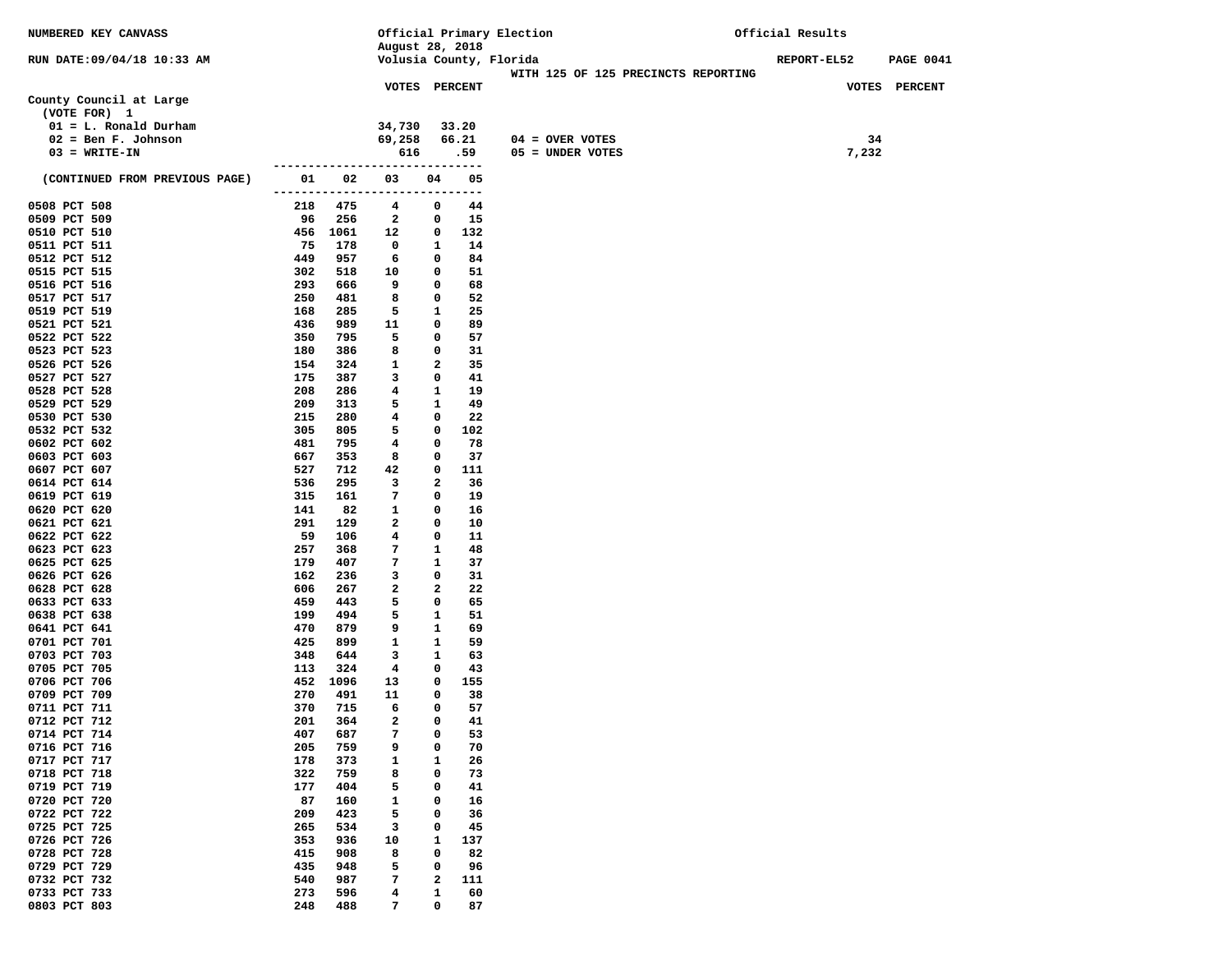| NUMBERED KEY CANVASS           |                      |            | Official Primary Election      |                   |          | Official Results |  |                   |  |                                     |             |       |                  |  |
|--------------------------------|----------------------|------------|--------------------------------|-------------------|----------|------------------|--|-------------------|--|-------------------------------------|-------------|-------|------------------|--|
|                                |                      |            | August 28, 2018                |                   |          |                  |  |                   |  |                                     |             |       |                  |  |
| RUN DATE: 09/04/18 10:33 AM    |                      |            | Volusia County, Florida        |                   |          |                  |  |                   |  |                                     | REPORT-EL52 |       | <b>PAGE 0041</b> |  |
|                                |                      |            |                                |                   |          |                  |  |                   |  | WITH 125 OF 125 PRECINCTS REPORTING |             |       |                  |  |
| County Council at Large        |                      |            | VOTES PERCENT                  |                   |          |                  |  |                   |  |                                     |             |       | VOTES PERCENT    |  |
| (VOTE FOR) 1                   |                      |            |                                |                   |          |                  |  |                   |  |                                     |             |       |                  |  |
| $01 = L$ . Ronald Durham       |                      |            | 34,730                         |                   | 33.20    |                  |  |                   |  |                                     |             |       |                  |  |
| $02 = \text{Ben } F.$ Johnson  |                      |            | 69,258                         |                   | 66.21    |                  |  | $04 =$ OVER VOTES |  |                                     |             | 34    |                  |  |
| $03 = WRITE-IN$                |                      |            | 616                            |                   | .59      |                  |  | 05 = UNDER VOTES  |  |                                     |             | 7,232 |                  |  |
|                                |                      |            | ------------------------------ |                   |          |                  |  |                   |  |                                     |             |       |                  |  |
| (CONTINUED FROM PREVIOUS PAGE) | 01                   | 02         | 03                             | 04                | 05       |                  |  |                   |  |                                     |             |       |                  |  |
|                                | -------------------- |            |                                | ----              | $---$    |                  |  |                   |  |                                     |             |       |                  |  |
| 0508 PCT 508                   | 218                  | 475        | 4                              | 0                 | 44       |                  |  |                   |  |                                     |             |       |                  |  |
| 0509 PCT 509                   | 96                   | 256        | $\mathbf{2}$                   | 0                 | 15       |                  |  |                   |  |                                     |             |       |                  |  |
| 0510 PCT 510                   |                      | 456 1061   | 12                             | 0                 | 132      |                  |  |                   |  |                                     |             |       |                  |  |
| 0511 PCT 511                   | 75                   | 178        | 0                              | 1                 | 14       |                  |  |                   |  |                                     |             |       |                  |  |
| 0512 PCT 512                   | 449                  | 957        | 6                              | 0                 | 84       |                  |  |                   |  |                                     |             |       |                  |  |
| 0515 PCT 515                   | 302                  | 518        | 10                             | 0                 | 51       |                  |  |                   |  |                                     |             |       |                  |  |
| 0516 PCT 516                   | 293                  | 666        | 9                              | 0                 | 68       |                  |  |                   |  |                                     |             |       |                  |  |
| 0517 PCT 517                   | 250                  | 481        | 8                              | 0                 | 52       |                  |  |                   |  |                                     |             |       |                  |  |
| 0519 PCT 519                   | 168                  | 285        | 5                              | 1                 | 25       |                  |  |                   |  |                                     |             |       |                  |  |
| 0521 PCT 521                   | 436                  | 989        | 11                             | 0                 | 89       |                  |  |                   |  |                                     |             |       |                  |  |
| 0522 PCT 522                   | 350                  | 795        | 5                              | 0                 | 57       |                  |  |                   |  |                                     |             |       |                  |  |
| 0523 PCT 523                   | 180                  | 386        | 8                              | 0                 | 31       |                  |  |                   |  |                                     |             |       |                  |  |
| 0526 PCT 526                   | 154                  | 324        | 1                              | $\mathbf{2}$<br>0 | 35<br>41 |                  |  |                   |  |                                     |             |       |                  |  |
| 0527 PCT 527<br>0528 PCT 528   | 175<br>208           | 387<br>286 | 3<br>4                         | 1                 | 19       |                  |  |                   |  |                                     |             |       |                  |  |
| 0529 PCT 529                   | 209                  | 313        | 5                              | 1                 | 49       |                  |  |                   |  |                                     |             |       |                  |  |
| 0530 PCT 530                   | 215                  | 280        | 4                              | 0                 | 22       |                  |  |                   |  |                                     |             |       |                  |  |
| 0532 PCT 532                   | 305                  | 805        | 5                              | 0                 | 102      |                  |  |                   |  |                                     |             |       |                  |  |
| 0602 PCT 602                   | 481                  | 795        | 4                              | 0                 | 78       |                  |  |                   |  |                                     |             |       |                  |  |
| 0603 PCT 603                   | 667                  | 353        | 8                              | 0                 | 37       |                  |  |                   |  |                                     |             |       |                  |  |
| 0607 PCT 607                   | 527                  | 712        | 42                             | 0                 | 111      |                  |  |                   |  |                                     |             |       |                  |  |
| 0614 PCT 614                   | 536                  | 295        | 3                              | 2                 | 36       |                  |  |                   |  |                                     |             |       |                  |  |
| 0619 PCT 619                   | 315                  | 161        | 7                              | 0                 | 19       |                  |  |                   |  |                                     |             |       |                  |  |
| 0620 PCT 620                   | 141                  | 82         | 1                              | 0                 | 16       |                  |  |                   |  |                                     |             |       |                  |  |
| 0621 PCT 621                   | 291                  | 129        | 2                              | 0                 | 10       |                  |  |                   |  |                                     |             |       |                  |  |
| 0622 PCT 622                   | 59                   | 106        | 4                              | 0                 | 11       |                  |  |                   |  |                                     |             |       |                  |  |
| 0623 PCT 623                   | 257                  | 368        | 7                              | 1                 | 48       |                  |  |                   |  |                                     |             |       |                  |  |
| 0625 PCT 625                   | 179                  | 407        | 7                              | 1                 | 37       |                  |  |                   |  |                                     |             |       |                  |  |
| 0626 PCT 626                   | 162                  | 236        | 3                              | 0                 | 31       |                  |  |                   |  |                                     |             |       |                  |  |
| 0628 PCT 628                   | 606<br>459           | 267<br>443 | 2<br>5                         | $\mathbf{2}$<br>0 | 22<br>65 |                  |  |                   |  |                                     |             |       |                  |  |
| 0633 PCT 633<br>0638 PCT 638   | 199                  | 494        | 5                              | 1                 | 51       |                  |  |                   |  |                                     |             |       |                  |  |
| 0641 PCT 641                   | 470                  | 879        | 9                              | 1                 | 69       |                  |  |                   |  |                                     |             |       |                  |  |
| 0701 PCT 701                   | 425                  | 899        | $\mathbf{1}$                   | 1                 | 59       |                  |  |                   |  |                                     |             |       |                  |  |
| 0703 PCT 703                   | 348                  | 644        | 3                              | 1                 | 63       |                  |  |                   |  |                                     |             |       |                  |  |
| 0705 PCT 705                   | 113                  | 324        | $4\phantom{1}$                 | 0                 | 43       |                  |  |                   |  |                                     |             |       |                  |  |
| 0706 PCT 706                   | 452                  | 1096       | 13                             | 0                 | 155      |                  |  |                   |  |                                     |             |       |                  |  |
| 0709 PCT 709                   | 270                  | 491        | 11                             | 0                 | 38       |                  |  |                   |  |                                     |             |       |                  |  |
| 0711 PCT 711                   | 370                  | 715        | 6                              | 0                 | 57       |                  |  |                   |  |                                     |             |       |                  |  |
| 0712 PCT 712                   | 201                  | 364        | $\overline{a}$                 | 0                 | 41       |                  |  |                   |  |                                     |             |       |                  |  |
| 0714 PCT 714                   | 407                  | 687        | 7                              | 0                 | 53       |                  |  |                   |  |                                     |             |       |                  |  |
| 0716 PCT 716                   | 205                  | 759        | 9                              | 0                 | 70       |                  |  |                   |  |                                     |             |       |                  |  |
| 0717 PCT 717                   | 178                  | 373        | 1                              | 1                 | 26       |                  |  |                   |  |                                     |             |       |                  |  |
| 0718 PCT 718                   | 322                  | 759        | 8                              | 0                 | 73       |                  |  |                   |  |                                     |             |       |                  |  |
| 0719 PCT 719                   | 177                  | 404        | 5                              | 0                 | 41       |                  |  |                   |  |                                     |             |       |                  |  |
| 0720 PCT 720                   | 87                   | 160        | 1                              | 0                 | 16       |                  |  |                   |  |                                     |             |       |                  |  |
| 0722 PCT 722                   | 209                  | 423        | 5                              | 0                 | 36       |                  |  |                   |  |                                     |             |       |                  |  |
| 0725 PCT 725                   | 265                  | 534        | 3                              | 0                 | 45       |                  |  |                   |  |                                     |             |       |                  |  |
| 0726 PCT 726<br>0728 PCT 728   | 353                  | 936<br>908 | 10                             | $\mathbf{1}$      | 137      |                  |  |                   |  |                                     |             |       |                  |  |
| 0729 PCT 729                   | 415<br>435           | 948        | 8<br>5                         | 0<br>0            | 82<br>96 |                  |  |                   |  |                                     |             |       |                  |  |
| 0732 PCT 732                   | 540                  | 987        | 7                              | $\mathbf{2}$      | 111      |                  |  |                   |  |                                     |             |       |                  |  |
| 0733 PCT 733                   | 273                  | 596        | 4                              | 1                 | 60       |                  |  |                   |  |                                     |             |       |                  |  |
| 0803 PCT 803                   | 248                  | 488        | 7                              | 0                 | 87       |                  |  |                   |  |                                     |             |       |                  |  |
|                                |                      |            |                                |                   |          |                  |  |                   |  |                                     |             |       |                  |  |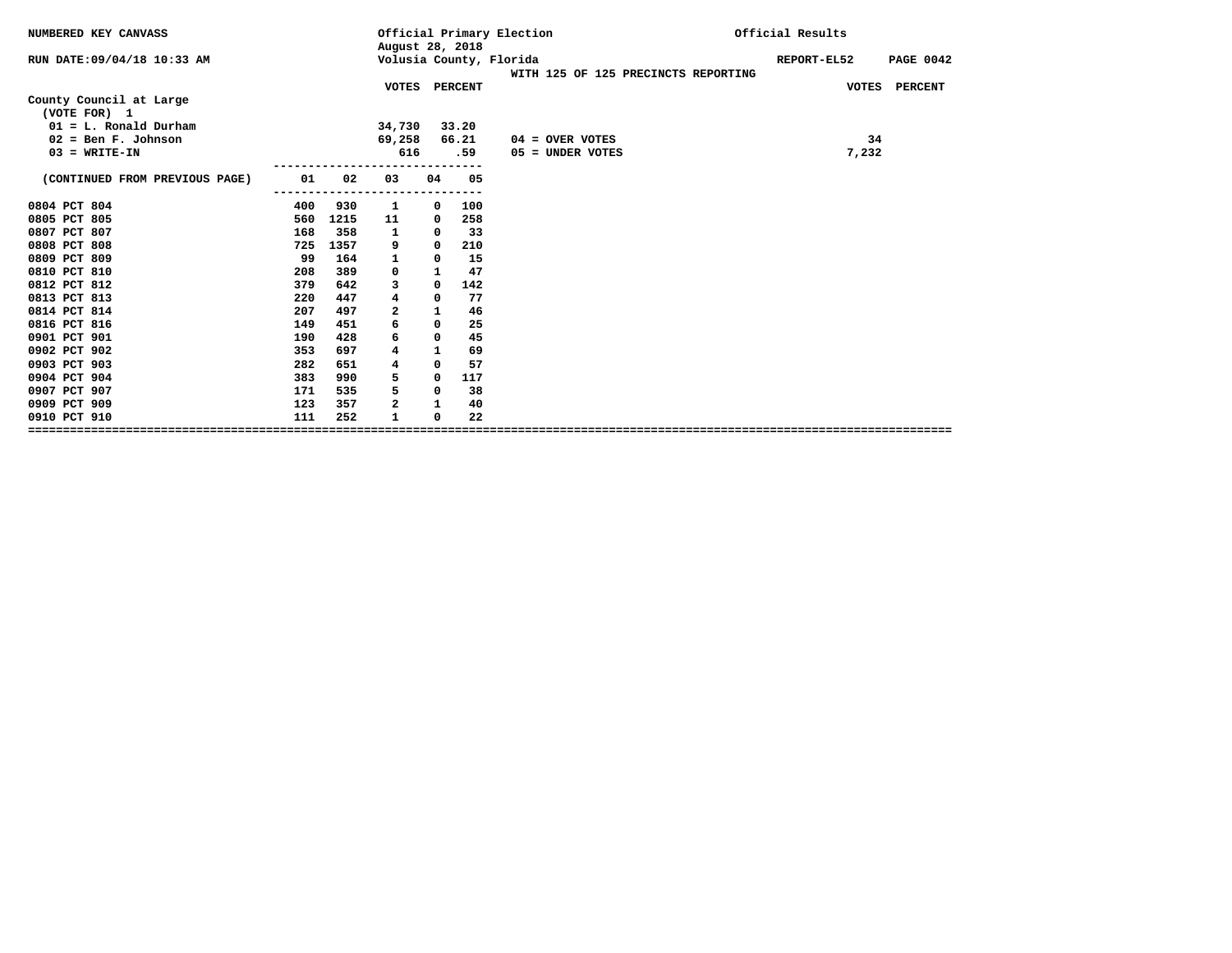| NUMBERED KEY CANVASS                    |     |      | August 28, 2018 |              |       | Official Primary Election |                                     | Official Results                |
|-----------------------------------------|-----|------|-----------------|--------------|-------|---------------------------|-------------------------------------|---------------------------------|
| RUN DATE: 09/04/18 10:33 AM             |     |      |                 |              |       | Volusia County, Florida   | WITH 125 OF 125 PRECINCTS REPORTING | REPORT-EL52<br><b>PAGE 0042</b> |
|                                         |     |      | VOTES PERCENT   |              |       |                           |                                     | VOTES PERCENT                   |
| County Council at Large<br>(VOTE FOR) 1 |     |      |                 |              |       |                           |                                     |                                 |
| $01 = L$ . Ronald Durham                |     |      | 34,730          |              | 33.20 |                           |                                     |                                 |
| $02 = \text{Ben } F.$ Johnson           |     |      | 69,258          |              | 66.21 | $04 =$ OVER VOTES         |                                     | 34                              |
| $03 = WRITE-IN$                         |     |      | 616             |              | .59   | $05 =$ UNDER VOTES        |                                     | 7,232                           |
|                                         |     |      |                 |              |       |                           |                                     |                                 |
| (CONTINUED FROM PREVIOUS PAGE)          | 01  | 02   | 03              | 04           | 05    |                           |                                     |                                 |
|                                         |     |      |                 |              |       |                           |                                     |                                 |
| 0804 PCT 804<br>0805 PCT 805            | 400 | 930  | 1               | 0            | 100   |                           |                                     |                                 |
|                                         | 560 | 1215 | 11              | 0            | 258   |                           |                                     |                                 |
| 0807 PCT 807                            | 168 | 358  | 1               | 0            | 33    |                           |                                     |                                 |
| 0808 PCT 808                            | 725 | 1357 | 9               | 0            | 210   |                           |                                     |                                 |
| 0809 PCT 809                            | 99  | 164  | 1               | 0            | 15    |                           |                                     |                                 |
| 0810 PCT 810                            | 208 | 389  | 0               | 1            | 47    |                           |                                     |                                 |
| 0812 PCT 812                            | 379 | 642  | 3               | 0            | 142   |                           |                                     |                                 |
| 0813 PCT 813                            | 220 | 447  | 4               | 0            | 77    |                           |                                     |                                 |
| 0814 PCT 814                            | 207 | 497  | 2               | 1            | 46    |                           |                                     |                                 |
| 0816 PCT 816                            | 149 | 451  | 6               | 0            | 25    |                           |                                     |                                 |
| 0901 PCT 901                            | 190 | 428  | 6               | 0            | 45    |                           |                                     |                                 |
| 0902 PCT 902                            | 353 | 697  | 4               | $\mathbf{1}$ | 69    |                           |                                     |                                 |
| 0903 PCT 903                            | 282 | 651  | 4               | 0            | 57    |                           |                                     |                                 |
| 0904 PCT 904                            | 383 | 990  | 5               | 0            | 117   |                           |                                     |                                 |
| 0907 PCT 907                            | 171 | 535  | 5               | 0            | 38    |                           |                                     |                                 |
| 0909 PCT 909                            | 123 | 357  | 2               | 1            | 40    |                           |                                     |                                 |
| 0910 PCT 910                            | 111 | 252  | $\mathbf{1}$    | 0            | 22    |                           |                                     |                                 |
|                                         |     |      |                 |              |       |                           |                                     |                                 |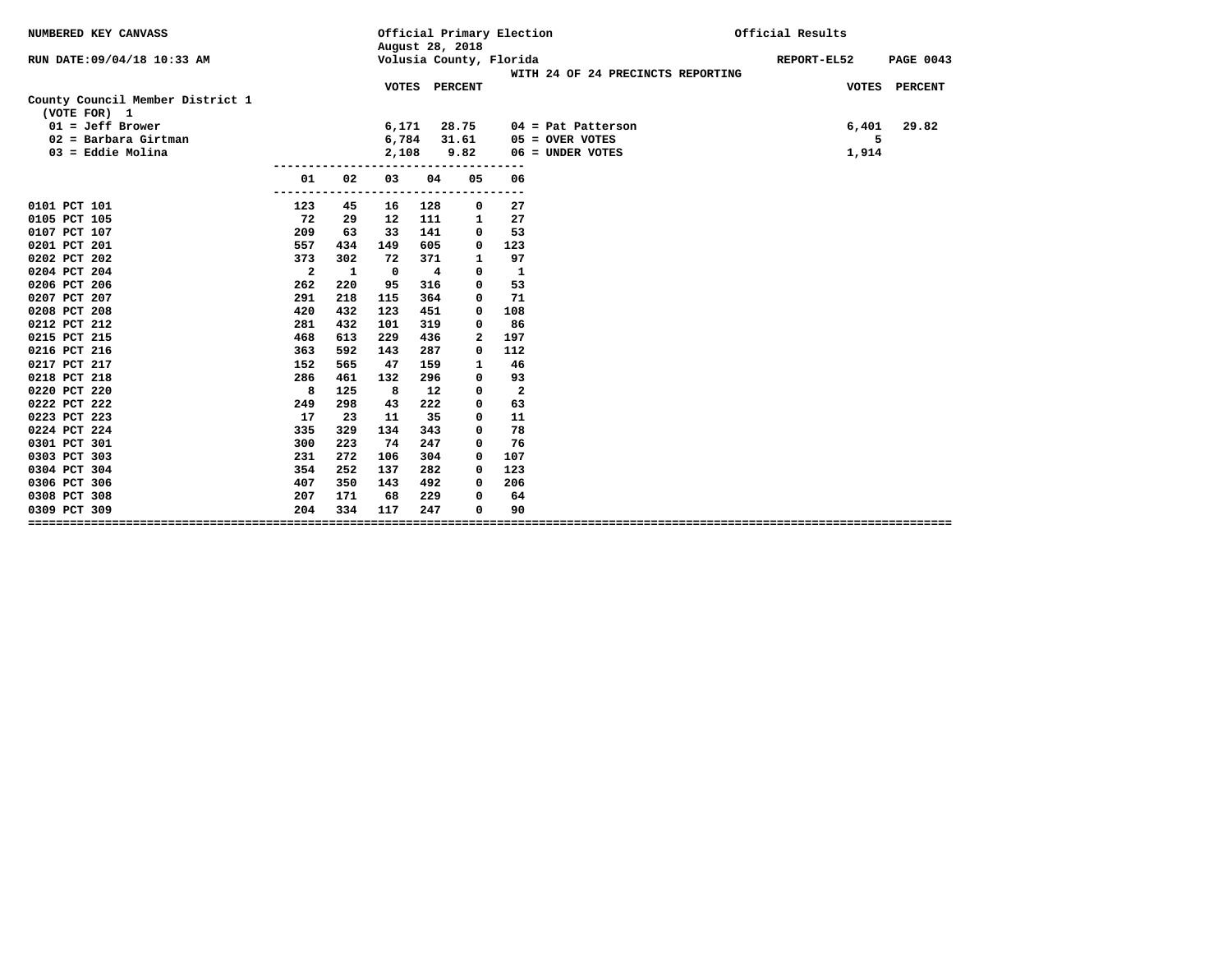| NUMBERED KEY CANVASS             |                         |              |       | August 28, 2018         | Official Primary Election |              |                                   | Official Results                |
|----------------------------------|-------------------------|--------------|-------|-------------------------|---------------------------|--------------|-----------------------------------|---------------------------------|
| RUN DATE:09/04/18 10:33 AM       |                         |              |       |                         | Volusia County, Florida   |              | WITH 24 OF 24 PRECINCTS REPORTING | REPORT-EL52<br><b>PAGE 0043</b> |
|                                  |                         |              |       | VOTES PERCENT           |                           |              |                                   | <b>PERCENT</b><br><b>VOTES</b>  |
| County Council Member District 1 |                         |              |       |                         |                           |              |                                   |                                 |
| (VOTE FOR) 1                     |                         |              |       |                         |                           |              |                                   |                                 |
| $01 = Jeff Brower$               |                         |              | 6,171 |                         | 28.75                     |              | $04$ = Pat Patterson              | 29.82<br>6,401                  |
| $02$ = Barbara Girtman           |                         |              | 6,784 |                         | 31.61                     |              | $05 =$ OVER VOTES                 | 5                               |
| $03 =$ Eddie Molina              |                         |              | 2,108 |                         | 9.82                      |              | 06 = UNDER VOTES                  | 1,914                           |
|                                  | 01                      | 02           | 03    | 04                      | 05                        | 06           |                                   |                                 |
|                                  | -----                   |              |       |                         |                           | ---          |                                   |                                 |
| 0101 PCT 101                     | 123                     | 45           | 16    | 128                     | 0                         | 27           |                                   |                                 |
| 0105 PCT 105                     | 72                      | 29           | 12    | 111                     | 1                         | 27           |                                   |                                 |
| 0107 PCT 107                     | 209                     | 63           | 33    | 141                     | 0                         | 53           |                                   |                                 |
| 0201 PCT 201                     | 557                     | 434          | 149   | 605                     | 0                         | 123          |                                   |                                 |
| 0202 PCT 202                     | 373                     | 302          | 72    | 371                     | $\mathbf{1}$              | 97           |                                   |                                 |
| 0204 PCT 204                     | $\overline{\mathbf{2}}$ | $\mathbf{1}$ | 0     | $\overline{\mathbf{4}}$ | 0                         | $\mathbf{1}$ |                                   |                                 |
| 0206 PCT 206                     | 262                     | 220          | 95    | 316                     | 0                         | 53           |                                   |                                 |
| 0207 PCT 207                     | 291                     | 218          | 115   | 364                     | 0                         | 71           |                                   |                                 |
| 0208 PCT 208                     | 420                     | 432          | 123   | 451                     | 0                         | 108          |                                   |                                 |
| 0212 PCT 212                     | 281                     | 432          | 101   | 319                     | 0                         | 86           |                                   |                                 |
| 0215 PCT 215                     | 468                     | 613          | 229   | 436                     | $\mathbf{2}$              | 197          |                                   |                                 |
| 0216 PCT 216                     | 363                     | 592          | 143   | 287                     | 0                         | 112          |                                   |                                 |
| 0217 PCT 217                     | 152                     | 565          | 47    | 159                     | $\mathbf{1}$              | 46           |                                   |                                 |
| 0218 PCT 218                     | 286                     | 461          | 132   | 296                     | 0                         | 93           |                                   |                                 |
| 0220 PCT 220                     | $_{\rm 8}$              | 125          | 8     | 12                      | 0                         | $\mathbf{2}$ |                                   |                                 |
| 0222 PCT 222                     | 249                     | 298          | 43    | 222                     | 0                         | 63           |                                   |                                 |
| 0223 PCT 223                     | 17                      | 23           | 11    | 35                      | 0                         | 11           |                                   |                                 |
| 0224 PCT 224                     | 335                     | 329          | 134   | 343                     | 0                         | 78           |                                   |                                 |
| 0301 PCT 301                     | 300                     | 223          | 74    | 247                     | 0                         | 76           |                                   |                                 |
| 0303 PCT 303                     | 231                     | 272          | 106   | 304                     | $^{\circ}$                | 107          |                                   |                                 |
| 0304 PCT 304                     | 354                     | 252          | 137   | 282                     | 0                         | 123          |                                   |                                 |
| 0306 PCT 306                     | 407                     | 350          | 143   | 492                     | 0                         | 206          |                                   |                                 |
| 0308 PCT 308                     | 207                     | 171          | 68    | 229                     | 0                         | 64           |                                   |                                 |
| 0309 PCT 309                     | 204                     | 334          | 117   | 247                     | 0                         | 90           |                                   |                                 |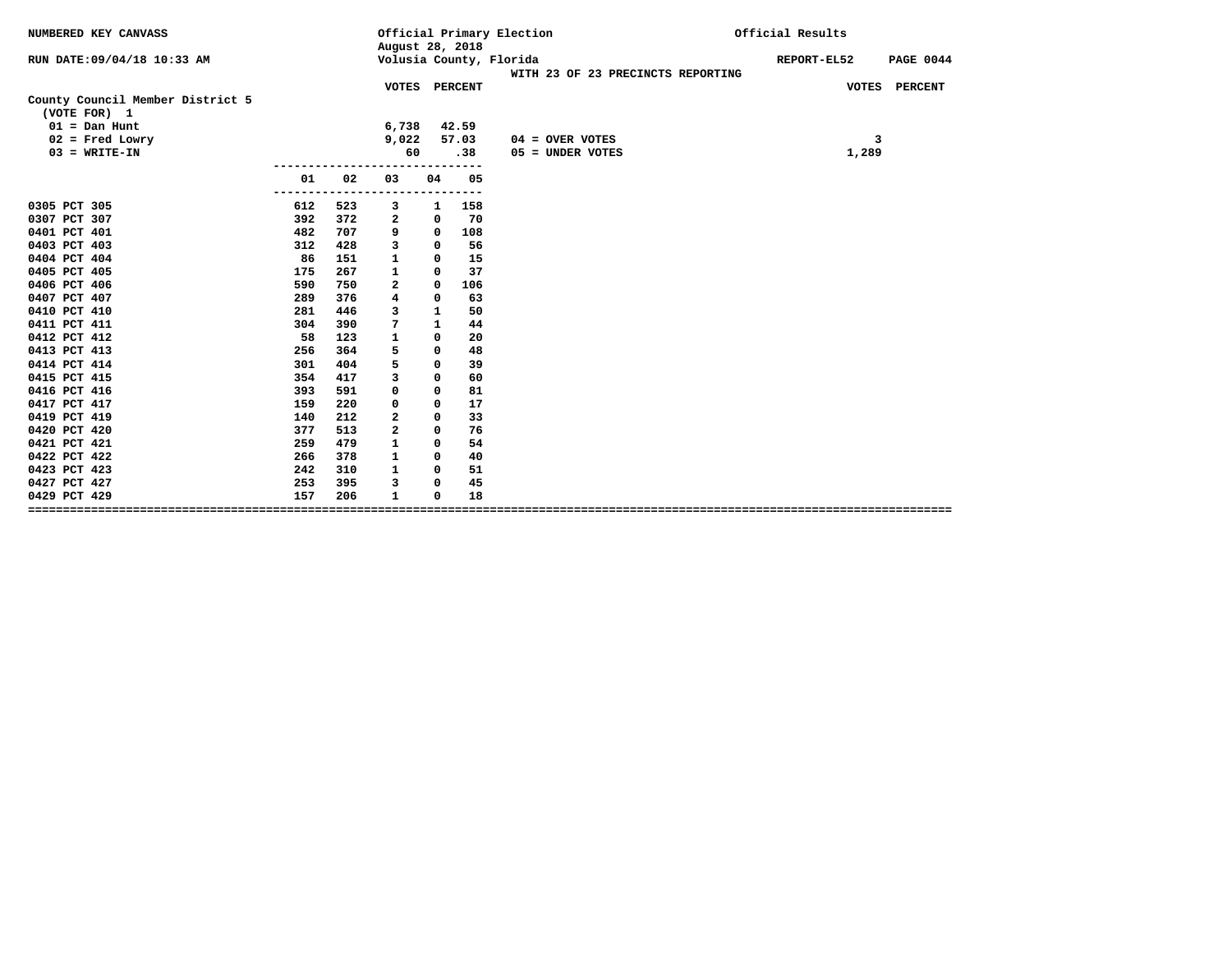| NUMBERED KEY CANVASS                             |                |            | August 28, 2018         |              |            | Official Primary Election                                    | Official Results |                  |  |
|--------------------------------------------------|----------------|------------|-------------------------|--------------|------------|--------------------------------------------------------------|------------------|------------------|--|
| RUN DATE:09/04/18 10:33 AM                       |                |            |                         |              |            | Volusia County, Florida<br>WITH 23 OF 23 PRECINCTS REPORTING | REPORT-EL52      | <b>PAGE 0044</b> |  |
| County Council Member District 5<br>(VOTE FOR) 1 |                |            | VOTES PERCENT           |              |            |                                                              | VOTES PERCENT    |                  |  |
| $01 = Dan Hunt$                                  |                |            | 6,738                   |              | 42.59      |                                                              |                  |                  |  |
| $02$ = Fred Lowry                                |                |            | 9,022                   |              | 57.03      | $04 =$ OVER VOTES                                            | 3                |                  |  |
| $03 = WRITE-IN$                                  |                |            | 60                      |              | .38        | 05 = UNDER VOTES                                             | 1,289            |                  |  |
|                                                  | 01             | 02         | 03                      | 04           | 05         |                                                              |                  |                  |  |
| 0305 PCT 305                                     | -------<br>612 | 523        | з                       | 1            | ---<br>158 |                                                              |                  |                  |  |
| 0307 PCT 307                                     | 392            | 372        | 2                       | $\mathbf 0$  | 70         |                                                              |                  |                  |  |
| 0401 PCT 401                                     | 482            | 707        | 9                       | $\mathbf 0$  | 108        |                                                              |                  |                  |  |
| 0403 PCT 403                                     | 312            | 428        | 3                       | $\mathbf 0$  | 56         |                                                              |                  |                  |  |
| 0404 PCT 404                                     | 86             | 151        | $\mathbf{1}$            | $\mathbf 0$  | 15         |                                                              |                  |                  |  |
| 0405 PCT 405                                     | 175            | 267        | $\mathbf{1}$            | $\mathbf 0$  | 37         |                                                              |                  |                  |  |
| 0406 PCT 406                                     | 590            | 750        | $\mathbf{2}$            | $\mathbf 0$  | 106        |                                                              |                  |                  |  |
| 0407 PCT 407                                     | 289            | 376        | $\overline{\mathbf{4}}$ | $\mathbf 0$  | 63         |                                                              |                  |                  |  |
| 0410 PCT 410                                     | 281            | 446        | 3                       | $\mathbf{1}$ | 50         |                                                              |                  |                  |  |
| 0411 PCT 411                                     | 304            | 390        | 7                       | $\mathbf{1}$ | 44         |                                                              |                  |                  |  |
| 0412 PCT 412                                     | 58             | 123        | $\mathbf{1}$            | $\mathbf{0}$ | 20         |                                                              |                  |                  |  |
| 0413 PCT 413                                     | 256            | 364        | 5                       | 0            | 48         |                                                              |                  |                  |  |
| 0414 PCT 414                                     | 301            | 404        | 5                       | $\mathbf 0$  | 39         |                                                              |                  |                  |  |
| 0415 PCT 415                                     | 354            | 417        | 3                       | $\mathbf{0}$ | 60         |                                                              |                  |                  |  |
| 0416 PCT 416                                     | 393            | 591        | $\Omega$                | $\mathbf 0$  | 81         |                                                              |                  |                  |  |
| 0417 PCT 417                                     | 159            | 220        | 0                       | $\mathbf{0}$ | 17         |                                                              |                  |                  |  |
| 0419 PCT 419                                     | 140            | 212        | $\overline{a}$          | $\mathbf 0$  | 33         |                                                              |                  |                  |  |
| 0420 PCT 420                                     | 377            | 513        | $\overline{a}$          | $\Omega$     | 76         |                                                              |                  |                  |  |
| 0421 PCT 421                                     | 259            | 479        | $\mathbf{1}$            | $\mathbf{0}$ | 54         |                                                              |                  |                  |  |
| 0422 PCT 422                                     | 266            | 378        | 1                       | $\Omega$     | 40         |                                                              |                  |                  |  |
| 0423 PCT 423                                     | 242            | 310        | $\mathbf{1}$            | $\mathbf{0}$ | 51         |                                                              |                  |                  |  |
| 0427 PCT 427                                     | 253            | 395<br>206 | 3                       | $\mathbf 0$  | 45         |                                                              |                  |                  |  |
| 0429 PCT 429                                     | 157            |            | $\mathbf{1}$            | 0            | 18         |                                                              |                  |                  |  |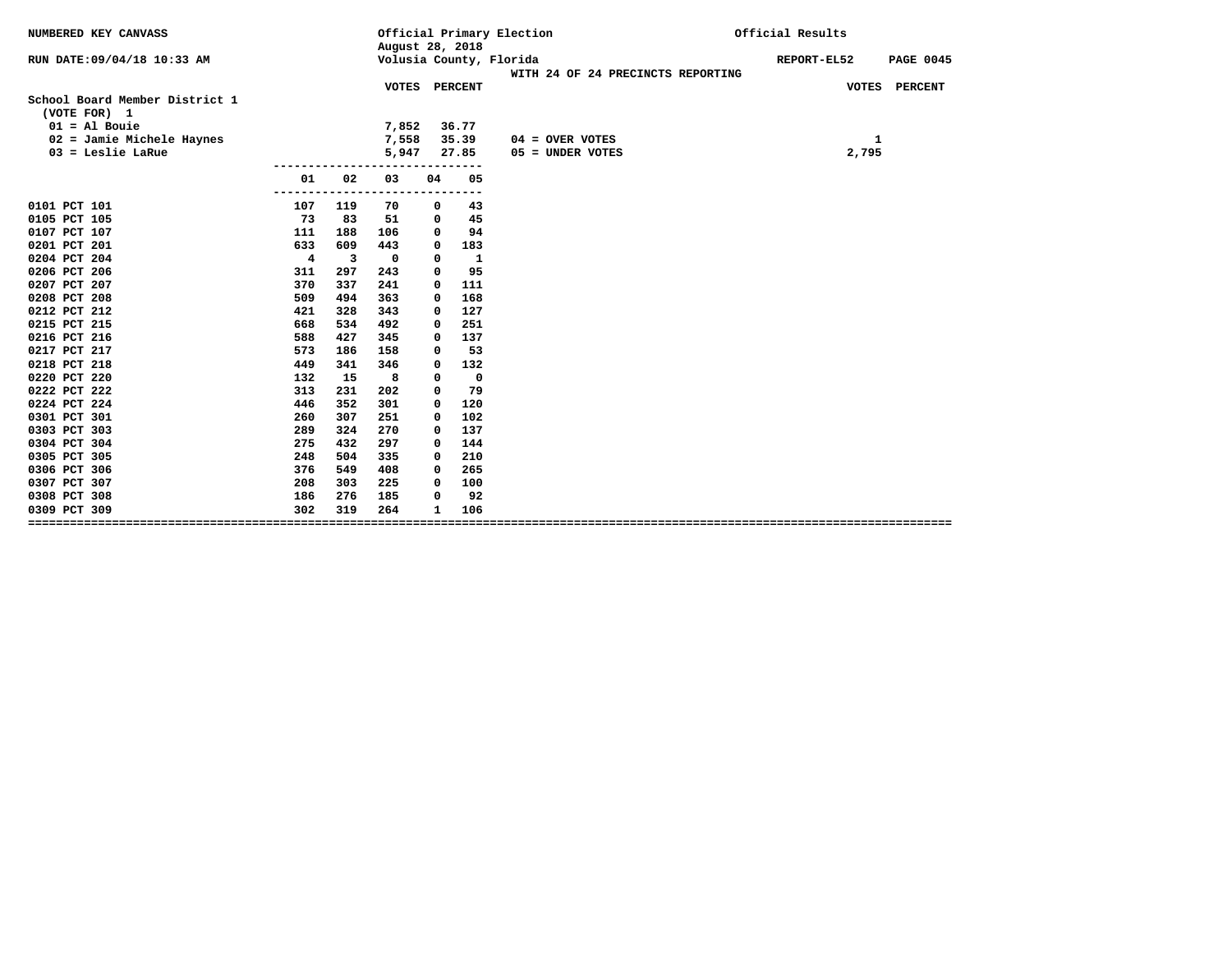| NUMBERED KEY CANVASS                           |                |     | August 28, 2018 |              |              | Official Primary Election                                    | Official Results                |  |  |  |
|------------------------------------------------|----------------|-----|-----------------|--------------|--------------|--------------------------------------------------------------|---------------------------------|--|--|--|
| RUN DATE: 09/04/18 10:33 AM                    |                |     |                 |              |              | Volusia County, Florida<br>WITH 24 OF 24 PRECINCTS REPORTING | REPORT-EL52<br><b>PAGE 0045</b> |  |  |  |
|                                                |                |     | VOTES PERCENT   |              |              |                                                              | VOTES PERCENT                   |  |  |  |
| School Board Member District 1<br>(VOTE FOR) 1 |                |     |                 |              |              |                                                              |                                 |  |  |  |
| $01 = A1$ Bouie                                |                |     | 7,852           |              | 36.77        |                                                              |                                 |  |  |  |
| $02 =$ Jamie Michele Haynes                    |                |     | 7,558           |              | 35.39        | $04 =$ OVER VOTES                                            | 1                               |  |  |  |
| $03$ = Leslie LaRue                            |                |     | 5,947           |              | 27.85        | 05 = UNDER VOTES                                             | 2,795                           |  |  |  |
|                                                | 01             | 02  | 03              | 04           | 05           |                                                              |                                 |  |  |  |
| 0101 PCT 101                                   | 107            | 119 | 70              | 0            | 43           |                                                              |                                 |  |  |  |
| 0105 PCT 105                                   | 73             | 83  | 51              | 0            | 45           |                                                              |                                 |  |  |  |
| 0107 PCT 107                                   | 111            | 188 | 106             | 0            | 94           |                                                              |                                 |  |  |  |
| 0201 PCT 201                                   | 633            | 609 | 443             | 0            | 183          |                                                              |                                 |  |  |  |
| 0204 PCT 204                                   | $\overline{4}$ | 3   | $\mathbf{o}$    | 0            | $\mathbf{1}$ |                                                              |                                 |  |  |  |
| 0206 PCT 206                                   | 311            | 297 | 243             | 0            | 95           |                                                              |                                 |  |  |  |
| 0207 PCT 207                                   | 370            | 337 | 241             | 0            | 111          |                                                              |                                 |  |  |  |
| 0208 PCT 208                                   | 509            | 494 | 363             | 0            | 168          |                                                              |                                 |  |  |  |
| 0212 PCT 212                                   | 421            | 328 | 343             | 0            | 127          |                                                              |                                 |  |  |  |
| 0215 PCT 215                                   | 668            | 534 | 492             | 0            | 251          |                                                              |                                 |  |  |  |
| 0216 PCT 216                                   | 588            | 427 | 345             | 0            | 137          |                                                              |                                 |  |  |  |
| 0217 PCT 217                                   | 573            | 186 | 158             | 0            | 53           |                                                              |                                 |  |  |  |
| 0218 PCT 218                                   | 449            | 341 | 346             | 0            | 132          |                                                              |                                 |  |  |  |
| 0220 PCT 220                                   | 132            | 15  | 8               | 0            | 0            |                                                              |                                 |  |  |  |
| 0222 PCT 222                                   | 313            | 231 | 202             | 0            | 79           |                                                              |                                 |  |  |  |
| 0224 PCT 224                                   | 446            | 352 | 301             | 0            | 120          |                                                              |                                 |  |  |  |
| 0301 PCT 301                                   | 260            | 307 | 251             | 0            | 102          |                                                              |                                 |  |  |  |
| 0303 PCT 303                                   | 289            | 324 | 270             | 0            | 137          |                                                              |                                 |  |  |  |
| 0304 PCT 304                                   | 275            | 432 | 297             | 0            | 144          |                                                              |                                 |  |  |  |
| 0305 PCT 305                                   | 248            | 504 | 335             | 0            | 210          |                                                              |                                 |  |  |  |
| 0306 PCT 306                                   | 376            | 549 | 408             | 0            | 265          |                                                              |                                 |  |  |  |
| 0307 PCT 307                                   | 208            | 303 | 225             | 0            | 100          |                                                              |                                 |  |  |  |
| 0308 PCT 308                                   | 186            | 276 | 185             | 0            | 92           |                                                              |                                 |  |  |  |
| 0309 PCT 309                                   | 302            | 319 | 264             | $\mathbf{1}$ | 106          |                                                              |                                 |  |  |  |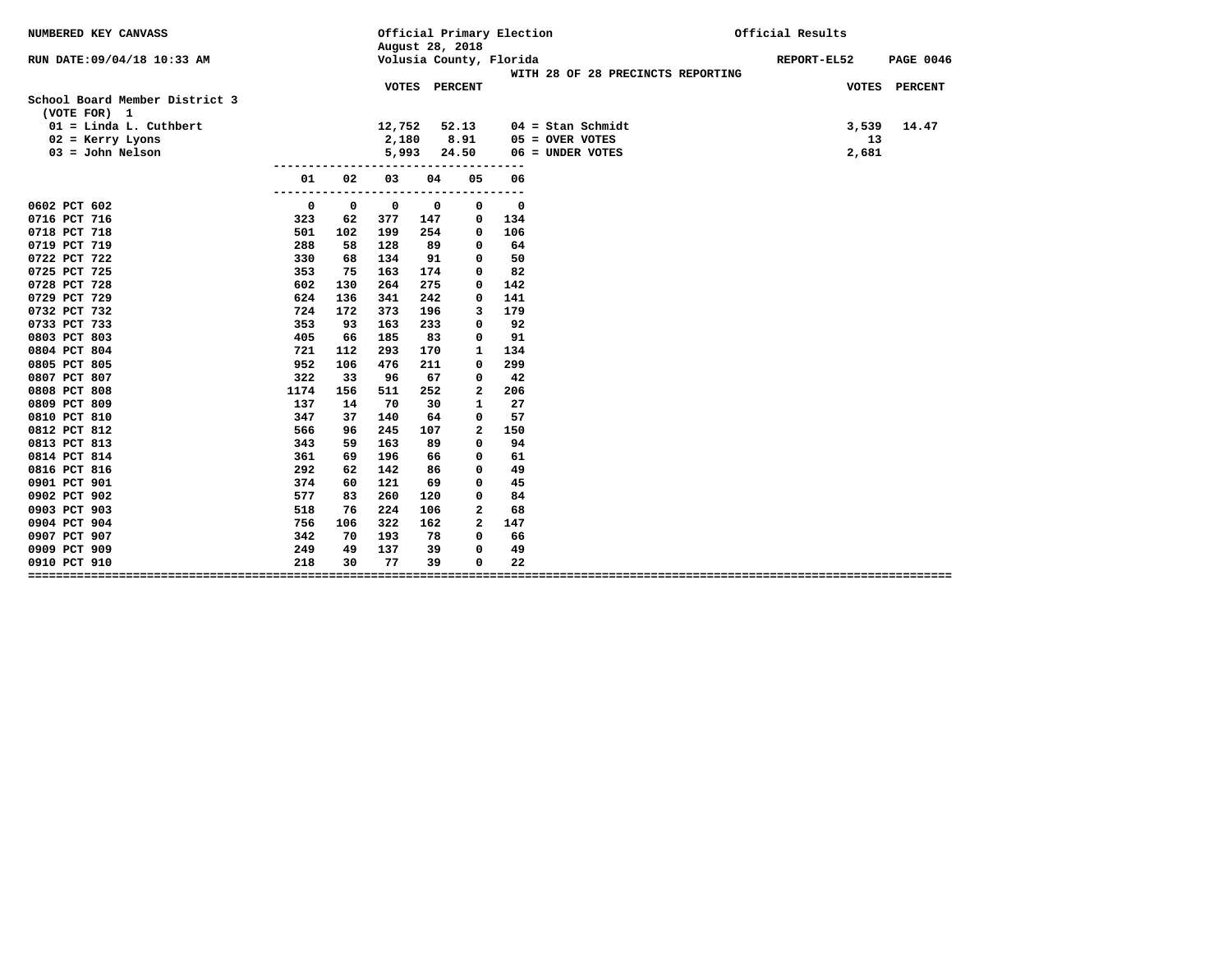| NUMBERED KEY CANVASS                           |            |                   |              | August 28, 2018 |              | Official Primary Election |                                   | Official Results                |
|------------------------------------------------|------------|-------------------|--------------|-----------------|--------------|---------------------------|-----------------------------------|---------------------------------|
| RUN DATE:09/04/18 10:33 AM                     |            |                   |              |                 |              | Volusia County, Florida   | WITH 28 OF 28 PRECINCTS REPORTING | REPORT-EL52<br><b>PAGE 0046</b> |
|                                                |            |                   |              | VOTES PERCENT   |              |                           |                                   | VOTES PERCENT                   |
| School Board Member District 3<br>(VOTE FOR) 1 |            |                   |              |                 |              |                           |                                   |                                 |
| $01 =$ Linda L. Cuthbert                       |            |                   | 12,752       |                 | 52.13        |                           | $04 =$ Stan Schmidt               | 3,539<br>14.47                  |
| $02$ = Kerry Lyons                             |            |                   | 2,180        |                 | 8.91         |                           | $05 =$ OVER VOTES                 | 13                              |
| $03 =$ John Nelson                             |            |                   | 5,993        |                 | 24.50        |                           | 06 = UNDER VOTES                  | 2,681                           |
|                                                | 01         | 02                | 03           | 04              | 05           | 06                        |                                   |                                 |
|                                                |            | ----------------- |              |                 |              | ---------<br>$\Omega$     |                                   |                                 |
| 0602 PCT 602<br>0716 PCT 716                   | 0          | $\mathbf 0$       | $\mathbf{o}$ | 0               | 0            |                           |                                   |                                 |
| 0718 PCT 718                                   | 323<br>501 | 62<br>102         | 377<br>199   | 147<br>254      | 0            | 134<br>106                |                                   |                                 |
| 0719 PCT 719                                   | 288        | 58                | 128          | 89              | 0<br>0       | 64                        |                                   |                                 |
| 0722 PCT 722                                   | 330        | 68                | 134          | 91              | 0            | 50                        |                                   |                                 |
| 0725 PCT 725                                   | 353        | 75                | 163          | 174             | 0            | 82                        |                                   |                                 |
| 0728 PCT 728                                   | 602        | 130               | 264          | 275             | $\Omega$     | 142                       |                                   |                                 |
| 0729 PCT 729                                   | 624        | 136               | 341          | 242             | 0            | 141                       |                                   |                                 |
| 0732 PCT 732                                   | 724        | 172               | 373          | 196             | 3            | 179                       |                                   |                                 |
| 0733 PCT 733                                   | 353        | 93                | 163          | 233             | 0            | 92                        |                                   |                                 |
| 0803 PCT 803                                   | 405        | 66                | 185          | 83              | 0            | 91                        |                                   |                                 |
| 0804 PCT 804                                   | 721        | 112               | 293          | 170             | 1            | 134                       |                                   |                                 |
| 0805 PCT 805                                   | 952        | 106               | 476          | 211             | 0            | 299                       |                                   |                                 |
| 0807 PCT 807                                   | 322        | 33                | 96           | 67              | $\Omega$     | 42                        |                                   |                                 |
| 0808 PCT 808                                   | 1174       | 156               | 511          | 252             | 2            | 206                       |                                   |                                 |
| 0809 PCT 809                                   | 137        | 14                | 70           | 30              | 1            | 27                        |                                   |                                 |
| 0810 PCT 810                                   | 347        | 37                | 140          | 64              | 0            | 57                        |                                   |                                 |
| 0812 PCT 812                                   | 566        | 96                | 245          | 107             | 2            | 150                       |                                   |                                 |
| 0813 PCT 813                                   | 343        | 59                | 163          | 89              | 0            | 94                        |                                   |                                 |
| 0814 PCT 814                                   | 361        | 69                | 196          | 66              | 0            | 61                        |                                   |                                 |
| 0816 PCT 816                                   | 292        | 62                | 142          | 86              | 0            | 49                        |                                   |                                 |
| 0901 PCT 901                                   | 374        | 60                | 121          | 69              | 0            | 45                        |                                   |                                 |
| 0902 PCT 902                                   | 577        | 83                | 260          | 120             | 0            | 84                        |                                   |                                 |
| 0903 PCT 903                                   | 518        | 76                | 224          | 106             | $\mathbf{2}$ | 68                        |                                   |                                 |
| 0904 PCT 904                                   | 756        | 106               | 322          | 162             | $\mathbf{2}$ | 147                       |                                   |                                 |
| 0907 PCT 907                                   | 342        | 70                | 193          | 78              | 0            | 66                        |                                   |                                 |
| 0909 PCT 909                                   | 249        | 49                | 137          | 39              | 0            | 49                        |                                   |                                 |
| 0910 PCT 910                                   | 218        | 30                | 77           | 39              | 0            | 22                        |                                   |                                 |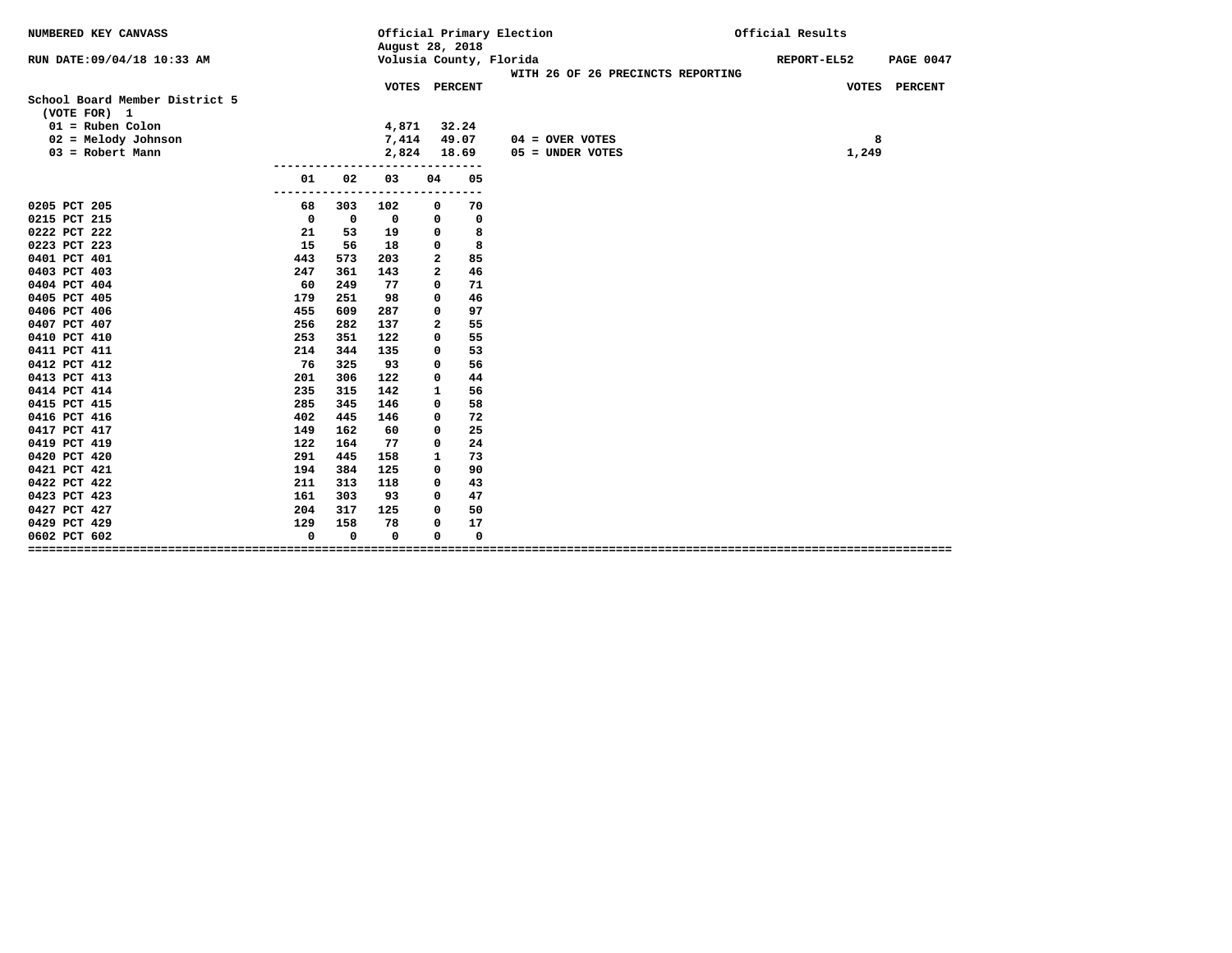| Volusia County, Florida<br>RUN DATE:09/04/18 10:33 AM<br>REPORT-EL52<br><b>PAGE 0047</b><br>WITH 26 OF 26 PRECINCTS REPORTING<br>VOTES PERCENT<br>VOTES PERCENT<br>School Board Member District 5<br>(VOTE FOR) 1<br>$01 = Ruben$ Colon<br>4,871<br>32.24<br>7,414<br>49.07<br>$02 = Melody$ Johnson<br>$04 =$ OVER VOTES<br>8<br>2,824<br>$03 = Robert Mann$<br>18.69<br>1,249<br>05 = UNDER VOTES<br>01<br>02<br>03<br>04<br>05<br>--<br>0205 PCT 205<br>68<br>70<br>303<br>102<br>0<br>0215 PCT 215<br>$\mathbf 0$<br>$\mathbf 0$<br>0<br>$\mathbf 0$<br>0<br>0222 PCT 222<br>8<br>21<br>53<br>19<br>0<br>15<br>8<br>0223 PCT 223<br>18<br>56<br>0<br>0401 PCT 401<br>443<br>573<br>203<br>2<br>85<br>46<br>0403 PCT 403<br>247<br>361<br>143<br>$\mathbf{2}$<br>249<br>0404 PCT 404<br>60<br>71<br>77<br>$\mathbf 0$<br>46<br>0405 PCT 405<br>251<br>98<br>179<br>0<br>0406 PCT 406<br>455<br>609<br>97<br>287<br>0<br>0407 PCT 407<br>256<br>282<br>137<br>55<br>$\mathbf{2}$<br>0410 PCT 410<br>253<br>351<br>122<br>55<br>0<br>0411 PCT 411<br>214<br>135<br>53<br>344<br>0<br>0412 PCT 412<br>76<br>56<br>325<br>93<br>0<br>44<br>0413 PCT 413<br>201<br>306<br>122<br>0<br>142<br>56<br>0414 PCT 414<br>235<br>315<br>1<br>0415 PCT 415<br>146<br>58<br>285<br>345<br>0<br>0416 PCT 416<br>402<br>445<br>146<br>72<br>0<br>0417 PCT 417<br>149<br>162<br>25<br>60<br>0<br>0419 PCT 419<br>122<br>164<br>77<br>24<br>0<br>0420 PCT 420<br>291<br>445<br>158<br>1<br>73<br>0421 PCT 421<br>384<br>90<br>194<br>125<br>0<br>43<br>0422 PCT 422<br>211<br>313<br>118<br>0<br>0423 PCT 423<br>161<br>303<br>93<br>$\mathbf 0$<br>47<br>0427 PCT 427<br>204<br>50<br>317<br>125<br>0<br>17<br>0429 PCT 429<br>129<br>158<br>78<br>0<br>$\mathbf 0$<br>$\mathbf 0$<br>0<br>$\mathbf 0$<br>0602 PCT 602<br>0 | NUMBERED KEY CANVASS |  | August 28, 2018 |  | Official Primary Election | Official Results |  |  |  |
|---------------------------------------------------------------------------------------------------------------------------------------------------------------------------------------------------------------------------------------------------------------------------------------------------------------------------------------------------------------------------------------------------------------------------------------------------------------------------------------------------------------------------------------------------------------------------------------------------------------------------------------------------------------------------------------------------------------------------------------------------------------------------------------------------------------------------------------------------------------------------------------------------------------------------------------------------------------------------------------------------------------------------------------------------------------------------------------------------------------------------------------------------------------------------------------------------------------------------------------------------------------------------------------------------------------------------------------------------------------------------------------------------------------------------------------------------------------------------------------------------------------------------------------------------------------------------------------------------------------------------------------------------------------------------------------------------------------------------------------------------------------------------------------------------------------|----------------------|--|-----------------|--|---------------------------|------------------|--|--|--|
|                                                                                                                                                                                                                                                                                                                                                                                                                                                                                                                                                                                                                                                                                                                                                                                                                                                                                                                                                                                                                                                                                                                                                                                                                                                                                                                                                                                                                                                                                                                                                                                                                                                                                                                                                                                                               |                      |  |                 |  |                           |                  |  |  |  |
|                                                                                                                                                                                                                                                                                                                                                                                                                                                                                                                                                                                                                                                                                                                                                                                                                                                                                                                                                                                                                                                                                                                                                                                                                                                                                                                                                                                                                                                                                                                                                                                                                                                                                                                                                                                                               |                      |  |                 |  |                           |                  |  |  |  |
|                                                                                                                                                                                                                                                                                                                                                                                                                                                                                                                                                                                                                                                                                                                                                                                                                                                                                                                                                                                                                                                                                                                                                                                                                                                                                                                                                                                                                                                                                                                                                                                                                                                                                                                                                                                                               |                      |  |                 |  |                           |                  |  |  |  |
|                                                                                                                                                                                                                                                                                                                                                                                                                                                                                                                                                                                                                                                                                                                                                                                                                                                                                                                                                                                                                                                                                                                                                                                                                                                                                                                                                                                                                                                                                                                                                                                                                                                                                                                                                                                                               |                      |  |                 |  |                           |                  |  |  |  |
|                                                                                                                                                                                                                                                                                                                                                                                                                                                                                                                                                                                                                                                                                                                                                                                                                                                                                                                                                                                                                                                                                                                                                                                                                                                                                                                                                                                                                                                                                                                                                                                                                                                                                                                                                                                                               |                      |  |                 |  |                           |                  |  |  |  |
|                                                                                                                                                                                                                                                                                                                                                                                                                                                                                                                                                                                                                                                                                                                                                                                                                                                                                                                                                                                                                                                                                                                                                                                                                                                                                                                                                                                                                                                                                                                                                                                                                                                                                                                                                                                                               |                      |  |                 |  |                           |                  |  |  |  |
|                                                                                                                                                                                                                                                                                                                                                                                                                                                                                                                                                                                                                                                                                                                                                                                                                                                                                                                                                                                                                                                                                                                                                                                                                                                                                                                                                                                                                                                                                                                                                                                                                                                                                                                                                                                                               |                      |  |                 |  |                           |                  |  |  |  |
|                                                                                                                                                                                                                                                                                                                                                                                                                                                                                                                                                                                                                                                                                                                                                                                                                                                                                                                                                                                                                                                                                                                                                                                                                                                                                                                                                                                                                                                                                                                                                                                                                                                                                                                                                                                                               |                      |  |                 |  |                           |                  |  |  |  |
|                                                                                                                                                                                                                                                                                                                                                                                                                                                                                                                                                                                                                                                                                                                                                                                                                                                                                                                                                                                                                                                                                                                                                                                                                                                                                                                                                                                                                                                                                                                                                                                                                                                                                                                                                                                                               |                      |  |                 |  |                           |                  |  |  |  |
|                                                                                                                                                                                                                                                                                                                                                                                                                                                                                                                                                                                                                                                                                                                                                                                                                                                                                                                                                                                                                                                                                                                                                                                                                                                                                                                                                                                                                                                                                                                                                                                                                                                                                                                                                                                                               |                      |  |                 |  |                           |                  |  |  |  |
|                                                                                                                                                                                                                                                                                                                                                                                                                                                                                                                                                                                                                                                                                                                                                                                                                                                                                                                                                                                                                                                                                                                                                                                                                                                                                                                                                                                                                                                                                                                                                                                                                                                                                                                                                                                                               |                      |  |                 |  |                           |                  |  |  |  |
|                                                                                                                                                                                                                                                                                                                                                                                                                                                                                                                                                                                                                                                                                                                                                                                                                                                                                                                                                                                                                                                                                                                                                                                                                                                                                                                                                                                                                                                                                                                                                                                                                                                                                                                                                                                                               |                      |  |                 |  |                           |                  |  |  |  |
|                                                                                                                                                                                                                                                                                                                                                                                                                                                                                                                                                                                                                                                                                                                                                                                                                                                                                                                                                                                                                                                                                                                                                                                                                                                                                                                                                                                                                                                                                                                                                                                                                                                                                                                                                                                                               |                      |  |                 |  |                           |                  |  |  |  |
|                                                                                                                                                                                                                                                                                                                                                                                                                                                                                                                                                                                                                                                                                                                                                                                                                                                                                                                                                                                                                                                                                                                                                                                                                                                                                                                                                                                                                                                                                                                                                                                                                                                                                                                                                                                                               |                      |  |                 |  |                           |                  |  |  |  |
|                                                                                                                                                                                                                                                                                                                                                                                                                                                                                                                                                                                                                                                                                                                                                                                                                                                                                                                                                                                                                                                                                                                                                                                                                                                                                                                                                                                                                                                                                                                                                                                                                                                                                                                                                                                                               |                      |  |                 |  |                           |                  |  |  |  |
|                                                                                                                                                                                                                                                                                                                                                                                                                                                                                                                                                                                                                                                                                                                                                                                                                                                                                                                                                                                                                                                                                                                                                                                                                                                                                                                                                                                                                                                                                                                                                                                                                                                                                                                                                                                                               |                      |  |                 |  |                           |                  |  |  |  |
|                                                                                                                                                                                                                                                                                                                                                                                                                                                                                                                                                                                                                                                                                                                                                                                                                                                                                                                                                                                                                                                                                                                                                                                                                                                                                                                                                                                                                                                                                                                                                                                                                                                                                                                                                                                                               |                      |  |                 |  |                           |                  |  |  |  |
|                                                                                                                                                                                                                                                                                                                                                                                                                                                                                                                                                                                                                                                                                                                                                                                                                                                                                                                                                                                                                                                                                                                                                                                                                                                                                                                                                                                                                                                                                                                                                                                                                                                                                                                                                                                                               |                      |  |                 |  |                           |                  |  |  |  |
|                                                                                                                                                                                                                                                                                                                                                                                                                                                                                                                                                                                                                                                                                                                                                                                                                                                                                                                                                                                                                                                                                                                                                                                                                                                                                                                                                                                                                                                                                                                                                                                                                                                                                                                                                                                                               |                      |  |                 |  |                           |                  |  |  |  |
|                                                                                                                                                                                                                                                                                                                                                                                                                                                                                                                                                                                                                                                                                                                                                                                                                                                                                                                                                                                                                                                                                                                                                                                                                                                                                                                                                                                                                                                                                                                                                                                                                                                                                                                                                                                                               |                      |  |                 |  |                           |                  |  |  |  |
|                                                                                                                                                                                                                                                                                                                                                                                                                                                                                                                                                                                                                                                                                                                                                                                                                                                                                                                                                                                                                                                                                                                                                                                                                                                                                                                                                                                                                                                                                                                                                                                                                                                                                                                                                                                                               |                      |  |                 |  |                           |                  |  |  |  |
|                                                                                                                                                                                                                                                                                                                                                                                                                                                                                                                                                                                                                                                                                                                                                                                                                                                                                                                                                                                                                                                                                                                                                                                                                                                                                                                                                                                                                                                                                                                                                                                                                                                                                                                                                                                                               |                      |  |                 |  |                           |                  |  |  |  |
|                                                                                                                                                                                                                                                                                                                                                                                                                                                                                                                                                                                                                                                                                                                                                                                                                                                                                                                                                                                                                                                                                                                                                                                                                                                                                                                                                                                                                                                                                                                                                                                                                                                                                                                                                                                                               |                      |  |                 |  |                           |                  |  |  |  |
|                                                                                                                                                                                                                                                                                                                                                                                                                                                                                                                                                                                                                                                                                                                                                                                                                                                                                                                                                                                                                                                                                                                                                                                                                                                                                                                                                                                                                                                                                                                                                                                                                                                                                                                                                                                                               |                      |  |                 |  |                           |                  |  |  |  |
|                                                                                                                                                                                                                                                                                                                                                                                                                                                                                                                                                                                                                                                                                                                                                                                                                                                                                                                                                                                                                                                                                                                                                                                                                                                                                                                                                                                                                                                                                                                                                                                                                                                                                                                                                                                                               |                      |  |                 |  |                           |                  |  |  |  |
|                                                                                                                                                                                                                                                                                                                                                                                                                                                                                                                                                                                                                                                                                                                                                                                                                                                                                                                                                                                                                                                                                                                                                                                                                                                                                                                                                                                                                                                                                                                                                                                                                                                                                                                                                                                                               |                      |  |                 |  |                           |                  |  |  |  |
|                                                                                                                                                                                                                                                                                                                                                                                                                                                                                                                                                                                                                                                                                                                                                                                                                                                                                                                                                                                                                                                                                                                                                                                                                                                                                                                                                                                                                                                                                                                                                                                                                                                                                                                                                                                                               |                      |  |                 |  |                           |                  |  |  |  |
|                                                                                                                                                                                                                                                                                                                                                                                                                                                                                                                                                                                                                                                                                                                                                                                                                                                                                                                                                                                                                                                                                                                                                                                                                                                                                                                                                                                                                                                                                                                                                                                                                                                                                                                                                                                                               |                      |  |                 |  |                           |                  |  |  |  |
|                                                                                                                                                                                                                                                                                                                                                                                                                                                                                                                                                                                                                                                                                                                                                                                                                                                                                                                                                                                                                                                                                                                                                                                                                                                                                                                                                                                                                                                                                                                                                                                                                                                                                                                                                                                                               |                      |  |                 |  |                           |                  |  |  |  |
|                                                                                                                                                                                                                                                                                                                                                                                                                                                                                                                                                                                                                                                                                                                                                                                                                                                                                                                                                                                                                                                                                                                                                                                                                                                                                                                                                                                                                                                                                                                                                                                                                                                                                                                                                                                                               |                      |  |                 |  |                           |                  |  |  |  |
|                                                                                                                                                                                                                                                                                                                                                                                                                                                                                                                                                                                                                                                                                                                                                                                                                                                                                                                                                                                                                                                                                                                                                                                                                                                                                                                                                                                                                                                                                                                                                                                                                                                                                                                                                                                                               |                      |  |                 |  |                           |                  |  |  |  |
|                                                                                                                                                                                                                                                                                                                                                                                                                                                                                                                                                                                                                                                                                                                                                                                                                                                                                                                                                                                                                                                                                                                                                                                                                                                                                                                                                                                                                                                                                                                                                                                                                                                                                                                                                                                                               |                      |  |                 |  |                           |                  |  |  |  |
|                                                                                                                                                                                                                                                                                                                                                                                                                                                                                                                                                                                                                                                                                                                                                                                                                                                                                                                                                                                                                                                                                                                                                                                                                                                                                                                                                                                                                                                                                                                                                                                                                                                                                                                                                                                                               |                      |  |                 |  |                           |                  |  |  |  |
|                                                                                                                                                                                                                                                                                                                                                                                                                                                                                                                                                                                                                                                                                                                                                                                                                                                                                                                                                                                                                                                                                                                                                                                                                                                                                                                                                                                                                                                                                                                                                                                                                                                                                                                                                                                                               |                      |  |                 |  |                           |                  |  |  |  |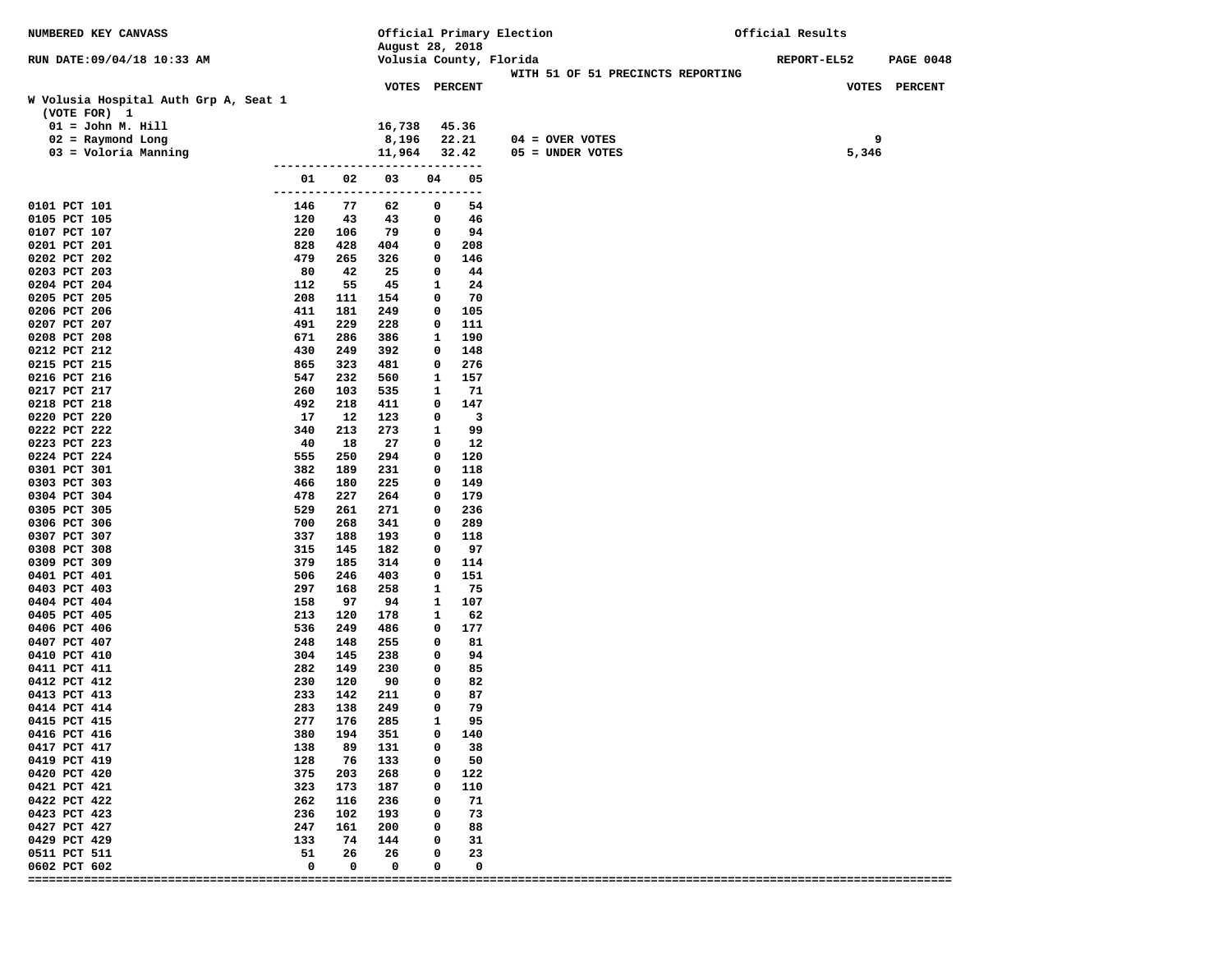| NUMBERED KEY CANVASS                  |            |            |                             |              |             | Official Primary Election                                    | Official Results |       |                  |
|---------------------------------------|------------|------------|-----------------------------|--------------|-------------|--------------------------------------------------------------|------------------|-------|------------------|
|                                       |            |            | August 28, 2018             |              |             |                                                              |                  |       |                  |
| RUN DATE: 09/04/18 10:33 AM           |            |            |                             |              |             | Volusia County, Florida<br>WITH 51 OF 51 PRECINCTS REPORTING | REPORT-EL52      |       | <b>PAGE 0048</b> |
|                                       |            |            | VOTES PERCENT               |              |             |                                                              |                  |       | VOTES PERCENT    |
| W Volusia Hospital Auth Grp A, Seat 1 |            |            |                             |              |             |                                                              |                  |       |                  |
| (VOTE FOR) 1                          |            |            |                             |              |             |                                                              |                  |       |                  |
| $01 = John M. Hill$                   |            |            | 16,738                      |              | 45.36       |                                                              |                  |       |                  |
| $02$ = Raymond Long                   |            |            | 8,196                       |              | 22.21       | $04 =$ OVER VOTES                                            |                  | 9     |                  |
| 03 = Voloria Manning                  |            |            | 11,964                      |              | 32.42       | 05 = UNDER VOTES                                             |                  | 5,346 |                  |
|                                       |            |            | ---------------             |              |             |                                                              |                  |       |                  |
|                                       | 01         | 02         | 03<br>--------------------- | 04           | 05          |                                                              |                  |       |                  |
| 0101 PCT 101                          | 146        | 77         | 62                          | -------<br>0 | $---$<br>54 |                                                              |                  |       |                  |
| 0105 PCT 105                          | 120        | 43         | 43                          | 0            | 46          |                                                              |                  |       |                  |
| 0107 PCT 107                          | 220        | 106        | 79                          | 0            | 94          |                                                              |                  |       |                  |
| 0201 PCT 201                          | 828        | 428        | 404                         | 0            | 208         |                                                              |                  |       |                  |
| 0202 PCT 202                          | 479        | 265        | 326                         | 0            | 146         |                                                              |                  |       |                  |
| 0203 PCT 203                          | 80         | 42         | 25                          | 0            | 44          |                                                              |                  |       |                  |
| 0204 PCT 204                          | 112        | 55         | 45                          | 1            | 24          |                                                              |                  |       |                  |
| 0205 PCT 205                          | 208        | 111        | 154                         | 0            | 70          |                                                              |                  |       |                  |
| 0206 PCT 206                          | 411        | 181        | 249                         | 0            | 105         |                                                              |                  |       |                  |
| 0207 PCT 207                          | 491        | 229        | 228                         | 0            | 111         |                                                              |                  |       |                  |
| 0208 PCT 208<br>0212 PCT 212          | 671<br>430 | 286<br>249 | 386<br>392                  | 1<br>0       | 190<br>148  |                                                              |                  |       |                  |
| 0215 PCT 215                          | 865        | 323        | 481                         | 0            | 276         |                                                              |                  |       |                  |
| 0216 PCT 216                          | 547        | 232        | 560                         | 1            | 157         |                                                              |                  |       |                  |
| 0217 PCT 217                          | 260        | 103        | 535                         | 1            | 71          |                                                              |                  |       |                  |
| 0218 PCT 218                          | 492        | 218        | 411                         | 0            | 147         |                                                              |                  |       |                  |
| 0220 PCT 220                          | 17         | 12         | 123                         | 0            | 3           |                                                              |                  |       |                  |
| 0222 PCT 222                          | 340        | 213        | 273                         | 1            | 99          |                                                              |                  |       |                  |
| 0223 PCT 223                          | 40         | 18         | 27                          | 0            | 12          |                                                              |                  |       |                  |
| 0224 PCT 224                          | 555        | 250        | 294                         | 0            | 120         |                                                              |                  |       |                  |
| 0301 PCT 301                          | 382        | 189        | 231                         | 0            | 118         |                                                              |                  |       |                  |
| 0303 PCT 303<br>0304 PCT 304          | 466<br>478 | 180<br>227 | 225<br>264                  | 0<br>0       | 149<br>179  |                                                              |                  |       |                  |
| 0305 PCT 305                          | 529        | 261        | 271                         | 0            | 236         |                                                              |                  |       |                  |
| 0306 PCT 306                          | 700        | 268        | 341                         | 0            | 289         |                                                              |                  |       |                  |
| 0307 PCT 307                          | 337        | 188        | 193                         | 0            | 118         |                                                              |                  |       |                  |
| 0308 PCT 308                          | 315        | 145        | 182                         | 0            | 97          |                                                              |                  |       |                  |
| 0309 PCT 309                          | 379        | 185        | 314                         | 0            | 114         |                                                              |                  |       |                  |
| 0401 PCT 401                          | 506        | 246        | 403                         | 0            | 151         |                                                              |                  |       |                  |
| 0403 PCT 403                          | 297        | 168        | 258                         | 1            | 75          |                                                              |                  |       |                  |
| 0404 PCT 404                          | 158<br>213 | 97         | 94                          | 1            | 107<br>62   |                                                              |                  |       |                  |
| 0405 PCT 405<br>0406 PCT 406          | 536        | 120<br>249 | 178<br>486                  | 1<br>0       | 177         |                                                              |                  |       |                  |
| 0407 PCT 407                          | 248        | 148        | 255                         | 0            | 81          |                                                              |                  |       |                  |
| 0410 PCT 410                          | 304        | 145        | 238                         | 0            | 94          |                                                              |                  |       |                  |
| 0411 PCT 411                          | 282        | 149        | 230                         | 0            | 85          |                                                              |                  |       |                  |
| 0412 PCT 412                          | 230        | 120        | 90                          | 0            | 82          |                                                              |                  |       |                  |
| 0413 PCT 413                          | 233        | 142        | 211                         | 0            | 87          |                                                              |                  |       |                  |
| 0414 PCT 414                          | 283        | 138        | 249                         | 0            | 79          |                                                              |                  |       |                  |
| 0415 PCT 415                          | 277        | 176        | 285                         | 1            | 95          |                                                              |                  |       |                  |
| 0416 PCT 416                          | 380        | 194        | 351                         | 0            | 140         |                                                              |                  |       |                  |
| 0417 PCT 417<br>0419 PCT 419          | 138<br>128 | 89<br>76   | 131<br>133                  | 0<br>0       | 38<br>50    |                                                              |                  |       |                  |
| 0420 PCT 420                          | 375        | 203        | 268                         | 0            | 122         |                                                              |                  |       |                  |
| 0421 PCT 421                          | 323        | 173        | 187                         | 0            | 110         |                                                              |                  |       |                  |
| 0422 PCT 422                          | 262        | 116        | 236                         | 0            | 71          |                                                              |                  |       |                  |
| 0423 PCT 423                          | 236        | 102        | 193                         | 0            | 73          |                                                              |                  |       |                  |
| 0427 PCT 427                          | 247        | 161        | 200                         | 0            | 88          |                                                              |                  |       |                  |
| 0429 PCT 429                          | 133        | 74         | 144                         | <sup>0</sup> | 31          |                                                              |                  |       |                  |
| 0511 PCT 511                          | 51         | 26         | 26                          | 0            | 23          |                                                              |                  |       |                  |
| 0602 PCT 602                          | 0          | 0          | 0                           | 0            | 0           |                                                              |                  |       |                  |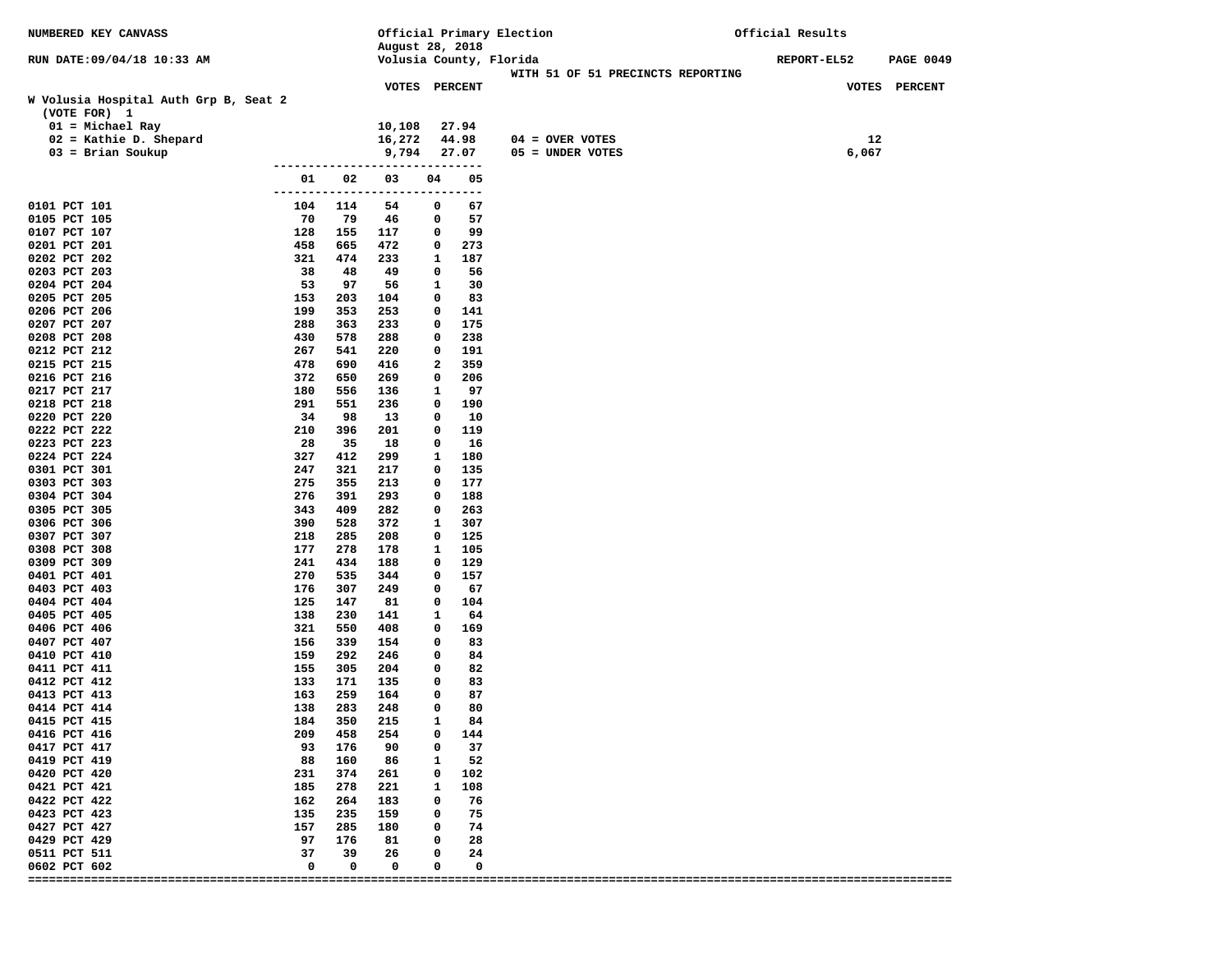| NUMBERED KEY CANVASS                  |                     |            | Official Primary Election |              |            |                         | Official Results                  |             |       |                  |
|---------------------------------------|---------------------|------------|---------------------------|--------------|------------|-------------------------|-----------------------------------|-------------|-------|------------------|
|                                       |                     |            | August 28, 2018           |              |            |                         |                                   |             |       |                  |
| RUN DATE: 09/04/18 10:33 AM           |                     |            |                           |              |            | Volusia County, Florida | WITH 51 OF 51 PRECINCTS REPORTING | REPORT-EL52 |       | <b>PAGE 0049</b> |
|                                       |                     |            | VOTES PERCENT             |              |            |                         |                                   |             |       | VOTES PERCENT    |
| W Volusia Hospital Auth Grp B, Seat 2 |                     |            |                           |              |            |                         |                                   |             |       |                  |
| (VOTE FOR) 1                          |                     |            |                           |              |            |                         |                                   |             |       |                  |
| $01 = Michael Ray$                    |                     |            | 10,108                    |              | 27.94      |                         |                                   |             |       |                  |
| $02$ = Kathie D. Shepard              |                     |            | 16,272                    |              | 44.98      | 04 = OVER VOTES         |                                   |             | 12    |                  |
| $03 = Brian Soukup$                   |                     |            | 9,794                     |              | 27.07      | 05 = UNDER VOTES        |                                   |             | 6,067 |                  |
|                                       |                     |            | -----                     |              | ---------- |                         |                                   |             |       |                  |
|                                       | 01<br>------------- | 02         | 03<br>$---$               | 04<br>------ | 05<br>---  |                         |                                   |             |       |                  |
| 0101 PCT 101                          | 104                 | 114        | 54                        | 0            | 67         |                         |                                   |             |       |                  |
| 0105 PCT 105                          | 70                  | 79         | 46                        | 0            | 57         |                         |                                   |             |       |                  |
| 0107 PCT 107                          | 128                 | 155        | 117                       | 0            | 99         |                         |                                   |             |       |                  |
| 0201 PCT 201                          | 458                 | 665        | 472                       | 0            | 273        |                         |                                   |             |       |                  |
| 0202 PCT 202                          | 321                 | 474        | 233                       | 1            | 187        |                         |                                   |             |       |                  |
| 0203 PCT 203                          | 38                  | 48         | 49                        | 0            | 56         |                         |                                   |             |       |                  |
| 0204 PCT 204                          | 53                  | 97         | 56                        | 1            | 30         |                         |                                   |             |       |                  |
| 0205 PCT 205<br>0206 PCT 206          | 153<br>199          | 203<br>353 | 104<br>253                | 0<br>0       | 83<br>141  |                         |                                   |             |       |                  |
| 0207 PCT 207                          | 288                 | 363        | 233                       | 0            | 175        |                         |                                   |             |       |                  |
| 0208 PCT 208                          | 430                 | 578        | 288                       | 0            | 238        |                         |                                   |             |       |                  |
| 0212 PCT 212                          | 267                 | 541        | 220                       | 0            | 191        |                         |                                   |             |       |                  |
| 0215 PCT 215                          | 478                 | 690        | 416                       | 2            | 359        |                         |                                   |             |       |                  |
| 0216 PCT 216                          | 372                 | 650        | 269                       | 0            | 206        |                         |                                   |             |       |                  |
| 0217 PCT 217                          | 180                 | 556        | 136                       | 1            | 97         |                         |                                   |             |       |                  |
| 0218 PCT 218                          | 291                 | 551        | 236                       | 0            | 190        |                         |                                   |             |       |                  |
| 0220 PCT 220                          | 34                  | 98         | 13                        | 0            | 10         |                         |                                   |             |       |                  |
| 0222 PCT 222<br>0223 PCT 223          | 210<br>28           | 396<br>35  | 201<br>18                 | 0<br>0       | 119<br>16  |                         |                                   |             |       |                  |
| 0224 PCT 224                          | 327                 | 412        | 299                       | 1            | 180        |                         |                                   |             |       |                  |
| 0301 PCT 301                          | 247                 | 321        | 217                       | 0            | 135        |                         |                                   |             |       |                  |
| 0303 PCT 303                          | 275                 | 355        | 213                       | 0            | 177        |                         |                                   |             |       |                  |
| 0304 PCT 304                          | 276                 | 391        | 293                       | 0            | 188        |                         |                                   |             |       |                  |
| 0305 PCT 305                          | 343                 | 409        | 282                       | 0            | 263        |                         |                                   |             |       |                  |
| 0306 PCT 306                          | 390                 | 528        | 372                       | 1            | 307        |                         |                                   |             |       |                  |
| 0307 PCT 307                          | 218                 | 285        | 208                       | 0            | 125        |                         |                                   |             |       |                  |
| 0308 PCT 308                          | 177                 | 278        | 178                       | 1            | 105        |                         |                                   |             |       |                  |
| 0309 PCT 309<br>0401 PCT 401          | 241<br>270          | 434<br>535 | 188<br>344                | 0<br>0       | 129<br>157 |                         |                                   |             |       |                  |
| 0403 PCT 403                          | 176                 | 307        | 249                       | 0            | 67         |                         |                                   |             |       |                  |
| 0404 PCT 404                          | 125                 | 147        | 81                        | 0            | 104        |                         |                                   |             |       |                  |
| 0405 PCT 405                          | 138                 | 230        | 141                       | 1            | 64         |                         |                                   |             |       |                  |
| 0406 PCT 406                          | 321                 | 550        | 408                       | 0            | 169        |                         |                                   |             |       |                  |
| 0407 PCT 407                          | 156                 | 339        | 154                       | 0            | 83         |                         |                                   |             |       |                  |
| 0410 PCT 410                          | 159                 | 292        | 246                       | 0            | 84         |                         |                                   |             |       |                  |
| 0411 PCT 411                          | 155                 | 305        | 204                       | 0            | 82         |                         |                                   |             |       |                  |
| 0412 PCT 412<br>0413 PCT 413          | 133<br>163          | 171<br>259 | 135<br>164                | 0<br>0       | 83<br>87   |                         |                                   |             |       |                  |
| 0414 PCT 414                          | 138                 | 283        | 248                       | 0            | 80         |                         |                                   |             |       |                  |
| 0415 PCT 415                          | 184                 | 350        | 215                       | 1            | 84         |                         |                                   |             |       |                  |
| 0416 PCT 416                          | 209                 | 458        | 254                       | 0            | 144        |                         |                                   |             |       |                  |
| 0417 PCT 417                          | 93                  | 176        | 90                        | 0            | 37         |                         |                                   |             |       |                  |
| 0419 PCT 419                          | 88                  | 160        | 86                        | 1            | 52         |                         |                                   |             |       |                  |
| 0420 PCT 420                          | 231                 | 374        | 261                       | 0            | 102        |                         |                                   |             |       |                  |
| 0421 PCT 421                          | 185                 | 278        | 221                       | 1            | 108        |                         |                                   |             |       |                  |
| 0422 PCT 422                          | 162                 | 264        | 183                       | 0            | 76         |                         |                                   |             |       |                  |
| 0423 PCT 423<br>0427 PCT 427          | 135<br>157          | 235<br>285 | 159<br>180                | 0<br>0       | 75<br>74   |                         |                                   |             |       |                  |
| 0429 PCT 429                          | 97                  | 176        | 81                        | 0            | 28         |                         |                                   |             |       |                  |
| 0511 PCT 511                          | 37                  | 39         | 26                        | 0            | 24         |                         |                                   |             |       |                  |
| 0602 PCT 602                          | 0                   | 0          | 0                         | 0            | 0          |                         |                                   |             |       |                  |
|                                       |                     |            |                           |              |            |                         |                                   |             |       |                  |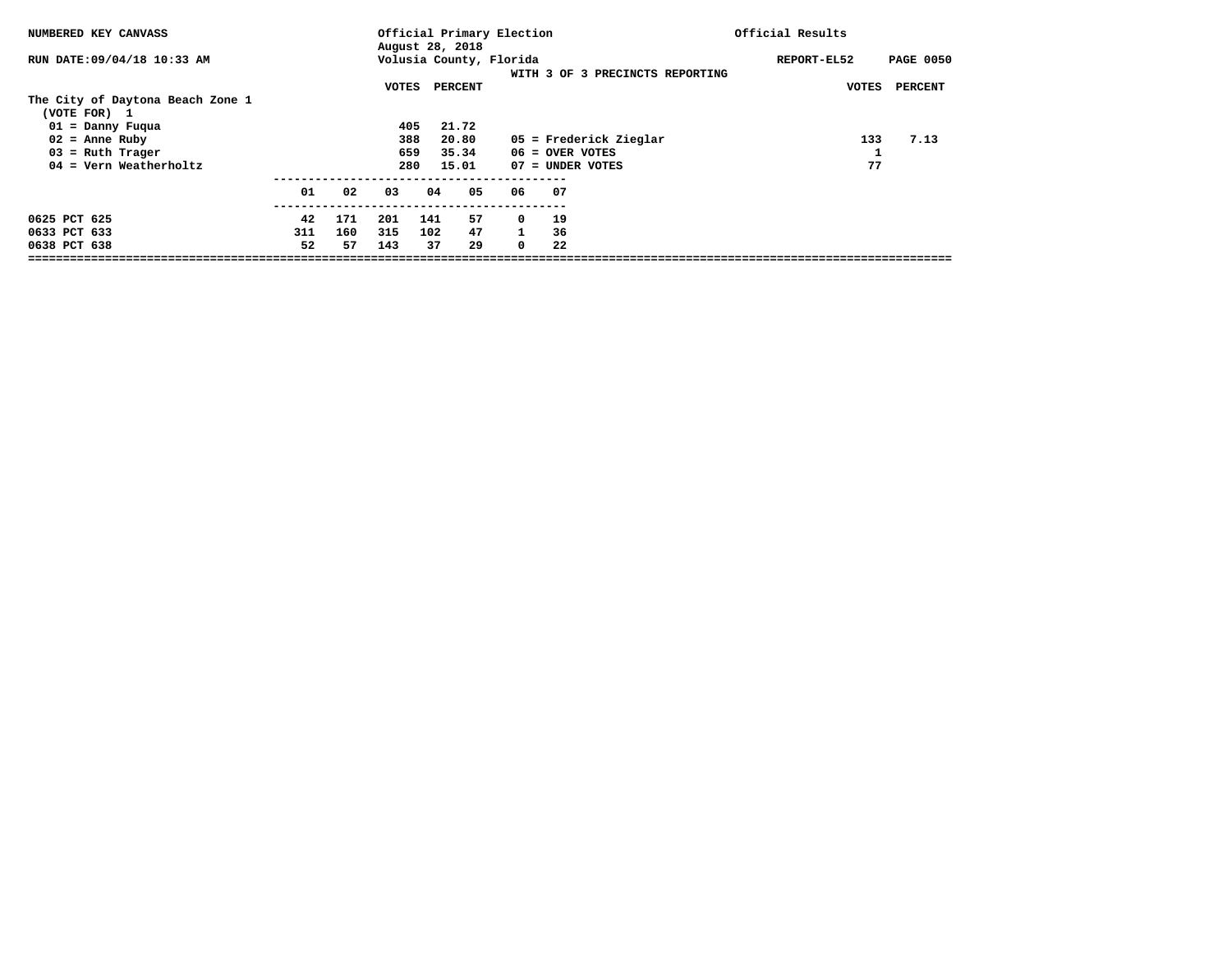| NUMBERED KEY CANVASS             |     |     |       |     | August 28, 2018 | Official Primary Election |                   |                                 | Official Results |                  |
|----------------------------------|-----|-----|-------|-----|-----------------|---------------------------|-------------------|---------------------------------|------------------|------------------|
| RUN DATE: 09/04/18 10:33 AM      |     |     |       |     |                 | Volusia County, Florida   |                   |                                 | REPORT-EL52      | <b>PAGE 0050</b> |
|                                  |     |     |       |     |                 |                           |                   | WITH 3 OF 3 PRECINCTS REPORTING |                  |                  |
|                                  |     |     | VOTES |     | PERCENT         |                           |                   |                                 | VOTES            | <b>PERCENT</b>   |
| The City of Daytona Beach Zone 1 |     |     |       |     |                 |                           |                   |                                 |                  |                  |
| (VOTE FOR) 1                     |     |     |       |     |                 |                           |                   |                                 |                  |                  |
| $01 =$ Danny Fuqua               |     |     | 405   |     | 21.72           |                           |                   |                                 |                  |                  |
| $02$ = Anne Ruby                 |     |     | 388   |     | 20.80           |                           |                   | 05 = Frederick Zieglar          | 133              | 7.13             |
| $03$ = Ruth Trager               |     |     | 659   |     | 35.34           |                           | $06 =$ OVER VOTES |                                 |                  |                  |
| $04$ = Vern Weatherholtz         |     |     | 280   |     | 15.01           |                           | 07 = UNDER VOTES  |                                 | 77               |                  |
|                                  | 01  | 02  | 03    | 04  | 05              | 06                        | 07                |                                 |                  |                  |
|                                  |     |     |       |     |                 |                           |                   |                                 |                  |                  |
| 0625 PCT 625                     | 42  | 171 | 201   | 141 | 57              | $\mathbf 0$               | 19                |                                 |                  |                  |
| 0633 PCT 633                     | 311 | 160 | 315   | 102 | 47              | $\mathbf{1}$              | 36                |                                 |                  |                  |
| 0638 PCT 638                     | 52  | 57  | 143   | 37  | 29              | $^{\circ}$                | 22                |                                 |                  |                  |
|                                  |     |     |       |     |                 |                           |                   |                                 |                  |                  |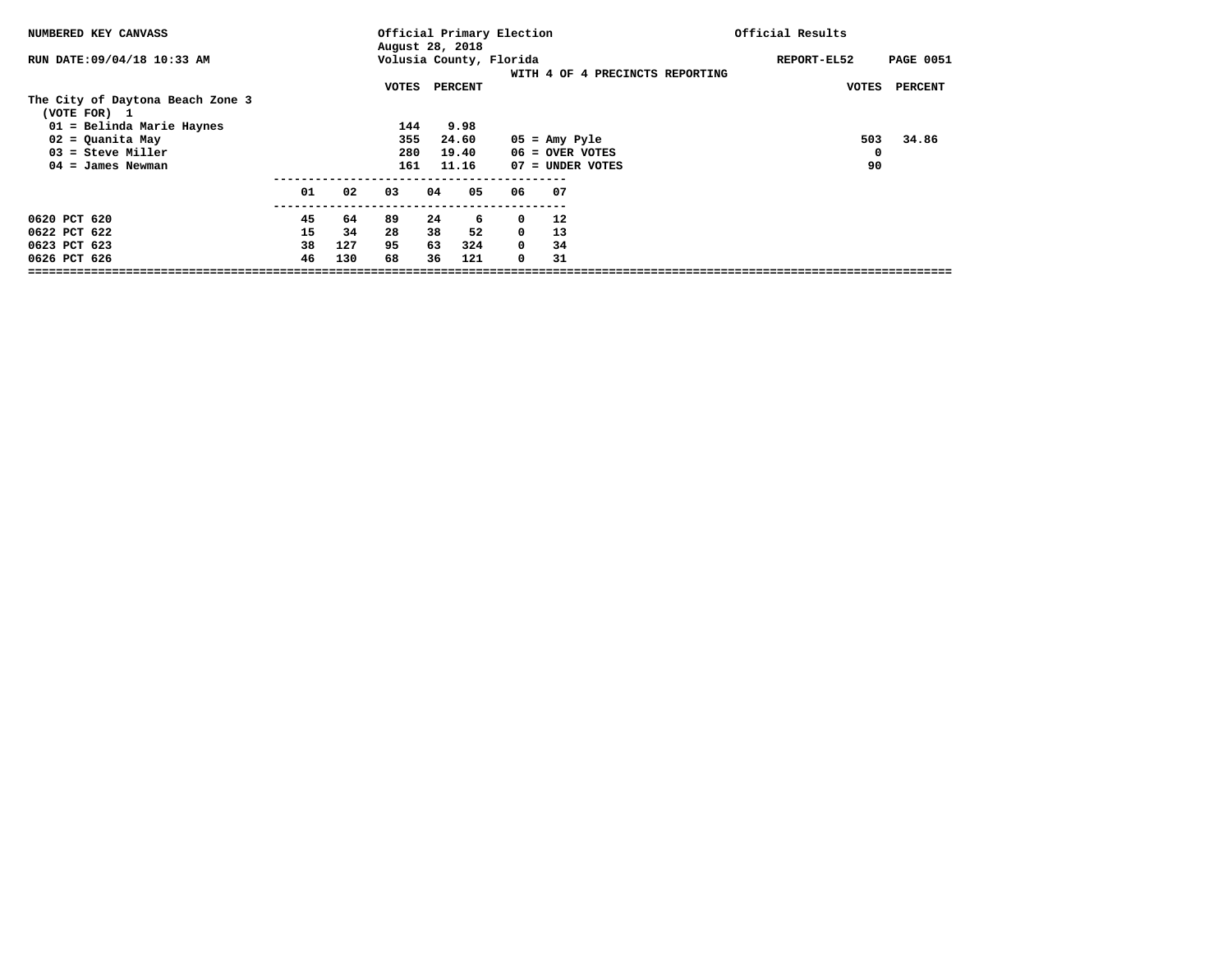|    |     |    |    |                                   |                                                               |                                                                               |                                   | Official Results                                                  |                                          |
|----|-----|----|----|-----------------------------------|---------------------------------------------------------------|-------------------------------------------------------------------------------|-----------------------------------|-------------------------------------------------------------------|------------------------------------------|
|    |     |    |    |                                   |                                                               |                                                                               |                                   | REPORT-EL52                                                       | <b>PAGE 0051</b>                         |
|    |     |    |    |                                   |                                                               |                                                                               |                                   |                                                                   |                                          |
|    |     |    |    |                                   |                                                               |                                                                               |                                   |                                                                   | PERCENT                                  |
|    |     |    |    |                                   |                                                               |                                                                               |                                   |                                                                   |                                          |
|    |     |    |    |                                   |                                                               |                                                                               |                                   |                                                                   |                                          |
|    |     |    |    |                                   |                                                               |                                                                               |                                   | 503                                                               | 34.86                                    |
|    |     |    |    |                                   |                                                               |                                                                               |                                   | 0                                                                 |                                          |
|    |     |    |    |                                   |                                                               |                                                                               |                                   | 90                                                                |                                          |
| 01 | 02  | 03 | 04 | 05                                |                                                               |                                                                               |                                   |                                                                   |                                          |
| 45 | 64  | 89 | 24 | 6                                 |                                                               | 12                                                                            |                                   |                                                                   |                                          |
| 15 | 34  | 28 | 38 | 52                                |                                                               | 13                                                                            |                                   |                                                                   |                                          |
| 38 | 127 | 95 | 63 | 324                               |                                                               | 34                                                                            |                                   |                                                                   |                                          |
| 46 | 130 | 68 | 36 | 121                               |                                                               | 31                                                                            |                                   |                                                                   |                                          |
|    |     |    |    | VOTES<br>144<br>355<br>280<br>161 | August 28, 2018<br>PERCENT<br>9.98<br>24.60<br>19.40<br>11.16 | Volusia County, Florida<br>06<br>$^{\circ}$<br>$\mathbf 0$<br>$^{\circ}$<br>0 | Official Primary Election<br>- 07 | $05 = \text{Amy Pyle}$<br>$06 =$ OVER VOTES<br>$07 =$ UNDER VOTES | WITH 4 OF 4 PRECINCTS REPORTING<br>VOTES |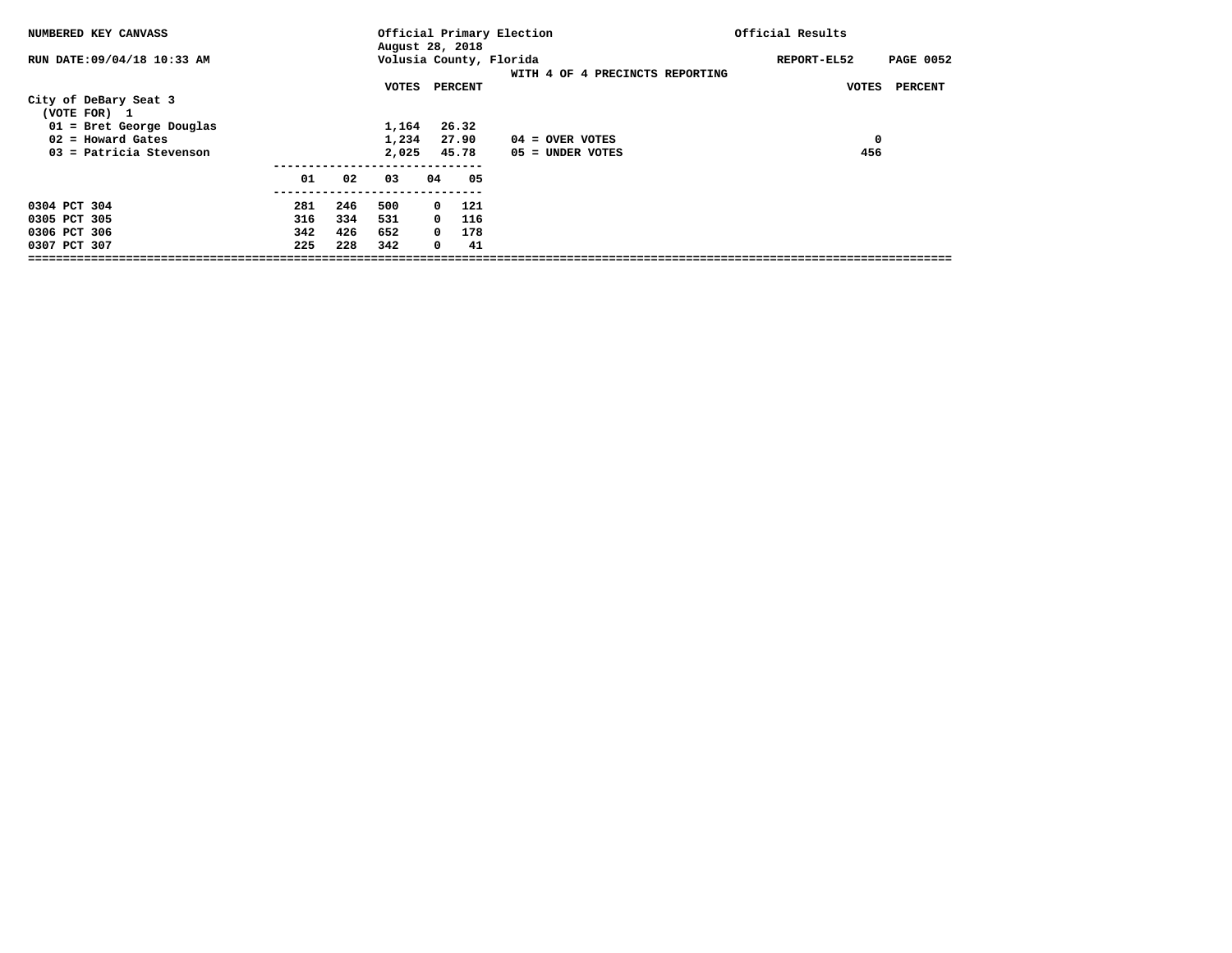| NUMBERED KEY CANVASS                  |     |     | August 28, 2018 |              |         | Official Primary Election                                  | Official Results |                  |
|---------------------------------------|-----|-----|-----------------|--------------|---------|------------------------------------------------------------|------------------|------------------|
| RUN DATE:09/04/18 10:33 AM            |     |     |                 |              |         | Volusia County, Florida<br>WITH 4 OF 4 PRECINCTS REPORTING | REPORT-EL52      | <b>PAGE 0052</b> |
|                                       |     |     | VOTES           |              | PERCENT |                                                            | VOTES            | <b>PERCENT</b>   |
| City of DeBary Seat 3<br>(VOTE FOR) 1 |     |     |                 |              |         |                                                            |                  |                  |
| $01$ = Bret George Douglas            |     |     | 1,164           |              | 26.32   |                                                            |                  |                  |
| $02$ = Howard Gates                   |     |     | 1,234           |              | 27.90   | $04 =$ OVER VOTES                                          | 0                |                  |
| 03 = Patricia Stevenson               |     |     | 2,025           |              | 45.78   | 05 = UNDER VOTES                                           | 456              |                  |
|                                       | 01  | 02  | 03              | 04           | 05      |                                                            |                  |                  |
|                                       |     |     |                 |              |         |                                                            |                  |                  |
| 0304 PCT 304                          | 281 | 246 | 500             | $\mathbf{o}$ | 121     |                                                            |                  |                  |
| 0305 PCT 305                          | 316 | 334 | 531             | $\Omega$     | 116     |                                                            |                  |                  |
| 0306 PCT 306                          | 342 | 426 | 652             | $^{\circ}$   | 178     |                                                            |                  |                  |
| 0307 PCT 307                          | 225 | 228 | 342             | 0            | 41      |                                                            |                  |                  |
|                                       |     |     |                 |              |         |                                                            |                  |                  |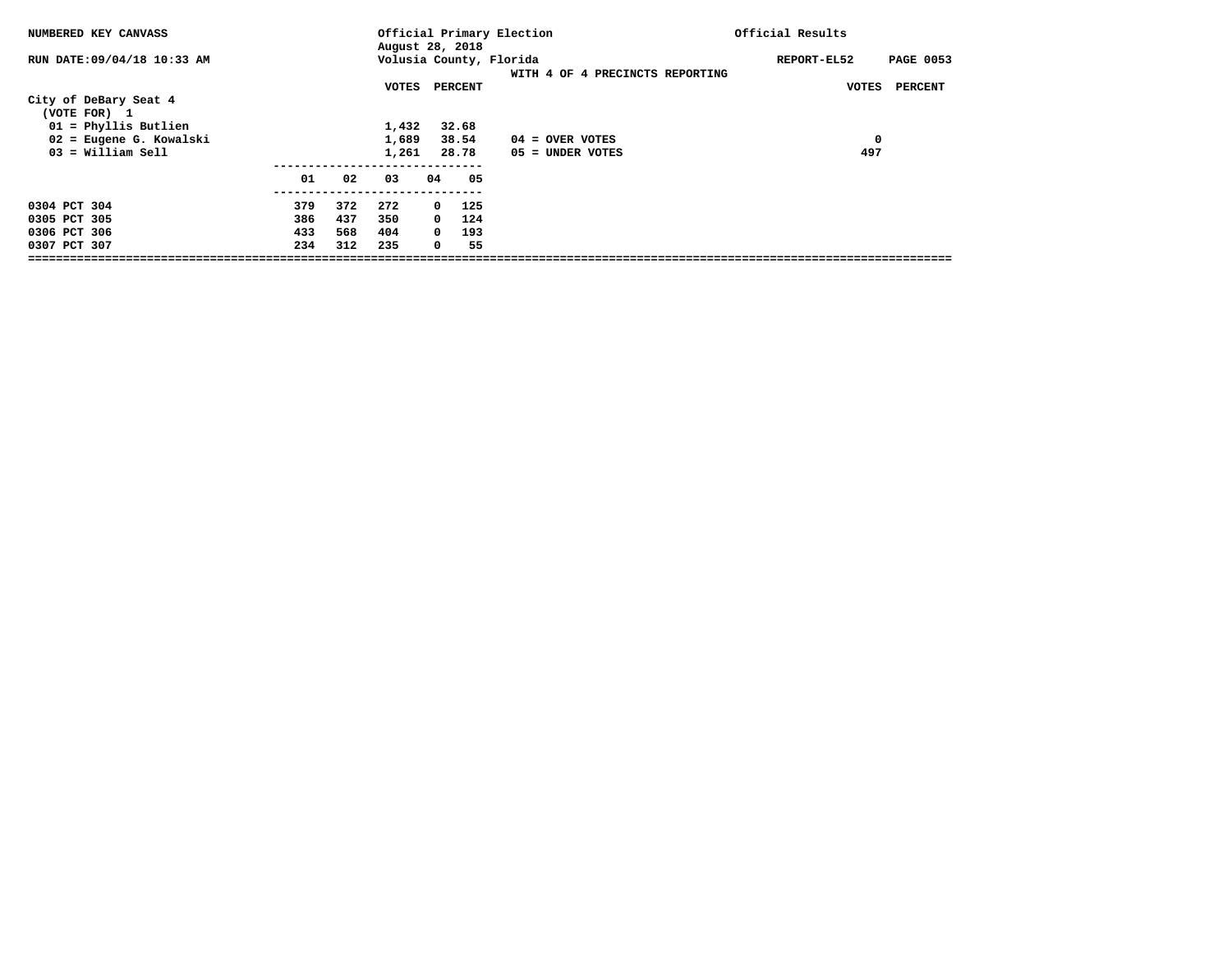| NUMBERED KEY CANVASS                  |     |     | August 28, 2018 |            |         | Official Primary Election                                  | Official Results |                  |
|---------------------------------------|-----|-----|-----------------|------------|---------|------------------------------------------------------------|------------------|------------------|
| RUN DATE: 09/04/18 10:33 AM           |     |     |                 |            |         | Volusia County, Florida<br>WITH 4 OF 4 PRECINCTS REPORTING | REPORT-EL52      | <b>PAGE 0053</b> |
|                                       |     |     | VOTES           |            | PERCENT |                                                            | VOTES            | <b>PERCENT</b>   |
| City of DeBary Seat 4<br>(VOTE FOR) 1 |     |     |                 |            |         |                                                            |                  |                  |
| $01$ = Phyllis Butlien                |     |     | 1,432           |            | 32.68   |                                                            |                  |                  |
| 02 = Eugene G. Kowalski               |     |     | 1,689           |            | 38.54   | $04 =$ OVER VOTES                                          | 0                |                  |
| $03 = William Sell$                   |     |     | 1,261           |            | 28.78   | $05 =$ UNDER VOTES                                         | 497              |                  |
|                                       |     |     |                 |            |         |                                                            |                  |                  |
|                                       | 01  | 02  | 03              | 04         | 05      |                                                            |                  |                  |
| 0304 PCT 304                          | 379 | 372 | 272             | $^{\circ}$ | 125     |                                                            |                  |                  |
| 0305 PCT 305                          | 386 | 437 | 350             | $^{\circ}$ | 124     |                                                            |                  |                  |
| 0306 PCT 306                          | 433 | 568 | 404             | $^{\circ}$ | 193     |                                                            |                  |                  |
| 0307 PCT 307                          | 234 | 312 | 235             | 0          | 55      |                                                            |                  |                  |
|                                       |     |     |                 |            |         |                                                            |                  |                  |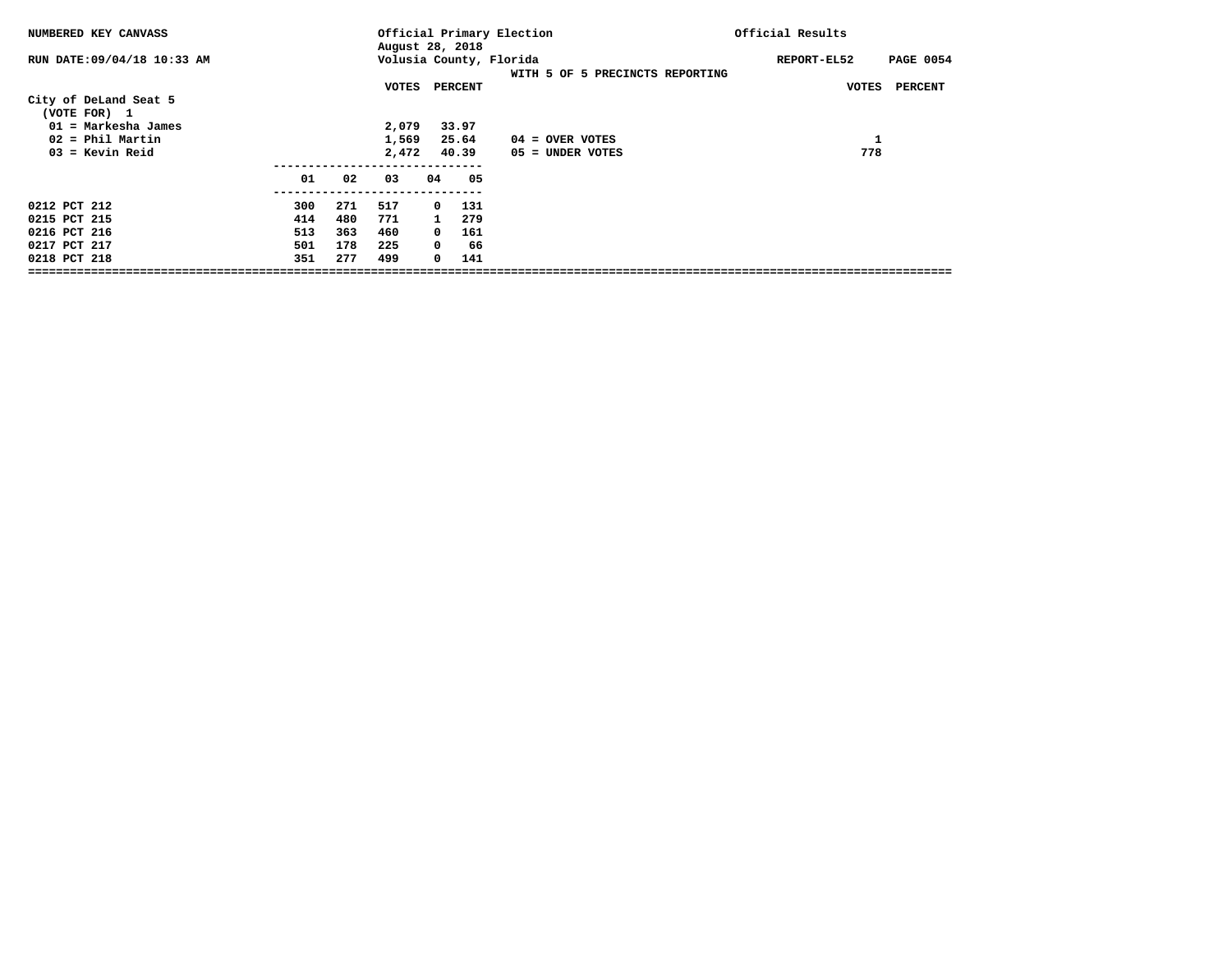| NUMBERED KEY CANVASS                  |     |     | August 28, 2018 |              |         | Official Primary Election                                  | Official Results |                  |
|---------------------------------------|-----|-----|-----------------|--------------|---------|------------------------------------------------------------|------------------|------------------|
| RUN DATE:09/04/18 10:33 AM            |     |     |                 |              |         | Volusia County, Florida<br>WITH 5 OF 5 PRECINCTS REPORTING | REPORT-EL52      | <b>PAGE 0054</b> |
|                                       |     |     | VOTES           |              | PERCENT |                                                            | VOTES            | <b>PERCENT</b>   |
| City of DeLand Seat 5<br>(VOTE FOR) 1 |     |     |                 |              |         |                                                            |                  |                  |
| $01$ = Markesha James                 |     |     | 2,079           |              | 33.97   |                                                            |                  |                  |
| $02$ = Phil Martin                    |     |     | 1,569           |              | 25.64   | $04 =$ OVER VOTES                                          | 1                |                  |
| $03$ = Kevin Reid                     |     |     | 2,472           |              | 40.39   | 05 = UNDER VOTES                                           | 778              |                  |
|                                       | 01  | 02  | 03              | 04           | 05      |                                                            |                  |                  |
| 0212 PCT 212                          | 300 | 271 | 517             | $^{\circ}$   | 131     |                                                            |                  |                  |
| 0215 PCT 215                          | 414 | 480 | 771             | $\mathbf{1}$ | 279     |                                                            |                  |                  |
| 0216 PCT 216                          | 513 | 363 | 460             | $\mathbf 0$  | 161     |                                                            |                  |                  |
| 0217 PCT 217                          | 501 | 178 | 225             | 0            | 66      |                                                            |                  |                  |
| 0218 PCT 218                          | 351 | 277 | 499             | 0            | 141     |                                                            |                  |                  |
|                                       |     |     |                 |              |         |                                                            |                  |                  |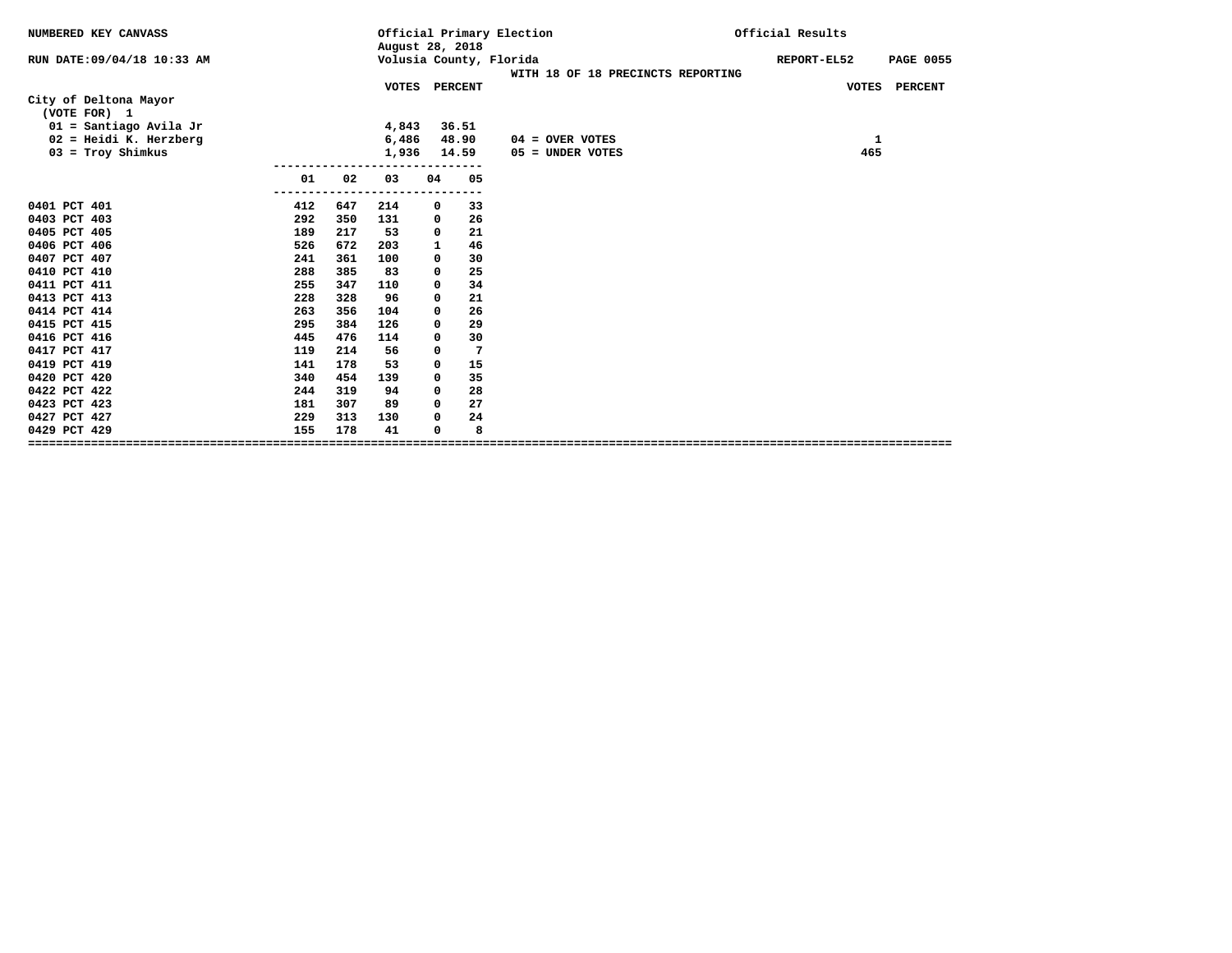|     |                                         |                                 |                         |                                                        |                                                                                                    | Official Results                                                                                                                   |
|-----|-----------------------------------------|---------------------------------|-------------------------|--------------------------------------------------------|----------------------------------------------------------------------------------------------------|------------------------------------------------------------------------------------------------------------------------------------|
|     |                                         |                                 |                         |                                                        |                                                                                                    | REPORT-EL52<br><b>PAGE 0055</b>                                                                                                    |
|     |                                         |                                 |                         |                                                        |                                                                                                    | VOTES PERCENT                                                                                                                      |
|     |                                         |                                 |                         |                                                        |                                                                                                    |                                                                                                                                    |
|     |                                         |                                 |                         |                                                        |                                                                                                    |                                                                                                                                    |
|     |                                         |                                 |                         |                                                        |                                                                                                    | 1                                                                                                                                  |
|     |                                         |                                 |                         |                                                        |                                                                                                    | 465                                                                                                                                |
|     |                                         |                                 |                         |                                                        |                                                                                                    |                                                                                                                                    |
| 01  | 02                                      | 03                              | 04                      | 05                                                     |                                                                                                    |                                                                                                                                    |
|     |                                         |                                 |                         |                                                        |                                                                                                    |                                                                                                                                    |
|     |                                         |                                 |                         |                                                        |                                                                                                    |                                                                                                                                    |
|     |                                         |                                 |                         |                                                        |                                                                                                    |                                                                                                                                    |
|     |                                         |                                 |                         |                                                        |                                                                                                    |                                                                                                                                    |
| 241 | 361                                     | 100                             | 0                       | 30                                                     |                                                                                                    |                                                                                                                                    |
| 288 | 385                                     | 83                              | 0                       | 25                                                     |                                                                                                    |                                                                                                                                    |
| 255 | 347                                     | 110                             | 0                       | 34                                                     |                                                                                                    |                                                                                                                                    |
| 228 | 328                                     | 96                              | 0                       | 21                                                     |                                                                                                    |                                                                                                                                    |
| 263 | 356                                     | 104                             | 0                       | 26                                                     |                                                                                                    |                                                                                                                                    |
| 295 | 384                                     | 126                             | 0                       | 29                                                     |                                                                                                    |                                                                                                                                    |
| 445 | 476                                     | 114                             | 0                       | 30                                                     |                                                                                                    |                                                                                                                                    |
| 119 | 214                                     | 56                              | 0                       | 7                                                      |                                                                                                    |                                                                                                                                    |
| 141 | 178                                     | 53                              | $\Omega$                | 15                                                     |                                                                                                    |                                                                                                                                    |
| 340 | 454                                     | 139                             | 0                       | 35                                                     |                                                                                                    |                                                                                                                                    |
| 244 | 319                                     | 94                              | 0                       |                                                        |                                                                                                    |                                                                                                                                    |
| 181 | 307                                     | 89                              | 0                       | 27                                                     |                                                                                                    |                                                                                                                                    |
| 229 | 313                                     | 130                             | $\Omega$                | 24                                                     |                                                                                                    |                                                                                                                                    |
|     |                                         | 41                              | $\Omega$                | 8                                                      |                                                                                                    |                                                                                                                                    |
|     | ----<br>412<br>292<br>189<br>526<br>155 | 647<br>350<br>217<br>672<br>178 | 214<br>131<br>53<br>203 | 4,843<br>6,486<br>1,936<br>0<br>0<br>0<br>$\mathbf{1}$ | August 28, 2018<br>VOTES PERCENT<br>36.51<br>48.90<br>14.59<br>$- -$<br>33<br>26<br>21<br>46<br>28 | Official Primary Election<br>Volusia County, Florida<br>WITH 18 OF 18 PRECINCTS REPORTING<br>$04 =$ OVER VOTES<br>05 = UNDER VOTES |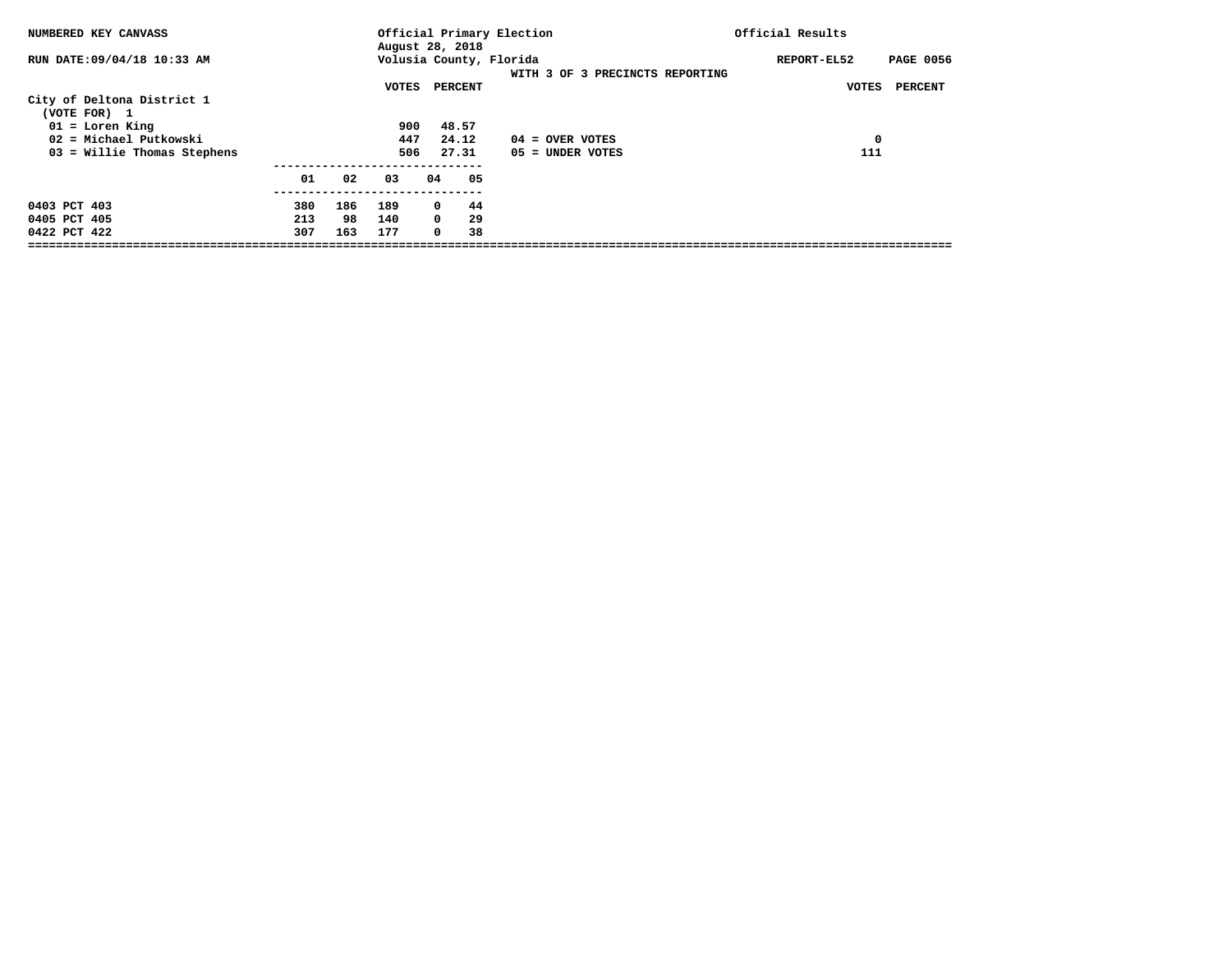| NUMBERED KEY CANVASS                                  |            |           |            | August 28, 2018                      | Official Primary Election                                  | Official Results                |  |
|-------------------------------------------------------|------------|-----------|------------|--------------------------------------|------------------------------------------------------------|---------------------------------|--|
| RUN DATE: 09/04/18 10:33 AM                           |            |           |            |                                      | Volusia County, Florida<br>WITH 3 OF 3 PRECINCTS REPORTING | <b>PAGE 0056</b><br>REPORT-EL52 |  |
| City of Deltona District 1                            |            |           | VOTES      | PERCENT                              |                                                            | VOTES<br>PERCENT                |  |
| (VOTE FOR) 1<br>$01 =$ Loren King                     |            |           | 900        | 48.57                                |                                                            |                                 |  |
| 02 = Michael Putkowski<br>03 = Willie Thomas Stephens |            |           | 447<br>506 | 24.12<br>27.31                       | $04 =$ OVER VOTES<br>05 = UNDER VOTES                      | $\mathbf 0$<br>111              |  |
|                                                       |            |           |            |                                      |                                                            |                                 |  |
|                                                       | 01         | 02        | 03         | 04<br>05                             |                                                            |                                 |  |
| 0403 PCT 403                                          | 380        | 186       | 189        | 44<br>0                              |                                                            |                                 |  |
| 0405 PCT 405<br>0422 PCT 422                          | 213<br>307 | 98<br>163 | 140<br>177 | $\mathbf{0}$<br>29<br>38<br>$\Omega$ |                                                            |                                 |  |
|                                                       |            |           |            |                                      |                                                            |                                 |  |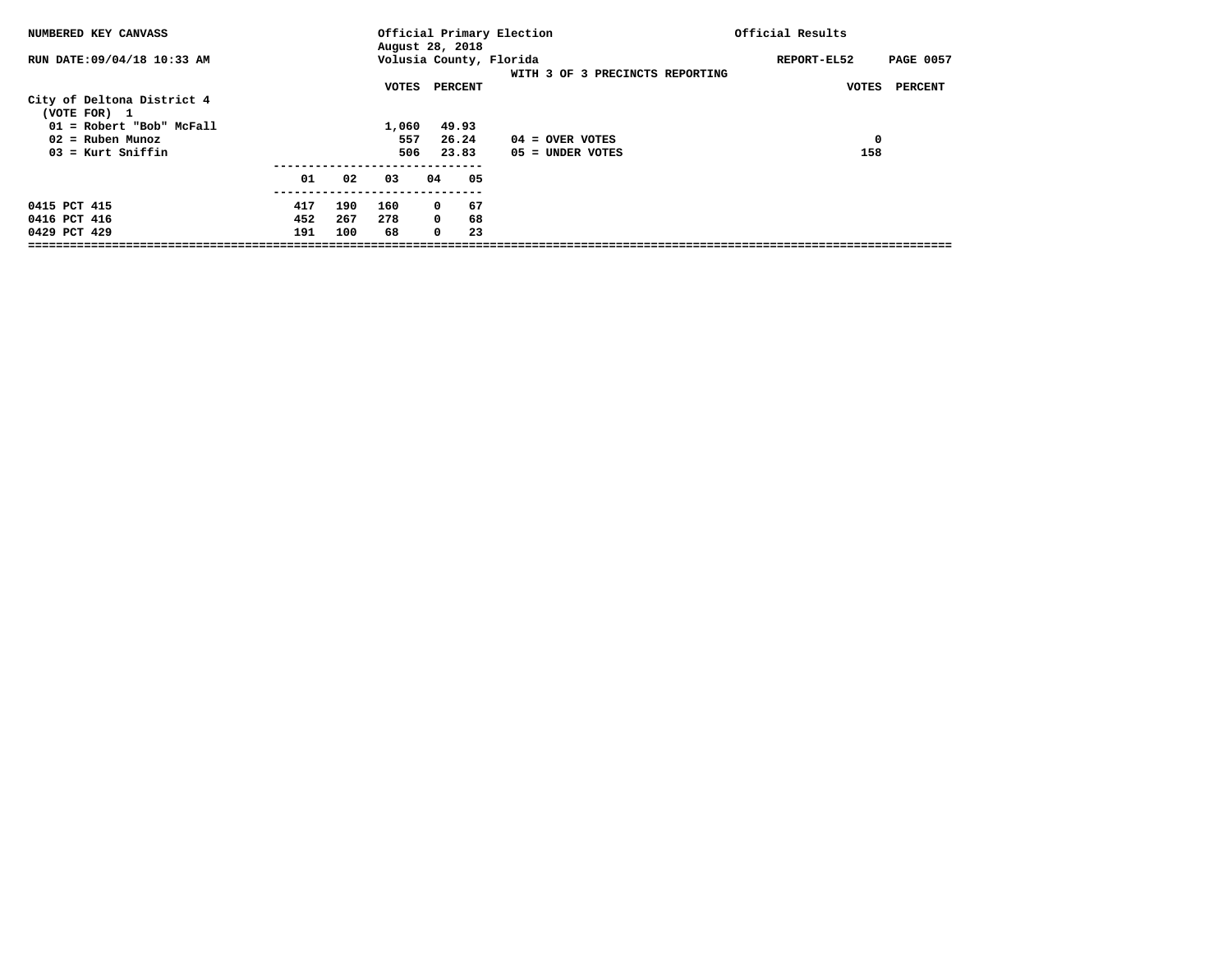| NUMBERED KEY CANVASS                                                  |                   |                   |                     | August 28, 2018                                 | Official Primary Election                                  | Official Results                |
|-----------------------------------------------------------------------|-------------------|-------------------|---------------------|-------------------------------------------------|------------------------------------------------------------|---------------------------------|
| RUN DATE: 09/04/18 10:33 AM                                           |                   |                   |                     |                                                 | Volusia County, Florida<br>WITH 3 OF 3 PRECINCTS REPORTING | REPORT-EL52<br><b>PAGE 0057</b> |
| City of Deltona District 4<br>(VOTE FOR) 1                            |                   |                   | VOTES               | PERCENT                                         |                                                            | PERCENT<br>VOTES                |
| 01 = Robert "Bob" McFall<br>$02$ = Ruben Munoz<br>$03$ = Kurt Sniffin |                   |                   | 1,060<br>557<br>506 | 49.93<br>26.24<br>23.83                         | $04 =$ OVER VOTES<br>$05 =$ UNDER VOTES                    | 0<br>158                        |
|                                                                       | 01                | 02                | 03                  | 04<br>05                                        |                                                            |                                 |
| 0415 PCT 415<br>0416 PCT 416<br>0429 PCT 429                          | 417<br>452<br>191 | 190<br>267<br>100 | 160<br>278<br>68    | 67<br>$^{\circ}$<br>$^{\circ}$<br>68<br>23<br>0 |                                                            |                                 |
|                                                                       |                   |                   |                     |                                                 |                                                            |                                 |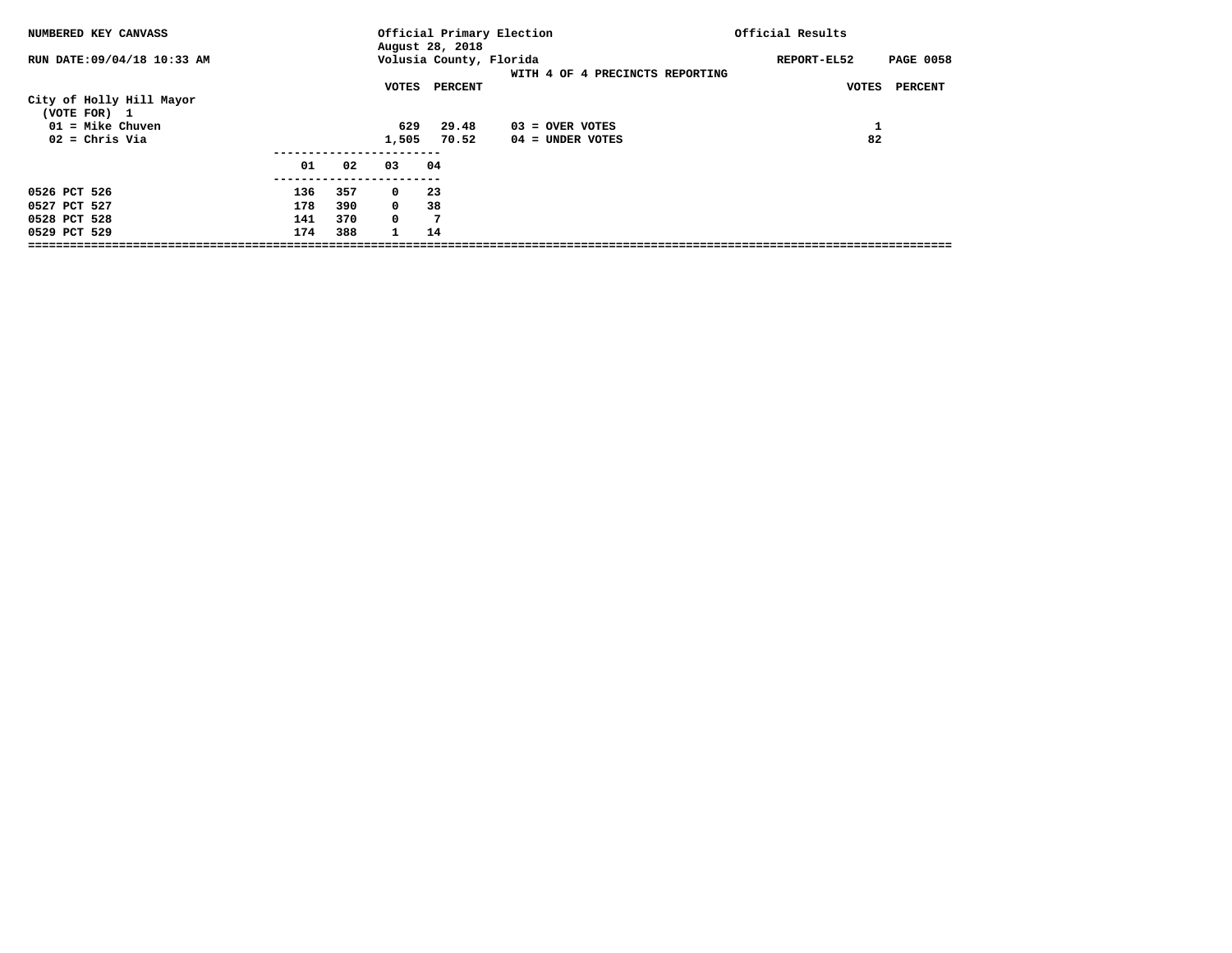| NUMBERED KEY CANVASS                                           |                          |                          |                                                         | August 28, 2018         | Official Primary Election       | Official Results |                  |
|----------------------------------------------------------------|--------------------------|--------------------------|---------------------------------------------------------|-------------------------|---------------------------------|------------------|------------------|
| RUN DATE: 09/04/18 10:33 AM                                    |                          |                          |                                                         | Volusia County, Florida | WITH 4 OF 4 PRECINCTS REPORTING | REPORT-EL52      | <b>PAGE 0058</b> |
| City of Holly Hill Mayor<br>(VOTE FOR) 1<br>$01 =$ Mike Chuven |                          |                          | VOTES<br>629                                            | PERCENT<br>29.48        | $03 =$ OVER VOTES               | VOTES<br>ᆠ       | PERCENT          |
| $02 =$ Chris Via                                               | 01                       | 02                       | 1,505<br>03                                             | 70.52<br>04             | $04 =$ UNDER VOTES              | 82               |                  |
| 0526 PCT 526<br>0527 PCT 527<br>0528 PCT 528<br>0529 PCT 529   | 136<br>178<br>141<br>174 | 357<br>390<br>370<br>388 | $\mathbf 0$<br>$^{\circ}$<br>$^{\circ}$<br>$\mathbf{1}$ | -23<br>38<br>7<br>14    |                                 |                  |                  |
|                                                                |                          |                          |                                                         |                         |                                 |                  |                  |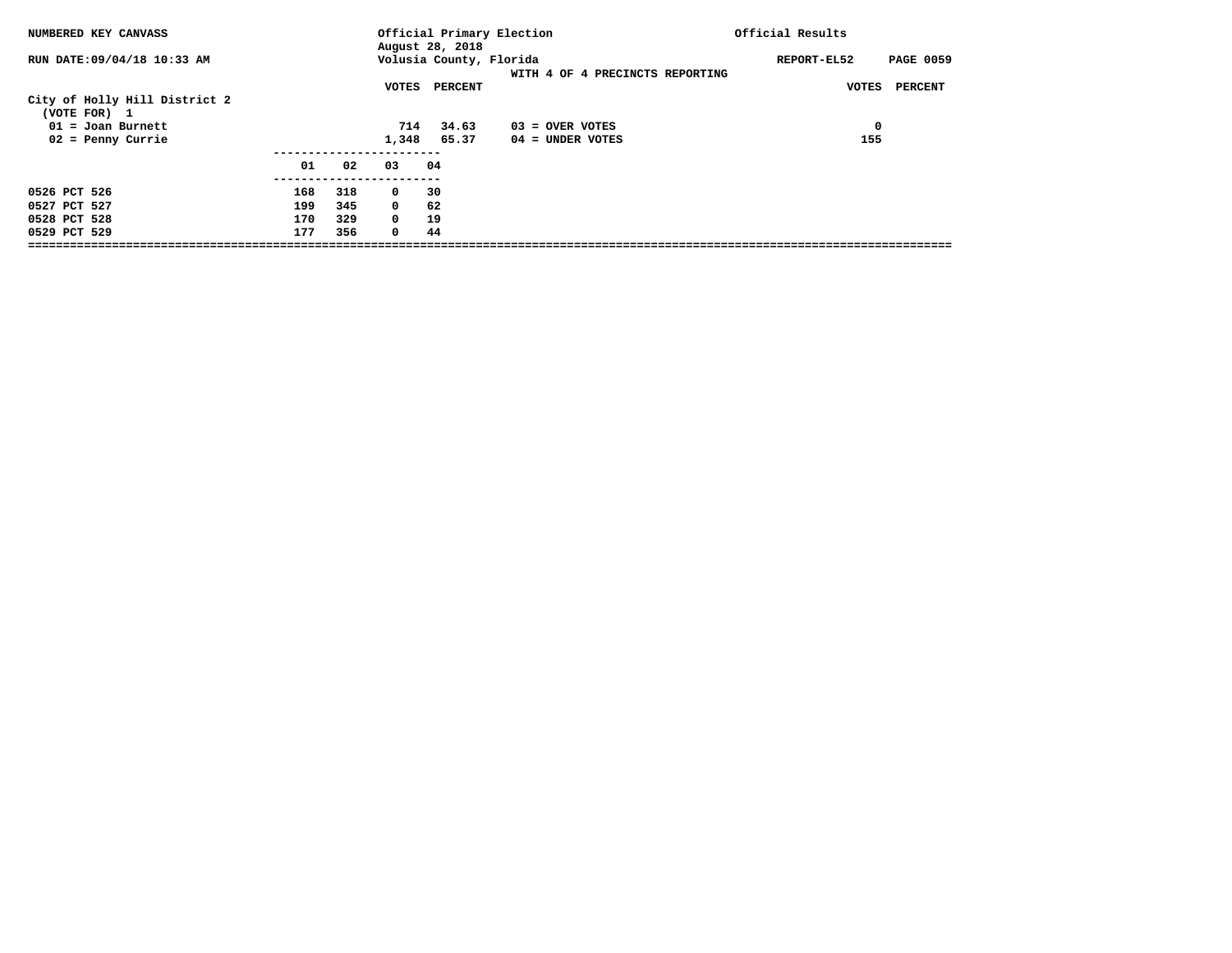| NUMBERED KEY CANVASS                                                                        |                          |                          |                                                       | August 28, 2018           | Official Primary Election             | Official Results                |
|---------------------------------------------------------------------------------------------|--------------------------|--------------------------|-------------------------------------------------------|---------------------------|---------------------------------------|---------------------------------|
| RUN DATE: 09/04/18 10:33 AM                                                                 |                          |                          |                                                       | Volusia County, Florida   | WITH 4 OF 4 PRECINCTS REPORTING       | <b>PAGE 0059</b><br>REPORT-EL52 |
| City of Holly Hill District 2<br>(VOTE FOR) 1<br>$01 =$ Joan Burnett<br>$02$ = Penny Currie |                          |                          | VOTES<br>714<br>1,348                                 | PERCENT<br>34.63<br>65.37 | 03 = OVER VOTES<br>$04 =$ UNDER VOTES | PERCENT<br>VOTES<br>0<br>155    |
|                                                                                             | 01                       | 02                       | 03                                                    | 04                        |                                       |                                 |
| 0526 PCT 526<br>0527 PCT 527<br>0528 PCT 528<br>0529 PCT 529                                | 168<br>199<br>170<br>177 | 318<br>345<br>329<br>356 | $\mathbf 0$<br>$\mathbf 0$<br>$\Omega$<br>$\mathbf 0$ | 30<br>62<br>19<br>44      |                                       |                                 |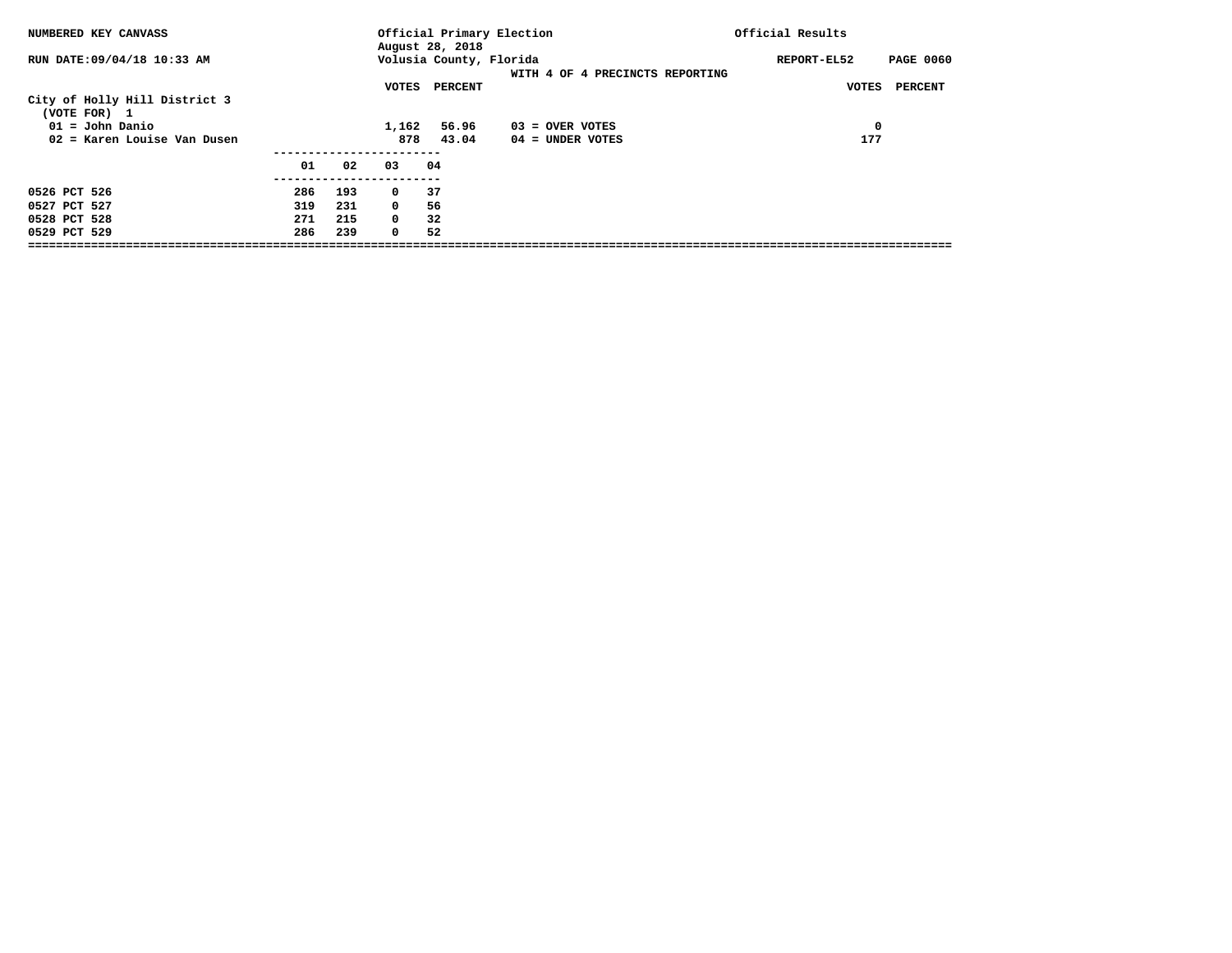| NUMBERED KEY CANVASS                          |     |     |              | August 28, 2018         | Official Primary Election       | Official Results                |
|-----------------------------------------------|-----|-----|--------------|-------------------------|---------------------------------|---------------------------------|
| RUN DATE: 09/04/18 10:33 AM                   |     |     |              | Volusia County, Florida | WITH 4 OF 4 PRECINCTS REPORTING | <b>PAGE 0060</b><br>REPORT-EL52 |
|                                               |     |     | VOTES        | PERCENT                 |                                 | PERCENT<br>VOTES                |
| City of Holly Hill District 3<br>(VOTE FOR) 1 |     |     |              |                         |                                 |                                 |
| 01 = John Danio                               |     |     | 1,162        | 56.96                   | $03 =$ OVER VOTES               | 0                               |
| 02 = Karen Louise Van Dusen                   |     |     | 878          | 43.04                   | 04 = UNDER VOTES                | 177                             |
|                                               | 01  | 02  | 03           | 04                      |                                 |                                 |
| 0526 PCT 526                                  | 286 | 193 | $^{\circ}$   | 37                      |                                 |                                 |
| 0527 PCT 527                                  | 319 | 231 | $\mathbf{0}$ | 56                      |                                 |                                 |
| 0528 PCT 528                                  | 271 | 215 | $^{\circ}$   | 32                      |                                 |                                 |
| 0529 PCT 529                                  | 286 | 239 | $^{\circ}$   | 52                      |                                 |                                 |
|                                               |     |     |              |                         |                                 |                                 |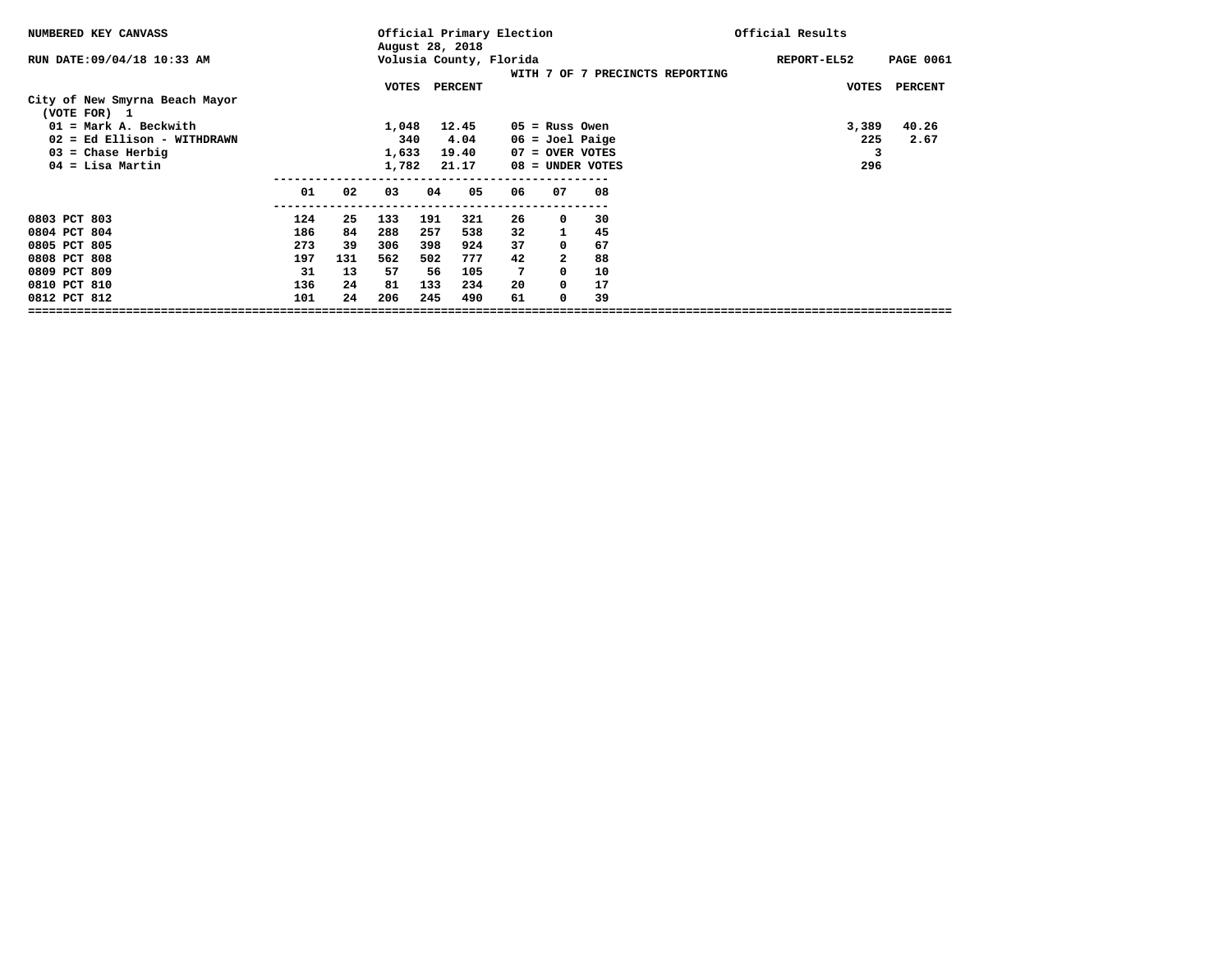| NUMBERED KEY CANVASS                           |     |     |       |     | Official Primary Election<br>August 28, 2018 |    |                   |                    |                                 | Official Results |                  |
|------------------------------------------------|-----|-----|-------|-----|----------------------------------------------|----|-------------------|--------------------|---------------------------------|------------------|------------------|
| RUN DATE: 09/04/18 10:33 AM                    |     |     |       |     | Volusia County, Florida                      |    |                   |                    | WITH 7 OF 7 PRECINCTS REPORTING | REPORT-EL52      | <b>PAGE 0061</b> |
| City of New Smyrna Beach Mayor<br>(VOTE FOR) 1 |     |     | VOTES |     | <b>PERCENT</b>                               |    |                   |                    |                                 | <b>VOTES</b>     | <b>PERCENT</b>   |
| $01 = Mark A$ . Beckwith                       |     |     | 1,048 |     | 12.45                                        |    | $05$ = Russ Owen  |                    |                                 | 3,389            | 40.26            |
| 02 = Ed Ellison - WITHDRAWN                    |     |     | 340   |     | 4.04                                         |    | $06 =$ Joel Paige |                    |                                 | 225              | 2.67             |
| $03$ = Chase Herbig                            |     |     | 1,633 |     | 19.40                                        |    | 07 = OVER VOTES   |                    |                                 | 3                |                  |
| $04 =$ Lisa Martin                             |     |     | 1,782 |     | 21.17                                        |    |                   | $08 =$ UNDER VOTES |                                 | 296              |                  |
|                                                | 01  | 02  | 03    | 04  | 05                                           | 06 | 07                | 08                 |                                 |                  |                  |
| 0803 PCT 803                                   | 124 | 25  | 133   | 191 | 321                                          | 26 | $^{\circ}$        | 30                 |                                 |                  |                  |
| 0804 PCT 804                                   | 186 | 84  | 288   | 257 | 538                                          | 32 |                   | 45                 |                                 |                  |                  |
| 0805 PCT 805                                   | 273 | 39  | 306   | 398 | 924                                          | 37 | $^{\circ}$        | 67                 |                                 |                  |                  |
| 0808 PCT 808                                   | 197 | 131 | 562   | 502 | 777                                          | 42 |                   | 88                 |                                 |                  |                  |
| 0809 PCT 809                                   | 31  | 13  | 57    | 56  | 105                                          | 7  | $\Omega$          | 10                 |                                 |                  |                  |
| 0810 PCT 810                                   | 136 | 24  | 81    | 133 | 234                                          | 20 | 0                 | 17                 |                                 |                  |                  |
| 0812 PCT 812                                   | 101 | 24  | 206   | 245 | 490                                          | 61 | $\Omega$          | 39                 |                                 |                  |                  |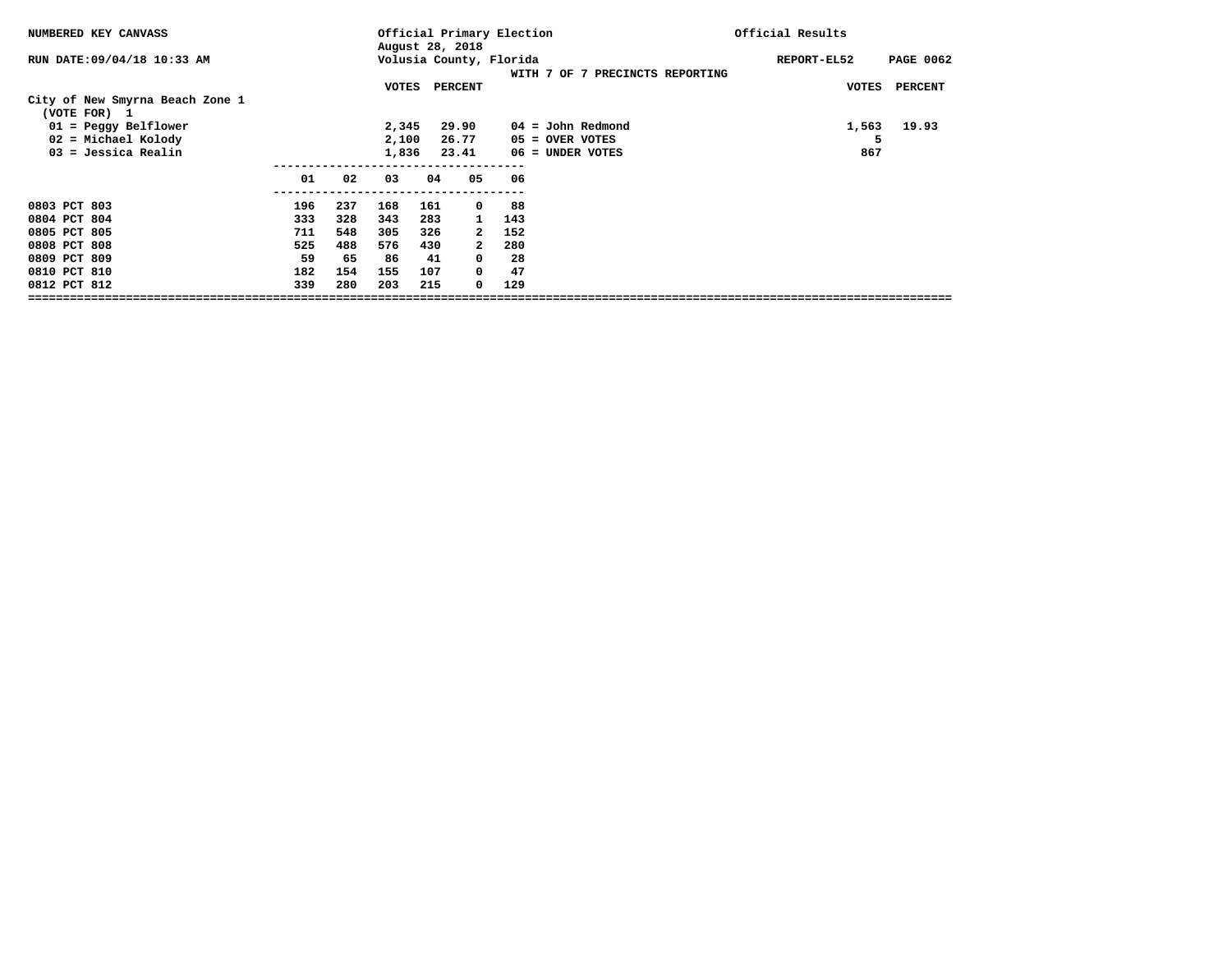| NUMBERED KEY CANVASS                            |     |     | Official Primary Election<br>August 28, 2018 |     |                         |     |                   | Official Results                |  |             |       |                  |
|-------------------------------------------------|-----|-----|----------------------------------------------|-----|-------------------------|-----|-------------------|---------------------------------|--|-------------|-------|------------------|
| RUN DATE: 09/04/18 10:33 AM                     |     |     |                                              |     | Volusia County, Florida |     |                   | WITH 7 OF 7 PRECINCTS REPORTING |  | REPORT-EL52 |       | <b>PAGE 0062</b> |
|                                                 |     |     | VOTES                                        |     | PERCENT                 |     |                   |                                 |  |             | VOTES | <b>PERCENT</b>   |
| City of New Smyrna Beach Zone 1<br>(VOTE FOR) 1 |     |     |                                              |     |                         |     |                   |                                 |  |             |       |                  |
| $01 =$ Peggy Belflower                          |     |     | 2,345                                        |     | 29.90                   |     |                   | $04 =$ John Redmond             |  |             | 1,563 | 19.93            |
| $02$ = Michael Kolody                           |     |     | 2,100                                        |     | 26.77                   |     | $05 =$ OVER VOTES |                                 |  |             | 5     |                  |
| $03 = Jessica Realin$                           |     |     | 1,836                                        |     | 23.41                   |     | 06 = UNDER VOTES  |                                 |  |             | 867   |                  |
|                                                 |     |     |                                              |     |                         |     |                   |                                 |  |             |       |                  |
|                                                 | 01  | 02  | 03                                           | 04  | 05                      | 06  |                   |                                 |  |             |       |                  |
| 0803 PCT 803                                    | 196 | 237 | 168                                          | 161 | $\mathbf 0$             | 88  |                   |                                 |  |             |       |                  |
| 0804 PCT 804                                    | 333 | 328 | 343                                          | 283 | $\mathbf{1}$            | 143 |                   |                                 |  |             |       |                  |
| 0805 PCT 805                                    | 711 | 548 | 305                                          | 326 | 2                       | 152 |                   |                                 |  |             |       |                  |
| 0808 PCT 808                                    | 525 | 488 | 576                                          | 430 | $\mathbf{2}$            | 280 |                   |                                 |  |             |       |                  |
| 0809 PCT 809                                    | 59  | 65  | 86                                           | 41  | 0                       | 28  |                   |                                 |  |             |       |                  |
| 0810 PCT 810                                    | 182 | 154 | 155                                          | 107 | 0                       | 47  |                   |                                 |  |             |       |                  |
| 0812 PCT 812                                    | 339 | 280 | 203                                          | 215 | 0                       | 129 |                   |                                 |  |             |       |                  |
|                                                 |     |     |                                              |     |                         |     |                   |                                 |  |             |       |                  |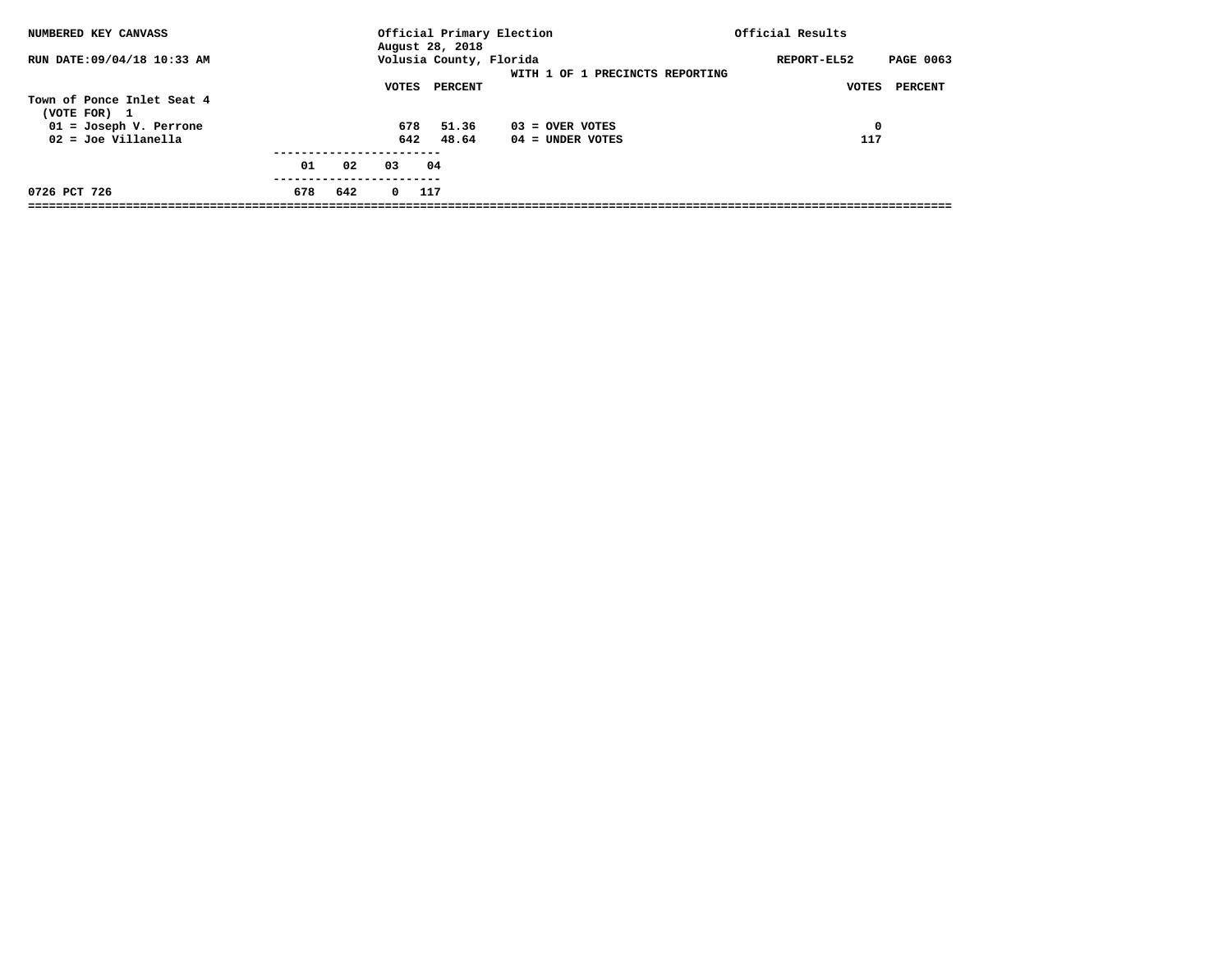| NUMBERED KEY CANVASS                                                                            |     |     |            | August 28, 2018                    | Official Primary Election               | Official Results                                    |
|-------------------------------------------------------------------------------------------------|-----|-----|------------|------------------------------------|-----------------------------------------|-----------------------------------------------------|
| RUN DATE: 09/04/18 10:33 AM                                                                     |     |     | VOTES      | Volusia County, Florida<br>PERCENT | WITH 1 OF 1 PRECINCTS REPORTING         | <b>PAGE 0063</b><br>REPORT-EL52<br>VOTES<br>PERCENT |
| Town of Ponce Inlet Seat 4<br>(VOTE FOR) 1<br>$01 = Joseph V.$ Perrone<br>$02 = Joe Villanella$ |     |     | 678<br>642 | 51.36<br>48.64                     | $03 =$ OVER VOTES<br>$04 =$ UNDER VOTES | $\mathbf 0$<br>117                                  |
|                                                                                                 | 01  | 02  | 03         | 04                                 |                                         |                                                     |
| 0726 PCT 726                                                                                    | 678 | 642 | $^{\circ}$ | 117                                |                                         |                                                     |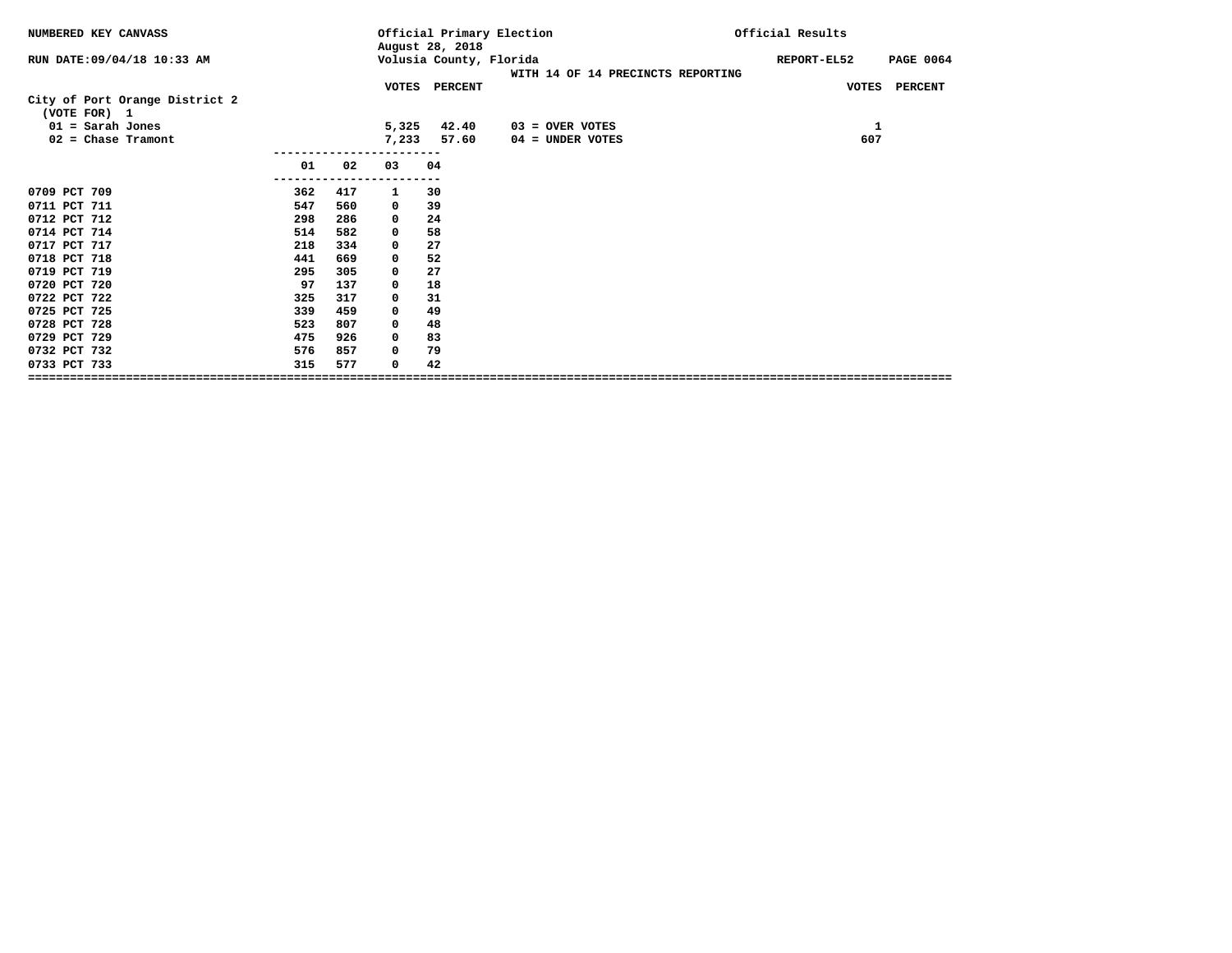| NUMBERED KEY CANVASS                           |     |     |       | Official Primary Election<br>August 28, 2018 |                                   |             | Official Results |  |  |
|------------------------------------------------|-----|-----|-------|----------------------------------------------|-----------------------------------|-------------|------------------|--|--|
| RUN DATE: 09/04/18 10:33 AM                    |     |     |       | Volusia County, Florida                      | WITH 14 OF 14 PRECINCTS REPORTING | REPORT-EL52 | <b>PAGE 0064</b> |  |  |
|                                                |     |     |       | VOTES PERCENT                                |                                   |             | VOTES PERCENT    |  |  |
| City of Port Orange District 2<br>(VOTE FOR) 1 |     |     |       |                                              |                                   |             |                  |  |  |
| $01 =$ Sarah Jones                             |     |     | 5,325 | 42.40                                        | 03 = OVER VOTES                   |             | 1                |  |  |
| $02$ = Chase Tramont                           |     |     | 7,233 | 57.60                                        | 04 = UNDER VOTES                  |             | 607              |  |  |
|                                                |     |     |       |                                              |                                   |             |                  |  |  |
|                                                | 01  | 02  | 03    | 04                                           |                                   |             |                  |  |  |
| 0709 PCT 709                                   | 362 | 417 | 1     | 30                                           |                                   |             |                  |  |  |
| 0711 PCT 711                                   | 547 | 560 | 0     | 39                                           |                                   |             |                  |  |  |
| 0712 PCT 712                                   | 298 | 286 | 0     | 24                                           |                                   |             |                  |  |  |
| 0714 PCT 714                                   | 514 | 582 | 0     | 58                                           |                                   |             |                  |  |  |
| 0717 PCT 717                                   | 218 | 334 | 0     | 27                                           |                                   |             |                  |  |  |
| 0718 PCT 718                                   | 441 | 669 | 0     | 52                                           |                                   |             |                  |  |  |
| 0719 PCT 719                                   | 295 | 305 | 0     | 27                                           |                                   |             |                  |  |  |
| 0720 PCT 720                                   | 97  | 137 | 0     | 18                                           |                                   |             |                  |  |  |
| 0722 PCT 722                                   | 325 | 317 | 0     | 31                                           |                                   |             |                  |  |  |
| 0725 PCT 725                                   | 339 | 459 | 0     | 49                                           |                                   |             |                  |  |  |
| 0728 PCT 728                                   | 523 | 807 | 0     | 48                                           |                                   |             |                  |  |  |
| 0729 PCT 729                                   | 475 | 926 | 0     | 83                                           |                                   |             |                  |  |  |
| 0732 PCT 732                                   | 576 | 857 | 0     | 79                                           |                                   |             |                  |  |  |
| 0733 PCT 733                                   | 315 | 577 | 0     | 42                                           |                                   |             |                  |  |  |
|                                                |     |     |       |                                              |                                   |             |                  |  |  |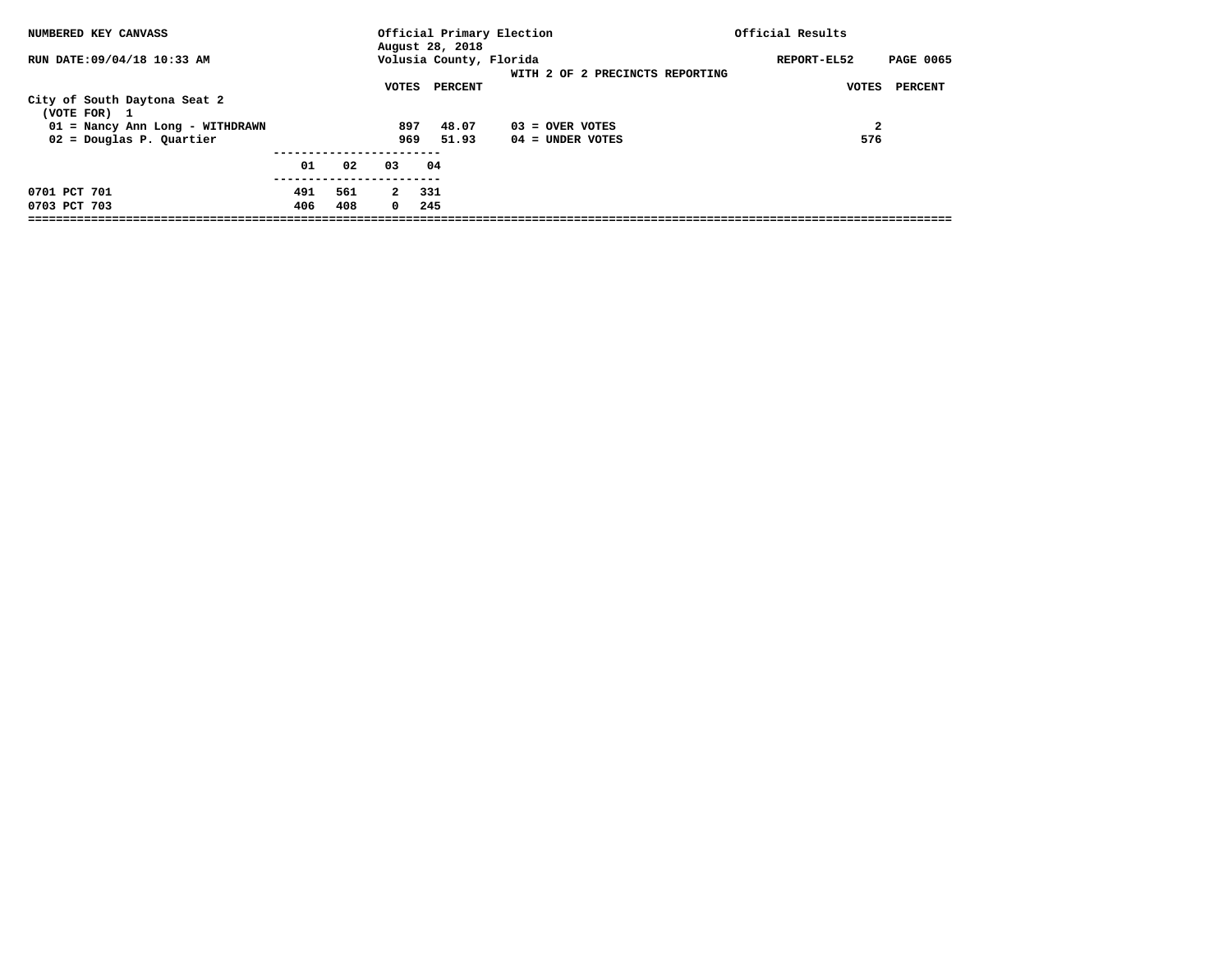| NUMBERED KEY CANVASS                         |     |     |            |                                            | Official Primary Election       | Official Results                |
|----------------------------------------------|-----|-----|------------|--------------------------------------------|---------------------------------|---------------------------------|
| RUN DATE: 09/04/18 10:33 AM                  |     |     |            | August 28, 2018<br>Volusia County, Florida |                                 | <b>PAGE 0065</b><br>REPORT-EL52 |
|                                              |     |     |            |                                            | WITH 2 OF 2 PRECINCTS REPORTING |                                 |
|                                              |     |     | VOTES      | PERCENT                                    |                                 | PERCENT<br>VOTES                |
| City of South Daytona Seat 2<br>(VOTE FOR) 1 |     |     |            |                                            |                                 |                                 |
| 01 = Nancy Ann Long - WITHDRAWN              |     |     | 897        | 48.07                                      | $03 =$ OVER VOTES               | $\mathbf{2}$                    |
| $02$ = Douglas P. Quartier                   |     |     | 969        | 51.93                                      | $04 =$ UNDER VOTES              | 576                             |
|                                              | 01  | 02  | 03         | 04                                         |                                 |                                 |
| 0701 PCT 701                                 | 491 | 561 | 2          | -331                                       |                                 |                                 |
| 0703 PCT 703                                 | 406 | 408 | $^{\circ}$ | 245                                        |                                 |                                 |
|                                              |     |     |            |                                            |                                 |                                 |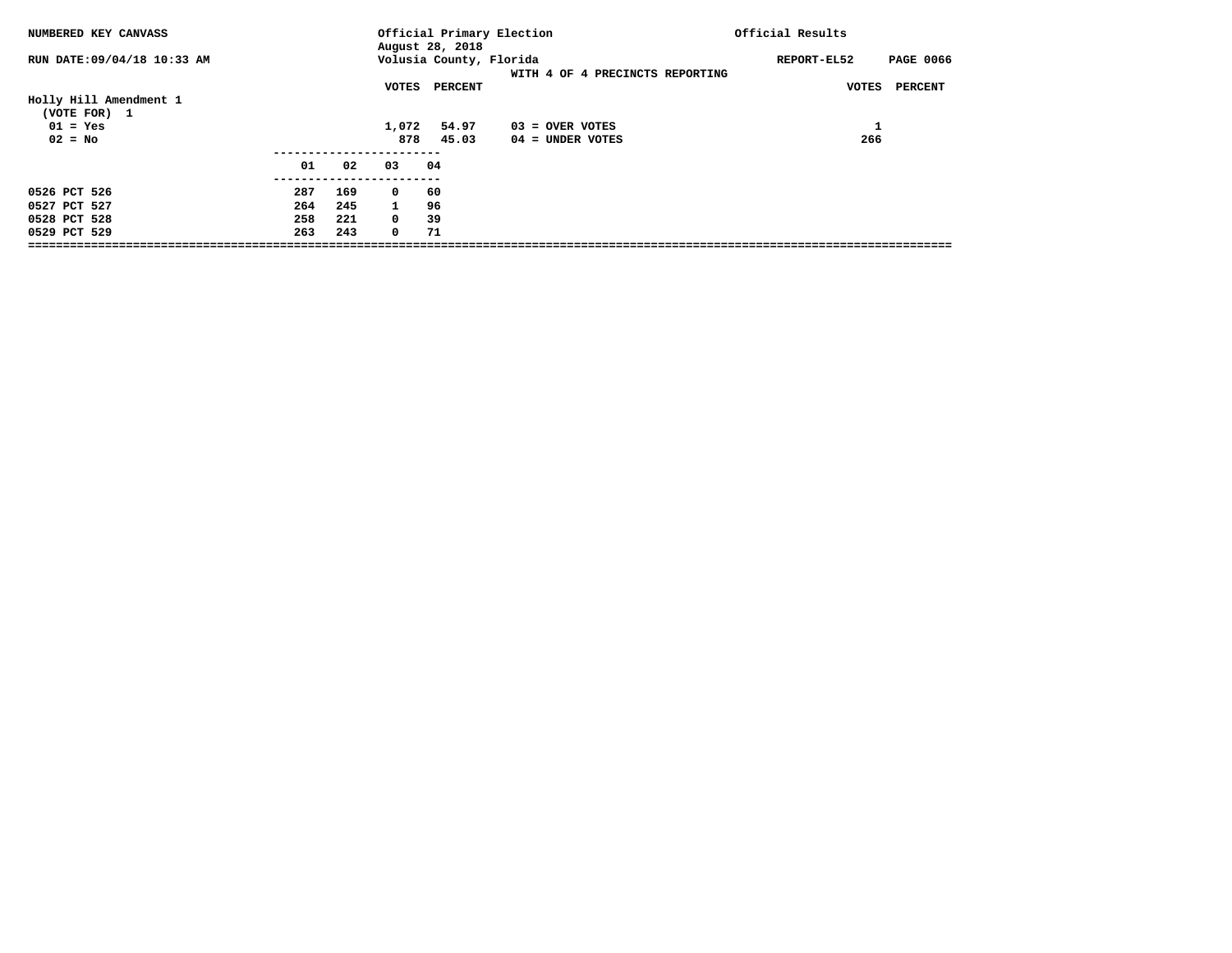| NUMBERED KEY CANVASS                   |     |              | August 28, 2018         | Official Primary Election       | Official Results                |
|----------------------------------------|-----|--------------|-------------------------|---------------------------------|---------------------------------|
| RUN DATE:09/04/18 10:33 AM             |     |              | Volusia County, Florida | WITH 4 OF 4 PRECINCTS REPORTING | <b>PAGE 0066</b><br>REPORT-EL52 |
| Holly Hill Amendment 1<br>(VOTE FOR) 1 |     | VOTES        | <b>PERCENT</b>          |                                 | <b>PERCENT</b><br>VOTES         |
| $01 = Yes$                             |     | 1,072        | 54.97                   | $03 =$ OVER VOTES               | Ŧ.                              |
| $02 = No$                              |     | 878          | 45.03                   | $04 =$ UNDER VOTES              | 266                             |
| 01                                     | 02  | 03           | 04                      |                                 |                                 |
| 0526 PCT 526<br>287                    | 169 | $^{\circ}$   | 60                      |                                 |                                 |
| 0527 PCT 527<br>264                    | 245 | $\mathbf{1}$ | 96                      |                                 |                                 |
| 258<br>0528 PCT 528                    | 221 | $^{\circ}$   | 39                      |                                 |                                 |
| 263<br>0529 PCT 529                    | 243 | $\mathbf 0$  | 71                      |                                 |                                 |